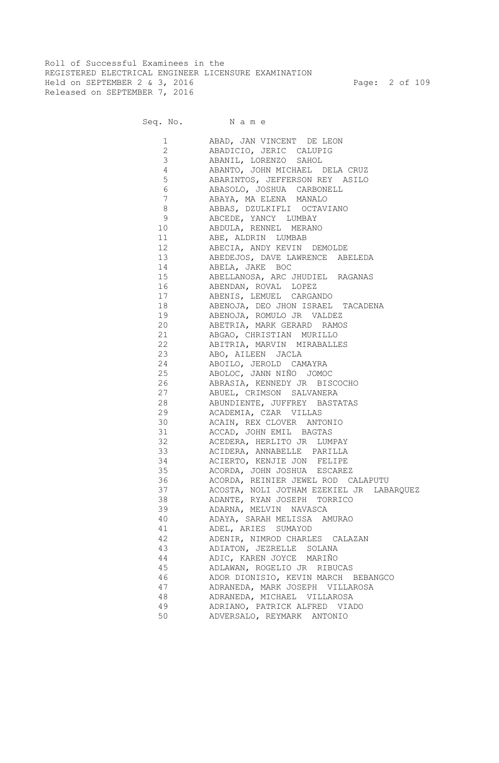Roll of Successful Examinees in the REGISTERED ELECTRICAL ENGINEER LICENSURE EXAMINATION Held on SEPTEMBER 2 & 3, 2016 Page: 2 of 109 Released on SEPTEMBER 7, 2016

| 1<br>$\mathbf{2}$     | ABAD, JAN VINCENT DE LEON<br>ABADICIO, JERIC CALUPIG |
|-----------------------|------------------------------------------------------|
| 3                     | ABANIL, LORENZO SAHOL                                |
| 4                     | ABANTO, JOHN MICHAEL DELA CRUZ                       |
| 5                     | ABARINTOS, JEFFERSON REY ASILO                       |
| 6                     | ABASOLO, JOSHUA CARBONELL                            |
| 7                     | ABAYA, MA ELENA MANALO                               |
| 8                     | ABBAS, DZULKIFLI OCTAVIANO                           |
| 9                     | ABCEDE, YANCY LUMBAY                                 |
|                       | ABDULA, RENNEL MERANO                                |
|                       | 11 ABE, ALDRIN LUMBAB                                |
|                       | 12 ABECIA, ANDY KEVIN DEMOLDE                        |
|                       | ABEDEJOS, DAVE LAWRENCE ABELEDA                      |
| 14 and $\overline{a}$ | ABELA, JAKE BOC                                      |
| 15 (1)                | ABELLANOSA, ARC JHUDIEL RAGANAS                      |
|                       | ABENDAN, ROVAL LOPEZ                                 |
|                       | ABENIS, LEMUEL CARGANDO                              |
|                       | ABENOJA, DEO JHON ISRAEL TACADENA                    |
|                       | ABENOJA, ROMULO JR VALDEZ                            |
| 20                    | ABETRIA, MARK GERARD RAMOS                           |
| 21 and $\sim$         | ABGAO, CHRISTIAN MURILLO                             |
| 22                    | ABITRIA, MARVIN MIRABALLES                           |
| 23                    | ABO, AILEEN JACLA                                    |
| 24                    | ABOILO, JEROLD CAMAYRA                               |
| 25                    | ABOLOC, JANN NIÑO JOMOC                              |
| 26                    | ABRASIA, KENNEDY JR BISCOCHO                         |
| 27                    | ABUEL, CRIMSON SALVANERA                             |
| 28                    | ABUNDIENTE, JUFFREY BASTATAS                         |
| 29                    | ACADEMIA, CZAR VILLAS                                |
| 30                    | ACAIN, REX CLOVER ANTONIO                            |
| 31                    | ACCAD, JOHN EMIL BAGTAS                              |
| 32                    | ACEDERA, HERLITO JR LUMPAY                           |
| 33                    | ACIDERA, ANNABELLE PARILLA                           |
| 34                    | ACIERTO, KENJIE JON FELIPE                           |
| 35                    | ACORDA, JOHN JOSHUA ESCAREZ                          |
| 36                    | ACORDA, REINIER JEWEL ROD CALAPUTU                   |
| 37                    | ACOSTA, NOLI JOTHAM EZEKIEL JR LABARQUEZ             |
| 38                    | ADANTE, RYAN JOSEPH TORRICO                          |
| 39                    | ADARNA, MELVIN NAVASCA                               |
| 40                    | ADAYA, SARAH MELISSA AMURAO                          |
| 41                    | ADEL, ARIES SUMAYOD                                  |
| 42                    | ADENIR, NIMROD CHARLES CALAZAN                       |
| 43                    | ADIATON, JEZRELLE SOLANA                             |
| 44                    | ADIC, KAREN JOYCE MARIÑO                             |
| 45                    | ADLAWAN, ROGELIO JR RIBUCAS                          |
| 46                    | ADOR DIONISIO, KEVIN MARCH BEBANGCO                  |
| 47                    | ADRANEDA, MARK JOSEPH VILLAROSA                      |
| 48                    | ADRANEDA, MICHAEL VILLAROSA                          |
| 49                    | ADRIANO, PATRICK ALFRED VIADO                        |
| 50                    | ADVERSALO, REYMARK ANTONIO                           |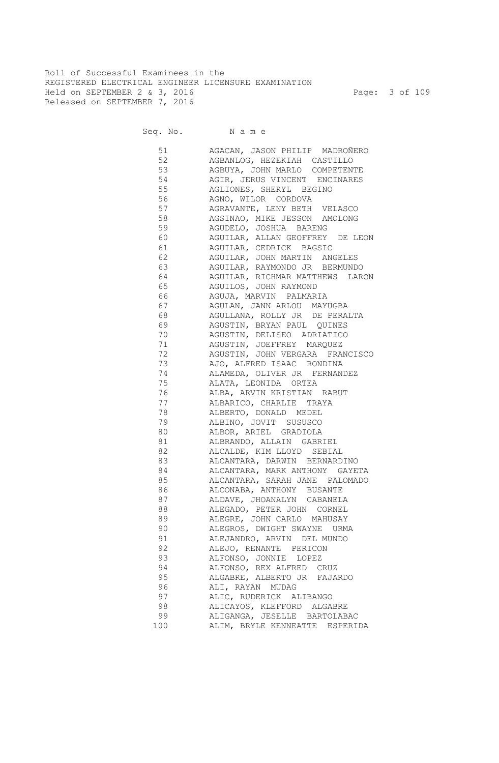Roll of Successful Examinees in the REGISTERED ELECTRICAL ENGINEER LICENSURE EXAMINATION Held on SEPTEMBER 2 & 3, 2016 Page: 3 of 109 Released on SEPTEMBER 7, 2016

| 51                                                                                                                                                                                                                              | AGACAN, JASON PHILIP MADROÑERO                            |
|---------------------------------------------------------------------------------------------------------------------------------------------------------------------------------------------------------------------------------|-----------------------------------------------------------|
| 52                                                                                                                                                                                                                              | AGBANLOG, HEZEKIAH CASTILLO                               |
| 53                                                                                                                                                                                                                              | AGBUYA, JOHN MARLO COMPETENTE                             |
| 54                                                                                                                                                                                                                              | AGIR, JERUS VINCENT ENCINARES                             |
| 55                                                                                                                                                                                                                              | AGLIONES, SHERYL BEGINO                                   |
| 56                                                                                                                                                                                                                              | AGNO, WILOR CORDOVA                                       |
| 57                                                                                                                                                                                                                              | AGRAVANTE, LENY BETH VELASCO                              |
| 58                                                                                                                                                                                                                              | AGSINAO, MIKE JESSON AMOLONG                              |
| 59 30                                                                                                                                                                                                                           | AGUDELO, JOSHUA BARENG                                    |
| 60 — 100 — 100 — 100 — 100 — 100 — 100 — 100 — 100 — 100 — 100 — 100 — 100 — 100 — 100 — 100 — 100 — 100 — 100 — 100 — 100 — 100 — 100 — 100 — 100 — 100 — 100 — 100 — 100 — 100 — 100 — 100 — 100 — 100 — 100 — 100 — 100 — 10 | AGUILAR, ALLAN GEOFFREY DE LEON                           |
| 61 — 10                                                                                                                                                                                                                         | AGUILAR, CEDRICK BAGSIC                                   |
| 62 7                                                                                                                                                                                                                            | AGUILAR, JOHN MARTIN ANGELES                              |
|                                                                                                                                                                                                                                 | 63 AGUILAR, RAYMONDO JR BERMUNDO                          |
|                                                                                                                                                                                                                                 | 64 AGUILAR, RICHMAR MATTHEWS LARON                        |
|                                                                                                                                                                                                                                 | 65 AGUILOS, JOHN RAYMOND                                  |
|                                                                                                                                                                                                                                 |                                                           |
|                                                                                                                                                                                                                                 |                                                           |
|                                                                                                                                                                                                                                 | 68 AGULLANA, ROLLY JR DE PERALTA                          |
| 69 — 10                                                                                                                                                                                                                         |                                                           |
|                                                                                                                                                                                                                                 | AGUSTIN, BRYAN PAUL QUINES                                |
| 70 — 20                                                                                                                                                                                                                         | AGUSTIN, DELISEO ADRIATICO                                |
| 71 — 200                                                                                                                                                                                                                        | AGUSTIN, JOEFFREY MARQUEZ                                 |
| 72 and $\overline{a}$                                                                                                                                                                                                           | AGUSTIN, JOHN VERGARA FRANCISCO                           |
| 73 — 173 — 174 — 175 — 175 — 175 — 175 — 175 — 175 — 175 — 175 — 175 — 175 — 175 — 175 — 175 — 175 — 175 — 17                                                                                                                   | AJO, ALFRED ISAAC RONDINA                                 |
| 74<br>75 — 175 — 176 — 176 — 176 — 176 — 177 — 178 — 179 — 179 — 179 — 179 — 179 — 179 — 179 — 179 — 179 — 179 — 17                                                                                                             | ALAMEDA, OLIVER JR FERNANDEZ                              |
|                                                                                                                                                                                                                                 | ALATA, LEONIDA ORTEA                                      |
| 76 76 76 77                                                                                                                                                                                                                     | ALBA, ARVIN KRISTIAN RABUT                                |
| 77                                                                                                                                                                                                                              | ALBARICO, CHARLIE TRAYA                                   |
| 78 78 79<br>79                                                                                                                                                                                                                  | ALBERTO, DONALD MEDEL                                     |
|                                                                                                                                                                                                                                 | ALBINO, JOVIT SUSUSCO                                     |
| 80 30 30 31 32 33 40 33 40 41 33 41 42 43 44 5                                                                                                                                                                                  | ALBOR, ARIEL GRADIOLA                                     |
|                                                                                                                                                                                                                                 | ALBRANDO, ALLAIN GABRIEL                                  |
| 82 82                                                                                                                                                                                                                           | ALCALDE, KIM LLOYD SEBIAL                                 |
| 83                                                                                                                                                                                                                              | ALCANTARA, DARWIN BERNARDINO                              |
| 84                                                                                                                                                                                                                              | ALCANTARA, MARK ANTHONY GAYETA                            |
|                                                                                                                                                                                                                                 | ALCANTARA, SARAH JANE PALOMADO                            |
| 86<br>87                                                                                                                                                                                                                        | ALCONABA, ANTHONY BUSANTE                                 |
| 88                                                                                                                                                                                                                              | ALDAVE, JHOANALYN CABANELA<br>ALEGADO, PETER JOHN CORNEL  |
| 89                                                                                                                                                                                                                              |                                                           |
| 90                                                                                                                                                                                                                              | ALEGRE, JOHN CARLO MAHUSAY                                |
| 91                                                                                                                                                                                                                              | ALEGROS, DWIGHT SWAYNE URMA<br>ALEJANDRO, ARVIN DEL MUNDO |
| 92                                                                                                                                                                                                                              |                                                           |
|                                                                                                                                                                                                                                 | ALEJO, RENANTE PERICON                                    |
| 93<br>94                                                                                                                                                                                                                        | ALFONSO, JONNIE LOPEZ                                     |
|                                                                                                                                                                                                                                 | ALFONSO, REX ALFRED CRUZ                                  |
| 95                                                                                                                                                                                                                              | ALGABRE, ALBERTO JR<br>FAJARDO                            |
| 96<br>97                                                                                                                                                                                                                        | ALI, RAYAN MUDAG<br>ALIC, RUDERICK ALIBANGO               |
|                                                                                                                                                                                                                                 |                                                           |
| 98                                                                                                                                                                                                                              | ALICAYOS, KLEFFORD ALGABRE                                |
| 99                                                                                                                                                                                                                              | ALIGANGA, JESELLE BARTOLABAC                              |
| 100                                                                                                                                                                                                                             | ALIM, BRYLE KENNEATTE<br>ESPERIDA                         |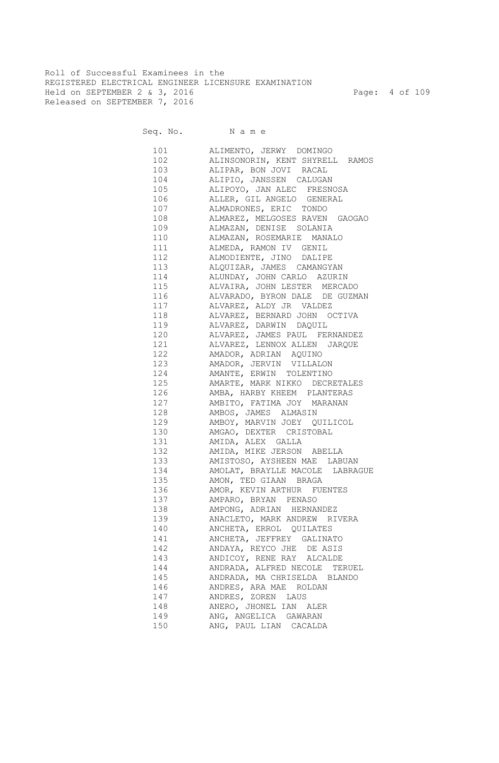Roll of Successful Examinees in the REGISTERED ELECTRICAL ENGINEER LICENSURE EXAMINATION Held on SEPTEMBER 2 & 3, 2016 Page: 4 of 109 Released on SEPTEMBER 7, 2016

| 101 | ALIMENTO, JERWY DOMINGO                |
|-----|----------------------------------------|
| 102 | ALINSONORIN, KENT SHYRELL RAMOS        |
|     | 103 ALIPAR, BON JOVI RACAL             |
|     | 104 ALIPIO, JANSSEN CALUGAN            |
|     | 105 ALIPOYO, JAN ALEC FRESNOSA         |
| 106 | ALLER, GIL ANGELO GENERAL              |
| 107 | ALMADRONES, ERIC TONDO                 |
| 108 | ALMAREZ, MELGOSES RAVEN GAOGAO         |
| 109 | ALMAZAN, DENISE SOLANIA                |
|     | 110 ALMAZAN, ROSEMARIE MANALO          |
|     | 111 ALMEDA, RAMON IV GENIL             |
| 112 | ALMODIENTE, JINO DALIPE                |
|     | 113 ALQUIZAR, JAMES CAMANGYAN          |
|     | 114 ALUNDAY, JOHN CARLO AZURIN         |
|     | 115 ALVAIRA, JOHN LESTER MERCADO       |
| 116 | ALVARADO, BYRON DALE DE GUZMAN         |
| 117 | ALVAREZ, ALDY JR VALDEZ                |
| 118 |                                        |
| 119 | ALVAREZ, BERNARD JOHN OCTIVA           |
|     | ALVAREZ, DARWIN DAQUIL                 |
| 120 | ALVAREZ, JAMES PAUL FERNANDEZ          |
| 121 | ALVAREZ, LENNOX ALLEN JARQUE           |
| 122 | AMADOR, ADRIAN AQUINO                  |
| 123 | AMADOR, JERVIN VILLALON                |
| 124 | AMANTE, ERWIN TOLENTINO                |
| 125 | AMARTE, MARK NIKKO DECRETALES          |
| 126 | AMBA, HARBY KHEEM PLANTERAS            |
| 127 | AMBITO, FATIMA JOY MARANAN             |
| 128 | AMBOS, JAMES ALMASIN                   |
| 129 | AMBOY, MARVIN JOEY QUILICOL            |
| 130 | AMGAO, DEXTER CRISTOBAL                |
| 131 | AMIDA, ALEX GALLA                      |
| 132 | AMIDA, MIKE JERSON ABELLA              |
| 133 | AMISTOSO, AYSHEEN MAE LABUAN           |
| 134 | AMOLAT, BRAYLLE MACOLE LABRAGUE        |
| 135 | AMON, TED GIAAN BRAGA                  |
| 136 | AMOR, KEVIN ARTHUR FUENTES             |
| 137 | AMPARO, BRYAN PENASO                   |
| 138 | AMPONG, ADRIAN HERNANDEZ               |
| 139 | ANACLETO, MARK ANDREW RIVERA           |
| 140 | ANCHETA, ERROL QUILATES                |
| 141 | ANCHETA, JEFFREY GALINATO              |
| 142 | ANDAYA, REYCO JHE DE ASIS              |
| 143 | ANDICOY, RENE RAY ALCALDE              |
| 144 | ANDRADA, ALFRED NECOLE                 |
| 145 | TERUEL<br>ANDRADA, MA CHRISELDA BLANDO |
|     |                                        |
| 146 | ANDRES, ARA MAE ROLDAN                 |
| 147 | ANDRES, ZOREN LAUS                     |
| 148 | ANERO, JHONEL IAN ALER                 |
| 149 | ANG, ANGELICA GAWARAN                  |
| 150 | ANG, PAUL LIAN CACALDA                 |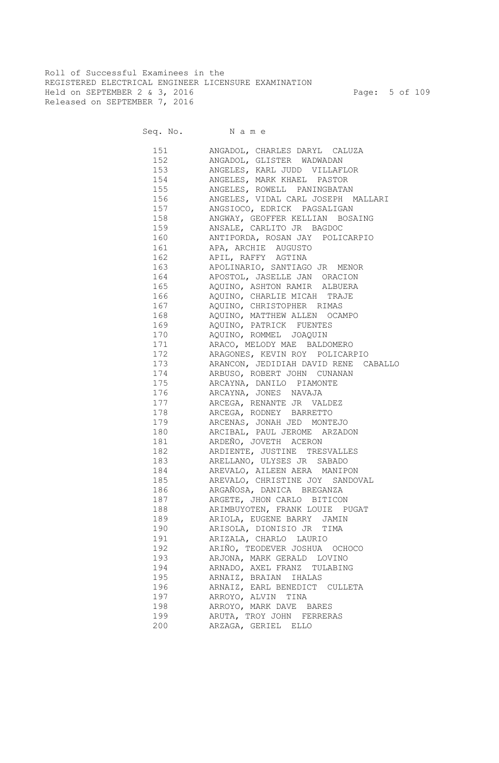Roll of Successful Examinees in the REGISTERED ELECTRICAL ENGINEER LICENSURE EXAMINATION Held on SEPTEMBER 2 & 3, 2016 Page: 5 of 109 Released on SEPTEMBER 7, 2016

| 151 | ANGADOL, CHARLES DARYL CALUZA        |
|-----|--------------------------------------|
| 152 | ANGADOL, GLISTER WADWADAN            |
| 153 | ANGELES, KARL JUDD VILLAFLOR         |
| 154 | ANGELES, MARK KHAEL PASTOR           |
| 155 | ANGELES, ROWELL PANINGBATAN          |
| 156 | ANGELES, VIDAL CARL JOSEPH MALLARI   |
| 157 | ANGSIOCO, EDRICK PAGSALIGAN          |
| 158 | ANGWAY, GEOFFER KELLIAN BOSAING      |
| 159 | ANSALE, CARLITO JR BAGDOC            |
| 160 | ANTIPORDA, ROSAN JAY POLICARPIO      |
| 161 | APA, ARCHIE AUGUSTO                  |
| 162 | APIL, RAFFY AGTINA                   |
| 163 | APOLINARIO, SANTIAGO JR MENOR        |
| 164 | APOSTOL, JASELLE JAN ORACION         |
| 165 | AQUINO, ASHTON RAMIR ALBUERA         |
| 166 | AQUINO, CHARLIE MICAH TRAJE          |
| 167 | AQUINO, CHRISTOPHER RIMAS            |
| 168 | AQUINO, MATTHEW ALLEN OCAMPO         |
| 169 | AQUINO, PATRICK FUENTES              |
| 170 | AQUINO, ROMMEL JOAQUIN               |
| 171 | ARACO, MELODY MAE BALDOMERO          |
| 172 | ARAGONES, KEVIN ROY POLICARPIO       |
| 173 | ARANCON, JEDIDIAH DAVID RENE CABALLO |
| 174 | ARBUSO, ROBERT JOHN CUNANAN          |
| 175 | ARCAYNA, DANILO PIAMONTE             |
| 176 | ARCAYNA, JONES NAVAJA                |
| 177 | ARCEGA, RENANTE JR VALDEZ            |
| 178 | ARCEGA, RODNEY BARRETTO              |
| 179 | ARCENAS, JONAH JED MONTEJO           |
| 180 | ARCIBAL, PAUL JEROME ARZADON         |
| 181 | ARDEÑO, JOVETH ACERON                |
| 182 | ARDIENTE, JUSTINE TRESVALLES         |
| 183 | ARELLANO, ULYSES JR SABADO           |
| 184 | AREVALO, AILEEN AERA MANIPON         |
| 185 | AREVALO, CHRISTINE JOY SANDOVAL      |
| 186 | ARGAÑOSA, DANICA BREGANZA            |
| 187 | ARGETE, JHON CARLO BITICON           |
| 188 | ARIMBUYOTEN, FRANK LOUIE PUGAT       |
| 189 | ARIOLA, EUGENE BARRY JAMIN           |
| 190 | ARISOLA, DIONISIO JR TIMA            |
| 191 | ARIZALA, CHARLO LAURIO               |
| 192 | ARIÑO, TEODEVER JOSHUA OCHOCO        |
| 193 | ARJONA, MARK GERALD LOVINO           |
| 194 | ARNADO, AXEL FRANZ TULABING          |
| 195 | ARNAIZ, BRAIAN IHALAS                |
| 196 | ARNAIZ, EARL BENEDICT CULLETA        |
| 197 | ARROYO, ALVIN TINA                   |
| 198 | ARROYO, MARK DAVE BARES              |
| 199 | ARUTA, TROY JOHN FERRERAS            |
| 200 | ARZAGA, GERIEL ELLO                  |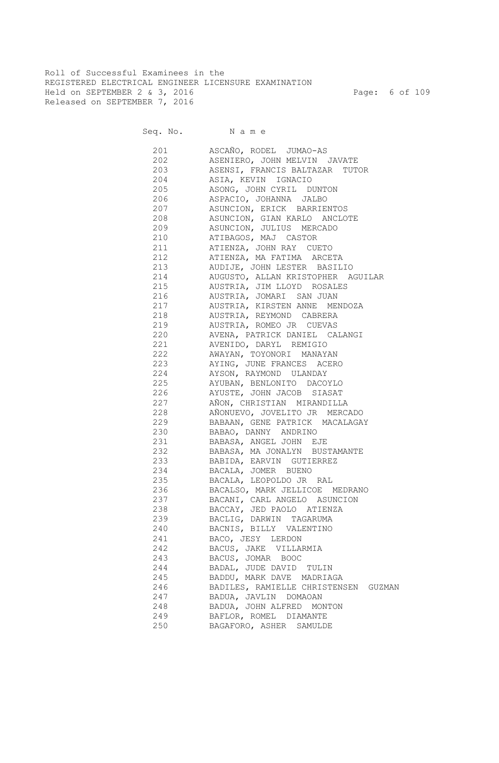Roll of Successful Examinees in the REGISTERED ELECTRICAL ENGINEER LICENSURE EXAMINATION Held on SEPTEMBER 2 & 3, 2016 Page: 6 of 109 Released on SEPTEMBER 7, 2016

| 201    | ASCAÑO, RODEL JUMAO-AS               |
|--------|--------------------------------------|
| 202    | ASENIERO, JOHN MELVIN JAVATE         |
| 203    | ASENSI, FRANCIS BALTAZAR TUTOR       |
|        | 204 ASIA, KEVIN IGNACIO              |
|        | 205 ASONG, JOHN CYRIL DUNTON         |
| 206    | ASPACIO, JOHANNA JALBO               |
| 207    | ASUNCION, ERICK BARRIENTOS           |
| 208 20 | ASUNCION, GIAN KARLO ANCLOTE         |
| 209    | ASUNCION, JULIUS MERCADO             |
| 210    | ATIBAGOS, MAJ CASTOR                 |
| 211    | ATIENZA, JOHN RAY CUETO              |
| 212    | ATIENZA, MA FATIMA ARCETA            |
| 213    | AUDIJE, JOHN LESTER BASILIO          |
| 214    | AUGUSTO, ALLAN KRISTOPHER AGUILAR    |
| 215    | AUSTRIA, JIM LLOYD ROSALES           |
| 216    | AUSTRIA, JOMARI SAN JUAN             |
| 217    | AUSTRIA, KIRSTEN ANNE MENDOZA        |
| 218    | AUSTRIA, REYMOND CABRERA             |
| 219    | AUSTRIA, ROMEO JR CUEVAS             |
| 220    | AVENA, PATRICK DANIEL CALANGI        |
| 221    | AVENIDO, DARYL REMIGIO               |
| 222    | AWAYAN, TOYONORI MANAYAN             |
| 223    | AYING, JUNE FRANCES ACERO            |
| 224    | AYSON, RAYMOND ULANDAY               |
| 225    |                                      |
|        | AYUBAN, BENLONITO DACOYLO            |
| 226    | AYUSTE, JOHN JACOB SIASAT            |
| 227    | AÑON, CHRISTIAN MIRANDILLA           |
| 228    | AÑONUEVO, JOVELITO JR MERCADO        |
| 229    | BABAAN, GENE PATRICK MACALAGAY       |
| 230    | BABAO, DANNY ANDRINO                 |
| 231    | BABASA, ANGEL JOHN EJE               |
| 232    | BABASA, MA JONALYN BUSTAMANTE        |
| 233    | BABIDA, EARVIN GUTIERREZ             |
| 234    | BACALA, JOMER BUENO                  |
| 235    | BACALA, LEOPOLDO JR RAL              |
| 236    | BACALSO, MARK JELLICOE MEDRANO       |
| 237    | BACANI, CARL ANGELO ASUNCION         |
| 238    | BACCAY, JED PAOLO ATIENZA            |
| 239    | BACLIG, DARWIN TAGARUMA              |
| 240    | BACNIS, BILLY VALENTINO              |
| 241    | BACO, JESY LERDON                    |
| 242    | BACUS, JAKE VILLARMIA                |
| 243    | BACUS, JOMAR BOOC                    |
| 244    | BADAL, JUDE DAVID TULIN              |
| 245    | BADDU, MARK DAVE MADRIAGA            |
| 246    | BADILES, RAMIELLE CHRISTENSEN GUZMAN |
| 247    | BADUA, JAVLIN DOMAOAN                |
| 248    | BADUA, JOHN ALFRED MONTON            |
| 249    | BAFLOR, ROMEL DIAMANTE               |
| 250    | BAGAFORO, ASHER SAMULDE              |
|        |                                      |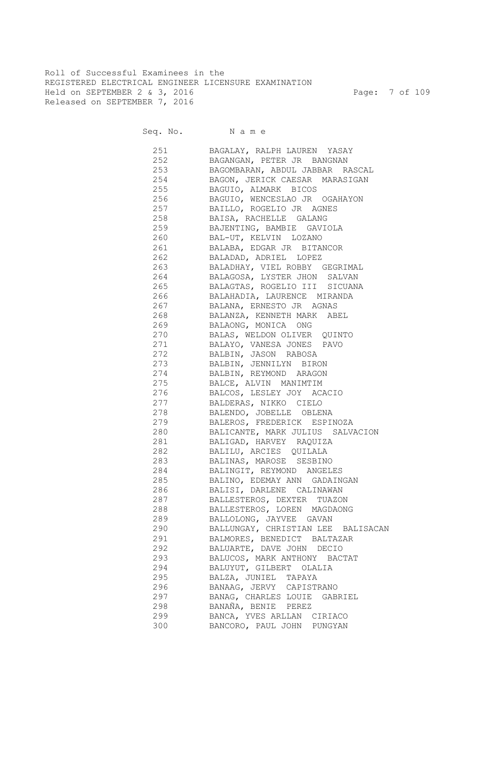Roll of Successful Examinees in the REGISTERED ELECTRICAL ENGINEER LICENSURE EXAMINATION Held on SEPTEMBER 2 & 3, 2016 Page: 7 of 109 Released on SEPTEMBER 7, 2016

Seq. No. Name

 251 BAGALAY, RALPH LAUREN YASAY 252 BAGANGAN, PETER JR BANGNAN 253 BAGOMBARAN, ABDUL JABBAR RASCAL 254 BAGON, JERICK CAESAR MARASIGAN 255 BAGUIO, ALMARK BICOS 256 BAGUIO, WENCESLAO JR OGAHAYON 257 BAILLO, ROGELIO JR AGNES 258 BAISA, RACHELLE GALANG 259 BAJENTING, BAMBIE GAVIOLA 260 BAL-UT, KELVIN LOZANO 261 BALABA, EDGAR JR BITANCOR 262 BALADAD, ADRIEL LOPEZ 263 BALADHAY, VIEL ROBBY GEGRIMAL 264 BALAGOSA, LYSTER JHON SALVAN 265 BALAGTAS, ROGELIO III SICUANA 266 BALAHADIA, LAURENCE MIRANDA 267 BALANA, ERNESTO JR AGNAS 268 BALANZA, KENNETH MARK ABEL 269 BALAONG, MONICA ONG 270 BALAS, WELDON OLIVER QUINTO 271 BALAYO, VANESA JONES PAVO 272 BALBIN, JASON RABOSA 273 BALBIN, JENNILYN BIRON 274 BALBIN, REYMOND ARAGON 275 BALCE, ALVIN MANIMTIM 276 BALCOS, LESLEY JOY ACACIO 277 BALDERAS, NIKKO CIELO 278 BALENDO, JOBELLE OBLENA 279 BALEROS, FREDERICK ESPINOZA 280 BALICANTE, MARK JULIUS SALVACION 281 BALIGAD, HARVEY RAQUIZA 282 BALILU, ARCIES QUILALA 283 BALINAS, MAROSE SESBINO 284 BALINGIT, REYMOND ANGELES 285 BALINO, EDEMAY ANN GADAINGAN 286 BALISI, DARLENE CALINAWAN 287 BALLESTEROS, DEXTER TUAZON 288 BALLESTEROS, LOREN MAGDAONG 289 BALLOLONG, JAYVEE GAVAN 290 BALLUNGAY, CHRISTIAN LEE BALISACAN 291 BALMORES, BENEDICT BALTAZAR 292 BALUARTE, DAVE JOHN DECIO 293 BALUCOS, MARK ANTHONY BACTAT 294 BALUYUT, GILBERT OLALIA 295 BALZA, JUNIEL TAPAYA 296 BANAAG, JERVY CAPISTRANO 297 BANAG, CHARLES LOUIE GABRIEL 298 BANAÑA, BENIE PEREZ 299 BANCA, YVES ARLLAN CIRIACO 300 BANCORO, PAUL JOHN PUNGYAN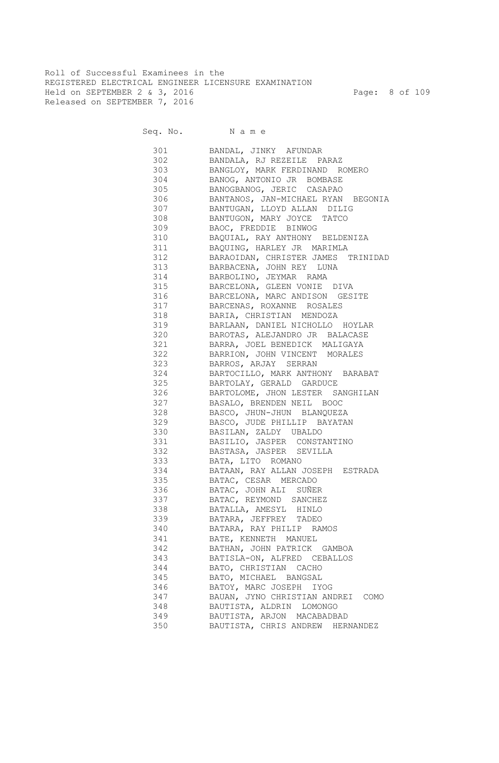Roll of Successful Examinees in the REGISTERED ELECTRICAL ENGINEER LICENSURE EXAMINATION Held on SEPTEMBER 2 & 3, 2016 Page: 8 of 109 Released on SEPTEMBER 7, 2016

Seq. No. Name

 301 BANDAL, JINKY AFUNDAR 302 BANDALA, RJ REZEILE PARAZ 303 BANGLOY, MARK FERDINAND ROMERO<br>304 BANOG, ANTONIO JR BOMBASE BANOG, ANTONIO JR BOMBASE 305 BANOGBANOG, JERIC CASAPAO 306 BANTANOS, JAN-MICHAEL RYAN BEGONIA 307 BANTUGAN, LLOYD ALLAN DILIG 308 BANTUGON, MARY JOYCE TATCO 309 BAOC, FREDDIE BINWOG 310 BAQUIAL, RAY ANTHONY BELDENIZA 311 BAQUING, HARLEY JR MARIMLA 312 BARAOIDAN, CHRISTER JAMES TRINIDAD 313 BARBACENA, JOHN REY LUNA 314 BARBOLINO, JEYMAR RAMA 315 BARCELONA, GLEEN VONIE DIVA 316 BARCELONA, MARC ANDISON GESITE 317 BARCENAS, ROXANNE ROSALES 318 BARIA, CHRISTIAN MENDOZA 319 BARLAAN, DANIEL NICHOLLO HOYLAR 320 BAROTAS, ALEJANDRO JR BALACASE 321 BARRA, JOEL BENEDICK MALIGAYA 322 BARRION, JOHN VINCENT MORALES 323 BARROS, ARJAY SERRAN 324 BARTOCILLO, MARK ANTHONY BARABAT 325 BARTOLAY, GERALD GARDUCE 326 BARTOLOME, JHON LESTER SANGHILAN 327 BASALO, BRENDEN NEIL BOOC 328 BASCO, JHUN-JHUN BLANQUEZA 329 BASCO, JUDE PHILLIP BAYATAN 330 BASILAN, ZALDY UBALDO 331 BASILIO, JASPER CONSTANTINO 332 BASTASA, JASPER SEVILLA 333 BATA, LITO ROMANO 334 BATAAN, RAY ALLAN JOSEPH ESTRADA 335 BATAC, CESAR MERCADO 336 BATAC, JOHN ALI SUÑER 337 BATAC, REYMOND SANCHEZ 338 BATALLA, AMESYL HINLO 339 BATARA, JEFFREY TADEO 340 BATARA, RAY PHILIP RAMOS 341 BATE, KENNETH MANUEL 342 BATHAN, JOHN PATRICK GAMBOA 343 BATISLA-ON, ALFRED CEBALLOS 344 BATO, CHRISTIAN CACHO 345 BATO, MICHAEL BANGSAL 346 BATOY, MARC JOSEPH IYOG 347 BAUAN, JYNO CHRISTIAN ANDREI COMO 348 BAUTISTA, ALDRIN LOMONGO 349 BAUTISTA, ARJON MACABADBAD 350 BAUTISTA, CHRIS ANDREW HERNANDEZ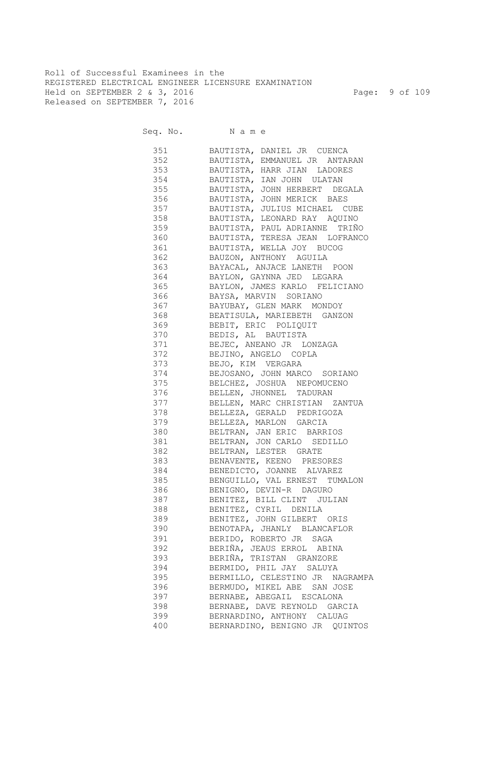Roll of Successful Examinees in the REGISTERED ELECTRICAL ENGINEER LICENSURE EXAMINATION Held on SEPTEMBER 2 & 3, 2016 Page: 9 of 109 Released on SEPTEMBER 7, 2016

| 351       | BAUTISTA, DANIEL JR CUENCA        |
|-----------|-----------------------------------|
| 352       | BAUTISTA, EMMANUEL JR ANTARAN     |
| 353       | BAUTISTA, HARR JIAN LADORES       |
| 354       | BAUTISTA, IAN JOHN ULATAN         |
| 355       | BAUTISTA, JOHN HERBERT DEGALA     |
| 356       | BAUTISTA, JOHN MERICK BAES        |
| 357       | BAUTISTA, JULIUS MICHAEL CUBE     |
| 358       | BAUTISTA, LEONARD RAY AQUINO      |
| 359       | BAUTISTA, PAUL ADRIANNE TRIÑO     |
| 360       | BAUTISTA, TERESA JEAN LOFRANCO    |
| 361       | BAUTISTA, WELLA JOY BUCOG         |
| 362       | BAUZON, ANTHONY AGUILA            |
| 363       | BAYACAL, ANJACE LANETH POON       |
| 364       | BAYLON, GAYNNA JED LEGARA         |
| 365       | BAYLON, JAMES KARLO FELICIANO     |
| 366       | BAYSA, MARVIN SORIANO             |
|           | 367 BAYUBAY, GLEN MARK MONDOY     |
|           | 368 BEATISULA, MARIEBETH GANZON   |
|           | 369 BEBIT, ERIC POLIQUIT          |
|           | 370 BEDIS, AL BAUTISTA            |
|           | 371 BEJEC, ANEANO JR LONZAGA      |
|           | 372 BEJINO, ANGELO COPLA          |
| 373 — 100 | BEJO, KIM VERGARA                 |
|           | 374 BEJOSANO, JOHN MARCO SORIANO  |
|           | 375 BELCHEZ, JOSHUA NEPOMUCENO    |
|           |                                   |
|           | 376 BELLEN, JHONNEL TADURAN       |
|           | 377 BELLEN, MARC CHRISTIAN ZANTUA |
|           | 378 BELLEZA, GERALD PEDRIGOZA     |
|           | 379 BELLEZA, MARLON GARCIA        |
|           | 380 BELTRAN, JAN ERIC BARRIOS     |
|           | 381 BELTRAN, JON CARLO SEDILLO    |
|           | 382 BELTRAN, LESTER GRATE         |
|           | 383 BENAVENTE, KEENO PRESORES     |
|           | 384 BENEDICTO, JOANNE ALVAREZ     |
|           | 385 BENGUILLO, VAL ERNEST TUMALON |
|           | 386 BENIGNO, DEVIN-R DAGURO       |
|           | 387 BENITEZ, BILL CLINT JULIAN    |
| 388 38    | BENITEZ, CYRIL DENILA             |
| 389       | BENITEZ, JOHN GILBERT ORIS        |
| 390       | BENOTAPA, JHANLY BLANCAFLOR       |
| 391       | BERIDO, ROBERTO JR SAGA           |
| 392       | BERIÑA, JEAUS ERROL ABINA         |
| 393       | BERIÑA, TRISTAN GRANZORE          |
| 394       | BERMIDO, PHIL JAY SALUYA          |
| 395       | BERMILLO, CELESTINO JR NAGRAMPA   |
| 396       | BERMUDO, MIKEL ABE SAN JOSE       |
| 397       | BERNABE, ABEGAIL ESCALONA         |
| 398       | BERNABE, DAVE REYNOLD GARCIA      |
| 399       | BERNARDINO, ANTHONY CALUAG        |
| 400       | BERNARDINO, BENIGNO JR QUINTOS    |
|           |                                   |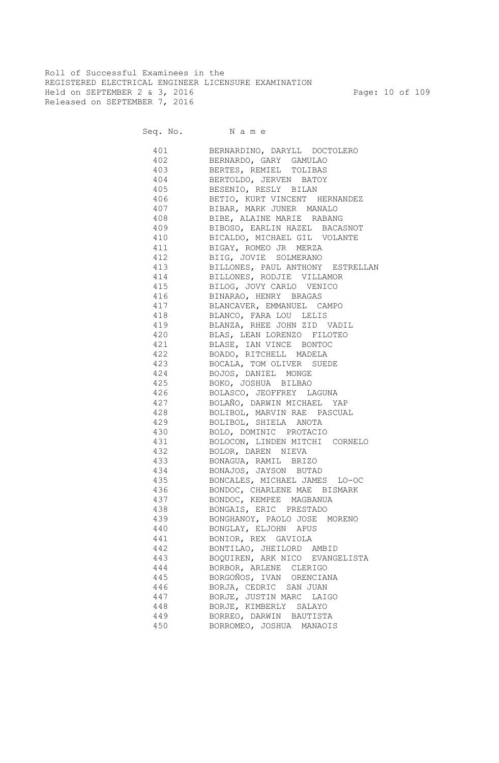Roll of Successful Examinees in the REGISTERED ELECTRICAL ENGINEER LICENSURE EXAMINATION Held on SEPTEMBER 2 & 3, 2016 Page: 10 of 109 Released on SEPTEMBER 7, 2016

| 401 | BERNARDINO, DARYLL DOCTOLERO         |
|-----|--------------------------------------|
|     | 402 BERNARDO, GARY GAMULAO           |
|     | 403 BERTES, REMIEL TOLIBAS           |
|     | 404 BERTOLDO, JERVEN BATOY           |
|     | 405 BESENIO, RESLY BILAN             |
|     | 406 BETIO, KURT VINCENT HERNANDEZ    |
|     | 407 BIBAR, MARK JUNER MANALO         |
|     | 408 BIBE, ALAINE MARIE RABANG        |
|     | 409 BIBOSO, EARLIN HAZEL BACASNOT    |
|     | 410 BICALDO, MICHAEL GIL VOLANTE     |
|     | 411 BIGAY, ROMEO JR MERZA            |
|     | 412 BIIG, JOVIE SOLMERANO            |
|     | 413 BILLONES, PAUL ANTHONY ESTRELLAN |
|     | 414 BILLONES, RODJIE VILLAMOR        |
|     | 415 BILOG, JOVY CARLO VENICO         |
|     | 416 BINARAO, HENRY BRAGAS            |
|     | 417 BLANCAVER, EMMANUEL CAMPO        |
|     | 418 BLANCO, FARA LOU LELIS           |
|     | 419 BLANZA, RHEE JOHN ZID VADIL      |
|     | 420 BLAS, LEAN LORENZO FILOTEO       |
|     | 421 BLASE, IAN VINCE BONTOC          |
|     | 422 BOADO, RITCHELL MADELA           |
|     | 423 BOCALA, TOM OLIVER SUEDE         |
|     | 424 BOJOS, DANIEL MONGE              |
| 425 | BOKO, JOSHUA BILBAO                  |
| 426 | BOLASCO, JEOFFREY LAGUNA             |
| 427 | BOLAÑO, DARWIN MICHAEL YAP           |
| 428 | BOLIBOL, MARVIN RAE PASCUAL          |
| 429 | BOLIBOL, SHIELA ANOTA                |
| 430 | BOLO, DOMINIC PROTACIO               |
| 431 | BOLOCON, LINDEN MITCHI CORNELO       |
| 432 |                                      |
|     | BOLOR, DAREN NIEVA                   |
| 433 | BONAGUA, RAMIL BRIZO                 |
| 434 | BONAJOS, JAYSON BUTAD                |
| 435 | BONCALES, MICHAEL JAMES LO-OC        |
| 436 | BONDOC, CHARLENE MAE BISMARK         |
| 437 | BONDOC, KEMPEE MAGBANUA              |
| 438 | BONGAIS, ERIC PRESTADO               |
| 439 | BONGHANOY, PAOLO JOSE MORENO         |
| 440 | BONGLAY, ELJOHN APUS                 |
| 441 | BONIOR, REX GAVIOLA                  |
| 442 | BONTILAO, JHEILORD AMBID             |
| 443 | BOQUIREN, ARK NICO EVANGELISTA       |
| 444 | BORBOR, ARLENE CLERIGO               |
| 445 | BORGOÑOS, IVAN ORENCIANA             |
| 446 | BORJA, CEDRIC SAN JUAN               |
| 447 | BORJE, JUSTIN MARC LAIGO             |
| 448 | BORJE, KIMBERLY SALAYO               |
| 449 | BORREO, DARWIN BAUTISTA              |
| 450 | BORROMEO, JOSHUA MANAOIS             |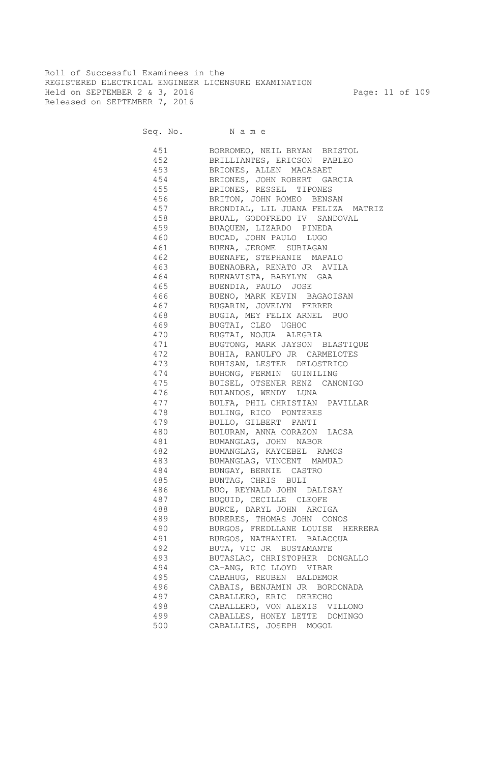Roll of Successful Examinees in the REGISTERED ELECTRICAL ENGINEER LICENSURE EXAMINATION Held on SEPTEMBER 2 & 3, 2016 Page: 11 of 109 Released on SEPTEMBER 7, 2016

Seq. No. Name

 451 BORROMEO, NEIL BRYAN BRISTOL 452 BRILLIANTES, ERICSON PABLEO 453 BRIONES, ALLEN MACASAET 454 BRIONES, JOHN ROBERT GARCIA 455 BRIONES, RESSEL TIPONES 456 BRITON, JOHN ROMEO BENSAN 457 BRONDIAL, LIL JUANA FELIZA MATRIZ 458 BRUAL, GODOFREDO IV SANDOVAL 459 BUAQUEN, LIZARDO PINEDA 460 BUCAD, JOHN PAULO LUGO 461 BUENA, JEROME SUBIAGAN 462 BUENAFE, STEPHANIE MAPALO 463 BUENAOBRA, RENATO JR AVILA 464 BUENAVISTA, BABYLYN GAA 465 BUENDIA, PAULO JOSE 466 BUENO, MARK KEVIN BAGAOISAN 467 BUGARIN, JOVELYN FERRER 468 BUGIA, MEY FELIX ARNEL BUO 469 BUGTAI, CLEO UGHOC 470 BUGTAI, NOJUA ALEGRIA 471 BUGTONG, MARK JAYSON BLASTIQUE 472 BUHIA, RANULFO JR CARMELOTES 473 BUHISAN, LESTER DELOSTRICO 474 BUHONG, FERMIN GUINILING 475 BUISEL, OTSENER RENZ CANONIGO 476 BULANDOS, WENDY LUNA 477 BULFA, PHIL CHRISTIAN PAVILLAR 478 BULING, RICO PONTERES 479 BULLO, GILBERT PANTI 480 BULURAN, ANNA CORAZON LACSA 481 BUMANGLAG, JOHN NABOR 482 BUMANGLAG, KAYCEBEL RAMOS 483 BUMANGLAG, VINCENT MAMUAD 484 BUNGAY, BERNIE CASTRO 485 BUNTAG, CHRIS BULI 486 BUO, REYNALD JOHN DALISAY 487 BUQUID, CECILLE CLEOFE 488 BURCE, DARYL JOHN ARCIGA 489 BURERES, THOMAS JOHN CONOS 490 BURGOS, FREDLLANE LOUISE HERRERA 491 BURGOS, NATHANIEL BALACCUA 492 BUTA, VIC JR BUSTAMANTE 493 BUTASLAC, CHRISTOPHER DONGALLO 494 CA-ANG, RIC LLOYD VIBAR 495 CABAHUG, REUBEN BALDEMOR 496 CABAIS, BENJAMIN JR BORDONADA 497 CABALLERO, ERIC DERECHO 498 CABALLERO, VON ALEXIS VILLONO 499 CABALLES, HONEY LETTE DOMINGO 500 CABALLIES, JOSEPH MOGOL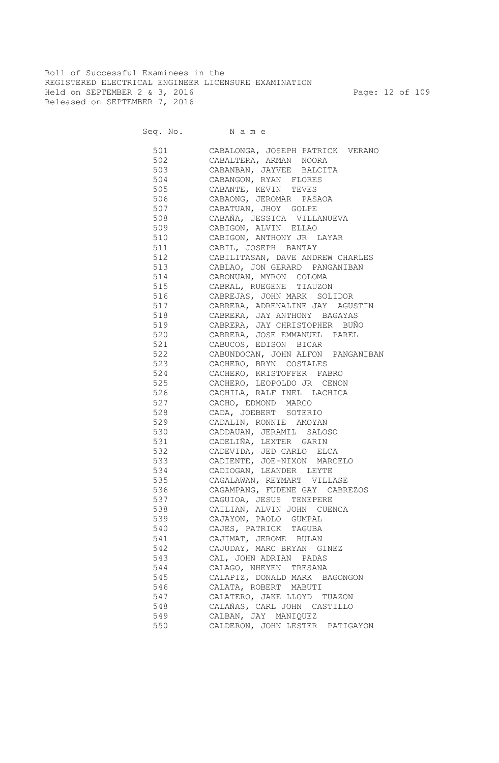Roll of Successful Examinees in the REGISTERED ELECTRICAL ENGINEER LICENSURE EXAMINATION Held on SEPTEMBER 2 & 3, 2016 Page: 12 of 109 Released on SEPTEMBER 7, 2016

Seq. No. Name

 501 CABALONGA, JOSEPH PATRICK VERANO 502 CABALTERA, ARMAN NOORA 503 CABANBAN, JAYVEE BALCITA<br>504 CABANGON, RYAN FLORES CABANGON, RYAN FLORES 505 CABANTE, KEVIN TEVES 506 CABAONG, JEROMAR PASAOA 507 CABATUAN, JHOY GOLPE 508 CABAÑA, JESSICA VILLANUEVA 509 CABIGON, ALVIN ELLAO 510 CABIGON, ANTHONY JR LAYAR 511 CABIL, JOSEPH BANTAY 512 CABILITASAN, DAVE ANDREW CHARLES 513 CABLAO, JON GERARD PANGANIBAN 514 CABONUAN, MYRON COLOMA 515 CABRAL, RUEGENE TIAUZON 516 CABREJAS, JOHN MARK SOLIDOR 517 CABRERA, ADRENALINE JAY AGUSTIN 518 CABRERA, JAY ANTHONY BAGAYAS 519 CABRERA, JAY CHRISTOPHER BUÑO 520 CABRERA, JOSE EMMANUEL PAREL 521 CABUCOS, EDISON BICAR 522 CABUNDOCAN, JOHN ALFON PANGANIBAN 523 CACHERO, BRYN COSTALES 524 CACHERO, KRISTOFFER FABRO 525 CACHERO, LEOPOLDO JR CENON 526 CACHILA, RALF INEL LACHICA 527 CACHO, EDMOND MARCO 528 CADA, JOEBERT SOTERIO 529 CADALIN, RONNIE AMOYAN 530 CADDAUAN, JERAMIL SALOSO 531 CADELIÑA, LEXTER GARIN 532 CADEVIDA, JED CARLO ELCA 533 CADIENTE, JOE-NIXON MARCELO 534 CADIOGAN, LEANDER LEYTE 535 CAGALAWAN, REYMART VILLASE 536 CAGAMPANG, FUDENE GAY CABREZOS 537 CAGUIOA, JESUS TENEPERE 538 CAILIAN, ALVIN JOHN CUENCA 539 CAJAYON, PAOLO GUMPAL 540 CAJES, PATRICK TAGUBA 541 CAJIMAT, JEROME BULAN 542 CAJUDAY, MARC BRYAN GINEZ 543 CAL, JOHN ADRIAN PADAS 544 CALAGO, NHEYEN TRESANA 545 CALAPIZ, DONALD MARK BAGONGON 546 CALATA, ROBERT MABUTI 547 CALATERO, JAKE LLOYD TUAZON 548 CALAÑAS, CARL JOHN CASTILLO 549 CALBAN, JAY MANIQUEZ 550 CALDERON, JOHN LESTER PATIGAYON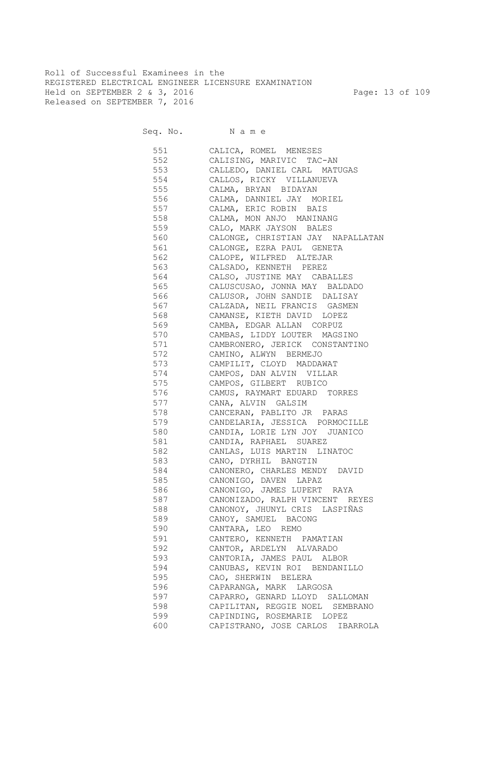Roll of Successful Examinees in the REGISTERED ELECTRICAL ENGINEER LICENSURE EXAMINATION Held on SEPTEMBER 2 & 3, 2016 Page: 13 of 109 Released on SEPTEMBER 7, 2016

| 551 | CALICA, ROMEL MENESES             |
|-----|-----------------------------------|
| 552 | CALISING, MARIVIC TAC-AN          |
| 553 | CALLEDO, DANIEL CARL MATUGAS      |
| 554 | CALLOS, RICKY VILLANUEVA          |
| 555 | CALMA, BRYAN BIDAYAN              |
| 556 | CALMA, DANNIEL JAY MORIEL         |
| 557 | CALMA, ERIC ROBIN BAIS            |
| 558 | CALMA, MON ANJO MANINANG          |
| 559 | CALO, MARK JAYSON BALES           |
| 560 | CALONGE, CHRISTIAN JAY NAPALLATAN |
| 561 | CALONGE, EZRA PAUL GENETA         |
| 562 | CALOPE, WILFRED ALTEJAR           |
| 563 | CALSADO, KENNETH PEREZ            |
| 564 | CALSO, JUSTINE MAY CABALLES       |
| 565 | CALUSCUSAO, JONNA MAY BALDADO     |
| 566 | CALUSOR, JOHN SANDIE DALISAY      |
| 567 | CALZADA, NEIL FRANCIS GASMEN      |
| 568 | CAMANSE, KIETH DAVID LOPEZ        |
| 569 | CAMBA, EDGAR ALLAN CORPUZ         |
| 570 | CAMBAS, LIDDY LOUTER MAGSINO      |
| 571 | CAMBRONERO, JERICK CONSTANTINO    |
| 572 | CAMINO, ALWYN BERMEJO             |
| 573 | CAMPILIT, CLOYD MADDAWAT          |
| 574 | CAMPOS, DAN ALVIN VILLAR          |
| 575 | CAMPOS, GILBERT RUBICO            |
| 576 | CAMUS, RAYMART EDUARD TORRES      |
| 577 | CANA, ALVIN GALSIM                |
| 578 | CANCERAN, PABLITO JR PARAS        |
| 579 | CANDELARIA, JESSICA PORMOCILLE    |
| 580 | CANDIA, LORIE LYN JOY JUANICO     |
| 581 | CANDIA, RAPHAEL SUAREZ            |
| 582 | CANLAS, LUIS MARTIN LINATOC       |
| 583 | CANO, DYRHIL BANGTIN              |
| 584 | CANONERO, CHARLES MENDY DAVID     |
| 585 | CANONIGO, DAVEN LAPAZ             |
| 586 | CANONIGO, JAMES LUPERT RAYA       |
| 587 | CANONIZADO, RALPH VINCENT REYES   |
| 588 | CANONOY, JHUNYL CRIS LASPIÑAS     |
| 589 | CANOY, SAMUEL BACONG              |
| 590 | CANTARA, LEO REMO                 |
| 591 | CANTERO, KENNETH PAMATIAN         |
| 592 | CANTOR, ARDELYN ALVARADO          |
| 593 | CANTORIA, JAMES PAUL ALBOR        |
| 594 | CANUBAS, KEVIN ROI BENDANILLO     |
| 595 | CAO, SHERWIN BELERA               |
| 596 | CAPARANGA, MARK LARGOSA           |
| 597 | CAPARRO, GENARD LLOYD SALLOMAN    |
| 598 | CAPILITAN, REGGIE NOEL SEMBRANO   |
| 599 | CAPINDING, ROSEMARIE LOPEZ        |
| 600 | CAPISTRANO, JOSE CARLOS IBARROLA  |
|     |                                   |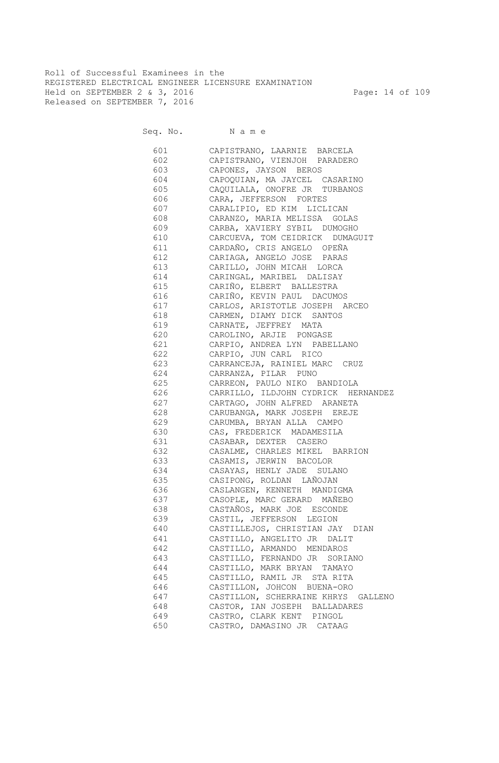Roll of Successful Examinees in the REGISTERED ELECTRICAL ENGINEER LICENSURE EXAMINATION Held on SEPTEMBER 2 & 3, 2016 Page: 14 of 109 Released on SEPTEMBER 7, 2016

Seq. No. Name

 601 CAPISTRANO, LAARNIE BARCELA 602 CAPISTRANO, VIENJOH PARADERO 603 CAPONES, JAYSON BEROS 604 CAPOQUIAN, MA JAYCEL CASARINO 605 CAQUILALA, ONOFRE JR TURBANOS 606 CARA, JEFFERSON FORTES 607 CARALIPIO, ED KIM LICLICAN 608 CARANZO, MARIA MELISSA GOLAS 609 CARBA, XAVIERY SYBIL DUMOGHO 610 CARCUEVA, TOM CEIDRICK DUMAGUIT 611 CARDAÑO, CRIS ANGELO OPEÑA 612 CARIAGA, ANGELO JOSE PARAS 613 CARILLO, JOHN MICAH LORCA 614 CARINGAL, MARIBEL DALISAY 615 CARIÑO, ELBERT BALLESTRA 616 CARIÑO, KEVIN PAUL DACUMOS 617 CARLOS, ARISTOTLE JOSEPH ARCEO 618 CARMEN, DIAMY DICK SANTOS 619 CARNATE, JEFFREY MATA 620 CAROLINO, ARJIE PONGASE 621 CARPIO, ANDREA LYN PABELLANO 622 CARPIO, JUN CARL RICO 623 CARRANCEJA, RAINIEL MARC CRUZ 624 CARRANZA, PILAR PUNO 625 CARREON, PAULO NIKO BANDIOLA 626 CARRILLO, ILDJOHN CYDRICK HERNANDEZ 627 CARTAGO, JOHN ALFRED ARANETA 628 CARUBANGA, MARK JOSEPH EREJE 629 CARUMBA, BRYAN ALLA CAMPO 630 CAS, FREDERICK MADAMESILA 631 CASABAR, DEXTER CASERO 632 CASALME, CHARLES MIKEL BARRION 633 CASAMIS, JERWIN BACOLOR 634 CASAYAS, HENLY JADE SULANO 635 CASIPONG, ROLDAN LAÑOJAN 636 CASLANGEN, KENNETH MANDIGMA 637 CASOPLE, MARC GERARD MAÑEBO 638 CASTAÑOS, MARK JOE ESCONDE 639 CASTIL, JEFFERSON LEGION 640 CASTILLEJOS, CHRISTIAN JAY DIAN 641 CASTILLO, ANGELITO JR DALIT 642 CASTILLO, ARMANDO MENDAROS 643 CASTILLO, FERNANDO JR SORIANO 644 CASTILLO, MARK BRYAN TAMAYO 645 CASTILLO, RAMIL JR STA RITA 646 CASTILLON, JOHCON BUENA-ORO 647 CASTILLON, SCHERRAINE KHRYS GALLENO 648 CASTOR, IAN JOSEPH BALLADARES 649 CASTRO, CLARK KENT PINGOL 650 CASTRO, DAMASINO JR CATAAG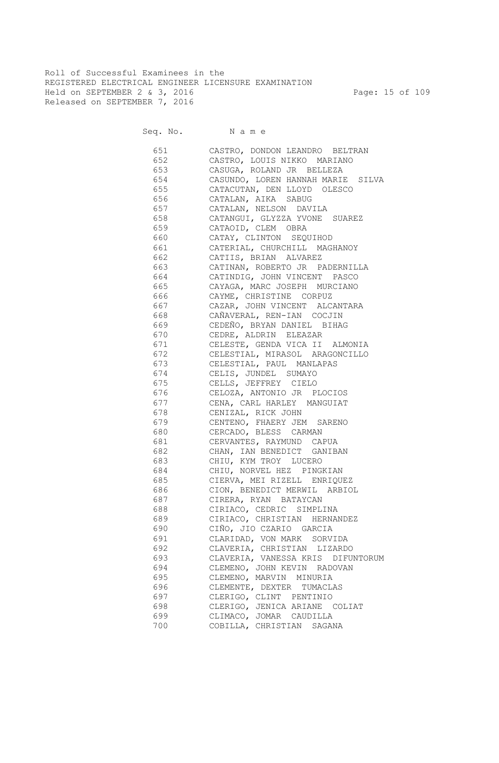Roll of Successful Examinees in the REGISTERED ELECTRICAL ENGINEER LICENSURE EXAMINATION Held on SEPTEMBER 2 & 3, 2016 Page: 15 of 109 Released on SEPTEMBER 7, 2016

Seq. No. Name

 651 CASTRO, DONDON LEANDRO BELTRAN 652 CASTRO, LOUIS NIKKO MARIANO 653 CASUGA, ROLAND JR BELLEZA 654 CASUNDO, LOREN HANNAH MARIE SILVA 655 CATACUTAN, DEN LLOYD OLESCO 656 CATALAN, AIKA SABUG 657 CATALAN, NELSON DAVILA 658 CATANGUI, GLYZZA YVONE SUAREZ 659 CATAOID, CLEM OBRA 660 CATAY, CLINTON SEQUIHOD 661 CATERIAL, CHURCHILL MAGHANOY 662 CATIIS, BRIAN ALVAREZ 663 CATINAN, ROBERTO JR PADERNILLA 664 CATINDIG, JOHN VINCENT PASCO 665 CAYAGA, MARC JOSEPH MURCIANO 666 CAYME, CHRISTINE CORPUZ 667 CAZAR, JOHN VINCENT ALCANTARA 668 CAÑAVERAL, REN-IAN COCJIN 669 CEDEÑO, BRYAN DANIEL BIHAG 670 CEDRE, ALDRIN ELEAZAR 671 CELESTE, GENDA VICA II ALMONIA 672 CELESTIAL, MIRASOL ARAGONCILLO 673 CELESTIAL, PAUL MANLAPAS 674 CELIS, JUNDEL SUMAYO 675 CELLS, JEFFREY CIELO 676 CELOZA, ANTONIO JR PLOCIOS 677 CENA, CARL HARLEY MANGUIAT 678 CENIZAL, RICK JOHN 679 CENTENO, FHAERY JEM SARENO 680 CERCADO, BLESS CARMAN 681 CERVANTES, RAYMUND CAPUA 682 CHAN, IAN BENEDICT GANIBAN 683 CHIU, KYM TROY LUCERO 684 CHIU, NORVEL HEZ PINGKIAN 685 CIERVA, MEI RIZELL ENRIQUEZ 686 CION, BENEDICT MERWIL ARBIOL 687 CIRERA, RYAN BATAYCAN 688 CIRIACO, CEDRIC SIMPLINA 689 CIRIACO, CHRISTIAN HERNANDEZ 690 CIÑO, JIO CZARIO GARCIA 691 CLARIDAD, VON MARK SORVIDA 692 CLAVERIA, CHRISTIAN LIZARDO 693 CLAVERIA, VANESSA KRIS DIFUNTORUM 694 CLEMENO, JOHN KEVIN RADOVAN 695 CLEMENO, MARVIN MINURIA 696 CLEMENTE, DEXTER TUMACLAS 697 CLERIGO, CLINT PENTINIO 698 CLERIGO, JENICA ARIANE COLIAT 699 CLIMACO, JOMAR CAUDILLA 700 COBILLA, CHRISTIAN SAGANA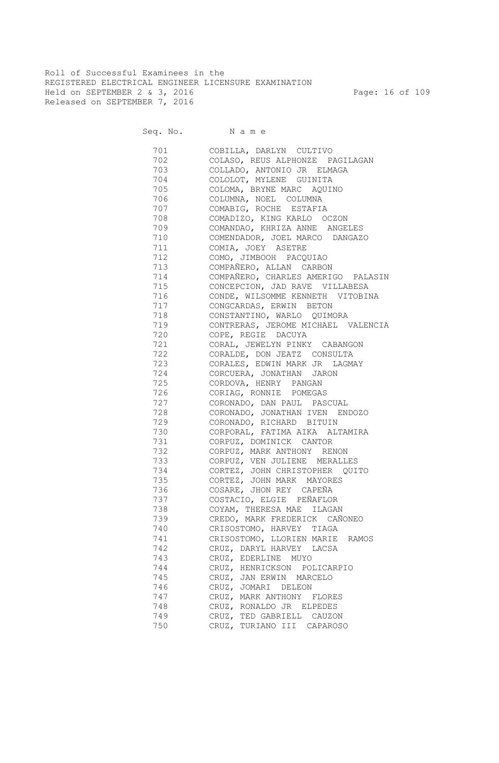Roll of Successful Examinees in the REGISTERED ELECTRICAL ENGINEER LICENSURE EXAMINATION Held on SEPTEMBER 2 & 3, 2016 Page: 16 of 109 Released on SEPTEMBER 7, 2016

Seq. No. Name

 701 COBILLA, DARLYN CULTIVO 702 COLASO, REUS ALPHONZE PAGILAGAN 703 COLLADO, ANTONIO JR ELMAGA 704 COLOLOT, MYLENE GUINITA 705 COLOMA, BRYNE MARC AQUINO 706 COLUMNA, NOEL COLUMNA 707 COMABIG, ROCHE ESTAFIA 708 COMADIZO, KING KARLO OCZON 709 COMANDAO, KHRIZA ANNE ANGELES 710 COMENDADOR, JOEL MARCO DANGAZO 711 COMIA, JOEY ASETRE 712 COMO, JIMBOOH PACQUIAO 713 COMPAÑERO, ALLAN CARBON 714 COMPAÑERO, CHARLES AMERIGO PALASIN 715 CONCEPCION, JAD RAVE VILLABESA 716 CONDE, WILSOMME KENNETH VITOBINA 717 CONGCARDAS, ERWIN BETON 718 CONSTANTINO, WARLO QUIMORA 719 CONTRERAS, JEROME MICHAEL VALENCIA 720 COPE, REGIE DACUYA 721 CORAL, JEWELYN PINKY CABANGON 722 CORALDE, DON JEATZ CONSULTA 723 CORALES, EDWIN MARK JR LAGMAY 724 CORCUERA, JONATHAN JARON 725 CORDOVA, HENRY PANGAN 726 CORIAG, RONNIE POMEGAS 727 CORONADO, DAN PAUL PASCUAL 728 CORONADO, JONATHAN IVEN ENDOZO 729 CORONADO, RICHARD BITUIN 730 CORPORAL, FATIMA AIKA ALTAMIRA 731 CORPUZ, DOMINICK CANTOR 732 CORPUZ, MARK ANTHONY RENON 733 CORPUZ, VEN JULIENE MERALLES 734 CORTEZ, JOHN CHRISTOPHER QUITO 735 CORTEZ, JOHN MARK MAYORES 736 COSARE, JHON REY CAPEÑA 737 COSTACIO, ELGIE PEÑAFLOR 738 COYAM, THERESA MAE ILAGAN 739 CREDO, MARK FREDERICK CAÑONEO 740 CRISOSTOMO, HARVEY TIAGA 741 CRISOSTOMO, LLORIEN MARIE RAMOS 742 CRUZ, DARYL HARVEY LACSA 743 CRUZ, EDERLINE MUYO 744 CRUZ, HENRICKSON POLICARPIO 745 CRUZ, JAN ERWIN MARCELO 746 CRUZ, JOMARI DELEON 747 CRUZ, MARK ANTHONY FLORES<br>748 CRUZ, RONALDO JR ELPEDES CRUZ, RONALDO JR ELPEDES 749 CRUZ, TED GABRIELL CAUZON 750 CRUZ, TURIANO III CAPAROSO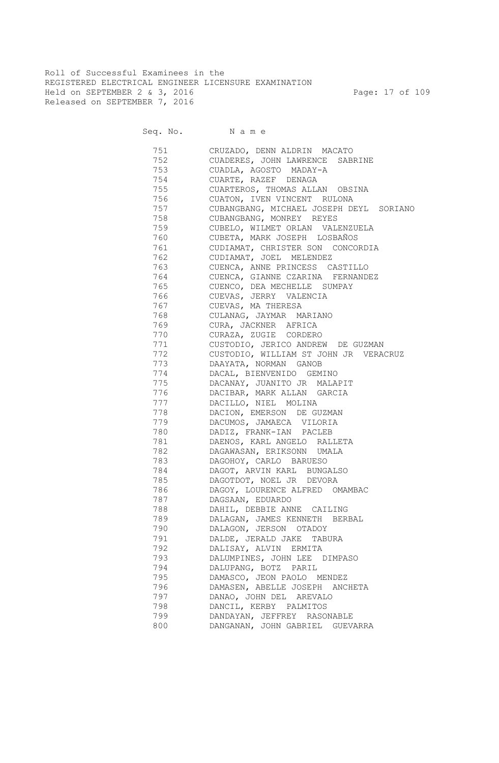Roll of Successful Examinees in the REGISTERED ELECTRICAL ENGINEER LICENSURE EXAMINATION Held on SEPTEMBER 2 & 3, 2016 Page: 17 of 109 Released on SEPTEMBER 7, 2016

Seq. No. Name

 751 CRUZADO, DENN ALDRIN MACATO 752 CUADERES, JOHN LAWRENCE SABRINE 753 CUADLA, AGOSTO MADAY-A 754 CUARTE, RAZEF DENAGA 755 CUARTEROS, THOMAS ALLAN OBSINA 756 CUATON, IVEN VINCENT RULONA 757 CUBANGBANG, MICHAEL JOSEPH DEYL SORIANO 758 CUBANGBANG, MONREY REYES 759 CUBELO, WILMET ORLAN VALENZUELA 760 CUBETA, MARK JOSEPH LOSBAÑOS 761 CUDIAMAT, CHRISTER SON CONCORDIA 762 CUDIAMAT, JOEL MELENDEZ 763 CUENCA, ANNE PRINCESS CASTILLO 764 CUENCA, GIANNE CZARINA FERNANDEZ 765 CUENCO, DEA MECHELLE SUMPAY 766 CUEVAS, JERRY VALENCIA 767 CUEVAS, MA THERESA 768 CULANAG, JAYMAR MARIANO 769 CURA, JACKNER AFRICA 770 CURAZA, ZUGIE CORDERO 771 CUSTODIO, JERICO ANDREW DE GUZMAN 772 CUSTODIO, WILLIAM ST JOHN JR VERACRUZ 773 DAAYATA, NORMAN GANOB 774 DACAL, BIENVENIDO GEMINO 775 DACANAY, JUANITO JR MALAPIT 776 DACIBAR, MARK ALLAN GARCIA 777 DACILLO, NIEL MOLINA 778 DACION, EMERSON DE GUZMAN 779 DACUMOS, JAMAECA VILORIA 780 DADIZ, FRANK-IAN PACLEB 781 DAENOS, KARL ANGELO RALLETA 782 DAGAWASAN, ERIKSONN UMALA 783 DAGOHOY, CARLO BARUESO 784 DAGOT, ARVIN KARL BUNGALSO 785 DAGOTDOT, NOEL JR DEVORA 786 DAGOY, LOURENCE ALFRED OMAMBAC 787 DAGSAAN, EDUARDO 788 DAHIL, DEBBIE ANNE CAILING 789 DALAGAN, JAMES KENNETH BERBAL 790 DALAGON, JERSON OTADOY 791 DALDE, JERALD JAKE TABURA 792 DALISAY, ALVIN ERMITA 793 DALUMPINES, JOHN LEE DIMPASO 794 DALUPANG, BOTZ PARIL 795 DAMASCO, JEON PAOLO MENDEZ 796 DAMASEN, ABELLE JOSEPH ANCHETA 797 DANAO, JOHN DEL AREVALO 798 DANCIL, KERBY PALMITOS 799 DANDAYAN, JEFFREY RASONABLE 800 DANGANAN, JOHN GABRIEL GUEVARRA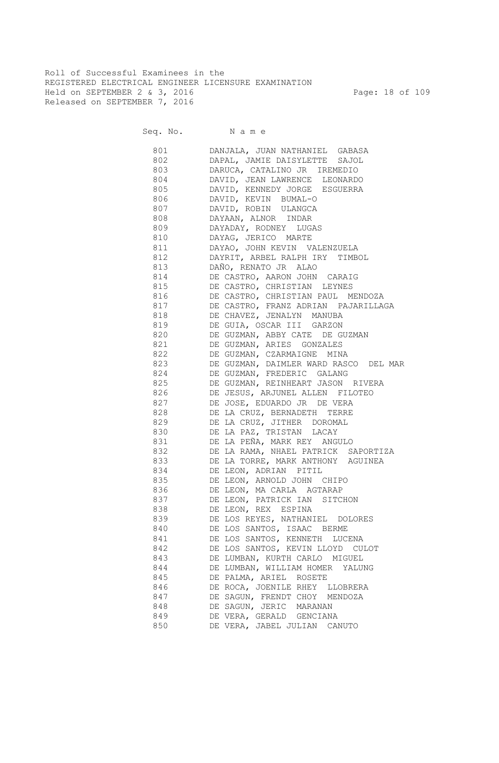Roll of Successful Examinees in the REGISTERED ELECTRICAL ENGINEER LICENSURE EXAMINATION Held on SEPTEMBER 2 & 3, 2016 Page: 18 of 109 Released on SEPTEMBER 7, 2016

| 801 — 100 | DANJALA, JUAN NATHANIEL GABASA          |
|-----------|-----------------------------------------|
|           | 802 DAPAL, JAMIE DAISYLETTE SAJOL       |
|           | DARUCA, CATALINO JR IREMEDIO            |
|           | 804 DAVID, JEAN LAWRENCE LEONARDO       |
|           | 805 DAVID, KENNEDY JORGE ESGUERRA       |
|           | 806 DAVID, KEVIN BUMAL-O                |
|           | 807 DAVID, ROBIN ULANGCA                |
|           | 808 DAYAAN, ALNOR INDAR                 |
|           | 809 DAYADAY, RODNEY LUGAS               |
|           | 810 DAYAG, JERICO MARTE                 |
|           | 811 DAYAO, JOHN KEVIN VALENZUELA        |
|           | 812 DAYRIT, ARBEL RALPH IRY TIMBOL      |
|           | 813 DAÑO, RENATO JR ALAO                |
|           | 814 DE CASTRO, AARON JOHN CARAIG        |
|           | 815 DE CASTRO, CHRISTIAN LEYNES         |
|           | 816 DE CASTRO, CHRISTIAN PAUL MENDOZA   |
|           | 817 DE CASTRO, FRANZ ADRIAN PAJARILLAGA |
|           | 818 DE CHAVEZ, JENALYN MANUBA           |
| 819       | DE GUIA, OSCAR III GARZON               |
| 820       | DE GUZMAN, ABBY CATE DE GUZMAN          |
| 821       | DE GUZMAN, ARIES GONZALES               |
| 822       | DE GUZMAN, CZARMAIGNE MINA              |
| 823       | DE GUZMAN, DAIMLER WARD RASCO DEL MAR   |
| 824       | DE GUZMAN, FREDERIC GALANG              |
| 825       | DE GUZMAN, REINHEART JASON RIVERA       |
| 826       | DE JESUS, ARJUNEL ALLEN FILOTEO         |
| 827       | DE JOSE, EDUARDO JR DE VERA             |
| 828       | DE LA CRUZ, BERNADETH TERRE             |
| 829       | DE LA CRUZ, JITHER DOROMAL              |
| 830       | DE LA PAZ, TRISTAN LACAY                |
| 831       | DE LA PEÑA, MARK REY ANGULO             |
| 832       | DE LA RAMA, NHAEL PATRICK SAPORTIZA     |
| 833       | DE LA TORRE, MARK ANTHONY AGUINEA       |
| 834       | DE LEON, ADRIAN PITIL                   |
| 835       | DE LEON, ARNOLD JOHN CHIPO              |
| 836       | DE LEON, MA CARLA AGTARAP               |
| 837       | DE LEON, PATRICK IAN SITCHON            |
| 838       | DE LEON, REX ESPINA                     |
| 839       | DE LOS REYES, NATHANIEL DOLORES         |
| 840       | DE LOS SANTOS, ISAAC BERME              |
| 841       | DE LOS SANTOS, KENNETH LUCENA           |
| 842       | DE LOS SANTOS, KEVIN LLOYD CULOT        |
| 843       | DE LUMBAN, KURTH CARLO MIGUEL           |
| 844       | DE LUMBAN, WILLIAM HOMER YALUNG         |
| 845       | DE PALMA, ARIEL ROSETE                  |
| 846       | DE ROCA, JOENILE RHEY LLOBRERA          |
| 847       | DE SAGUN, FRENDT CHOY MENDOZA           |
| 848       | DE SAGUN, JERIC MARANAN                 |
| 849       | DE VERA, GERALD GENCIANA                |
| 850       | DE VERA, JABEL JULIAN CANUTO            |
|           |                                         |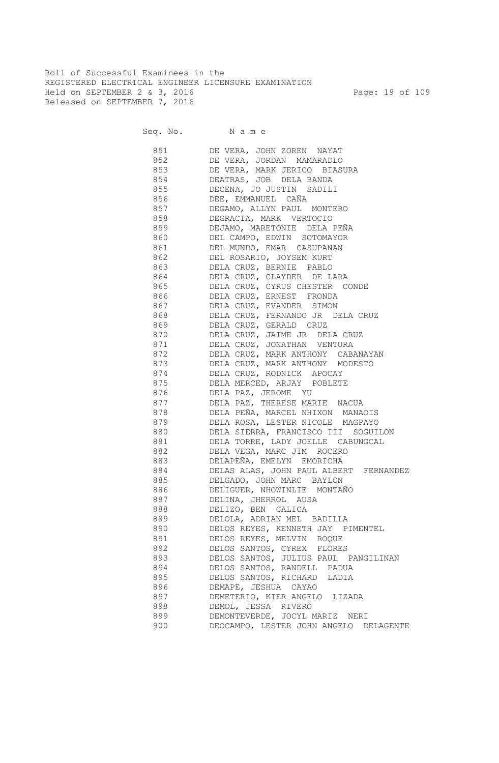Roll of Successful Examinees in the REGISTERED ELECTRICAL ENGINEER LICENSURE EXAMINATION Held on SEPTEMBER 2 & 3, 2016 Page: 19 of 109 Released on SEPTEMBER 7, 2016

|     | 851 DE VERA, JOHN ZOREN NAYAT                                                    |
|-----|----------------------------------------------------------------------------------|
|     | 852 DE VERA, JORDAN MAMARADLO                                                    |
|     | 853 DE VERA, MARK JERICO BIASURA                                                 |
|     | 854 DEATRAS, JOB DELA BANDA                                                      |
|     | 855 DECENA, JO JUSTIN SADILI                                                     |
|     | 856 DEE, EMMANUEL CAÑA                                                           |
|     | 857 DEGAMO, ALLYN PAUL MONTERO                                                   |
|     | 858 DEGRACIA, MARK VERTOCIO                                                      |
|     | 859 DEJAMO, MARETONIE DELA PEÑA                                                  |
|     | 860 DEL CAMPO, EDWIN SOTOMAYOR                                                   |
|     | 861 DEL MUNDO, EMAR CASUPANAN                                                    |
|     | 862 DEL ROSARIO, JOYSEM KURT                                                     |
|     | 863 DELA CRUZ, BERNIE PABLO                                                      |
|     | 864 DELA CRUZ, CLAYDER DE LARA                                                   |
|     | 865 DELA CRUZ, CYRUS CHESTER CONDE                                               |
|     | 866 DELA CRUZ, ERNEST FRONDA                                                     |
|     | 867 DELA CRUZ, EVANDER SIMON                                                     |
|     | 868 DELA CRUZ, FERNANDO JR DELA CRUZ                                             |
|     | 869 DELA CRUZ, GERALD CRUZ                                                       |
|     | 870 DELA CRUZ, JAIME JR DELA CRUZ                                                |
|     | 871 DELA CRUZ, JONATHAN VENTURA                                                  |
|     | 872 DELA CRUZ, MARK ANTHONY CABANAYAN                                            |
|     | 873 DELA CRUZ, MARK ANTHONY MODESTO                                              |
|     | 874 DELA CRUZ, RODNICK APOCAY                                                    |
|     | 875 DELA MERCED, ARJAY POBLETE                                                   |
|     | 876 DELA PAZ, JEROME YU                                                          |
| 877 | DELA PAZ, THERESE MARIE NACUA                                                    |
| 878 | DELA PEÑA, MARCEL NHIXON MANAOIS                                                 |
| 879 | DELA ROSA, LESTER NICOLE MAGPAYO                                                 |
| 880 | DELA SIERRA, FRANCISCO III SOGUILON                                              |
| 881 | DELA TORRE, LADY JOELLE CABUNGCAL                                                |
| 882 | DELA VEGA, MARC JIM ROCERO                                                       |
| 883 | DELAPEÑA, EMELYN EMORICHA                                                        |
| 884 | DELAS ALAS, JOHN PAUL ALBERT FERNANDEZ                                           |
| 885 |                                                                                  |
| 886 | DELGADO, JOHN MARC BAYLON<br>DELIGUER, NHOWINLIE MONTAÑO<br>DELINA, JHERROL AUSA |
| 887 |                                                                                  |
| 888 | DELIZO, BEN CALICA                                                               |
| 889 | DELOLA, ADRIAN MEL BADILLA                                                       |
| 890 | DELOS REYES, KENNETH JAY PIMENTEL                                                |
| 891 | DELOS REYES, MELVIN ROQUE                                                        |
| 892 | DELOS SANTOS, CYREX FLORES                                                       |
| 893 | DELOS SANTOS, JULIUS PAUL PANGILINAN                                             |
| 894 | DELOS SANTOS, RANDELL PADUA                                                      |
| 895 | DELOS SANTOS, RICHARD LADIA                                                      |
| 896 | DEMAPE, JESHUA CAYAO                                                             |
| 897 | DEMETERIO, KIER ANGELO LIZADA                                                    |
| 898 | DEMOL, JESSA RIVERO                                                              |
| 899 | DEMONTEVERDE, JOCYL MARIZ NERI                                                   |
| 900 | DEOCAMPO, LESTER JOHN ANGELO DELAGENTE                                           |
|     |                                                                                  |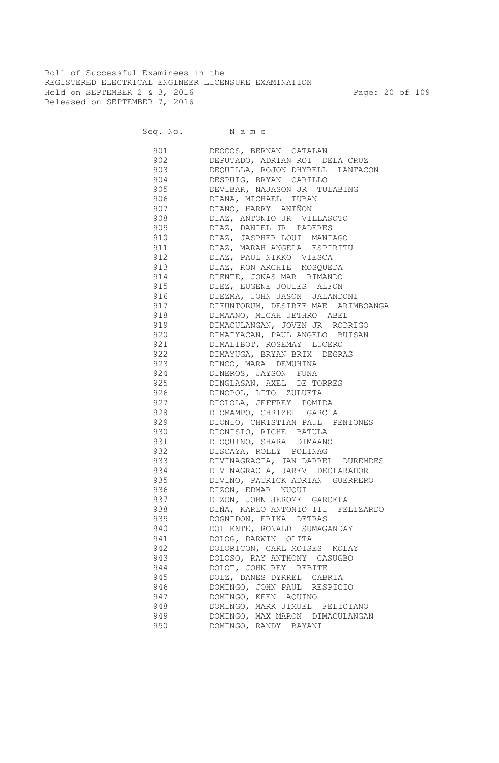Roll of Successful Examinees in the REGISTERED ELECTRICAL ENGINEER LICENSURE EXAMINATION Held on SEPTEMBER 2 & 3, 2016 Page: 20 of 109 Released on SEPTEMBER 7, 2016

| 901                       | DEOCOS, BERNAN CATALAN                 |
|---------------------------|----------------------------------------|
| 902                       | DEPUTADO, ADRIAN ROI DELA CRUZ         |
|                           | 903 DEQUILLA, ROJON DHYRELL LANTACON   |
|                           | 904 DESPUIG, BRYAN CARILLO             |
|                           | 905 DEVIBAR, NAJASON JR TULABING       |
|                           | 906 DIANA, MICHAEL TUBAN               |
|                           | 907 DIANO, HARRY ANIÑON                |
|                           | 908 DIAZ, ANTONIO JR VILLASOTO         |
|                           | 909 DIAZ, DANIEL JR PADERES            |
|                           | 910 DIAZ, JASPHER LOUI MANIAGO         |
|                           | 911 DIAZ, MARAH ANGELA ESPIRITU        |
|                           | 912 DIAZ, PAUL NIKKO VIESCA            |
|                           | 913 DIAZ, RON ARCHIE MOSQUEDA          |
|                           | 914 DIENTE, JONAS MAR RIMANDO          |
|                           | 915 DIEZ, EUGENE JOULES ALFON          |
|                           | 916 DIEZMA, JOHN JASON JALANDONI       |
|                           | 917 DIFUNTORUM, DESIREE MAE ARIMBOANGA |
|                           | 918 DIMAANO, MICAH JETHRO ABEL         |
| 919 — 10                  | DIMACULANGAN, JOVEN JR RODRIGO         |
| 920                       | DIMAIYACAN, PAUL ANGELO BUISAN         |
| 921 000                   | DIMALIBOT, ROSEMAY LUCERO              |
| 922 and the set of $\sim$ | DIMAYUGA, BRYAN BRIX DEGRAS            |
| 923                       | DINCO, MARA DEMUHINA                   |
| 924                       | DINEROS, JAYSON FUNA                   |
| 925                       | DINGLASAN, AXEL DE TORRES              |
| 926                       | DINOPOL, LITO ZULUETA                  |
| 927                       | DIOLOLA, JEFFREY POMIDA                |
| 928                       |                                        |
| 929                       | DIOMAMPO, CHRIZEL GARCIA               |
|                           | DIONIO, CHRISTIAN PAUL PENIONES        |
| 930                       | DIONISIO, RICHE BATULA                 |
| 931                       | DIOQUINO, SHARA DIMAANO                |
| 932                       | DISCAYA, ROLLY POLINAG                 |
| 933                       | DIVINAGRACIA, JAN DARREL DUREMDES      |
| 934                       | DIVINAGRACIA, JAREV DECLARADOR         |
| 935                       | DIVINO, PATRICK ADRIAN GUERRERO        |
| 936                       | DIZON, EDMAR NUQUI                     |
| 937                       | DIZON, JOHN JEROME GARCELA             |
| 938                       | DIÑA, KARLO ANTONIO III FELIZARDO      |
| 939                       | DOGNIDON, ERIKA DETRAS                 |
| 940                       | DOLIENTE, RONALD SUMAGANDAY            |
| 941                       | DOLOG, DARWIN OLITA                    |
| 942                       | DOLORICON, CARL MOISES MOLAY           |
| 943                       | DOLOSO, RAY ANTHONY CASUGBO            |
| 944                       | DOLOT, JOHN REY REBITE                 |
| 945                       | DOLZ, DANES DYRREL CABRIA              |
| 946                       | DOMINGO, JOHN PAUL RESPICIO            |
| 947                       | DOMINGO, KEEN AQUINO                   |
| 948                       | DOMINGO, MARK JIMUEL FELICIANO         |
| 949                       | DOMINGO, MAX MARON DIMACULANGAN        |
| 950                       | DOMINGO, RANDY BAYANI                  |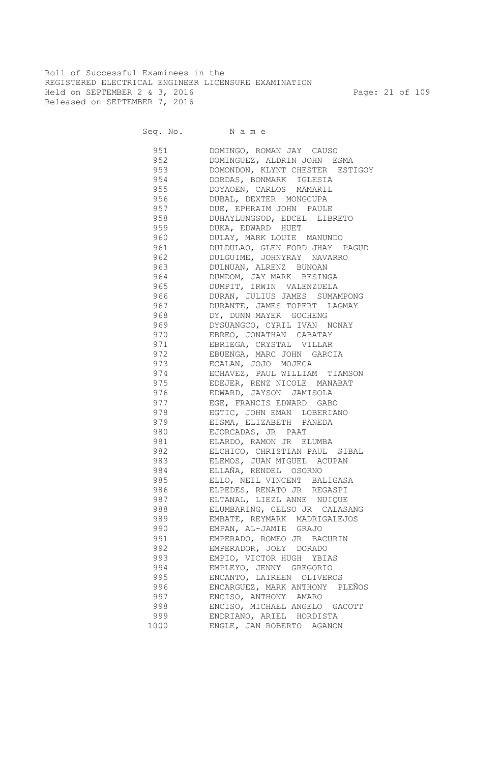Roll of Successful Examinees in the REGISTERED ELECTRICAL ENGINEER LICENSURE EXAMINATION Held on SEPTEMBER 2 & 3, 2016 Page: 21 of 109 Released on SEPTEMBER 7, 2016

Seq. No. Name

 951 DOMINGO, ROMAN JAY CAUSO 952 DOMINGUEZ, ALDRIN JOHN ESMA 953 DOMONDON, KLYNT CHESTER ESTIGOY 954 DORDAS, BONMARK IGLESIA 955 DOYAOEN, CARLOS MAMARIL 956 DUBAL, DEXTER MONGCUPA 957 DUE, EPHRAIM JOHN PAULE 958 DUHAYLUNGSOD, EDCEL LIBRETO 959 DUKA, EDWARD HUET 960 DULAY, MARK LOUIE MANUNDO 961 DULDULAO, GLEN FORD JHAY PAGUD 962 DULGUIME, JOHNYRAY NAVARRO 963 DULNUAN, ALRENZ BUNOAN 964 DUMDOM, JAY MARK BESINGA 965 DUMPIT, IRWIN VALENZUELA 966 DURAN, JULIUS JAMES SUMAMPONG 967 DURANTE, JAMES TOPERT LAGMAY 968 DY, DUNN MAYER GOCHENG 969 DYSUANGCO, CYRIL IVAN NONAY 970 EBREO, JONATHAN CABATAY 971 EBRIEGA, CRYSTAL VILLAR 972 EBUENGA, MARC JOHN GARCIA 973 ECALAN, JOJO MOJECA 974 ECHAVEZ, PAUL WILLIAM TIAMSON 975 EDEJER, RENZ NICOLE MANABAT 976 EDWARD, JAYSON JAMISOLA 977 EGE, FRANCIS EDWARD GABO 978 EGTIC, JOHN EMAN LOBERIANO 979 EISMA, ELIZABETH PANEDA 980 EJORCADAS, JR PAAT 981 ELARDO, RAMON JR ELUMBA 982 ELCHICO, CHRISTIAN PAUL SIBAL 983 ELEMOS, JUAN MIGUEL ACUPAN 984 ELLAÑA, RENDEL OSORNO 985 ELLO, NEIL VINCENT BALIGASA 986 ELPEDES, RENATO JR REGASPI 987 ELTANAL, LIEZL ANNE NUIQUE 988 ELUMBARING, CELSO JR CALASANG 989 EMBATE, REYMARK MADRIGALEJOS 990 EMPAN, AL-JAMIE GRAJO 991 EMPERADO, ROMEO JR BACURIN 992 EMPERADOR, JOEY DORADO 993 EMPIO, VICTOR HUGH YBIAS 994 EMPLEYO, JENNY GREGORIO 995 ENCANTO, LAIREEN OLIVEROS 996 ENCARGUEZ, MARK ANTHONY PLEÑOS 997 ENCISO, ANTHONY AMARO 998 ENCISO, MICHAEL ANGELO GACOTT 999 ENDRIANO, ARIEL HORDISTA 1000 ENGLE, JAN ROBERTO AGANON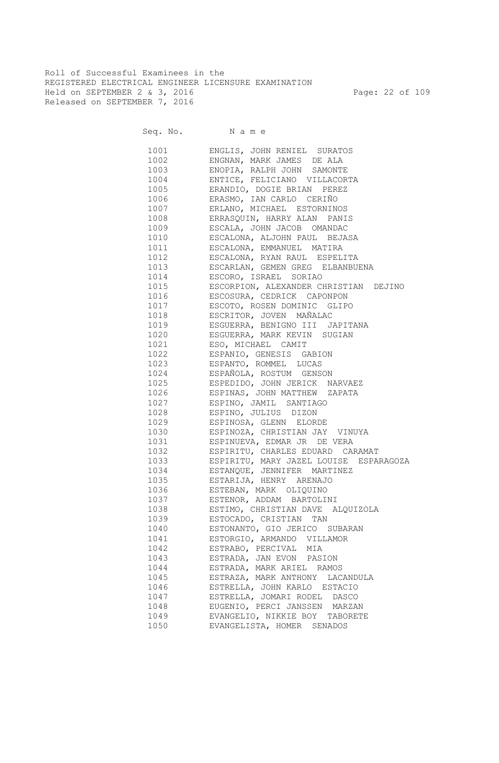Roll of Successful Examinees in the REGISTERED ELECTRICAL ENGINEER LICENSURE EXAMINATION Held on SEPTEMBER 2 & 3, 2016 Page: 22 of 109 Released on SEPTEMBER 7, 2016

|      | 1001 ENGLIS, JOHN RENIEL SURATOS            |
|------|---------------------------------------------|
|      | 1002 ENGNAN, MARK JAMES DE ALA              |
|      | 1003 ENOPIA, RALPH JOHN SAMONTE             |
|      | 1004 ENTICE, FELICIANO VILLACORTA           |
|      | 1005 ERANDIO, DOGIE BRIAN PEREZ             |
|      | 1006 ERASMO, IAN CARLO CERIÑO               |
|      | 1007 ERLANO, MICHAEL ESTORNINOS             |
|      | 1008 ERRASQUIN, HARRY ALAN PANIS            |
|      | 1009 ESCALA, JOHN JACOB OMANDAC             |
|      | 1010 ESCALONA, ALJOHN PAUL BEJASA           |
|      | 1011 ESCALONA, EMMANUEL MATIRA              |
|      | 1012 ESCALONA, RYAN RAUL ESPELITA           |
|      | 1013 ESCARLAN, GEMEN GREG ELBANBUENA        |
|      | 1014 ESCORO, ISRAEL SORIAO                  |
|      | 1015 ESCORPION, ALEXANDER CHRISTIAN DEJINO  |
|      | 1016 ESCOSURA, CEDRICK CAPONPON             |
|      | 1017 ESCOTO, ROSEN DOMINIC GLIPO            |
|      | 1018 ESCRITOR, JOVEN MAÑALAC                |
|      | 1019 ESGUERRA, BENIGNO III JAPITANA         |
|      | 1020 ESGUERRA, MARK KEVIN SUGIAN            |
|      | 1021 ESO, MICHAEL CAMIT                     |
|      | 1022 ESPANIO, GENESIS GABION                |
|      | 1023 ESPANTO, ROMMEL LUCAS                  |
|      | 1024 ESPAÑOLA, ROSTUM GENSON                |
|      | 1025 ESPEDIDO, JOHN JERICK NARVAEZ          |
|      | 1026 ESPINAS, JOHN MATTHEW ZAPATA           |
|      | 1027 ESPINO, JAMIL SANTIAGO                 |
|      | 1028 ESPINO, JULIUS DIZON                   |
|      | 1029 ESPINOSA, GLENN ELORDE                 |
|      | 1030 ESPINOZA, CHRISTIAN JAY VINUYA         |
|      | 1031 ESPINUEVA, EDMAR JR DE VERA            |
|      | 1032 ESPIRITU, CHARLES EDUARD CARAMAT       |
|      | 1033 ESPIRITU, MARY JAZEL LOUISE ESPARAGOZA |
|      | 1034 ESTANQUE, JENNIFER MARTINEZ            |
|      | 1035 ESTARIJA, HENRY ARENAJO                |
| 1036 | ESTEBAN, MARK OLIQUINO                      |
| 1037 | ESTENOR, ADDAM BARTOLINI                    |
| 1038 | ESTIMO, CHRISTIAN DAVE ALQUIZOLA            |
| 1039 | ESTOCADO, CRISTIAN TAN                      |
| 1040 | ESTONANTO, GIO JERICO SUBARAN               |
| 1041 | ESTORGIO, ARMANDO VILLAMOR                  |
| 1042 | ESTRABO, PERCIVAL MIA                       |
| 1043 | ESTRADA, JAN EVON PASION                    |
| 1044 | ESTRADA, MARK ARIEL RAMOS                   |
| 1045 | ESTRAZA, MARK ANTHONY LACANDULA             |
| 1046 | ESTRELLA, JOHN KARLO ESTACIO                |
| 1047 | ESTRELLA, JOMARI RODEL DASCO                |
| 1048 | EUGENIO, PERCI JANSSEN MARZAN               |
| 1049 | EVANGELIO, NIKKIE BOY TABORETE              |
| 1050 | EVANGELISTA, HOMER SENADOS                  |
|      |                                             |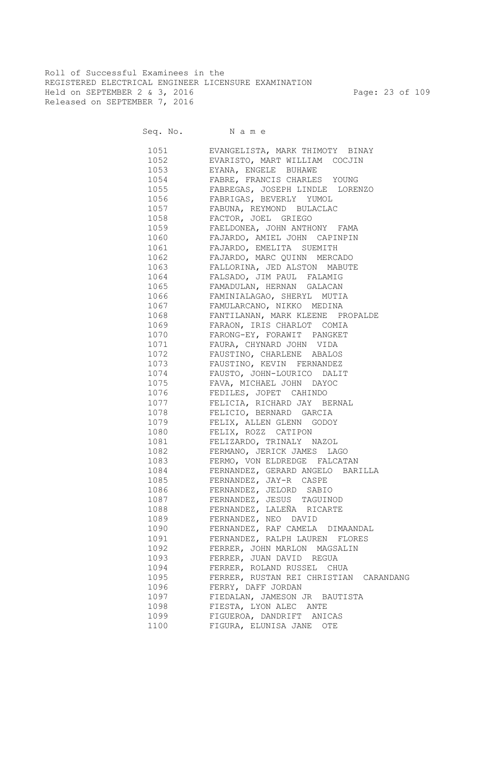Roll of Successful Examinees in the REGISTERED ELECTRICAL ENGINEER LICENSURE EXAMINATION Held on SEPTEMBER 2 & 3, 2016 Page: 23 of 109 Released on SEPTEMBER 7, 2016

Seq. No. Name

 1051 EVANGELISTA, MARK THIMOTY BINAY 1052 EVARISTO, MART WILLIAM COCJIN 1053 EYANA, ENGELE BUHAWE 1054 FABRE, FRANCIS CHARLES YOUNG 1055 FABREGAS, JOSEPH LINDLE LORENZO 1056 FABRIGAS, BEVERLY YUMOL 1057 FABUNA, REYMOND BULACLAC 1058 FACTOR, JOEL GRIEGO 1059 FAELDONEA, JOHN ANTHONY FAMA 1060 FAJARDO, AMIEL JOHN CAPINPIN 1061 FAJARDO, EMELITA SUEMITH 1062 FAJARDO, MARC QUINN MERCADO 1063 FALLORINA, JED ALSTON MABUTE 1064 FALSADO, JIM PAUL FALAMIG 1065 FAMADULAN, HERNAN GALACAN 1066 FAMINIALAGAO, SHERYL MUTIA 1067 FAMULARCANO, NIKKO MEDINA 1068 FANTILANAN, MARK KLEENE PROPALDE 1069 FARAON, IRIS CHARLOT COMIA 1070 FARONG-EY, FORAWIT PANGKET 1071 FAURA, CHYNARD JOHN VIDA 1072 FAUSTINO, CHARLENE ABALOS 1073 FAUSTINO, KEVIN FERNANDEZ 1074 FAUSTO, JOHN-LOURICO DALIT 1075 FAVA, MICHAEL JOHN DAYOC 1076 FEDILES, JOPET CAHINDO 1077 FELICIA, RICHARD JAY BERNAL 1078 FELICIO, BERNARD GARCIA 1079 FELIX, ALLEN GLENN GODOY 1080 FELIX, ROZZ CATIPON 1081 FELIZARDO, TRINALY NAZOL 1082 FERMANO, JERICK JAMES LAGO 1083 FERMO, VON ELDREDGE FALCATAN 1084 FERNANDEZ, GERARD ANGELO BARILLA 1085 FERNANDEZ, JAY-R CASPE 1086 FERNANDEZ, JELORD SABIO 1087 FERNANDEZ, JESUS TAGUINOD 1088 FERNANDEZ, LALEÑA RICARTE 1089 FERNANDEZ, NEO DAVID 1090 FERNANDEZ, RAF CAMELA DIMAANDAL 1091 FERNANDEZ, RALPH LAUREN FLORES 1092 FERRER, JOHN MARLON MAGSALIN 1093 FERRER, JUAN DAVID REGUA 1094 FERRER, ROLAND RUSSEL CHUA 1095 FERRER, RUSTAN REI CHRISTIAN CARANDANG 1096 FERRY, DAFF JORDAN 1097 FIEDALAN, JAMESON JR BAUTISTA 1098 FIESTA, LYON ALEC ANTE 1099 FIGUEROA, DANDRIFT ANICAS 1100 FIGURA, ELUNISA JANE OTE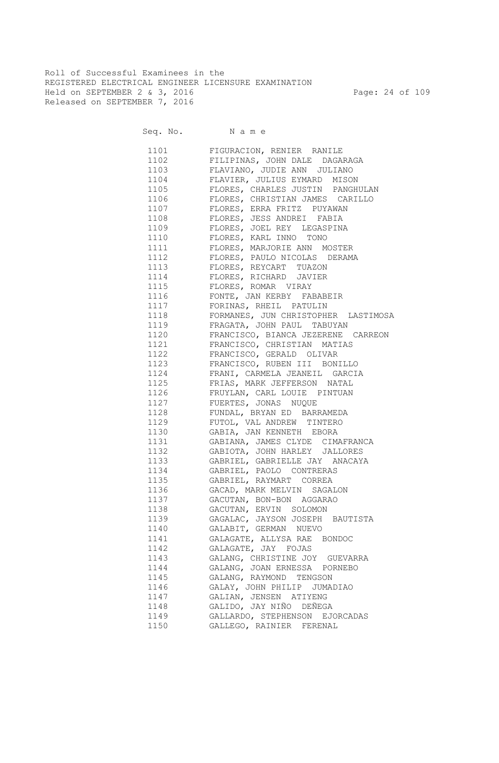Roll of Successful Examinees in the REGISTERED ELECTRICAL ENGINEER LICENSURE EXAMINATION Held on SEPTEMBER 2 & 3, 2016 Page: 24 of 109 Released on SEPTEMBER 7, 2016

Seq. No. Name

 1101 FIGURACION, RENIER RANILE 1102 FILIPINAS, JOHN DALE DAGARAGA 1103 FLAVIANO, JUDIE ANN JULIANO 1104 FLAVIER, JULIUS EYMARD MISON 1105 FLORES, CHARLES JUSTIN PANGHULAN 1106 FLORES, CHRISTIAN JAMES CARILLO 1107 FLORES, ERRA FRITZ PUYAWAN 1108 FLORES, JESS ANDREI FABIA 1109 FLORES, JOEL REY LEGASPINA 1110 FLORES, KARL INNO TONO 1111 FLORES, MARJORIE ANN MOSTER 1112 FLORES, PAULO NICOLAS DERAMA 1113 FLORES, REYCART TUAZON 1114 FLORES, RICHARD JAVIER 1115 FLORES, ROMAR VIRAY 1116 FONTE, JAN KERBY FABABEIR 1117 FORINAS, RHEIL PATULIN 1118 FORMANES, JUN CHRISTOPHER LASTIMOSA 1119 FRAGATA, JOHN PAUL TABUYAN 1120 FRANCISCO, BIANCA JEZERENE CARREON 1121 FRANCISCO, CHRISTIAN MATIAS 1122 FRANCISCO, GERALD OLIVAR 1123 FRANCISCO, RUBEN III BONILLO 1124 FRANI, CARMELA JEANEIL GARCIA 1125 FRIAS, MARK JEFFERSON NATAL 1126 FRUYLAN, CARL LOUIE PINTUAN 1127 FUERTES, JONAS NUQUE 1128 FUNDAL, BRYAN ED BARRAMEDA 1129 FUTOL, VAL ANDREW TINTERO 1130 GABIA, JAN KENNETH EBORA 1131 GABIANA, JAMES CLYDE CIMAFRANCA 1132 GABIOTA, JOHN HARLEY JALLORES 1133 GABRIEL, GABRIELLE JAY ANACAYA 1134 GABRIEL, PAOLO CONTRERAS 1135 GABRIEL, RAYMART CORREA 1136 GACAD, MARK MELVIN SAGALON 1137 GACUTAN, BON-BON AGGARAO 1138 GACUTAN, ERVIN SOLOMON 1139 GAGALAC, JAYSON JOSEPH BAUTISTA 1140 GALABIT, GERMAN NUEVO 1141 GALAGATE, ALLYSA RAE BONDOC 1142 GALAGATE, JAY FOJAS 1143 GALANG, CHRISTINE JOY GUEVARRA 1144 GALANG, JOAN ERNESSA PORNEBO 1145 GALANG, RAYMOND TENGSON 1146 GALAY, JOHN PHILIP JUMADIAO 1147 GALIAN, JENSEN ATIYENG 1148 GALIDO, JAY NIÑO DEÑEGA 1149 GALLARDO, STEPHENSON EJORCADAS 1150 GALLEGO, RAINIER FERENAL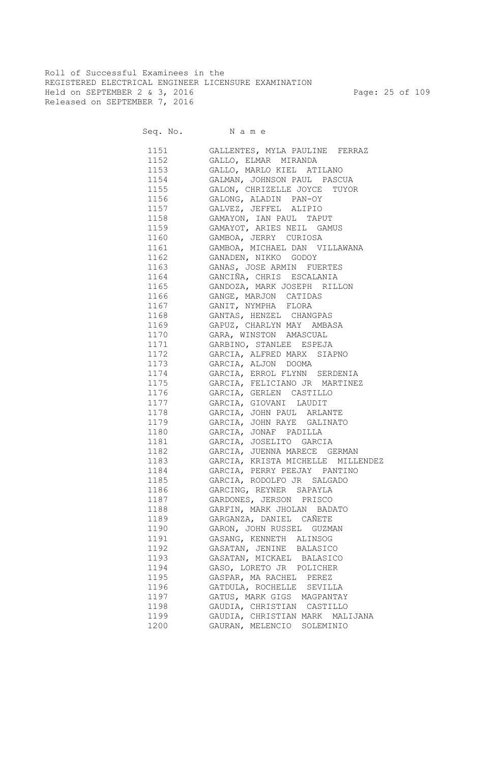Roll of Successful Examinees in the REGISTERED ELECTRICAL ENGINEER LICENSURE EXAMINATION Held on SEPTEMBER 2 & 3, 2016 Page: 25 of 109 Released on SEPTEMBER 7, 2016

| 1151          | GALLENTES, MYLA PAULINE FERRAZ     |
|---------------|------------------------------------|
| 1152          | GALLO, ELMAR MIRANDA               |
| 1153 and 1153 | GALLO, MARLO KIEL ATILANO          |
| 1154          | GALMAN, JOHNSON PAUL PASCUA        |
| 1155          | GALON, CHRIZELLE JOYCE TUYOR       |
| 1156 11       | GALONG, ALADIN PAN-OY              |
|               | GALVEZ, JEFFEL ALIPIO              |
| 1158 31       | GAMAYON, IAN PAUL TAPUT            |
| 1159          | GAMAYOT, ARIES NEIL GAMUS          |
|               | 1160 GAMBOA, JERRY CURIOSA         |
|               | 1161 GAMBOA, MICHAEL DAN VILLAWANA |
|               | 1162 GANADEN, NIKKO GODOY          |
|               | 1163 GANAS, JOSE ARMIN FUERTES     |
|               | 1164 GANCIÑA, CHRIS ESCALANIA      |
|               | 1165 GANDOZA, MARK JOSEPH RILLON   |
|               | 1166 GANGE, MARJON CATIDAS         |
|               | 1167 GANIT, NYMPHA FLORA           |
|               | 1168 GANTAS, HENZEL CHANGPAS       |
|               | 1169 GAPUZ, CHARLYN MAY AMBASA     |
|               | 1170 GARA, WINSTON AMASCUAL        |
|               | 1171 GARBINO, STANLEE ESPEJA       |
| 1172          | GARCIA, ALFRED MARX SIAPNO         |
| 1173          | GARCIA, ALJON DOOMA                |
| 1174          | GARCIA, ERROL FLYNN SERDENIA       |
| 1175          | GARCIA, FELICIANO JR MARTINEZ      |
| 1176          | GARCIA, GERLEN CASTILLO            |
| 1177          | GARCIA, GIOVANI LAUDIT             |
| 1178          | GARCIA, JOHN PAUL ARLANTE          |
| 1179          | GARCIA, JOHN RAYE GALINATO         |
| 1180          | GARCIA, JONAF PADILLA              |
| 1181          | GARCIA, JOSELITO GARCIA            |
| 1182          | GARCIA, JUENNA MARECE GERMAN       |
| 1183          | GARCIA, KRISTA MICHELLE MILLENDEZ  |
| 1184          | GARCIA, PERRY PEEJAY PANTINO       |
| 1185          | GARCIA, RODOLFO JR SALGADO         |
| 1186          | GARCING, REYNER SAPAYLA            |
| 1187          | GARDONES, JERSON PRISCO            |
| 1188          | GARFIN, MARK JHOLAN BADATO         |
| 1189          | GARGANZA, DANIEL CAÑETE            |
| 1190          | GARON, JOHN RUSSEL GUZMAN          |
| 1191          | GASANG, KENNETH ALINSOG            |
| 1192          | GASATAN, JENINE BALASICO           |
| 1193          | GASATAN, MICKAEL BALASICO          |
| 1194          | GASO, LORETO JR POLICHER           |
| 1195          | GASPAR, MA RACHEL PEREZ            |
| 1196          | GATDULA, ROCHELLE SEVILLA          |
| 1197          | GATUS, MARK GIGS MAGPANTAY         |
| 1198          | GAUDIA, CHRISTIAN CASTILLO         |
| 1199          | GAUDIA, CHRISTIAN MARK MALIJANA    |
| 1200          | GAURAN, MELENCIO<br>SOLEMINIO      |
|               |                                    |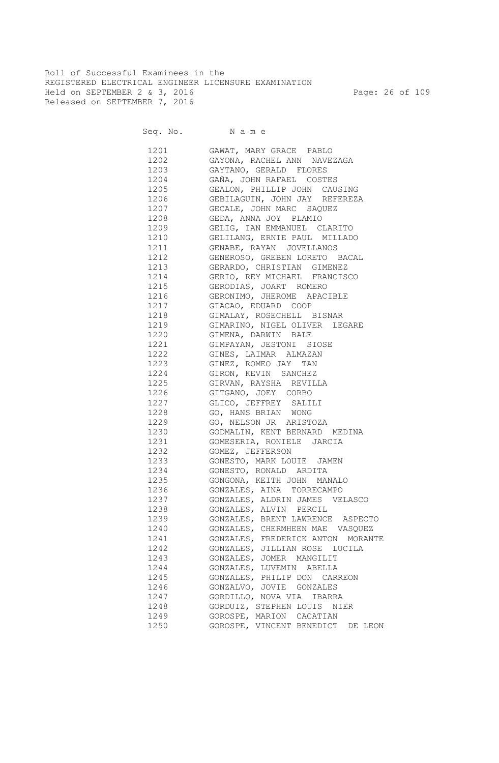Roll of Successful Examinees in the REGISTERED ELECTRICAL ENGINEER LICENSURE EXAMINATION Held on SEPTEMBER 2 & 3, 2016 Page: 26 of 109 Released on SEPTEMBER 7, 2016

Seq. No. Name

 1201 GAWAT, MARY GRACE PABLO 1202 GAYONA, RACHEL ANN NAVEZAGA 1203 GAYTANO, GERALD FLORES 1204 GAÑA, JOHN RAFAEL COSTES 1205 GEALON, PHILLIP JOHN CAUSING 1206 GEBILAGUIN, JOHN JAY REFEREZA 1207 GECALE, JOHN MARC SAQUEZ 1208 GEDA, ANNA JOY PLAMIO 1209 GELIG, IAN EMMANUEL CLARITO 1210 GELILANG, ERNIE PAUL MILLADO 1211 GENABE, RAYAN JOVELLANOS 1212 GENEROSO, GREBEN LORETO BACAL 1213 GERARDO, CHRISTIAN GIMENEZ 1214 GERIO, REY MICHAEL FRANCISCO 1215 GERODIAS, JOART ROMERO 1216 GERONIMO, JHEROME APACIBLE 1217 GIACAO, EDUARD COOP 1218 GIMALAY, ROSECHELL BISNAR 1219 GIMARINO, NIGEL OLIVER LEGARE 1220 GIMENA, DARWIN BALE 1221 GIMPAYAN, JESTONI SIOSE 1222 GINES, LAIMAR ALMAZAN 1223 GINEZ, ROMEO JAY TAN 1224 GIRON, KEVIN SANCHEZ 1225 GIRVAN, RAYSHA REVILLA 1226 GITGANO, JOEY CORBO 1227 GLICO, JEFFREY SALILI 1228 GO, HANS BRIAN WONG 1229 GO, NELSON JR ARISTOZA 1230 GODMALIN, KENT BERNARD MEDINA 1231 GOMESERIA, RONIELE JARCIA 1232 GOMEZ, JEFFERSON 1233 GONESTO, MARK LOUIE JAMEN 1234 GONESTO, RONALD ARDITA 1235 GONGONA, KEITH JOHN MANALO 1236 GONZALES, AINA TORRECAMPO 1237 GONZALES, ALDRIN JAMES VELASCO 1238 GONZALES, ALVIN PERCIL 1239 GONZALES, BRENT LAWRENCE ASPECTO 1240 GONZALES, CHERMHEEN MAE VASQUEZ 1241 GONZALES, FREDERICK ANTON MORANTE 1242 GONZALES, JILLIAN ROSE LUCILA 1243 GONZALES, JOMER MANGILIT 1244 GONZALES, LUVEMIN ABELLA 1245 GONZALES, PHILIP DON CARREON 1246 GONZALVO, JOVIE GONZALES 1247 GORDILLO, NOVA VIA IBARRA 1248 GORDUIZ, STEPHEN LOUIS NIER 1249 GOROSPE, MARION CACATIAN 1250 GOROSPE, VINCENT BENEDICT DE LEON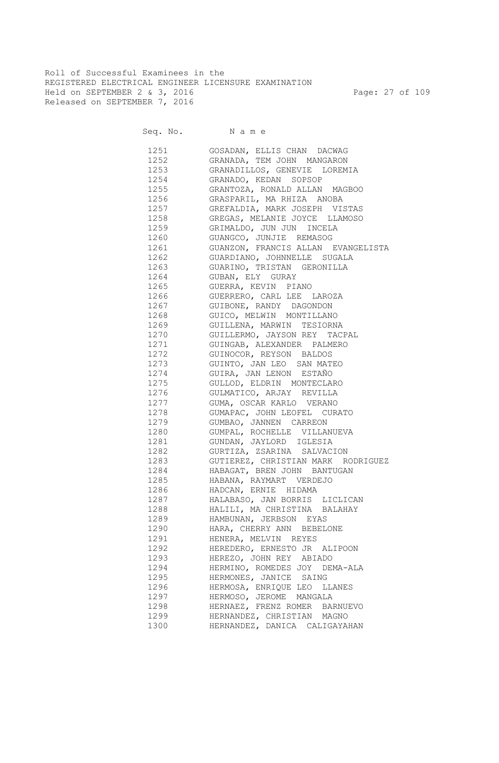Roll of Successful Examinees in the REGISTERED ELECTRICAL ENGINEER LICENSURE EXAMINATION Held on SEPTEMBER 2 & 3, 2016 Page: 27 of 109 Released on SEPTEMBER 7, 2016

Seq. No. Name

 1251 GOSADAN, ELLIS CHAN DACWAG 1252 GRANADA, TEM JOHN MANGARON 1253 GRANADILLOS, GENEVIE LOREMIA 1254 GRANADO, KEDAN SOPSOP 1255 GRANTOZA, RONALD ALLAN MAGBOO 1256 GRASPARIL, MA RHIZA ANOBA 1257 GREFALDIA, MARK JOSEPH VISTAS 1258 GREGAS, MELANIE JOYCE LLAMOSO 1259 GRIMALDO, JUN JUN INCELA 1260 GUANGCO, JUNJIE REMASOG 1261 GUANZON, FRANCIS ALLAN EVANGELISTA 1262 GUARDIANO, JOHNNELLE SUGALA 1263 GUARINO, TRISTAN GERONILLA 1264 GUBAN, ELY GURAY 1265 GUERRA, KEVIN PIANO 1266 GUERRERO, CARL LEE LAROZA 1267 GUIBONE, RANDY DAGONDON 1268 GUICO, MELWIN MONTILLANO 1269 GUILLENA, MARWIN TESIORNA 1270 GUILLERMO, JAYSON REY TACPAL 1271 GUINGAB, ALEXANDER PALMERO 1272 GUINOCOR, REYSON BALDOS 1273 GUINTO, JAN LEO SAN MATEO 1274 GUIRA, JAN LENON ESTAÑO 1275 GULLOD, ELDRIN MONTECLARO 1276 GULMATICO, ARJAY REVILLA 1277 GUMA, OSCAR KARLO VERANO 1278 GUMAPAC, JOHN LEOFEL CURATO 1279 GUMBAO, JANNEN CARREON 1280 GUMPAL, ROCHELLE VILLANUEVA 1281 GUNDAN, JAYLORD IGLESIA 1282 GURTIZA, ZSARINA SALVACION 1283 GUTIEREZ, CHRISTIAN MARK RODRIGUEZ 1284 HABAGAT, BREN JOHN BANTUGAN 1285 HABANA, RAYMART VERDEJO 1286 HADCAN, ERNIE HIDAMA 1287 HALABASO, JAN BORRIS LICLICAN 1288 HALILI, MA CHRISTINA BALAHAY 1289 HAMBUNAN, JERBSON EYAS 1290 HARA, CHERRY ANN BEBELONE 1291 HENERA, MELVIN REYES 1292 HEREDERO, ERNESTO JR ALIPOON 1293 HEREZO, JOHN REY ABIADO 1294 HERMINO, ROMEDES JOY DEMA-ALA 1295 HERMONES, JANICE SAING 1296 HERMOSA, ENRIQUE LEO LLANES 1297 HERMOSO, JEROME MANGALA 1298 HERNAEZ, FRENZ ROMER BARNUEVO 1299 HERNANDEZ, CHRISTIAN MAGNO 1300 HERNANDEZ, DANICA CALIGAYAHAN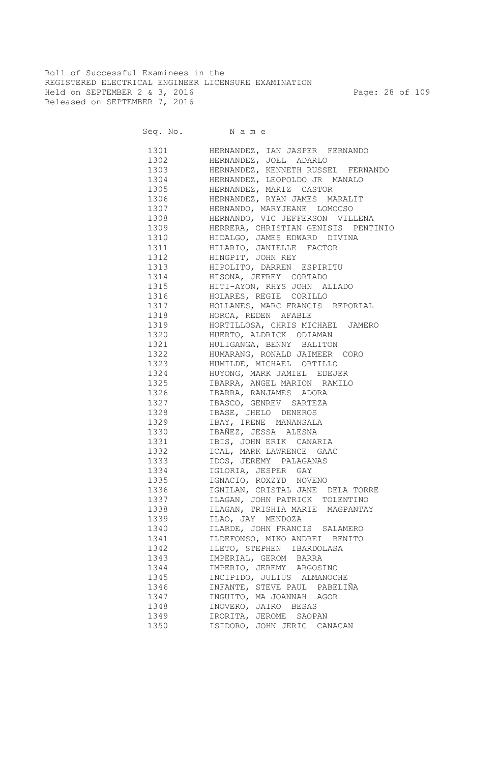Roll of Successful Examinees in the REGISTERED ELECTRICAL ENGINEER LICENSURE EXAMINATION Held on SEPTEMBER 2 & 3, 2016 Page: 28 of 109 Released on SEPTEMBER 7, 2016

|      | HERNANDEZ, IAN JASPER FERNANDO             |
|------|--------------------------------------------|
| 1302 | HERNANDEZ, JOEL ADARLO                     |
| 1303 | HERNANDEZ, KENNETH RUSSEL FERNANDO         |
|      | 1304 HERNANDEZ, LEOPOLDO JR MANALO         |
|      | 1305 HERNANDEZ, MARIZ CASTOR               |
| 1306 | HERNANDEZ, RYAN JAMES MARALIT              |
| 1307 | HERNANDO, MARYJEANE LOMOCSO                |
| 1308 | HERNANDO, VIC JEFFERSON VILLENA            |
|      | 1309 HERRERA, CHRISTIAN GENISIS PENTINIO   |
|      | 1310 HIDALGO, JAMES EDWARD DIVINA          |
| 1311 | HILARIO, JANIELLE FACTOR                   |
| 1312 | HINGPIT, JOHN REY                          |
| 1313 | HIPOLITO, DARREN ESPIRITU                  |
| 1314 | HISONA, JEFREY CORTADO                     |
| 1315 | HITI-AYON, RHYS JOHN ALLADO                |
| 1316 | HOLARES, REGIE CORILLO                     |
| 1317 | HOLLANES, MARC FRANCIS REPORIAL            |
| 1318 | HORCA, REDEN AFABLE                        |
| 1319 | HORTILLOSA, CHRIS MICHAEL JAMERO           |
| 1320 | HUERTO, ALDRICK ODIAMAN                    |
| 1321 | HULIGANGA, BENNY BALITON                   |
| 1322 | HUMARANG, RONALD JAIMEER CORO              |
| 1323 | HUMILDE, MICHAEL ORTILLO                   |
| 1324 | HUYONG, MARK JAMIEL EDEJER                 |
| 1325 | IBARRA, ANGEL MARION RAMILO                |
| 1326 | IBARRA, RANJAMES ADORA                     |
| 1327 | IBAKKA, ININALIA<br>IBASCO, GENREV SARTEZA |
| 1328 | IBASE, JHELO DENEROS                       |
| 1329 | IBAY, IRENE MANANSALA                      |
| 1330 | IBAÑEZ, JESSA ALESNA                       |
| 1331 | IBIS, JOHN ERIK CANARIA                    |
| 1332 | ICAL, MARK LAWRENCE GAAC                   |
| 1333 | IDOS, JEREMY PALAGANAS                     |
| 1334 | IGLORIA, JESPER GAY                        |
| 1335 | IGNACIO, ROXZYD NOVENO                     |
| 1336 | IGNILAN, CRISTAL JANE DELA TORRE           |
| 1337 | ILAGAN, JOHN PATRICK TOLENTINO             |
| 1338 | ILAGAN, TRISHIA MARIE MAGPANTAY            |
| 1339 | ILAO, JAY MENDOZA                          |
| 1340 | ILARDE, JOHN FRANCIS SALAMERO              |
| 1341 | ILDEFONSO, MIKO ANDREI BENITO              |
| 1342 | ILETO, STEPHEN IBARDOLASA                  |
| 1343 | IMPERIAL, GEROM BARRA                      |
| 1344 | IMPERIO, JEREMY ARGOSINO                   |
| 1345 | INCIPIDO, JULIUS ALMANOCHE                 |
| 1346 | INFANTE, STEVE PAUL PABELIÑA               |
| 1347 | INGUITO, MA JOANNAH AGOR                   |
| 1348 | INOVERO, JAIRO BESAS                       |
| 1349 | IRORITA, JEROME SAOPAN                     |
| 1350 | ISIDORO, JOHN JERIC CANACAN                |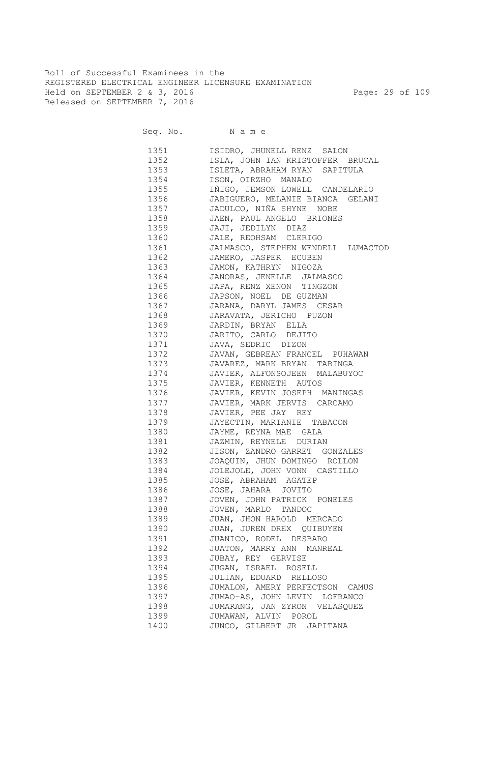Roll of Successful Examinees in the REGISTERED ELECTRICAL ENGINEER LICENSURE EXAMINATION Held on SEPTEMBER 2 & 3, 2016 Page: 29 of 109 Released on SEPTEMBER 7, 2016

Seq. No. Name

 1351 ISIDRO, JHUNELL RENZ SALON 1352 ISLA, JOHN IAN KRISTOFFER BRUCAL 1353 ISLETA, ABRAHAM RYAN SAPITULA 1354 ISON, OIRZHO MANALO 1355 IÑIGO, JEMSON LOWELL CANDELARIO 1356 JABIGUERO, MELANIE BIANCA GELANI 1357 JADULCO, NIÑA SHYNE NOBE 1358 JAEN, PAUL ANGELO BRIONES 1359 JAJI, JEDILYN DIAZ 1360 JALE, REOHSAM CLERIGO 1361 JALMASCO, STEPHEN WENDELL LUMACTOD 1362 JAMERO, JASPER ECUBEN 1363 JAMON, KATHRYN NIGOZA 1364 JANORAS, JENELLE JALMASCO 1365 JAPA, RENZ XENON TINGZON 1366 JAPSON, NOEL DE GUZMAN 1367 JARANA, DARYL JAMES CESAR 1368 JARAVATA, JERICHO PUZON 1369 JARDIN, BRYAN ELLA 1370 JARITO, CARLO DEJITO 1371 JAVA, SEDRIC DIZON 1372 JAVAN, GEBREAN FRANCEL PUHAWAN 1373 JAVAREZ, MARK BRYAN TABINGA 1374 JAVIER, ALFONSOJEEN MALABUYOC 1375 JAVIER, KENNETH AUTOS 1376 JAVIER, KEVIN JOSEPH MANINGAS 1377 JAVIER, MARK JERVIS CARCAMO 1378 JAVIER, PEE JAY REY 1379 JAYECTIN, MARIANIE TABACON 1380 JAYME, REYNA MAE GALA 1381 JAZMIN, REYNELE DURIAN 1382 JISON, ZANDRO GARRET GONZALES 1383 JOAQUIN, JHUN DOMINGO ROLLON 1384 JOLEJOLE, JOHN VONN CASTILLO 1385 JOSE, ABRAHAM AGATEP 1386 JOSE, JAHARA JOVITO 1387 JOVEN, JOHN PATRICK PONELES 1388 JOVEN, MARLO TANDOC 1389 JUAN, JHON HAROLD MERCADO 1390 JUAN, JUREN DREX QUIBUYEN 1391 JUANICO, RODEL DESBARO 1392 JUATON, MARRY ANN MANREAL 1393 JUBAY, REY GERVISE 1394 JUGAN, ISRAEL ROSELL 1395 JULIAN, EDUARD RELLOSO 1396 JUMALON, AMERY PERFECTSON CAMUS 1397 JUMAO-AS, JOHN LEVIN LOFRANCO 1398 JUMARANG, JAN ZYRON VELASQUEZ 1399 JUMAWAN, ALVIN POROL 1400 JUNCO, GILBERT JR JAPITANA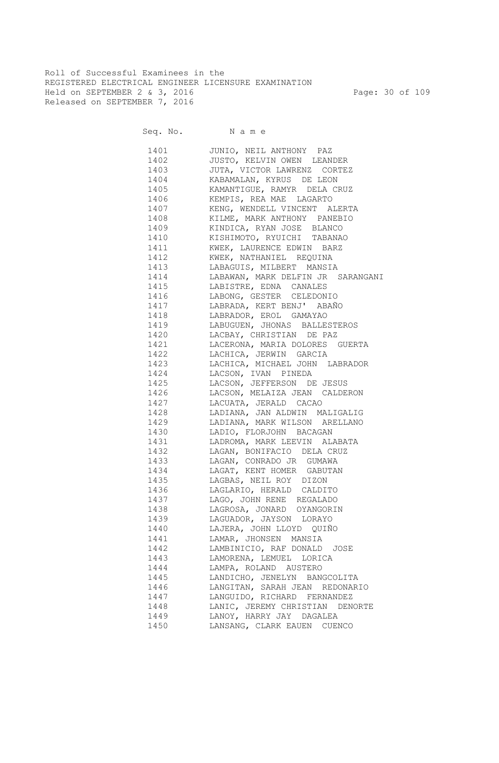Roll of Successful Examinees in the REGISTERED ELECTRICAL ENGINEER LICENSURE EXAMINATION Held on SEPTEMBER 2 & 3, 2016 Page: 30 of 109 Released on SEPTEMBER 7, 2016

Seq. No. Name

 1401 JUNIO, NEIL ANTHONY PAZ 1402 JUSTO, KELVIN OWEN LEANDER 1403 JUTA, VICTOR LAWRENZ CORTEZ 1404 KABAMALAN, KYRUS DE LEON 1405 KAMANTIGUE, RAMYR DELA CRUZ 1406 KEMPIS, REA MAE LAGARTO 1407 KENG, WENDELL VINCENT ALERTA 1408 KILME, MARK ANTHONY PANEBIO 1409 KINDICA, RYAN JOSE BLANCO 1410 KISHIMOTO, RYUICHI TABANAO 1411 KWEK, LAURENCE EDWIN BARZ 1412 KWEK, NATHANIEL REQUINA 1413 LABAGUIS, MILBERT MANSIA 1414 LABAWAN, MARK DELFIN JR SARANGANI 1415 LABISTRE, EDNA CANALES 1416 LABONG, GESTER CELEDONIO 1417 LABRADA, KERT BENJ' ABAÑO 1418 LABRADOR, EROL GAMAYAO 1419 LABUGUEN, JHONAS BALLESTEROS 1420 LACBAY, CHRISTIAN DE PAZ 1421 LACERONA, MARIA DOLORES GUERTA 1422 LACHICA, JERWIN GARCIA 1423 LACHICA, MICHAEL JOHN LABRADOR 1424 LACSON, IVAN PINEDA 1425 LACSON, JEFFERSON DE JESUS 1426 LACSON, MELAIZA JEAN CALDERON 1427 LACUATA, JERALD CACAO 1428 LADIANA, JAN ALDWIN MALIGALIG 1429 LADIANA, MARK WILSON ARELLANO 1430 LADIO, FLORJOHN BACAGAN 1431 LADROMA, MARK LEEVIN ALABATA 1432 LAGAN, BONIFACIO DELA CRUZ 1433 LAGAN, CONRADO JR GUMAWA 1434 LAGAT, KENT HOMER GABUTAN 1435 LAGBAS, NEIL ROY DIZON 1436 LAGLARIO, HERALD CALDITO 1437 LAGO, JOHN RENE REGALADO 1438 LAGROSA, JONARD OYANGORIN 1439 LAGUADOR, JAYSON LORAYO 1440 LAJERA, JOHN LLOYD QUIÑO 1441 LAMAR, JHONSEN MANSIA 1442 LAMBINICIO, RAF DONALD JOSE 1443 LAMORENA, LEMUEL LORICA 1444 LAMPA, ROLAND AUSTERO 1445 LANDICHO, JENELYN BANGCOLITA 1446 LANGITAN, SARAH JEAN REDONARIO 1447 LANGUIDO, RICHARD FERNANDEZ 1448 LANIC, JEREMY CHRISTIAN DENORTE 1449 LANOY, HARRY JAY DAGALEA 1450 LANSANG, CLARK EAUEN CUENCO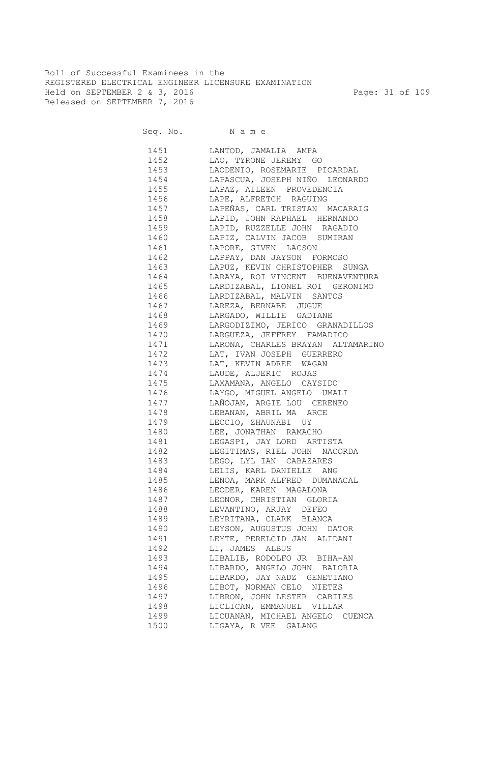Roll of Successful Examinees in the REGISTERED ELECTRICAL ENGINEER LICENSURE EXAMINATION Held on SEPTEMBER 2 & 3, 2016 Page: 31 of 109 Released on SEPTEMBER 7, 2016

Seq. No. Name

 1451 LANTOD, JAMALIA AMPA 1452 LAO, TYRONE JEREMY GO 1453 LAODENIO, ROSEMARIE PICARDAL 1454 LAPASCUA, JOSEPH NIÑO LEONARDO 1455 LAPAZ, AILEEN PROVEDENCIA 1456 LAPE, ALFRETCH RAGUING 1457 LAPEÑAS, CARL TRISTAN MACARAIG 1458 LAPID, JOHN RAPHAEL HERNANDO 1459 LAPID, RUZZELLE JOHN RAGADIO 1460 LAPIZ, CALVIN JACOB SUMIRAN 1461 LAPORE, GIVEN LACSON 1462 LAPPAY, DAN JAYSON FORMOSO 1463 LAPUZ, KEVIN CHRISTOPHER SUNGA 1464 LARAYA, ROI VINCENT BUENAVENTURA 1465 LARDIZABAL, LIONEL ROI GERONIMO 1466 LARDIZABAL, MALVIN SANTOS 1467 LAREZA, BERNABE JUGUE 1468 LARGADO, WILLIE GADIANE 1469 LARGODIZIMO, JERICO GRANADILLOS 1470 LARGUEZA, JEFFREY FAMADICO 1471 LARONA, CHARLES BRAYAN ALTAMARINO 1472 LAT, IVAN JOSEPH GUERRERO 1473 LAT, KEVIN ADREE WAGAN 1474 LAUDE, ALJERIC ROJAS 1475 LAXAMANA, ANGELO CAYSIDO 1476 LAYGO, MIGUEL ANGELO UMALI 1477 LAÑOJAN, ARGIE LOU CERENEO 1478 LEBANAN, ABRIL MA ARCE 1479 LECCIO, ZHAUNABI UY 1480 LEE, JONATHAN RAMACHO 1481 LEGASPI, JAY LORD ARTISTA 1482 LEGITIMAS, RIEL JOHN NACORDA 1483 LEGO, LYL IAN CABAZARES 1484 LELIS, KARL DANIELLE ANG 1485 LENOA, MARK ALFRED DUMANACAL 1486 LEODER, KAREN MAGALONA 1487 LEONOR, CHRISTIAN GLORIA 1488 LEVANTINO, ARJAY DEFEO 1489 LEYRITANA, CLARK BLANCA 1490 LEYSON, AUGUSTUS JOHN DATOR 1491 LEYTE, PERELCID JAN ALIDANI 1492 LI, JAMES ALBUS 1493 LIBALIB, RODOLFO JR BIHA-AN 1494 LIBARDO, ANGELO JOHN BALORIA 1495 LIBARDO, JAY NADZ GENETIANO 1496 LIBOT, NORMAN CELO NIETES 1497 LIBRON, JOHN LESTER CABILES 1498 LICLICAN, EMMANUEL VILLAR 1499 LICUANAN, MICHAEL ANGELO CUENCA 1500 LIGAYA, R VEE GALANG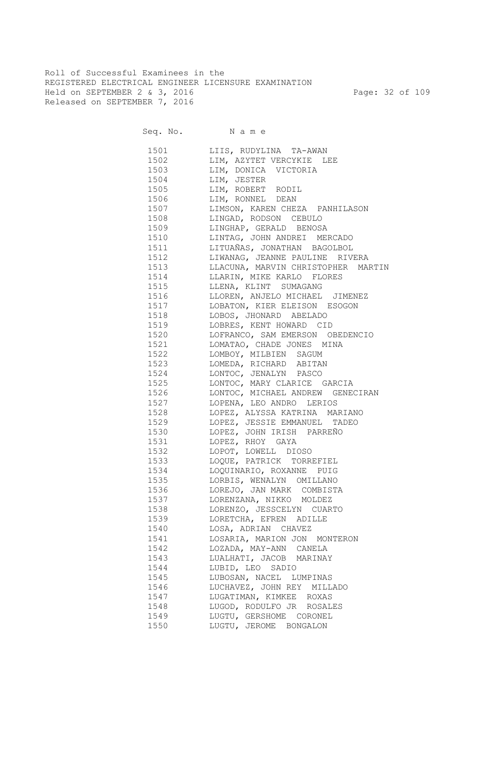Roll of Successful Examinees in the REGISTERED ELECTRICAL ENGINEER LICENSURE EXAMINATION Held on SEPTEMBER 2 & 3, 2016 Page: 32 of 109 Released on SEPTEMBER 7, 2016

|      | 1501 LIIS, RUDYLINA TA-AWAN             |
|------|-----------------------------------------|
|      | 1502 LIM, AZYTET VERCYKIE LEE           |
|      | 1503 LIM, DONICA VICTORIA               |
|      | 1504 LIM, JESTER                        |
|      | 1505 LIM, ROBERT RODIL                  |
|      | 1506 LIM, RONNEL DEAN                   |
|      | 1507 LIMSON, KAREN CHEZA PANHILASON     |
|      | 1508 LINGAD, RODSON CEBULO              |
|      | 1509 LINGHAP, GERALD BENOSA             |
|      | 1510 LINTAG, JOHN ANDREI MERCADO        |
|      | 1511 LITUAÑAS, JONATHAN BAGOLBOL        |
|      | 1512 LIWANAG, JEANNE PAULINE RIVERA     |
|      | 1513 LLACUNA, MARVIN CHRISTOPHER MARTIN |
|      | 1514 LLARIN, MIKE KARLO FLORES          |
|      | 1515 LLENA, KLINT SUMAGANG              |
| 1516 | LLOREN, ANJELO MICHAEL JIMENEZ          |
| 1517 | LOBATON, KIER ELEISON ESOGON            |
| 1518 | LOBOS, JHONARD ABELADO                  |
| 1519 | LOBRES, KENT HOWARD CID                 |
| 1520 | LOFRANCO, SAM EMERSON OBEDENCIO         |
| 1521 |                                         |
| 1522 | LOMATAO, CHADE JONES MINA               |
|      | LOMBOY, MILBIEN SAGUM                   |
| 1523 | LOMEDA, RICHARD ABITAN                  |
| 1524 | LONTOC, JENALYN PASCO                   |
| 1525 | LONTOC, MARY CLARICE GARCIA             |
| 1526 | LONTOC, MICHAEL ANDREW GENECIRAN        |
| 1527 | LOPENA, LEO ANDRO LERIOS                |
| 1528 | LOPEZ, ALYSSA KATRINA MARIANO           |
| 1529 | LOPEZ, JESSIE EMMANUEL TADEO            |
| 1530 | LOPEZ, JOHN IRISH PARREÑO               |
| 1531 | LOPEZ, RHOY GAYA                        |
| 1532 | LOPOT, LOWELL DIOSO                     |
| 1533 | LOQUE, PATRICK TORREFIEL                |
| 1534 | LOQUINARIO, ROXANNE PUIG                |
| 1535 | LORBIS, WENALYN OMILLANO                |
| 1536 | LOREJO, JAN MARK COMBISTA               |
| 1537 | LORENZANA, NIKKO MOLDEZ                 |
|      | 1538 LORENZO, JESSCELYN CUARTO          |
| 1539 | LORETCHA, EFREN ADILLE                  |
| 1540 | LOSA, ADRIAN CHAVEZ                     |
| 1541 | LOSARIA, MARION JON MONTERON            |
| 1542 | LOZADA, MAY-ANN CANELA                  |
| 1543 | LUALHATI, JACOB MARINAY                 |
| 1544 | LUBID, LEO SADIO                        |
| 1545 | LUBOSAN, NACEL LUMPINAS                 |
| 1546 | LUCHAVEZ, JOHN REY MILLADO              |
| 1547 | LUGATIMAN, KIMKEE ROXAS                 |
| 1548 | LUGOD, RODULFO JR ROSALES               |
| 1549 | LUGTU, GERSHOME CORONEL                 |
| 1550 | LUGTU, JEROME BONGALON                  |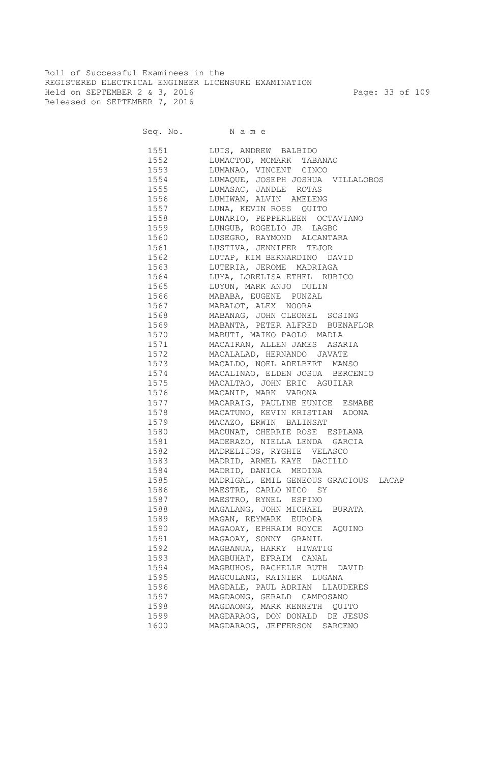Roll of Successful Examinees in the REGISTERED ELECTRICAL ENGINEER LICENSURE EXAMINATION Held on SEPTEMBER 2 & 3, 2016 Page: 33 of 109 Released on SEPTEMBER 7, 2016

| 1551 | LUIS, ANDREW BALBIDO                  |
|------|---------------------------------------|
| 1552 | LUMACTOD, MCMARK TABANAO              |
| 1553 | LUMANAO, VINCENT CINCO                |
| 1554 | LUMAQUE, JOSEPH JOSHUA VILLALOBOS     |
| 1555 | LUMASAC, JANDLE ROTAS                 |
| 1556 | LUMIWAN, ALVIN AMELENG                |
| 1557 | LUNA, KEVIN ROSS QUITO                |
| 1558 | LUNARIO, PEPPERLEEN OCTAVIANO         |
| 1559 | LUNGUB, ROGELIO JR LAGBO              |
| 1560 | LUSEGRO, RAYMOND ALCANTARA            |
| 1561 | LUSTIVA, JENNIFER TEJOR               |
| 1562 | LUTAP, KIM BERNARDINO DAVID           |
| 1563 | LUTERIA, JEROME MADRIAGA              |
| 1564 | LUYA, LORELISA ETHEL RUBICO           |
| 1565 | LUYUN, MARK ANJO DULIN                |
| 1566 | MABABA, EUGENE PUNZAL                 |
| 1567 | MABALOT, ALEX NOORA                   |
| 1568 | MABANAG, JOHN CLEONEL SOSING          |
| 1569 | MABANTA, PETER ALFRED BUENAFLOR       |
| 1570 | MABUTI, MAIKO PAOLO MADLA             |
| 1571 | MACAIRAN, ALLEN JAMES ASARIA          |
| 1572 | MACALALAD, HERNANDO JAVATE            |
| 1573 | MACALDO, NOEL ADELBERT MANSO          |
| 1574 | MACALINAO, ELDEN JOSUA BERCENIO       |
| 1575 | MACALTAO, JOHN ERIC AGUILAR           |
| 1576 | MACANIP, MARK VARONA                  |
| 1577 | MACARAIG, PAULINE EUNICE ESMABE       |
| 1578 | MACATUNO, KEVIN KRISTIAN ADONA        |
| 1579 | MACAZO, ERWIN BALINSAT                |
| 1580 | MACUNAT, CHERRIE ROSE ESPLANA         |
| 1581 | MADERAZO, NIELLA LENDA GARCIA         |
| 1582 | MADRELIJOS, RYGHIE VELASCO            |
| 1583 | MADRID, ARMEL KAYE DACILLO            |
| 1584 | MADRID, DANICA MEDINA                 |
| 1585 | MADRIGAL, EMIL GENEOUS GRACIOUS LACAP |
| 1586 | MAESTRE, CARLO NICO SY                |
| 1587 | MAESTRO, RYNEL ESPINO                 |
| 1588 | MAGALANG, JOHN MICHAEL BURATA         |
| 1589 | MAGAN, REYMARK EUROPA                 |
| 1590 | MAGAOAY, EPHRAIM ROYCE AQUINO         |
| 1591 | MAGAOAY, SONNY GRANIL                 |
| 1592 | MAGBANUA, HARRY HIWATIG               |
| 1593 | MAGBUHAT, EFRAIM CANAL                |
| 1594 | MAGBUHOS, RACHELLE RUTH DAVID         |
| 1595 | MAGCULANG, RAINIER LUGANA             |
| 1596 | MAGDALE, PAUL ADRIAN LLAUDERES        |
| 1597 | MAGDAONG, GERALD CAMPOSANO            |
| 1598 | MAGDAONG, MARK KENNETH QUITO          |
| 1599 | MAGDARAOG, DON DONALD DE JESUS        |
| 1600 | MAGDARAOG, JEFFERSON SARCENO          |
|      |                                       |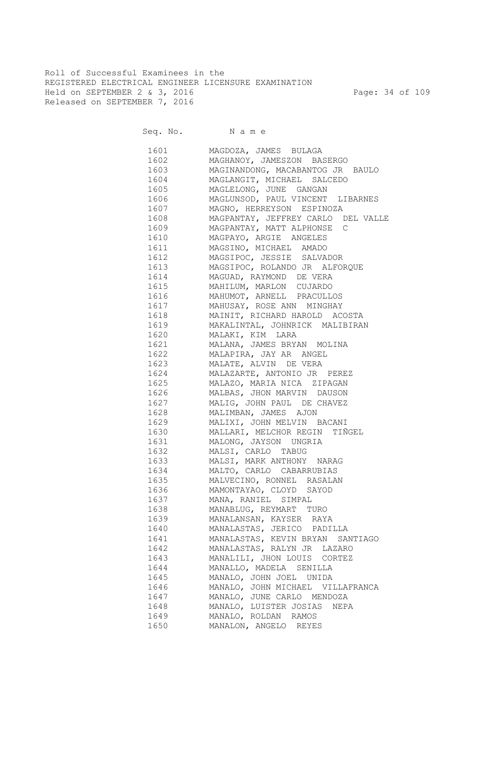Roll of Successful Examinees in the REGISTERED ELECTRICAL ENGINEER LICENSURE EXAMINATION Held on SEPTEMBER 2 & 3, 2016 Page: 34 of 109 Released on SEPTEMBER 7, 2016

| 1601 | MAGDOZA, JAMES BULAGA                 |
|------|---------------------------------------|
| 1602 | MAGHANOY, JAMESZON BASERGO            |
|      | 1603 MAGINANDONG, MACABANTOG JR BAULO |
| 1604 | MAGLANGIT, MICHAEL SALCEDO            |
| 1605 | MAGLELONG, JUNE GANGAN                |
| 1606 | MAGLUNSOD, PAUL VINCENT LIBARNES      |
| 1607 | MAGNO, HERREYSON ESPINOZA             |
| 1608 | MAGPANTAY, JEFFREY CARLO DEL VALLE    |
| 1609 | MAGPANTAY, MATT ALPHONSE C            |
| 1610 | MAGPAYO, ARGIE ANGELES                |
| 1611 | MAGSINO, MICHAEL AMADO                |
| 1612 | MAGSIPOC, JESSIE SALVADOR             |
| 1613 | MAGSIPOC, ROLANDO JR ALFORQUE         |
| 1614 | MAGUAD, RAYMOND DE VERA               |
| 1615 | MAHILUM, MARLON CUJARDO               |
| 1616 | MAHUMOT, ARNELL PRACULLOS             |
| 1617 | MAHUSAY, ROSE ANN MINGHAY             |
| 1618 | MAINIT, RICHARD HAROLD ACOSTA         |
| 1619 | MAKALINTAL, JOHNRICK MALIBIRAN        |
| 1620 | MALAKI, KIM LARA                      |
| 1621 | MALANA, JAMES BRYAN MOLINA            |
| 1622 | MALAPIRA, JAY AR ANGEL                |
| 1623 | MALATE, ALVIN DE VERA                 |
| 1624 | MALAZARTE, ANTONIO JR PEREZ           |
| 1625 | MALAZO, MARIA NICA ZIPAGAN            |
| 1626 | MALBAS, JHON MARVIN DAUSON            |
| 1627 | MALIG, JOHN PAUL DE CHAVEZ            |
| 1628 | MALIMBAN, JAMES AJON                  |
| 1629 | MALIXI, JOHN MELVIN BACANI            |
| 1630 | MALLARI, MELCHOR REGIN TIÑGEL         |
| 1631 | MALONG, JAYSON UNGRIA                 |
| 1632 | MALSI, CARLO TABUG                    |
| 1633 | MALSI, MARK ANTHONY NARAG             |
|      | 1634 MALTO, CARLO CABARRUBIAS         |
|      | 1635 MALVECINO, RONNEL RASALAN        |
|      | 1636 MAMONTAYAO, CLOYD SAYOD          |
|      | 1637 MANA, RANIEL SIMPAL              |
|      | 1638 MANABLUG, REYMART TURO           |
| 1639 | MANALANSAN, KAYSER RAYA               |
| 1640 | MANALASTAS, JERICO PADILLA            |
| 1641 | MANALASTAS, KEVIN BRYAN SANTIAGO      |
| 1642 | MANALASTAS, RALYN JR LAZARO           |
| 1643 | MANALILI, JHON LOUIS CORTEZ           |
| 1644 | MANALLO, MADELA SENILLA               |
| 1645 | MANALO, JOHN JOEL UNIDA               |
| 1646 | MANALO, JOHN MICHAEL VILLAFRANCA      |
| 1647 | MANALO, JUNE CARLO MENDOZA            |
| 1648 | MANALO, LUISTER JOSIAS NEPA           |
| 1649 |                                       |
|      | MANALO, ROLDAN RAMOS                  |
| 1650 | MANALON, ANGELO REYES                 |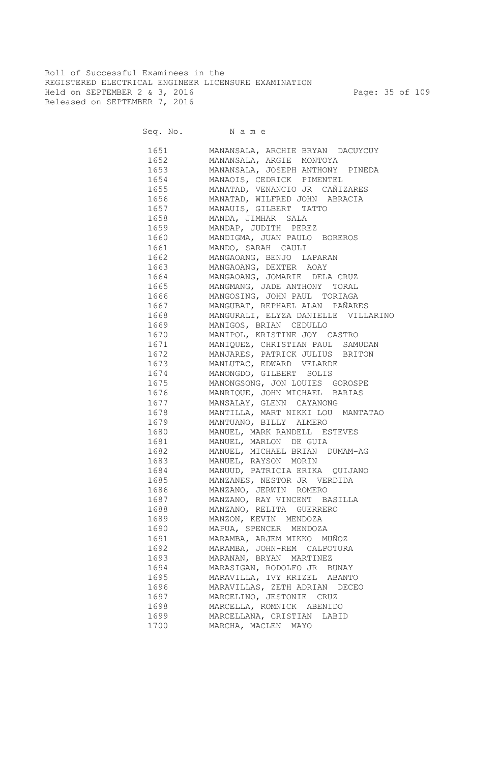Roll of Successful Examinees in the REGISTERED ELECTRICAL ENGINEER LICENSURE EXAMINATION Held on SEPTEMBER 2 & 3, 2016 Page: 35 of 109 Released on SEPTEMBER 7, 2016

| 1651   | MANANSALA, ARCHIE BRYAN DACUYCUY         |
|--------|------------------------------------------|
| 1652   | MANANSALA, ARGIE MONTOYA                 |
| 1653   | MANANSALA, JOSEPH ANTHONY PINEDA         |
| 1654   | MANAOIS, CEDRICK PIMENTEL                |
| 1655   | MANATAD, VENANCIO JR CAÑIZARES           |
| 1656   | MANATAD, WILFRED JOHN ABRACIA            |
| 1657   | MANAUIS, GILBERT TATTO                   |
| 1658 3 | MANDA, JIMHAR SALA                       |
| 1659   | MANDAP, JUDITH PEREZ                     |
|        | 1660 MANDIGMA, JUAN PAULO BOREROS        |
|        | 1661 MANDO, SARAH CAULI                  |
| 1662   | MANGAOANG, BENJO LAPARAN                 |
|        | 1663 MANGAOANG, DEXTER AOAY              |
|        | 1664 MANGAOANG, JOMARIE DELA CRUZ        |
|        | 1665 MANGMANG, JADE ANTHONY TORAL        |
|        | 1666 MANGOSING, JOHN PAUL TORIAGA        |
|        | 1667 MANGUBAT, REPHAEL ALAN PAÑARES      |
|        | 1668 MANGURALI, ELYZA DANIELLE VILLARINO |
| 1669   | MANIGOS, BRIAN CEDULLO                   |
|        | 1670 MANIPOL, KRISTINE JOY CASTRO        |
|        | 1671 MANIQUEZ, CHRISTIAN PAUL SAMUDAN    |
| 1672   | MANJARES, PATRICK JULIUS BRITON          |
| 1673   | MANLUTAC, EDWARD VELARDE                 |
| 1674   | MANONGDO, GILBERT SOLIS                  |
| 1675   | MANONGSONG, JON LOUIES GOROSPE           |
| 1676   | MANRIQUE, JOHN MICHAEL BARIAS            |
| 1677   | MANSALAY, GLENN CAYANONG                 |
|        | MANTILLA, MART NIKKI LOU MANTATAO        |
| 1679   | MANTUANO, BILLY ALMERO                   |
| 1680   | MANUEL, MARK RANDELL ESTEVES             |
| 1681   | MANUEL, MARLON DE GUIA                   |
|        | 1682 MANUEL, MICHAEL BRIAN DUMAM-AG      |
| 1683   | MANUEL, RAYSON MORIN                     |
| 1684   | MANUUD, PATRICIA ERIKA QUIJANO           |
| 1685   | MANZANES, NESTOR JR VERDIDA              |
| 1686   | MANZANO, JERWIN ROMERO                   |
| 1687   | MANZANO, RAY VINCENT BASILLA             |
| 1688   | MANZANO, RELITA GUERRERO                 |
| 1689   | MANZON, KEVIN MENDOZA                    |
| 1690   | MAPUA, SPENCER MENDOZA                   |
| 1691   | MARAMBA, ARJEM MIKKO MUÑOZ               |
| 1692   | MARAMBA, JOHN-REM CALPOTURA              |
| 1693   | MARANAN, BRYAN MARTINEZ                  |
| 1694   | MARASIGAN, RODOLFO JR BUNAY              |
| 1695   | MARAVILLA, IVY KRIZEL ABANTO             |
| 1696   | MARAVILLAS, ZETH ADRIAN DECEO            |
| 1697   | MARCELINO, JESTONIE CRUZ                 |
| 1698   | MARCELLA, ROMNICK ABENIDO                |
| 1699   | MARCELLANA, CRISTIAN LABID               |
|        |                                          |
| 1700   | MARCHA, MACLEN MAYO                      |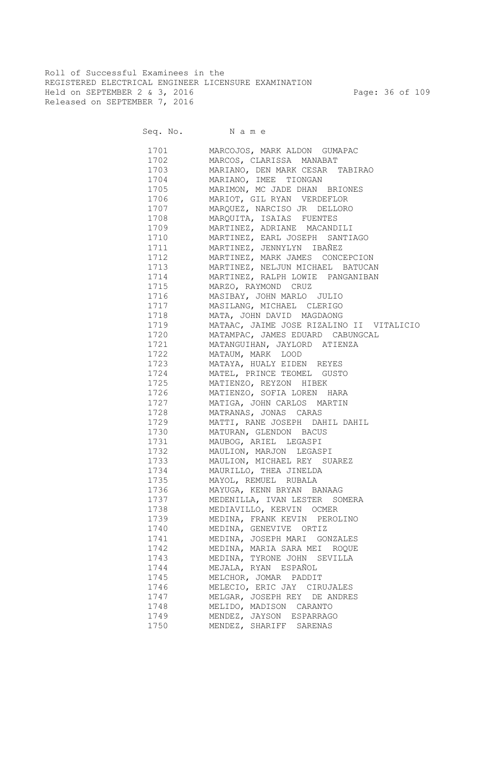Roll of Successful Examinees in the REGISTERED ELECTRICAL ENGINEER LICENSURE EXAMINATION Held on SEPTEMBER 2 & 3, 2016 Page: 36 of 109 Released on SEPTEMBER 7, 2016

Seq. No. Name

 1701 MARCOJOS, MARK ALDON GUMAPAC 1702 MARCOS, CLARISSA MANABAT 1703 MARIANO, DEN MARK CESAR TABIRAO 1704 MARIANO, IMEE TIONGAN 1705 MARIMON, MC JADE DHAN BRIONES 1706 MARIOT, GIL RYAN VERDEFLOR 1707 MARQUEZ, NARCISO JR DELLORO 1708 MARQUITA, ISAIAS FUENTES 1709 MARTINEZ, ADRIANE MACANDILI 1710 MARTINEZ, EARL JOSEPH SANTIAGO 1711 MARTINEZ, JENNYLYN IBAÑEZ 1712 MARTINEZ, MARK JAMES CONCEPCION 1713 MARTINEZ, NELJUN MICHAEL BATUCAN 1714 MARTINEZ, RALPH LOWIE PANGANIBAN 1715 MARZO, RAYMOND CRUZ 1716 MASIBAY, JOHN MARLO JULIO 1717 MASILANG, MICHAEL CLERIGO 1718 MATA, JOHN DAVID MAGDAONG 1719 MATAAC, JAIME JOSE RIZALINO II VITALICIO 1720 MATAMPAC, JAMES EDUARD CABUNGCAL 1721 MATANGUIHAN, JAYLORD ATIENZA 1722 MATAUM, MARK LOOD 1723 MATAYA, HUALY EIDEN REYES 1724 MATEL, PRINCE TEOMEL GUSTO 1725 MATIENZO, REYZON HIBEK 1726 MATIENZO, SOFIA LOREN HARA 1727 MATIGA, JOHN CARLOS MARTIN 1728 MATRANAS, JONAS CARAS 1729 MATTI, RANE JOSEPH DAHIL DAHIL 1730 MATURAN, GLENDON BACUS 1731 MAUBOG, ARIEL LEGASPI 1732 MAULION, MARJON LEGASPI 1733 MAULION, MICHAEL REY SUAREZ 1734 MAURILLO, THEA JINELDA 1735 MAYOL, REMUEL RUBALA 1736 MAYUGA, KENN BRYAN BANAAG 1737 MEDENILLA, IVAN LESTER SOMERA 1738 MEDIAVILLO, KERVIN OCMER 1739 MEDINA, FRANK KEVIN PEROLINO 1740 MEDINA, GENEVIVE ORTIZ 1741 MEDINA, JOSEPH MARI GONZALES 1742 MEDINA, MARIA SARA MEI ROQUE 1743 MEDINA, TYRONE JOHN SEVILLA 1744 MEJALA, RYAN ESPAÑOL 1745 MELCHOR, JOMAR PADDIT 1746 MELECIO, ERIC JAY CIRUJALES 1747 MELGAR, JOSEPH REY DE ANDRES 1748 MELIDO, MADISON CARANTO 1749 MENDEZ, JAYSON ESPARRAGO 1750 MENDEZ, SHARIFF SARENAS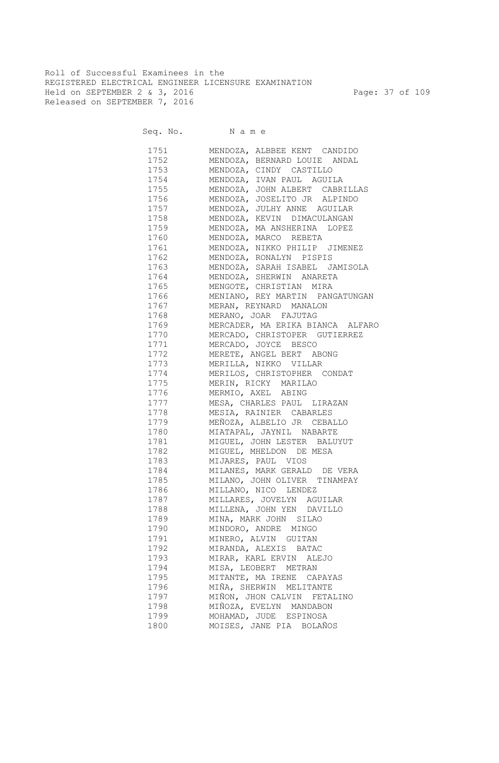Roll of Successful Examinees in the REGISTERED ELECTRICAL ENGINEER LICENSURE EXAMINATION Held on SEPTEMBER 2 & 3, 2016 Page: 37 of 109 Released on SEPTEMBER 7, 2016

| 1751                                                                                                                | MENDOZA, ALBBEE KENT CANDIDO                       |
|---------------------------------------------------------------------------------------------------------------------|----------------------------------------------------|
| 1752                                                                                                                | MENDOZA, BERNARD LOUIE ANDAL                       |
| 1753                                                                                                                | MENDOZA, CINDY CASTILLO                            |
| 1754                                                                                                                | MENDOZA, IVAN PAUL AGUILA                          |
| 1755                                                                                                                | MENDOZA, JOHN ALBERT CABRILLAS                     |
| 1756                                                                                                                | MENDOZA, JOSELITO JR ALPINDO                       |
| 1757                                                                                                                | MENDOZA, JULHY ANNE AGUILAR                        |
| 1758                                                                                                                | MENDOZA, KEVIN DIMACULANGAN                        |
| 1759                                                                                                                | MENDOZA, MA ANSHERINA LOPEZ                        |
| 1760                                                                                                                | MENDOZA, MARCO REBETA                              |
| 1761                                                                                                                | MENDOZA, NIKKO PHILIP JIMENEZ                      |
| 1762                                                                                                                | MENDOZA, RONALYN PISPIS                            |
| 1763                                                                                                                | MENDOZA, SARAH ISABEL JAMISOLA                     |
| 1764                                                                                                                | MENDOZA, SHERWIN ANARETA                           |
| 1765                                                                                                                | MENGOTE, CHRISTIAN MIRA                            |
| 1766                                                                                                                | MENIANO, REY MARTIN PANGATUNGAN                    |
| 1767                                                                                                                | MERAN, REYNARD MANALON                             |
| 1768                                                                                                                | MERANO, JOAR FAJUTAG                               |
|                                                                                                                     | 1769 MERCADER, MA ERIKA BIANCA ALFARO              |
| 1770                                                                                                                | MERCADO, CHRISTOPER GUTIERREZ                      |
| 1771                                                                                                                | MERCADO, JOYCE BESCO                               |
| 1772                                                                                                                | MERETE, ANGEL BERT ABONG                           |
|                                                                                                                     | 1773 MERILLA, NIKKO VILLAR                         |
|                                                                                                                     | 1774 MERILOS, CHRISTOPHER CONDAT                   |
|                                                                                                                     | 1775 MERIN, RICKY MARILAO                          |
|                                                                                                                     | 1776 MERMIO, AXEL ABING                            |
|                                                                                                                     | 1777 MESA, CHARLES PAUL LIRAZAN                    |
|                                                                                                                     | 1778 MESIA, RAINIER CABARLES                       |
| 1779                                                                                                                | MEÑOZA, ALBELIO JR CEBALLO                         |
|                                                                                                                     | 1780 MIATAPAL, JAYNIL NABARTE                      |
| 1781                                                                                                                |                                                    |
| 1782                                                                                                                | MIGUEL, JOHN LESTER BALUYUT                        |
| 1783                                                                                                                | MIGUEL, MHELDON DE MESA                            |
| 1784                                                                                                                | MIJARES, PAUL VIOS<br>MILANES, MARK GERALD DE VERA |
|                                                                                                                     |                                                    |
| 1785                                                                                                                | MILANO, JOHN OLIVER TINAMPAY                       |
|                                                                                                                     | 1786 MILLANO, NICO LENDEZ                          |
| 1787                                                                                                                | MILLARES, JOVELYN AGUILAR                          |
| 1788 — 1788 — 1789 — 1789 — 1789 — 1789 — 1789 — 1789 — 1789 — 1789 — 1789 — 1789 — 1789 — 1789 — 1789 — 1789 — 178 | MILLENA, JOHN YEN DAVILLO                          |
| 1789                                                                                                                | MINA, MARK JOHN SILAO                              |
| 1790                                                                                                                | MINDORO, ANDRE MINGO                               |
| 1791                                                                                                                | MINERO, ALVIN GUITAN                               |
| 1792                                                                                                                | MIRANDA, ALEXIS BATAC                              |
| 1793                                                                                                                | MIRAR, KARL ERVIN ALEJO                            |
| 1794                                                                                                                | MISA, LEOBERT METRAN                               |
| 1795                                                                                                                | MITANTE, MA IRENE CAPAYAS                          |
| 1796                                                                                                                | MIÑA, SHERWIN MELITANTE                            |
| 1797                                                                                                                | MIÑON, JHON CALVIN FETALINO                        |
| 1798                                                                                                                | MIÑOZA, EVELYN MANDABON                            |
| 1799                                                                                                                | MOHAMAD, JUDE ESPINOSA                             |
| 1800                                                                                                                | MOISES, JANE PIA BOLAÑOS                           |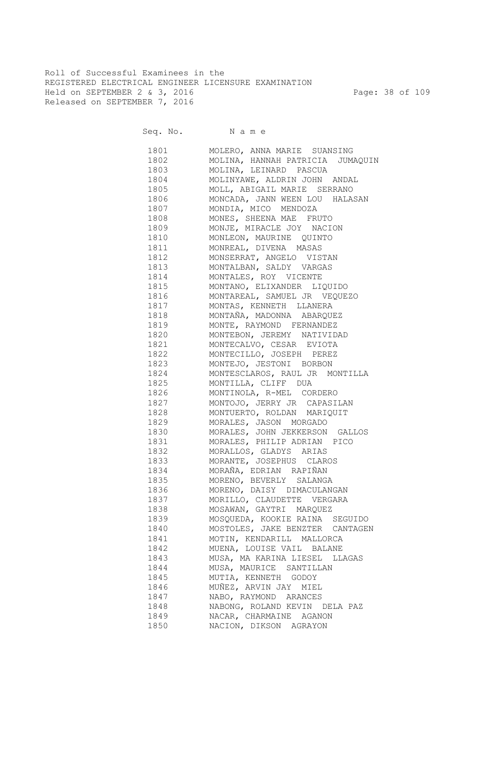Roll of Successful Examinees in the REGISTERED ELECTRICAL ENGINEER LICENSURE EXAMINATION Held on SEPTEMBER 2 & 3, 2016 Page: 38 of 109 Released on SEPTEMBER 7, 2016

Seq. No. Name

 1801 MOLERO, ANNA MARIE SUANSING 1802 MOLINA, HANNAH PATRICIA JUMAQUIN 1803 MOLINA, LEINARD PASCUA 1804 MOLINYAWE, ALDRIN JOHN ANDAL 1805 MOLL, ABIGAIL MARIE SERRANO 1806 MONCADA, JANN WEEN LOU HALASAN 1807 MONDIA, MICO MENDOZA 1808 MONES, SHEENA MAE FRUTO 1809 MONJE, MIRACLE JOY NACION 1810 MONLEON, MAURINE QUINTO 1811 MONREAL, DIVENA MASAS 1812 MONSERRAT, ANGELO VISTAN 1813 MONTALBAN, SALDY VARGAS 1814 MONTALES, ROY VICENTE 1815 MONTANO, ELIXANDER LIQUIDO 1816 MONTAREAL, SAMUEL JR VEQUEZO 1817 MONTAS, KENNETH LLANERA 1818 MONTAÑA, MADONNA ABARQUEZ 1819 MONTE, RAYMOND FERNANDEZ 1820 MONTEBON, JEREMY NATIVIDAD 1821 MONTECALVO, CESAR EVIOTA 1822 MONTECILLO, JOSEPH PEREZ 1823 MONTEJO, JESTONI BORBON 1824 MONTESCLAROS, RAUL JR MONTILLA 1825 MONTILLA, CLIFF DUA 1826 MONTINOLA, R-MEL CORDERO 1827 MONTOJO, JERRY JR CAPASILAN 1828 MONTUERTO, ROLDAN MARIQUIT 1829 MORALES, JASON MORGADO 1830 MORALES, JOHN JEKKERSON GALLOS 1831 MORALES, PHILIP ADRIAN PICO 1832 MORALLOS, GLADYS ARIAS 1833 MORANTE, JOSEPHUS CLAROS 1834 MORAÑA, EDRIAN RAPIÑAN 1835 MORENO, BEVERLY SALANGA 1836 MORENO, DAISY DIMACULANGAN 1837 MORILLO, CLAUDETTE VERGARA 1838 MOSAWAN, GAYTRI MARQUEZ 1839 MOSQUEDA, KOOKIE RAINA SEGUIDO 1840 MOSTOLES, JAKE BENZTER CANTAGEN 1841 MOTIN, KENDARILL MALLORCA 1842 MUENA, LOUISE VAIL BALANE 1843 MUSA, MA KARINA LIESEL LLAGAS 1844 MUSA, MAURICE SANTILLAN 1845 MUTIA, KENNETH GODOY 1846 MUÑEZ, ARVIN JAY MIEL 1847 NABO, RAYMOND ARANCES 1848 NABONG, ROLAND KEVIN DELA PAZ 1849 NACAR, CHARMAINE AGANON 1850 NACION, DIKSON AGRAYON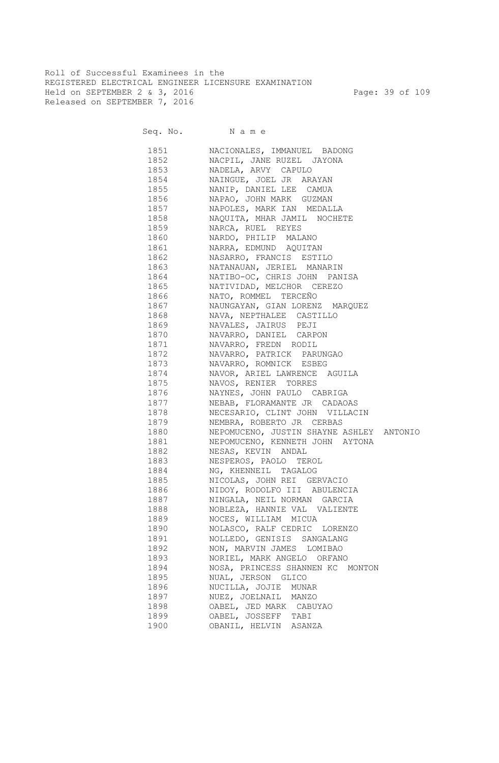Roll of Successful Examinees in the REGISTERED ELECTRICAL ENGINEER LICENSURE EXAMINATION Held on SEPTEMBER 2 & 3, 2016 Page: 39 of 109 Released on SEPTEMBER 7, 2016

| 1851                                                                                                                                                                                                                            | NACIONALES, IMMANUEL BADONG              |
|---------------------------------------------------------------------------------------------------------------------------------------------------------------------------------------------------------------------------------|------------------------------------------|
| 1852                                                                                                                                                                                                                            | NACPIL, JANE RUZEL JAYONA                |
| 1853                                                                                                                                                                                                                            | NADELA, ARVY CAPULO                      |
| 1854                                                                                                                                                                                                                            | NAINGUE, JOEL JR ARAYAN                  |
| 1855                                                                                                                                                                                                                            | NANIP, DANIEL LEE CAMUA                  |
| 1856                                                                                                                                                                                                                            | NAPAO, JOHN MARK GUZMAN                  |
| 1857                                                                                                                                                                                                                            | NAPOLES, MARK IAN MEDALLA                |
| 1858                                                                                                                                                                                                                            | NAQUITA, MHAR JAMIL NOCHETE              |
| 1859                                                                                                                                                                                                                            | NARCA, RUEL REYES                        |
| 1860                                                                                                                                                                                                                            | NARDO, PHILIP MALANO                     |
| 1861                                                                                                                                                                                                                            | NARRA, EDMUND AQUITAN                    |
| 1862                                                                                                                                                                                                                            | NASARRO, FRANCIS ESTILO                  |
| 1863                                                                                                                                                                                                                            | NATANAUAN, JERIEL MANARIN                |
| 1864                                                                                                                                                                                                                            | NATIBO-OC, CHRIS JOHN PANISA             |
| 1865                                                                                                                                                                                                                            | NATIVIDAD, MELCHOR CEREZO                |
| 1866                                                                                                                                                                                                                            | NATO, ROMMEL TERCEÑO                     |
| 1867                                                                                                                                                                                                                            | NAUNGAYAN, GIAN LORENZ MARQUEZ           |
| 1868 — 1868 — 1869 — 1869 — 1869 — 1868 — 1868 — 1868 — 1868 — 1868 — 1868 — 1868 — 1868 — 1868 — 186                                                                                                                           | NAVA, NEPTHALEE CASTILLO                 |
| 1869 — 187                                                                                                                                                                                                                      | NAVALES, JAIRUS PEJI                     |
| 1870 — 1870 — 1870 — 1870 — 1870 — 1870 — 1870 — 1870 — 1870 — 1880 — 1880 — 1880 — 1880 — 1880 — 1880 — 1                                                                                                                      | NAVARRO, DANIEL CARPON                   |
| 1871 — 1871 — 1872 — 1873 — 1874 — 1875 — 1875 — 1875 — 1875 — 1886 — 1886 — 1886 — 1886 — 1886 — 1886 — 1886 — 1886 — 1886 — 1886 — 1886 — 1886 — 1886 — 1886 — 1886 — 1886 — 1886 — 1886 — 1886 — 1886 — 1886 — 1886 — 1886 — | NAVARRO, FREDN RODIL                     |
|                                                                                                                                                                                                                                 | NAVARRO, PATRICK PARUNGAO                |
| 1873 — 1873 — 1874 — 1875 — 1875 — 1875 — 1875 — 1875 — 1875 — 1886 — 1886 — 1886 — 1886 — 1886 — 1886 — 1886 — 1886 — 1886 — 1886 — 1886 — 1886 — 1886 — 1886 — 1886 — 1886 — 1886 — 1886 — 1886 — 1886 — 1886 — 1886 — 1886 — | NAVARRO, ROMNICK ESBEG                   |
| 1874                                                                                                                                                                                                                            | NAVOR, ARIEL LAWRENCE AGUILA             |
| 1875 — 1875 — 1876 — 1876 — 1876 — 1876 — 1876 — 1876 — 1876 — 1886 — 1886 — 1886 — 1886 — 1886 — 1886 — 1886 — 1886 — 1886 — 1886 — 1886 — 1886 — 1886 — 1886 — 1886 — 1886 — 1886 — 1886 — 1886 — 1886 — 1886 — 1886 — 1886 — | NAVOS, RENIER TORRES                     |
| 1876 — 187                                                                                                                                                                                                                      | NAYNES, JOHN PAULO CABRIGA               |
| 1877 — 1877 — 1877 — 1877 — 1877 — 1877 — 1877 — 1877 — 1888 — 1888 — 1888 — 1888 — 1888 — 1888 — 1888 — 1888 — 188                                                                                                             | NEBAB, FLORAMANTE JR CADAOAS             |
| 1878 — 1878 — 1879 — 1879 — 1879 — 1879 — 1879 — 1879 — 1879 — 1870 — 1870 — 1870 — 1880 — 1880 — 1880 — 1                                                                                                                      | NECESARIO, CLINT JOHN VILLACIN           |
| 1879 — 1879 — 1870 — 1870 — 1870 — 1870 — 1870 — 1870 — 1870 — 1880 — 1880 — 1880 — 1880 — 1880 — 1880 — 1                                                                                                                      | NEMBRA, ROBERTO JR CERBAS                |
| 1880 — 1880 — 1890 — 1890 — 1890 — 1890 — 1890 — 1890 — 1890 — 1890 — 1890 — 1890 — 1890 — 1890 — 1890 — 1890 — 1890 — 1890 — 1890 — 1890 — 1890 — 1890 — 1890 — 1890 — 1890 — 1890 — 1890 — 1890 — 1890 — 1890 — 1890 — 1890 — | NEPOMUCENO, JUSTIN SHAYNE ASHLEY ANTONIO |
| 1881 — 1881 — 1882 — 1883 — 1884 — 1885 — 1886 — 1885 — 1886 — 1886 — 1886 — 1886 — 1886 — 1886 — 1886 — 1886 — 1886 — 1886 — 1886 — 1886 — 1886 — 1886 — 1886 — 1886 — 1886 — 1886 — 1886 — 1886 — 1886 — 1886 — 1886 — 1886 — | NEPOMUCENO, KENNETH JOHN AYTONA          |
| 1882   1990                                                                                                                                                                                                                     | NESAS, KEVIN ANDAL                       |
| 1883 — 1889 — 1889 — 1889 — 1889 — 1889 — 1889 — 1889 — 1889 — 1889 — 1888 — 1888 — 1888 — 1888 — 1888 — 1888 — 188                                                                                                             | NESPEROS, PAOLO TEROL                    |
| 1884   1890   1890   1890   1890   1890   1890   1890   1891   1891   1891   1892   1892   1892   1892   1892   189                                                                                                             | NG, KHENNEIL TAGALOG                     |
| 1885                                                                                                                                                                                                                            | NICOLAS, JOHN REI GERVACIO               |
| 1886 1880                                                                                                                                                                                                                       | NIDOY, RODOLFO III ABULENCIA             |
| 1887                                                                                                                                                                                                                            | NINGALA, NEIL NORMAN GARCIA              |
| 1888                                                                                                                                                                                                                            | NOBLEZA, HANNIE VAL VALIENTE             |
| 1889                                                                                                                                                                                                                            | NOCES, WILLIAM MICUA                     |
| 1890                                                                                                                                                                                                                            | NOLASCO, RALF CEDRIC LORENZO             |
| 1891                                                                                                                                                                                                                            | NOLLEDO, GENISIS SANGALANG               |
| 1892                                                                                                                                                                                                                            | NON, MARVIN JAMES LOMIBAO                |
| 1893                                                                                                                                                                                                                            | NORIEL, MARK ANGELO ORFANO               |
| 1894                                                                                                                                                                                                                            | NOSA, PRINCESS SHANNEN KC MONTON         |
| 1895                                                                                                                                                                                                                            | NUAL, JERSON GLICO                       |
| 1896                                                                                                                                                                                                                            | NUCILLA, JOJIE MUNAR                     |
| 1897                                                                                                                                                                                                                            | NUEZ, JOELNAIL MANZO                     |
| 1898                                                                                                                                                                                                                            | OABEL, JED MARK CABUYAO                  |
| 1899                                                                                                                                                                                                                            | OABEL, JOSSEFF TABI                      |
| 1900                                                                                                                                                                                                                            | OBANIL, HELVIN ASANZA                    |
|                                                                                                                                                                                                                                 |                                          |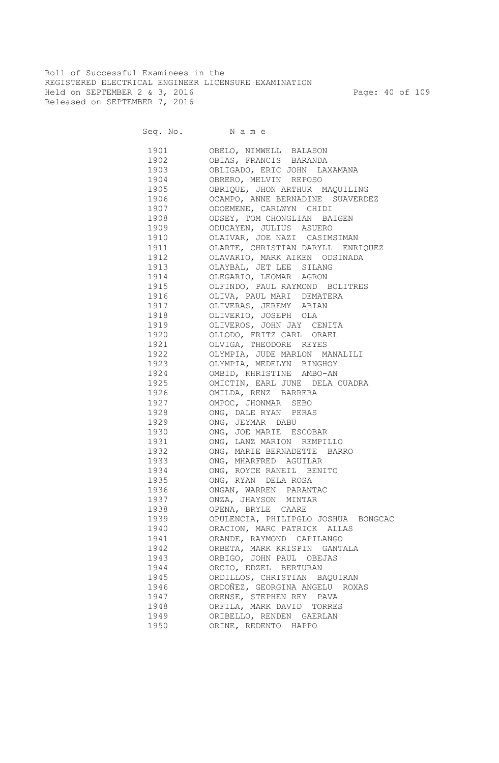Roll of Successful Examinees in the REGISTERED ELECTRICAL ENGINEER LICENSURE EXAMINATION Held on SEPTEMBER 2 & 3, 2016 Page: 40 of 109 Released on SEPTEMBER 7, 2016

Seq. No. Name

 1901 OBELO, NIMWELL BALASON 1902 OBIAS, FRANCIS BARANDA 1903 OBLIGADO, ERIC JOHN LAXAMANA<br>1904 OBRERO, MELVIN REPOSO OBRERO, MELVIN REPOSO 1905 OBRIQUE, JHON ARTHUR MAQUILING 1906 OCAMPO, ANNE BERNADINE SUAVERDEZ 1907 ODOEMENE, CARLWYN CHIDI 1908 ODSEY, TOM CHONGLIAN BAIGEN 1909 ODUCAYEN, JULIUS ASUERO 1910 OLAIVAR, JOE NAZI CASIMSIMAN 1911 OLARTE, CHRISTIAN DARYLL ENRIQUEZ 1912 OLAVARIO, MARK AIKEN ODSINADA 1913 OLAYBAL, JET LEE SILANG 1914 OLEGARIO, LEOMAR AGRON 1915 OLFINDO, PAUL RAYMOND BOLITRES 1916 OLIVA, PAUL MARI DEMATERA 1917 OLIVERAS, JEREMY ABIAN 1918 OLIVERIO, JOSEPH OLA 1919 OLIVEROS, JOHN JAY CENITA 1920 OLLODO, FRITZ CARL ORAEL 1921 OLVIGA, THEODORE REYES 1922 OLYMPIA, JUDE MARLON MANALILI 1923 OLYMPIA, MEDELYN BINGHOY 1924 OMBID, KHRISTINE AMBO-AN 1925 OMICTIN, EARL JUNE DELA CUADRA 1926 OMILDA, RENZ BARRERA 1927 OMPOC, JHONMAR SEBO 1928 ONG, DALE RYAN PERAS 1929 ONG, JEYMAR DABU 1930 ONG, JOE MARIE ESCOBAR 1931 ONG, LANZ MARION REMPILLO 1932 ONG, MARIE BERNADETTE BARRO 1933 ONG, MHARFRED AGUILAR 1934 ONG, ROYCE RANEIL BENITO 1935 ONG, RYAN DELA ROSA 1936 ONGAN, WARREN PARANTAC 1937 ONZA, JHAYSON MINTAR 1938 OPENA, BRYLE CAARE 1939 OPULENCIA, PHILIPGLO JOSHUA BONGCAC 1940 ORACION, MARC PATRICK ALLAS 1941 ORANDE, RAYMOND CAPILANGO 1942 ORBETA, MARK KRISPIN GANTALA 1943 ORBIGO, JOHN PAUL OBEJAS 1944 ORCIO, EDZEL BERTURAN 1945 ORDILLOS, CHRISTIAN BAQUIRAN 1946 ORDOÑEZ, GEORGINA ANGELU ROXAS 1947 ORENSE, STEPHEN REY PAVA 1948 ORFILA, MARK DAVID TORRES 1949 ORIBELLO, RENDEN GAERLAN 1950 ORINE, REDENTO HAPPO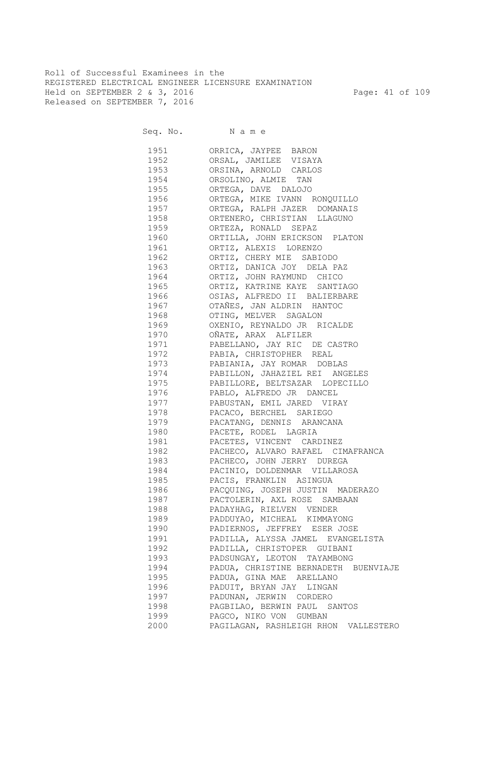Roll of Successful Examinees in the REGISTERED ELECTRICAL ENGINEER LICENSURE EXAMINATION Held on SEPTEMBER 2 & 3, 2016 Page: 41 of 109 Released on SEPTEMBER 7, 2016

| 1951                                                                                                                                                                                                                            | ORRICA, JAYPEE BARON                 |
|---------------------------------------------------------------------------------------------------------------------------------------------------------------------------------------------------------------------------------|--------------------------------------|
| 1952                                                                                                                                                                                                                            | ORSAL, JAMILEE VISAYA                |
| 1953                                                                                                                                                                                                                            | ORSINA, ARNOLD CARLOS                |
| 1954                                                                                                                                                                                                                            | ORSOLINO, ALMIE TAN                  |
| 1955                                                                                                                                                                                                                            | ORTEGA, DAVE DALOJO                  |
| 1956                                                                                                                                                                                                                            | ORTEGA, MIKE IVANN RONQUILLO         |
| 1957                                                                                                                                                                                                                            | ORTEGA, RALPH JAZER DOMANAIS         |
| 1958                                                                                                                                                                                                                            | ORTENERO, CHRISTIAN LLAGUNO          |
| 1959                                                                                                                                                                                                                            | ORTEZA, RONALD SEPAZ                 |
| 1960                                                                                                                                                                                                                            | ORTILLA, JOHN ERICKSON PLATON        |
| 1961                                                                                                                                                                                                                            | ORTIZ, ALEXIS LORENZO                |
| 1962                                                                                                                                                                                                                            | ORTIZ, CHERY MIE SABIODO             |
| 1963                                                                                                                                                                                                                            | ORTIZ, DANICA JOY DELA PAZ           |
| 1964                                                                                                                                                                                                                            | ORTIZ, JOHN RAYMUND CHICO            |
| 1965                                                                                                                                                                                                                            | ORTIZ, KATRINE KAYE SANTIAGO         |
| 1966                                                                                                                                                                                                                            | OSIAS, ALFREDO II BALIERBARE         |
| 1967                                                                                                                                                                                                                            | OTAÑES, JAN ALDRIN HANTOC            |
| 1968                                                                                                                                                                                                                            | OTING, MELVER SAGALON                |
| 1969                                                                                                                                                                                                                            | OXENIO, REYNALDO JR RICALDE          |
| 1970                                                                                                                                                                                                                            | OÑATE, ARAX ALFILER                  |
| 1971                                                                                                                                                                                                                            | PABELLANO, JAY RIC DE CASTRO         |
| 1972                                                                                                                                                                                                                            | PABIA, CHRISTOPHER REAL              |
| 1973                                                                                                                                                                                                                            | PABIANIA, JAY ROMAR DOBLAS           |
| 1974                                                                                                                                                                                                                            | PABILLON, JAHAZIEL REI ANGELES       |
| 1975 — 1975 — 1975 — 1975 — 1975 — 1975 — 1975 — 1975 — 1975 — 1986 — 1986 — 1986 — 1986 — 1986 — 1986 — 1986 — 1986 — 1986 — 1986 — 1986 — 1986 — 1986 — 1986 — 1986 — 1986 — 1986 — 1986 — 1986 — 1986 — 1986 — 1986 — 1986 — | PABILLORE, BELTSAZAR LOPECILLO       |
| 1976 — 1976 — 1976 — 1976 — 1976 — 1976 — 1976 — 1976 — 1976 — 1980 — 1980 — 1980 — 1980 — 1980 — 1980 — 1980 — 1980 — 1980 — 1980 — 1980 — 1980 — 1980 — 1980 — 1980 — 1980 — 1980 — 1980 — 1980 — 1980 — 1980 — 1980 — 1980 — | PABLO, ALFREDO JR DANCEL             |
| 1977 — 1977 — 1977 — 1980 — 1980 — 1980 — 1980 — 1980 — 1980 — 1980 — 1980 — 1980 — 1980 — 1980 — 1980 — 1980 — 1980 — 1980 — 1980 — 1980 — 1980 — 1980 — 1980 — 1980 — 1980 — 1980 — 1980 — 1980 — 1980 — 1980 — 1980 — 1980 — | PABUSTAN, EMIL JARED VIRAY           |
| 1978 — 1978                                                                                                                                                                                                                     | PACACO, BERCHEL SARIEGO              |
| 1979 — 1979 — 1970 — 1970 — 1970 — 1970 — 1970 — 1970 — 1970 — 1980 — 1980 — 1980 — 1980 — 1980 — 1980 — 1980 — 1980 — 1980 — 1980 — 1980 — 1980 — 1980 — 1980 — 1980 — 1980 — 1980 — 1980 — 1980 — 1980 — 1980 — 1980 — 1980 — | PACATANG, DENNIS ARANCANA            |
| 1980 1990                                                                                                                                                                                                                       | PACETE, RODEL LAGRIA                 |
| 1981 — 1981 — 1982 — 1983 — 1984 — 1984 — 1984 — 1984 — 1984 — 1984 — 1984 — 1984 — 1985 — 1986 — 1986 — 1986 — 1986 — 1986 — 1986 — 1986 — 1986 — 1984 — 1984 — 1984 — 1984 — 1984 — 1984 — 1984 — 1984 — 1984 — 1984 — 1984 — | PACETES, VINCENT CARDINEZ            |
| 1982   1982   1982   1982   1982   1982   1982   1982   1982   1982   1983   1984   1984   1984   1985   1986   1986   1986   1986   1986   1986   1986   1986   1986   1986   1986   1986   1986   1986   1986   1986   1987   | PACHECO, ALVARO RAFAEL CIMAFRANCA    |
| 1983   1983   1984   1985   1985   1985   1986   1986   1986   1986   1986   1986   1986   1986   1986   1986   1986   1986   1986   1986   1986   1986   1986   1986   1986   1986   1986   1986   1986   1986   1986   1986   | PACHECO, JOHN JERRY DUREGA           |
| 1984                                                                                                                                                                                                                            | PACINIO, DOLDENMAR VILLAROSA         |
| 1985 — 1985 — 1986 — 1986 — 1986 — 1986 — 1986 — 1986 — 1986 — 1986 — 1986 — 1986 — 1986 — 1986 — 1986 — 1986 — 1986 — 1986 — 1986 — 1986 — 1986 — 1986 — 1986 — 1986 — 1986 — 1986 — 1986 — 1986 — 1986 — 1986 — 1986 — 1986 — | PACIS, FRANKLIN ASINGUA              |
| 1986 — 1986                                                                                                                                                                                                                     | PACQUING, JOSEPH JUSTIN MADERAZO     |
| 1987 — 1987 — 1987 — 1987 — 1987 — 1987 — 1987 — 1987 — 1988 — 1988 — 1988 — 1988 — 1988 — 1988 — 1988 — 1988 — 198                                                                                                             | PACTOLERIN, AXL ROSE SAMBAAN         |
| 1988                                                                                                                                                                                                                            | PADAYHAG, RIELVEN VENDER             |
| 1989                                                                                                                                                                                                                            | PADDUYAO, MICHEAL KIMMAYONG          |
| 1990                                                                                                                                                                                                                            | PADIERNOS, JEFFREY ESER JOSE         |
| 1991                                                                                                                                                                                                                            | PADILLA, ALYSSA JAMEL EVANGELISTA    |
| 1992                                                                                                                                                                                                                            | PADILLA, CHRISTOPER GUIBANI          |
| 1993                                                                                                                                                                                                                            | PADSUNGAY, LEOTON TAYAMBONG          |
| 1994                                                                                                                                                                                                                            | PADUA, CHRISTINE BERNADETH BUENVIAJE |
| 1995                                                                                                                                                                                                                            | PADUA, GINA MAE ARELLANO             |
| 1996                                                                                                                                                                                                                            | PADUIT, BRYAN JAY LINGAN             |
|                                                                                                                                                                                                                                 |                                      |
| 1997                                                                                                                                                                                                                            | PADUNAN, JERWIN CORDERO              |
| 1998                                                                                                                                                                                                                            | PAGBILAO, BERWIN PAUL SANTOS         |
| 1999                                                                                                                                                                                                                            | PAGCO, NIKO VON GUMBAN               |
| 2000                                                                                                                                                                                                                            | PAGILAGAN, RASHLEIGH RHON VALLESTERO |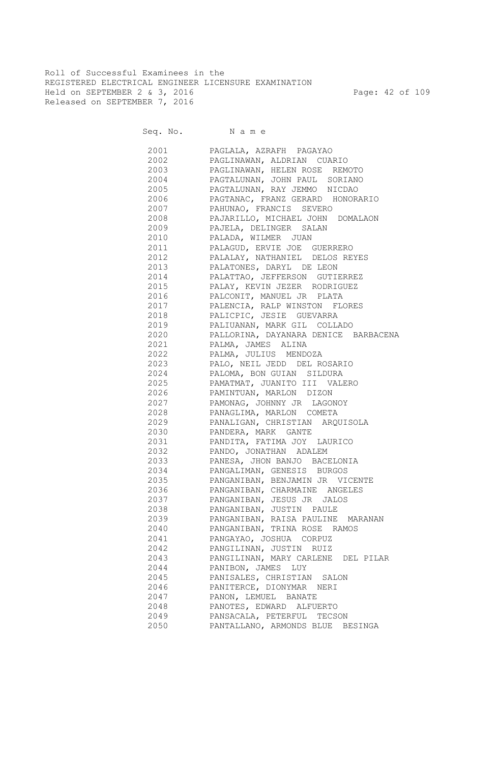Roll of Successful Examinees in the REGISTERED ELECTRICAL ENGINEER LICENSURE EXAMINATION Held on SEPTEMBER 2 & 3, 2016 Page: 42 of 109 Released on SEPTEMBER 7, 2016

Seq. No. Name

 2001 PAGLALA, AZRAFH PAGAYAO 2002 PAGLINAWAN, ALDRIAN CUARIO 2003 PAGLINAWAN, HELEN ROSE REMOTO 2004 PAGTALUNAN, JOHN PAUL SORIANO 2005 PAGTALUNAN, RAY JEMMO NICDAO 2006 PAGTANAC, FRANZ GERARD HONORARIO 2007 PAHUNAO, FRANCIS SEVERO 2008 PAJARILLO, MICHAEL JOHN DOMALAON 2009 PAJELA, DELINGER SALAN 2010 PALADA, WILMER JUAN 2011 PALAGUD, ERVIE JOE GUERRERO 2012 PALALAY, NATHANIEL DELOS REYES 2013 PALATONES, DARYL DE LEON 2014 PALATTAO, JEFFERSON GUTIERREZ 2015 PALAY, KEVIN JEZER RODRIGUEZ 2016 PALCONIT, MANUEL JR PLATA 2017 PALENCIA, RALP WINSTON FLORES 2018 PALICPIC, JESIE GUEVARRA 2019 PALIUANAN, MARK GIL COLLADO 2020 PALLORINA, DAYANARA DENICE BARBACENA 2021 PALMA, JAMES ALINA 2022 PALMA, JULIUS MENDOZA 2023 PALO, NEIL JEDD DEL ROSARIO 2024 PALOMA, BON GUIAN SILDURA 2025 PAMATMAT, JUANITO III VALERO 2026 PAMINTUAN, MARLON DIZON 2027 PAMONAG, JOHNNY JR LAGONOY 2028 PANAGLIMA, MARLON COMETA 2029 PANALIGAN, CHRISTIAN ARQUISOLA 2030 PANDERA, MARK GANTE 2031 PANDITA, FATIMA JOY LAURICO 2032 PANDO, JONATHAN ADALEM 2033 PANESA, JHON BANJO BACELONIA 2034 PANGALIMAN, GENESIS BURGOS 2035 PANGANIBAN, BENJAMIN JR VICENTE 2036 PANGANIBAN, CHARMAINE ANGELES 2037 PANGANIBAN, JESUS JR JALOS 2038 PANGANIBAN, JUSTIN PAULE 2039 PANGANIBAN, RAISA PAULINE MARANAN 2040 PANGANIBAN, TRINA ROSE RAMOS 2041 PANGAYAO, JOSHUA CORPUZ 2042 PANGILINAN, JUSTIN RUIZ 2043 PANGILINAN, MARY CARLENE DEL PILAR 2044 PANIBON, JAMES LUY 2045 PANISALES, CHRISTIAN SALON 2046 PANITERCE, DIONYMAR NERI 2047 PANON, LEMUEL BANATE 2048 PANOTES, EDWARD ALFUERTO 2049 PANSACALA, PETERFUL TECSON 2050 PANTALLANO, ARMONDS BLUE BESINGA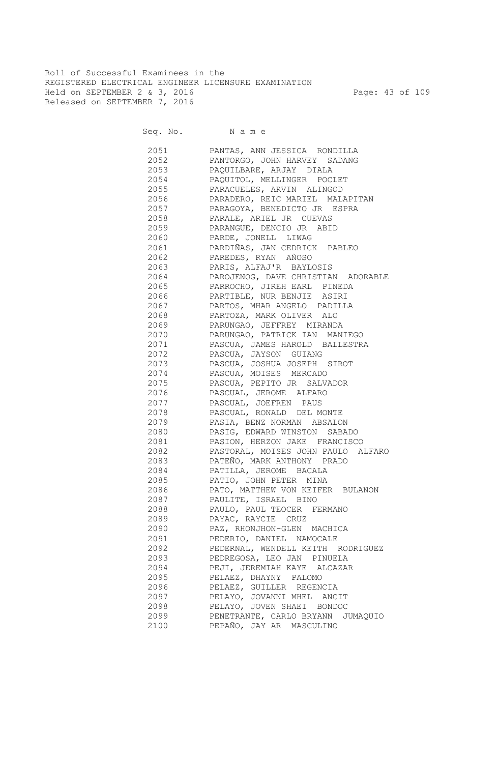Roll of Successful Examinees in the REGISTERED ELECTRICAL ENGINEER LICENSURE EXAMINATION Held on SEPTEMBER 2 & 3, 2016 Page: 43 of 109 Released on SEPTEMBER 7, 2016

Seq. No. Name

 2051 PANTAS, ANN JESSICA RONDILLA 2052 PANTORGO, JOHN HARVEY SADANG 2053 PAQUILBARE, ARJAY DIALA 2054 PAQUITOL, MELLINGER POCLET 2055 PARACUELES, ARVIN ALINGOD 2056 PARADERO, REIC MARIEL MALAPITAN 2057 PARAGOYA, BENEDICTO JR ESPRA 2058 PARALE, ARIEL JR CUEVAS 2059 PARANGUE, DENCIO JR ABID 2060 PARDE, JONELL LIWAG 2061 PARDIÑAS, JAN CEDRICK PABLEO 2062 PAREDES, RYAN AÑOSO 2063 PARIS, ALFAJ'R BAYLOSIS 2064 PAROJENOG, DAVE CHRISTIAN ADORABLE 2065 PARROCHO, JIREH EARL PINEDA 2066 PARTIBLE, NUR BENJIE ASIRI 2067 PARTOS, MHAR ANGELO PADILLA 2068 PARTOZA, MARK OLIVER ALO 2069 PARUNGAO, JEFFREY MIRANDA 2070 PARUNGAO, PATRICK IAN MANIEGO 2071 PASCUA, JAMES HAROLD BALLESTRA 2072 PASCUA, JAYSON GUIANG 2073 PASCUA, JOSHUA JOSEPH SIROT 2074 PASCUA, MOISES MERCADO 2075 PASCUA, PEPITO JR SALVADOR PASCUAL, JEROME ALFARO 2077 PASCUAL, JOEFREN PAUS 2078 PASCUAL, RONALD DEL MONTE 2079 PASIA, BENZ NORMAN ABSALON 2080 PASIG, EDWARD WINSTON SABADO 2081 PASION, HERZON JAKE FRANCISCO 2082 PASTORAL, MOISES JOHN PAULO ALFARO 2083 PATEÑO, MARK ANTHONY PRADO 2084 PATILLA, JEROME BACALA 2085 PATIO, JOHN PETER MINA 2086 PATO, MATTHEW VON KEIFER BULANON 2087 PAULITE, ISRAEL BINO 2088 PAULO, PAUL TEOCER FERMANO 2089 PAYAC, RAYCIE CRUZ 2090 PAZ, RHONJHON-GLEN MACHICA 2091 PEDERIO, DANIEL NAMOCALE 2092 PEDERNAL, WENDELL KEITH RODRIGUEZ 2093 PEDREGOSA, LEO JAN PINUELA 2094 PEJI, JEREMIAH KAYE ALCAZAR 2095 PELAEZ, DHAYNY PALOMO 2096 PELAEZ, GUILLER REGENCIA 2097 PELAYO, JOVANNI MHEL ANCIT 2098 PELAYO, JOVEN SHAEI BONDOC 2099 PENETRANTE, CARLO BRYANN JUMAQUIO 2100 PEPAÑO, JAY AR MASCULINO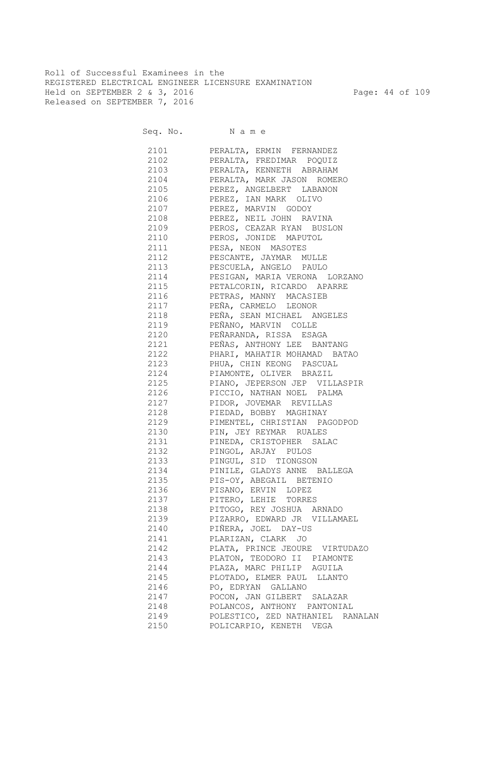Roll of Successful Examinees in the REGISTERED ELECTRICAL ENGINEER LICENSURE EXAMINATION Held on SEPTEMBER 2 & 3, 2016 Page: 44 of 109 Released on SEPTEMBER 7, 2016

| 2101 | PERALTA, ERMIN FERNANDEZ          |
|------|-----------------------------------|
| 2102 | PERALTA, FREDIMAR POQUIZ          |
| 2103 | PERALTA, KENNETH ABRAHAM          |
|      | 2104 PERALTA, MARK JASON ROMERO   |
|      | 2105 PEREZ, ANGELBERT LABANON     |
| 2106 | PEREZ, IAN MARK OLIVO             |
| 2107 | PEREZ, MARVIN GODOY               |
| 2108 | PEREZ, NEIL JOHN RAVINA           |
| 2109 | PEROS, CEAZAR RYAN BUSLON         |
| 2110 | PEROS, JONIDE MAPUTOL             |
| 2111 | PESA, NEON MASOTES                |
| 2112 | PESCANTE, JAYMAR MULLE            |
| 2113 | PESCUELA, ANGELO PAULO            |
| 2114 | PESIGAN, MARIA VERONA LORZANO     |
| 2115 | PETALCORIN, RICARDO APARRE        |
| 2116 | PETRAS, MANNY MACASIEB            |
| 2117 | PEÑA, CARMELO LEONOR              |
| 2118 | PEÑA, SEAN MICHAEL ANGELES        |
| 2119 | PEÑANO, MARVIN COLLE              |
| 2120 | PEÑARANDA, RISSA ESAGA            |
| 2121 | PEÑAS, ANTHONY LEE BANTANG        |
| 2122 | PHARI, MAHATIR MOHAMAD BATAO      |
|      | 2123 PHUA, CHIN KEONG PASCUAL     |
| 2124 | PIAMONTE, OLIVER BRAZIL           |
| 2125 | PIANO, JEPERSON JEP VILLASPIR     |
| 2126 | PICCIO, NATHAN NOEL PALMA         |
| 2127 | PIDOR, JOVEMAR REVILLAS           |
| 2128 | PIEDAD, BOBBY MAGHINAY            |
|      | 2129 PIMENTEL, CHRISTIAN PAGODPOD |
| 2130 | PIN, JEY REYMAR RUALES            |
|      | 2131 PINEDA, CRISTOPHER SALAC     |
| 2132 | PINGOL, ARJAY PULOS               |
|      | 2133 PINGUL, SID TIONGSON         |
|      | 2134 PINILE, GLADYS ANNE BALLEGA  |
|      | 2135 PIS-OY, ABEGAIL BETENIO      |
|      | 2136 PISANO, ERVIN LOPEZ          |
|      | 2137 PITERO, LEHIE TORRES         |
|      | 2138 PITOGO, REY JOSHUA ARNADO    |
| 2139 | PIZARRO, EDWARD JR VILLAMAEL      |
| 2140 | PIÑERA, JOEL DAY-US               |
| 2141 | PLARIZAN, CLARK JO                |
| 2142 | PLATA, PRINCE JEOURE VIRTUDAZO    |
| 2143 | PLATON, TEODORO II PIAMONTE       |
| 2144 | PLAZA, MARC PHILIP AGUILA         |
| 2145 | PLOTADO, ELMER PAUL LLANTO        |
| 2146 | PO, EDRYAN GALLANO                |
| 2147 | POCON, JAN GILBERT SALAZAR        |
| 2148 | POLANCOS, ANTHONY PANTONIAL       |
| 2149 | POLESTICO, ZED NATHANIEL RANALAN  |
| 2150 | POLICARPIO, KENETH VEGA           |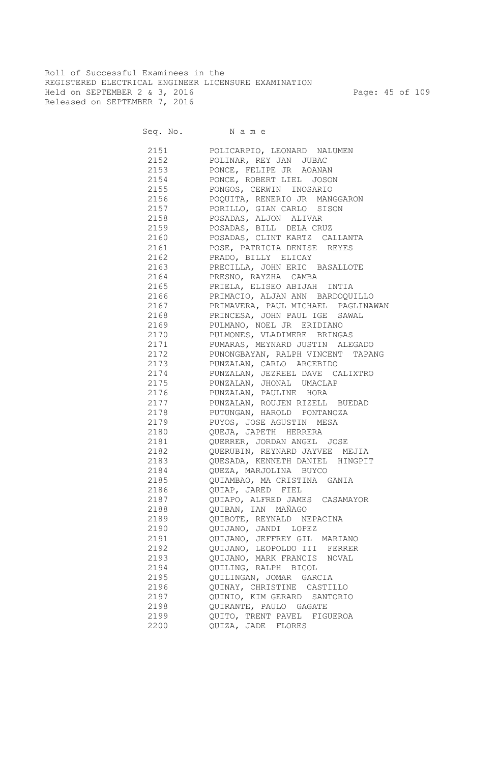Roll of Successful Examinees in the REGISTERED ELECTRICAL ENGINEER LICENSURE EXAMINATION Held on SEPTEMBER 2 & 3, 2016 Page: 45 of 109 Released on SEPTEMBER 7, 2016

| 2151 | POLICARPIO, LEONARD NALUMEN        |
|------|------------------------------------|
| 2152 | POLINAR, REY JAN JUBAC             |
| 2153 | PONCE, FELIPE JR AOANAN            |
| 2154 | PONCE, ROBERT LIEL JOSON           |
| 2155 | PONGOS, CERWIN INOSARIO            |
| 2156 | POQUITA, RENERIO JR MANGGARON      |
| 2157 | PORILLO, GIAN CARLO SISON          |
| 2158 | POSADAS, ALJON ALIVAR              |
| 2159 | POSADAS, BILL DELA CRUZ            |
| 2160 | POSADAS, CLINT KARTZ CALLANTA      |
| 2161 | POSE, PATRICIA DENISE REYES        |
| 2162 | PRADO, BILLY ELICAY                |
| 2163 | PRECILLA, JOHN ERIC BASALLOTE      |
| 2164 | PRESNO, RAYZHA CAMBA               |
| 2165 | PRIELA, ELISEO ABIJAH INTIA        |
| 2166 | PRIMACIO, ALJAN ANN BARDOQUILLO    |
| 2167 | PRIMAVERA, PAUL MICHAEL PAGLINAWAN |
| 2168 | PRINCESA, JOHN PAUL IGE SAWAL      |
| 2169 | PULMANO, NOEL JR ERIDIANO          |
| 2170 | PULMONES, VLADIMERE BRINGAS        |
| 2171 | PUMARAS, MEYNARD JUSTIN ALEGADO    |
| 2172 | PUNONGBAYAN, RALPH VINCENT TAPANG  |
| 2173 | PUNZALAN, CARLO ARCEBIDO           |
| 2174 | PUNZALAN, JEZREEL DAVE CALIXTRO    |
| 2175 | PUNZALAN, JHONAL UMACLAP           |
| 2176 | PUNZALAN, PAULINE HORA             |
| 2177 | PUNZALAN, ROUJEN RIZELL BUEDAD     |
| 2178 | PUTUNGAN, HAROLD PONTANOZA         |
| 2179 | PUYOS, JOSE AGUSTIN MESA           |
| 2180 | QUEJA, JAPETH HERRERA              |
| 2181 | QUERRER, JORDAN ANGEL JOSE         |
| 2182 | QUERUBIN, REYNARD JAYVEE MEJIA     |
| 2183 | QUESADA, KENNETH DANIEL HINGPIT    |
|      | 2184 QUEZA, MARJOLINA BUYCO        |
|      | 2185 QUIAMBAO, MA CRISTINA GANIA   |
| 2186 | QUIAP, JARED FIEL                  |
| 2187 | QUIAPO, ALFRED JAMES CASAMAYOR     |
| 2188 | QUIBAN, IAN MAÑAGO                 |
| 2189 | QUIBOTE, REYNALD NEPACINA          |
| 2190 | QUIJANO, JANDI LOPEZ               |
| 2191 | QUIJANO, JEFFREY GIL MARIANO       |
| 2192 | QUIJANO, LEOPOLDO III FERRER       |
| 2193 | QUIJANO, MARK FRANCIS NOVAL        |
| 2194 | QUILING, RALPH BICOL               |
| 2195 | QUILINGAN, JOMAR GARCIA            |
| 2196 | QUINAY, CHRISTINE CASTILLO         |
| 2197 | QUINIO, KIM GERARD SANTORIO        |
| 2198 | QUIRANTE, PAULO GAGATE             |
| 2199 | QUITO, TRENT PAVEL FIGUEROA        |
| 2200 | QUIZA, JADE FLORES                 |
|      |                                    |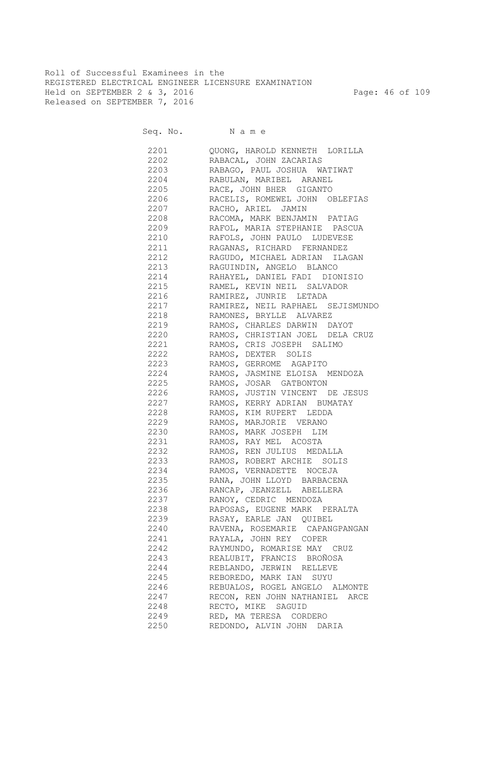Roll of Successful Examinees in the REGISTERED ELECTRICAL ENGINEER LICENSURE EXAMINATION Held on SEPTEMBER 2 & 3, 2016 Page: 46 of 109 Released on SEPTEMBER 7, 2016

Seq. No. Name

 2201 QUONG, HAROLD KENNETH LORILLA 2202 RABACAL, JOHN ZACARIAS 2203 RABAGO, PAUL JOSHUA WATIWAT 2204 RABULAN, MARIBEL ARANEL 2205 RACE, JOHN BHER GIGANTO 2206 RACELIS, ROMEWEL JOHN OBLEFIAS 2207 RACHO, ARIEL JAMIN 2208 RACOMA, MARK BENJAMIN PATIAG 2209 RAFOL, MARIA STEPHANIE PASCUA 2210 RAFOLS, JOHN PAULO LUDEVESE 2211 RAGANAS, RICHARD FERNANDEZ 2212 RAGUDO, MICHAEL ADRIAN ILAGAN 2213 RAGUINDIN, ANGELO BLANCO 2214 RAHAYEL, DANIEL FADI DIONISIO 2215 RAMEL, KEVIN NEIL SALVADOR 2216 RAMIREZ, JUNRIE LETADA 2217 RAMIREZ, NEIL RAPHAEL SEJISMUNDO 2218 RAMONES, BRYLLE ALVAREZ 2219 RAMOS, CHARLES DARWIN DAYOT 2220 RAMOS, CHRISTIAN JOEL DELA CRUZ 2221 RAMOS, CRIS JOSEPH SALIMO 2222 RAMOS, DEXTER SOLIS 2223 RAMOS, GERROME AGAPITO 2224 RAMOS, JASMINE ELOISA MENDOZA 2225 RAMOS, JOSAR GATBONTON 2226 RAMOS, JUSTIN VINCENT DE JESUS 2227 RAMOS, KERRY ADRIAN BUMATAY 2228 RAMOS, KIM RUPERT LEDDA 2229 RAMOS, MARJORIE VERANO 2230 RAMOS, MARK JOSEPH LIM 2231 RAMOS, RAY MEL ACOSTA 2232 RAMOS, REN JULIUS MEDALLA 2233 RAMOS, ROBERT ARCHIE SOLIS 2234 RAMOS, VERNADETTE NOCEJA 2235 RANA, JOHN LLOYD BARBACENA 2236 RANCAP, JEANZELL ABELLERA 2237 RANOY, CEDRIC MENDOZA 2238 RAPOSAS, EUGENE MARK PERALTA 2239 RASAY, EARLE JAN QUIBEL 2240 RAVENA, ROSEMARIE CAPANGPANGAN 2241 RAYALA, JOHN REY COPER 2242 RAYMUNDO, ROMARISE MAY CRUZ 2243 REALUBIT, FRANCIS BROÑOSA 2244 REBLANDO, JERWIN RELLEVE 2245 REBOREDO, MARK IAN SUYU 2246 REBUALOS, ROGEL ANGELO ALMONTE 2247 RECON, REN JOHN NATHANIEL ARCE 2248 RECTO, MIKE SAGUID 2249 RED, MA TERESA CORDERO 2250 REDONDO, ALVIN JOHN DARIA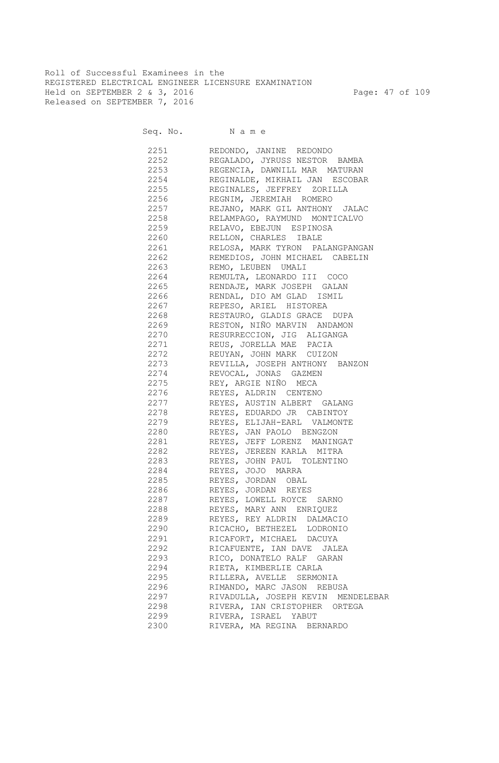Roll of Successful Examinees in the REGISTERED ELECTRICAL ENGINEER LICENSURE EXAMINATION Held on SEPTEMBER 2 & 3, 2016 Page: 47 of 109 Released on SEPTEMBER 7, 2016

Seq. No. Name

 2251 REDONDO, JANINE REDONDO 2252 REGALADO, JYRUSS NESTOR BAMBA 2253 REGENCIA, DAWNILL MAR MATURAN 2254 REGINALDE, MIKHAIL JAN ESCOBAR 2255 REGINALES, JEFFREY ZORILLA 2256 REGNIM, JEREMIAH ROMERO 2257 REJANO, MARK GIL ANTHONY JALAC 2258 RELAMPAGO, RAYMUND MONTICALVO 2259 RELAVO, EBEJUN ESPINOSA 2260 RELLON, CHARLES IBALE 2261 RELOSA, MARK TYRON PALANGPANGAN 2262 REMEDIOS, JOHN MICHAEL CABELIN 2263 REMO, LEUBEN UMALI 2264 REMULTA, LEONARDO III COCO 2265 RENDAJE, MARK JOSEPH GALAN 2266 RENDAL, DIO AM GLAD ISMIL 2267 REPESO, ARIEL HISTOREA 2268 RESTAURO, GLADIS GRACE DUPA 2269 RESTON, NIÑO MARVIN ANDAMON 2270 RESURRECCION, JIG ALIGANGA 2271 REUS, JORELLA MAE PACIA 2272 REUYAN, JOHN MARK CUIZON 2273 REVILLA, JOSEPH ANTHONY BANZON 2274 REVOCAL, JONAS GAZMEN 2275 REY, ARGIE NIÑO MECA 2276 REYES, ALDRIN CENTENO 2277 REYES, AUSTIN ALBERT GALANG 2278 REYES, EDUARDO JR CABINTOY 2279 REYES, ELIJAH-EARL VALMONTE 2280 REYES, JAN PAOLO BENGZON 2281 REYES, JEFF LORENZ MANINGAT 2282 REYES, JEREEN KARLA MITRA 2283 REYES, JOHN PAUL TOLENTINO 2284 REYES, JOJO MARRA 2285 REYES, JORDAN OBAL 2286 REYES, JORDAN REYES 2287 REYES, LOWELL ROYCE SARNO 2288 REYES, MARY ANN ENRIQUEZ 2289 REYES, REY ALDRIN DALMACIO 2290 RICACHO, BETHEZEL LODRONIO 2291 RICAFORT, MICHAEL DACUYA 2292 RICAFUENTE, IAN DAVE JALEA 2293 RICO, DONATELO RALF GARAN 2294 RIETA, KIMBERLIE CARLA 2295 RILLERA, AVELLE SERMONIA 2296 RIMANDO, MARC JASON REBUSA 2297 RIVADULLA, JOSEPH KEVIN MENDELEBAR 2298 RIVERA, IAN CRISTOPHER ORTEGA 2299 RIVERA, ISRAEL YABUT 2300 RIVERA, MA REGINA BERNARDO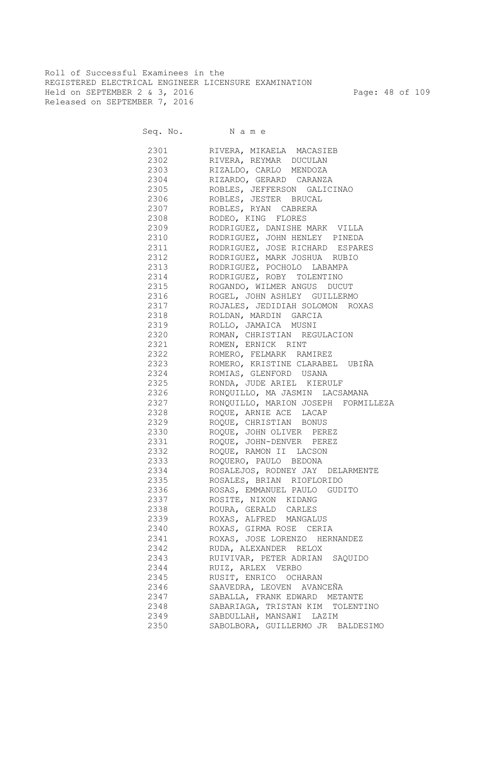Roll of Successful Examinees in the REGISTERED ELECTRICAL ENGINEER LICENSURE EXAMINATION Held on SEPTEMBER 2 & 3, 2016 Page: 48 of 109 Released on SEPTEMBER 7, 2016

| 2301         | RIVERA, MIKAELA MACASIEB            |
|--------------|-------------------------------------|
| 2302         | RIVERA, REYMAR DUCULAN              |
| 2303         | RIZALDO, CARLO MENDOZA              |
| 2304         | RIZARDO, GERARD CARANZA             |
| 2305         | ROBLES, JEFFERSON GALICINAO         |
| 2306         | ROBLES, JESTER BRUCAL               |
| 2307         | ROBLES, RYAN CABRERA                |
| 2308         | RODEO, KING FLORES                  |
| 2309         | RODRIGUEZ, DANISHE MARK VILLA       |
| 2310         | RODRIGUEZ, JOHN HENLEY PINEDA       |
| 2311         | RODRIGUEZ, JOSE RICHARD ESPARES     |
| 2312         | RODRIGUEZ, MARK JOSHUA RUBIO        |
| 2313         | RODRIGUEZ, POCHOLO LABAMPA          |
| 2314         | RODRIGUEZ, ROBY TOLENTINO           |
| 2315         | ROGANDO, WILMER ANGUS DUCUT         |
| 2316         | ROGEL, JOHN ASHLEY GUILLERMO        |
|              | ROJALES, JEDIDIAH SOLOMON ROXAS     |
| 2317<br>2318 | ROLDAN, MARDIN GARCIA               |
|              | ROLLO, JAMAICA MUSNI                |
| 2319<br>2320 | ROMAN, CHRISTIAN REGULACION         |
|              | ROMEN, ERNICK RINT                  |
| 2321         |                                     |
| 2322         | ROMERO, FELMARK RAMIREZ             |
| 2323         | ROMERO, KRISTINE CLARABEL UBIÑA     |
| 2324         | ROMIAS, GLENFORD USANA              |
| 2325         | RONDA, JUDE ARIEL KIERULF           |
| 2326         | RONQUILLO, MA JASMIN LACSAMANA      |
| 2327         | RONQUILLO, MARION JOSEPH FORMILLEZA |
| 2328         | ROQUE, ARNIE ACE LACAP              |
| 2329         | ROQUE, CHRISTIAN BONUS              |
| 2330         | ROQUE, JOHN OLIVER PEREZ            |
| 2331         | ROQUE, JOHN-DENVER PEREZ            |
| 2332         | ROQUE, RAMON II LACSON              |
| 2333         | ROQUERO, PAULO BEDONA               |
| 2334         | ROSALEJOS, RODNEY JAY DELARMENTE    |
| 2335         | ROSALES, BRIAN RIOFLORIDO           |
| 2336         | ROSAS, EMMANUEL PAULO GUDITO        |
| 2337         | ROSITE, NIXON KIDANG                |
| 2338         | ROURA, GERALD CARLES                |
| 2339         | ROXAS, ALFRED MANGALUS              |
| 2340         | ROXAS, GIRMA ROSE CERIA             |
| 2341         | ROXAS, JOSE LORENZO HERNANDEZ       |
| 2342         | RUDA, ALEXANDER RELOX               |
| 2343         | RUIVIVAR, PETER ADRIAN SAQUIDO      |
| 2344         | RUIZ, ARLEX VERBO                   |
| 2345         | RUSIT, ENRICO OCHARAN               |
| 2346         | SAAVEDRA, LEOVEN AVANCEÑA           |
| 2347         | SABALLA, FRANK EDWARD METANTE       |
| 2348         |                                     |
|              | SABARIAGA, TRISTAN KIM TOLENTINO    |
| 2349         | SABDULLAH, MANSAWI LAZIM            |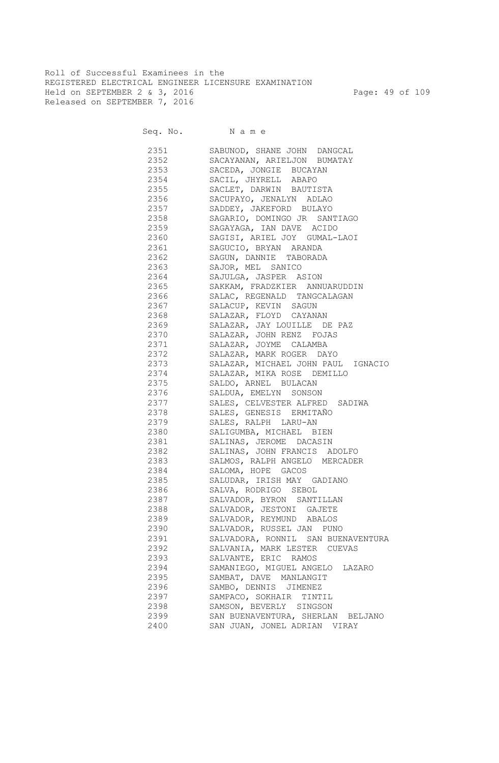Roll of Successful Examinees in the REGISTERED ELECTRICAL ENGINEER LICENSURE EXAMINATION Held on SEPTEMBER 2 & 3, 2016 Page: 49 of 109 Released on SEPTEMBER 7, 2016

| 2351 236 | SABUNOD, SHANE JOHN DANGCAL        |
|----------|------------------------------------|
|          | 2352 SACAYANAN, ARIELJON BUMATAY   |
|          | 2353 SACEDA, JONGIE BUCAYAN        |
|          | 2354 SACIL, JHYRELL ABAPO          |
|          | 2355 SACLET, DARWIN BAUTISTA       |
| 2356     | SACUPAYO, JENALYN ADLAO            |
| 2357     | SADDEY, JAKEFORD BULAYO            |
| 2358     | SAGARIO, DOMINGO JR SANTIAGO       |
|          | 2359 SAGAYAGA, IAN DAVE ACIDO      |
|          | 2360 SAGISI, ARIEL JOY GUMAL-LAOI  |
|          | 2361 SAGUCIO, BRYAN ARANDA         |
|          | 2362 SAGUN, DANNIE TABORADA        |
|          | 2363 SAJOR, MEL SANICO             |
|          | 2364 SAJULGA, JASPER ASION         |
|          |                                    |
|          | 2365 SAKKAM, FRADZKIER ANNUARUDDIN |
|          | 2366 SALAC, REGENALD TANGCALAGAN   |
|          | 2367 SALACUP, KEVIN SAGUN          |
| 2368     | SALAZAR, FLOYD CAYANAN             |
| 2369     | SALAZAR, JAY LOUILLE DE PAZ        |
| 2370     | SALAZAR, JOHN RENZ FOJAS           |
| 2371     | SALAZAR, JOYME CALAMBA             |
| 2372     | SALAZAR, MARK ROGER DAYO           |
| 2373     | SALAZAR, MICHAEL JOHN PAUL IGNACIO |
| 2374     | SALAZAR, MIKA ROSE DEMILLO         |
| 2375     | SALDO, ARNEL BULACAN               |
| 2376     | SALDUA, EMELYN SONSON              |
| 2377     | SALES, CELVESTER ALFRED SADIWA     |
| 2378     | SALES, GENESIS ERMITAÑO            |
| 2379     | SALES, RALPH LARU-AN               |
| 2380     | SALIGUMBA, MICHAEL BIEN            |
| 2381     | SALINAS, JEROME DACASIN            |
| 2382     | SALINAS, JOHN FRANCIS ADOLFO       |
| 2383     | SALMOS, RALPH ANGELO MERCADER      |
| 2384     | SALOMA, HOPE GACOS                 |
| 2385     | SALUDAR, IRISH MAY GADIANO         |
| 2386     | SALVA, RODRIGO SEBOL               |
| 2387     | SALVADOR, BYRON SANTILLAN          |
| 2388     | SALVADOR, JESTONI GAJETE           |
| 2389     | SALVADOR, REYMUND ABALOS           |
| 2390     | SALVADOR, RUSSEL JAN PUNO          |
| 2391     | SALVADORA, RONNIL SAN BUENAVENTURA |
| 2392     | SALVANIA, MARK LESTER CUEVAS       |
| 2393     | SALVANTE, ERIC RAMOS               |
| 2394     | SAMANIEGO, MIGUEL ANGELO LAZARO    |
| 2395     | SAMBAT, DAVE MANLANGIT             |
| 2396     | SAMBO, DENNIS JIMENEZ              |
| 2397     | SAMPACO, SOKHAIR TINTIL            |
| 2398     | SAMSON, BEVERLY SINGSON            |
| 2399     | SAN BUENAVENTURA, SHERLAN BELJANO  |
| 2400     | SAN JUAN, JONEL ADRIAN VIRAY       |
|          |                                    |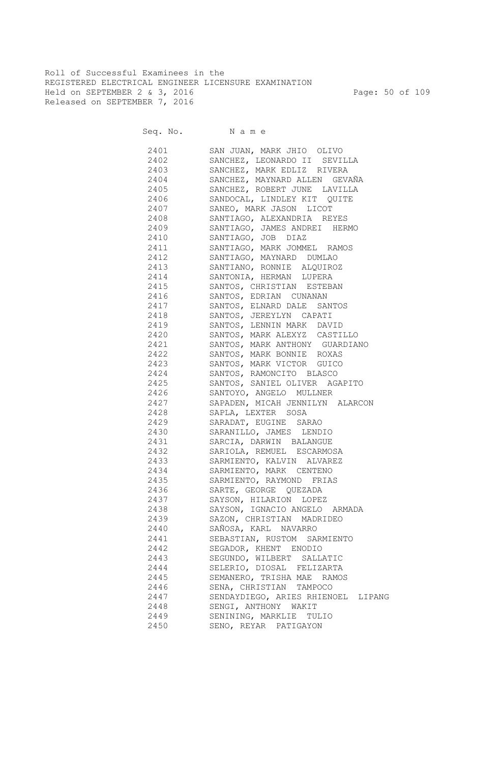Roll of Successful Examinees in the REGISTERED ELECTRICAL ENGINEER LICENSURE EXAMINATION Held on SEPTEMBER 2 & 3, 2016 Page: 50 of 109 Released on SEPTEMBER 7, 2016

| 2401 | SAN JUAN, MARK JHIO OLIVO                                                                                                                            |
|------|------------------------------------------------------------------------------------------------------------------------------------------------------|
|      | 2402 SANCHEZ, LEONARDO II SEVILLA                                                                                                                    |
|      | 2403 SANCHEZ, MARK EDLIZ RIVERA                                                                                                                      |
|      | 2404 SANCHEZ, MAYNARD ALLEN GEVAÑA                                                                                                                   |
|      | 2405 SANCHEZ, ROBERT JUNE LAVILLA                                                                                                                    |
|      | 2406 SANDOCAL, LINDLEY KIT QUITE                                                                                                                     |
|      | 2407 SANEO, MARK JASON LICOT                                                                                                                         |
|      | 2408 SANTIAGO, ALEXANDRIA REYES                                                                                                                      |
|      | 2409 SANTIAGO, JAMES ANDREI HERMO                                                                                                                    |
|      | 2410 SANTIAGO, JOB DIAZ                                                                                                                              |
|      | 2411 SANTIAGO, MARK JOMMEL RAMOS                                                                                                                     |
|      | 2412 SANTIAGO, MAYNARD DUMLAO                                                                                                                        |
|      | 2413 SANTIANO, RONNIE ALQUIROZ                                                                                                                       |
|      | 2414 SANTONIA, HERMAN LUPERA                                                                                                                         |
| 2415 | SANTOS, CHRISTIAN ESTEBAN                                                                                                                            |
| 2416 | SANTOS, EDRIAN CUNANAN                                                                                                                               |
| 2417 | SANTOS, ELNARD DALE SANTOS                                                                                                                           |
| 2418 | SANTOS, JEREYLYN CAPATI                                                                                                                              |
| 2419 | SANTOS, LENNIN MARK DAVID                                                                                                                            |
| 2420 | SANTOS, MARK ALEXYZ CASTILLO                                                                                                                         |
| 2421 |                                                                                                                                                      |
| 2422 | SANTOS, MARK ANTHONY GUARDIANO<br>SANTOS, MARK BONNIE ROXAS                                                                                          |
| 2423 |                                                                                                                                                      |
| 2424 |                                                                                                                                                      |
| 2425 | SANTOS, MARK VICTOR GUICO<br>SANTOS, RAMONCITO BLASCO<br>SANTOS, SANIEL OLIVER AGAPITO<br>SANTOYO, ANGELO MULLNER<br>SAPADEN, MICAH JENNILYN ALARCON |
| 2426 |                                                                                                                                                      |
| 2427 |                                                                                                                                                      |
| 2428 | SAPLA, LEXTER SOSA                                                                                                                                   |
| 2429 | SARADAT, EUGINE SARAO                                                                                                                                |
| 2430 | SARANILLO, JAMES LENDIO                                                                                                                              |
| 2431 | SARCIA, DARWIN BALANGUE                                                                                                                              |
| 2432 | SARIOLA, REMUEL ESCARMOSA                                                                                                                            |
| 2433 | SARMIENTO, KALVIN ALVAREZ                                                                                                                            |
| 2434 | SARMIENTO, MARK CENTENO                                                                                                                              |
|      | 2435 SARMIENTO, RAYMOND FRIAS                                                                                                                        |
| 2436 |                                                                                                                                                      |
|      | SARTE, GEORGE QUEZADA<br>2437 SAYSON, HILARION LOPEZ                                                                                                 |
|      |                                                                                                                                                      |
| 2438 | SAYSON, IGNACIO ANGELO ARMADA                                                                                                                        |
| 2439 | SAZON, CHRISTIAN MADRIDEO                                                                                                                            |
| 2440 | SAÑOSA, KARL NAVARRO                                                                                                                                 |
| 2441 | SEBASTIAN, RUSTOM SARMIENTO                                                                                                                          |
| 2442 | SEGADOR, KHENT ENODIO                                                                                                                                |
| 2443 | SEGUNDO, WILBERT SALLATIC                                                                                                                            |
| 2444 | SELERIO, DIOSAL FELIZARTA                                                                                                                            |
| 2445 | SEMANERO, TRISHA MAE RAMOS                                                                                                                           |
| 2446 | SENA, CHRISTIAN TAMPOCO                                                                                                                              |
| 2447 | SENDAYDIEGO, ARIES RHIENOEL LIPANG                                                                                                                   |
| 2448 | SENGI, ANTHONY WAKIT                                                                                                                                 |
| 2449 | SENINING, MARKLIE TULIO                                                                                                                              |
| 2450 | SENO, REYAR PATIGAYON                                                                                                                                |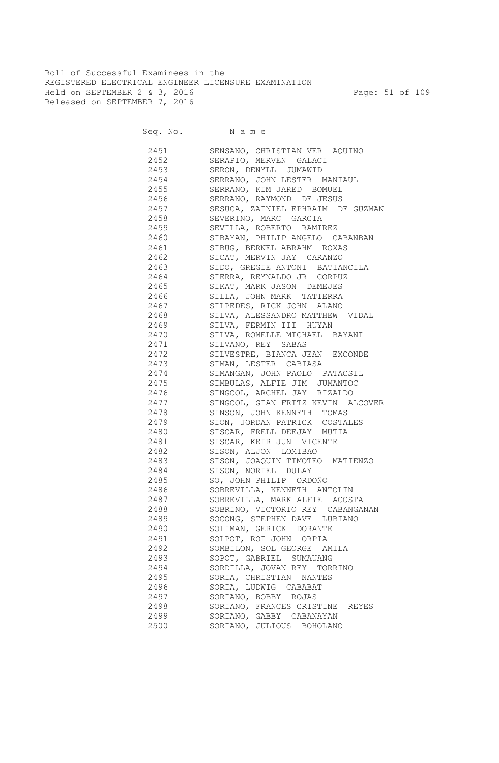Roll of Successful Examinees in the REGISTERED ELECTRICAL ENGINEER LICENSURE EXAMINATION Held on SEPTEMBER 2 & 3, 2016 Page: 51 of 109 Released on SEPTEMBER 7, 2016

Seq. No. Name

 2451 SENSANO, CHRISTIAN VER AQUINO 2452 SERAPIO, MERVEN GALACI 2453 SERON, DENYLL JUMAWID 2454 SERRANO, JOHN LESTER MANIAUL 2455 SERRANO, KIM JARED BOMUEL 2456 SERRANO, RAYMOND DE JESUS 2457 SESUCA, ZAINIEL EPHRAIM DE GUZMAN 2458 SEVERINO, MARC GARCIA 2459 SEVILLA, ROBERTO RAMIREZ 2460 SIBAYAN, PHILIP ANGELO CABANBAN 2461 SIBUG, BERNEL ABRAHM ROXAS 2462 SICAT, MERVIN JAY CARANZO 2463 SIDO, GREGIE ANTONI BATIANCILA 2464 SIERRA, REYNALDO JR CORPUZ 2465 SIKAT, MARK JASON DEMEJES 2466 SILLA, JOHN MARK TATIERRA 2467 SILPEDES, RICK JOHN ALANO 2468 SILVA, ALESSANDRO MATTHEW VIDAL 2469 SILVA, FERMIN III HUYAN 2470 SILVA, ROMELLE MICHAEL BAYANI 2471 SILVANO, REY SABAS 2472 SILVESTRE, BIANCA JEAN EXCONDE 2473 SIMAN, LESTER CABIASA 2474 SIMANGAN, JOHN PAOLO PATACSIL 2475 SIMBULAS, ALFIE JIM JUMANTOC<br>2476 SINGCOL, ARCHEL JAY RIZALDO SINGCOL, ARCHEL JAY RIZALDO 2477 SINGCOL, GIAN FRITZ KEVIN ALCOVER 2478 SINSON, JOHN KENNETH TOMAS 2479 SION, JORDAN PATRICK COSTALES 2480 SISCAR, FRELL DEEJAY MUTIA 2481 SISCAR, KEIR JUN VICENTE 2482 SISON, ALJON LOMIBAO 2483 SISON, JOAQUIN TIMOTEO MATIENZO 2484 SISON, NORIEL DULAY 2485 SO, JOHN PHILIP ORDOÑO 2486 SOBREVILLA, KENNETH ANTOLIN 2487 SOBREVILLA, MARK ALFIE ACOSTA 2488 SOBRINO, VICTORIO REY CABANGANAN 2489 SOCONG, STEPHEN DAVE LUBIANO 2490 SOLIMAN, GERICK DORANTE 2491 SOLPOT, ROI JOHN ORPIA 2492 SOMBILON, SOL GEORGE AMILA 2493 SOPOT, GABRIEL SUMAUANG 2494 SORDILLA, JOVAN REY TORRINO 2495 SORIA, CHRISTIAN NANTES 2496 SORIA, LUDWIG CABABAT 2497 SORIANO, BOBBY ROJAS 2498 SORIANO, FRANCES CRISTINE REYES 2499 SORIANO, GABBY CABANAYAN 2500 SORIANO, JULIOUS BOHOLANO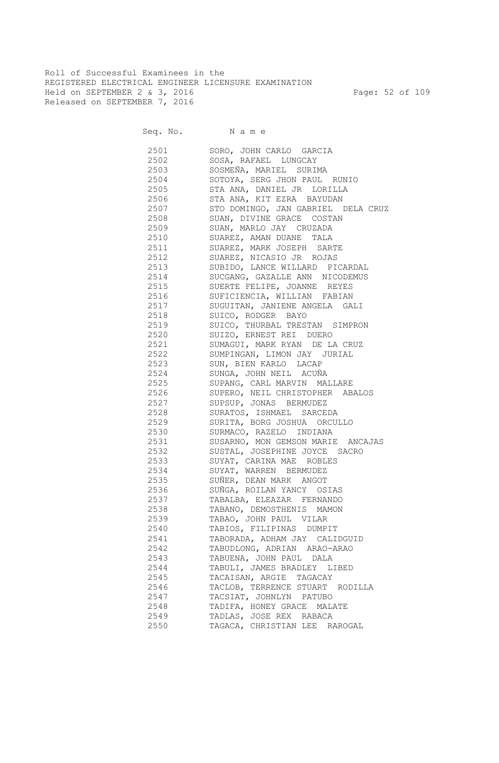Roll of Successful Examinees in the REGISTERED ELECTRICAL ENGINEER LICENSURE EXAMINATION Held on SEPTEMBER 2 & 3, 2016 Page: 52 of 109 Released on SEPTEMBER 7, 2016

Seq. No. Name

 2501 SORO, JOHN CARLO GARCIA 2502 SOSA, RAFAEL LUNGCAY 2503 SOSMEÑA, MARIEL SURIMA 2504 SOTOYA, SERG JHON PAUL RUNIO 2505 STA ANA, DANIEL JR LORILLA 2506 STA ANA, KIT EZRA BAYUDAN 2507 STO DOMINGO, JAN GABRIEL DELA CRUZ 2508 SUAN, DIVINE GRACE COSTAN 2509 SUAN, MARLO JAY CRUZADA 2510 SUAREZ, AMAN DUANE TALA 2511 SUAREZ, MARK JOSEPH SARTE 2512 SUAREZ, NICASIO JR ROJAS 2513 SUBIDO, LANCE WILLARD PICARDAL 2514 SUCGANG, GAZALLE ANN NICODEMUS 2515 SUERTE FELIPE, JOANNE REYES 2516 SUFICIENCIA, WILLIAN FABIAN 2517 SUGUITAN, JANIENE ANGELA GALI 2518 SUICO, RODGER BAYO 2519 SUICO, THURBAL TRESTAN SIMPRON 2520 SUIZO, ERNEST REI DUERO 2521 SUMAGUI, MARK RYAN DE LA CRUZ 2522 SUMPINGAN, LIMON JAY JURIAL 2523 SUN, BIEN KARLO LACAP 2524 SUNGA, JOHN NEIL ACUÑA 2525 SUPANG, CARL MARVIN MALLARE 2526 SUPERO, NEIL CHRISTOPHER ABALOS 2527 SUPSUP, JONAS BERMUDEZ 2528 SURATOS, ISHMAEL SARCEDA 2529 SURITA, BORG JOSHUA ORCULLO 2530 SURMACO, RAZELO INDIANA 2531 SUSARNO, MON GEMSON MARIE ANCAJAS 2532 SUSTAL, JOSEPHINE JOYCE SACRO 2533 SUYAT, CARINA MAE ROBLES 2534 SUYAT, WARREN BERMUDEZ 2535 SUÑER, DEAN MARK ANGOT 2536 SUÑGA, ROILAN YANCY OSIAS 2537 TABALBA, ELEAZAR FERNANDO 2538 TABANO, DEMOSTHENIS MAMON 2539 TABAO, JOHN PAUL VILAR 2540 TABIOS, FILIPINAS DUMPIT 2541 TABORADA, ADHAM JAY CALIDGUID 2542 TABUDLONG, ADRIAN ARAO-ARAO 2543 TABUENA, JOHN PAUL DALA 2544 TABULI, JAMES BRADLEY LIBED 2545 TACAISAN, ARGIE TAGACAY 2546 TACLOB, TERRENCE STUART RODILLA 2547 TACSIAT, JOHNLYN PATUBO 2548 TADIFA, HONEY GRACE MALATE 2549 TADLAS, JOSE REX RABACA 2550 TAGACA, CHRISTIAN LEE RAROGAL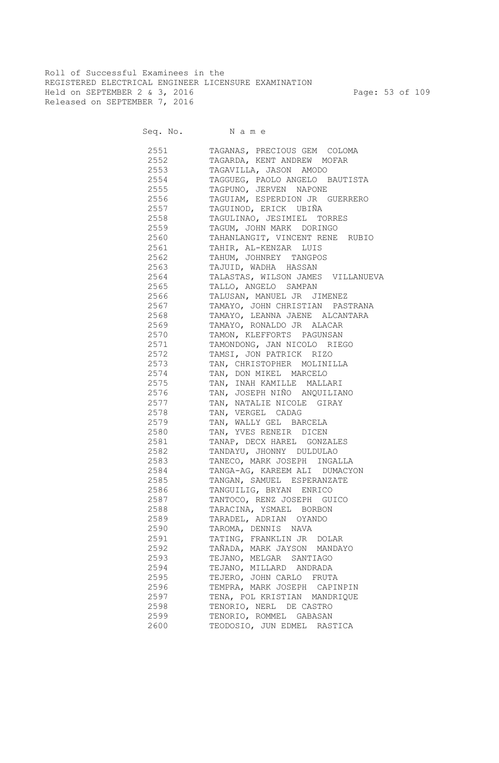Roll of Successful Examinees in the REGISTERED ELECTRICAL ENGINEER LICENSURE EXAMINATION Held on SEPTEMBER 2 & 3, 2016 Page: 53 of 109 Released on SEPTEMBER 7, 2016

Seq. No. Name

 2551 TAGANAS, PRECIOUS GEM COLOMA 2552 TAGARDA, KENT ANDREW MOFAR 2553 TAGAVILLA, JASON AMODO 2554 TAGGUEG, PAOLO ANGELO BAUTISTA 2555 TAGPUNO, JERVEN NAPONE 2556 TAGUIAM, ESPERDION JR GUERRERO 2557 TAGUINOD, ERICK UBIÑA 2558 TAGULINAO, JESIMIEL TORRES 2559 TAGUM, JOHN MARK DORINGO 2560 TAHANLANGIT, VINCENT RENE RUBIO 2561 TAHIR, AL-KENZAR LUIS 2562 TAHUM, JOHNREY TANGPOS 2563 TAJUID, WADHA HASSAN 2564 TALASTAS, WILSON JAMES VILLANUEVA 2565 TALLO, ANGELO SAMPAN 2566 TALUSAN, MANUEL JR JIMENEZ 2567 TAMAYO, JOHN CHRISTIAN PASTRANA 2568 TAMAYO, LEANNA JAENE ALCANTARA 2569 TAMAYO, RONALDO JR ALACAR 2570 TAMON, KLEFFORTS PAGUNSAN 2571 TAMONDONG, JAN NICOLO RIEGO 2572 TAMSI, JON PATRICK RIZO 2573 TAN, CHRISTOPHER MOLINILLA 2574 TAN, DON MIKEL MARCELO 2575 TAN, INAH KAMILLE MALLARI 2576 TAN, JOSEPH NIÑO ANQUILIANO 2577 TAN, NATALIE NICOLE GIRAY 2578 TAN, VERGEL CADAG 2579 TAN, WALLY GEL BARCELA 2580 TAN, YVES RENEIR DICEN 2581 TANAP, DECX HAREL GONZALES 2582 TANDAYU, JHONNY DULDULAO 2583 TANECO, MARK JOSEPH INGALLA 2584 TANGA-AG, KAREEM ALI DUMACYON 2585 TANGAN, SAMUEL ESPERANZATE 2586 TANGUILIG, BRYAN ENRICO 2587 TANTOCO, RENZ JOSEPH GUICO 2588 TARACINA, YSMAEL BORBON 2589 TARADEL, ADRIAN OYANDO 2590 TAROMA, DENNIS NAVA 2591 TATING, FRANKLIN JR DOLAR 2592 TAÑADA, MARK JAYSON MANDAYO 2593 TEJANO, MELGAR SANTIAGO 2594 TEJANO, MILLARD ANDRADA 2595 TEJERO, JOHN CARLO FRUTA 2596 TEMPRA, MARK JOSEPH CAPINPIN 2597 TENA, POL KRISTIAN MANDRIQUE 2598 TENORIO, NERL DE CASTRO 2599 TENORIO, ROMMEL GABASAN 2600 TEODOSIO, JUN EDMEL RASTICA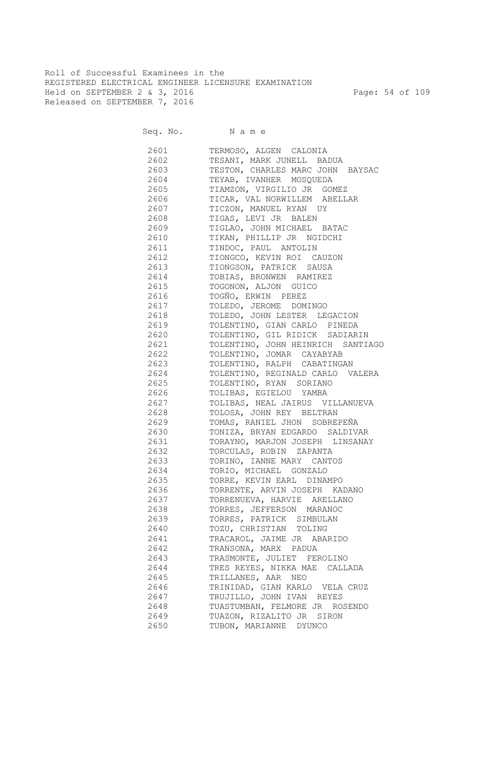Roll of Successful Examinees in the REGISTERED ELECTRICAL ENGINEER LICENSURE EXAMINATION Held on SEPTEMBER 2 & 3, 2016 Page: 54 of 109 Released on SEPTEMBER 7, 2016

Seq. No. Name

 2601 TERMOSO, ALGEN CALONIA 2602 TESANI, MARK JUNELL BADUA 2603 TESTON, CHARLES MARC JOHN BAYSAC 2604 TEYAB, IVANHER MOSQUEDA 2605 TIAMZON, VIRGILIO JR GOMEZ 2606 TICAR, VAL NORWILLEM ABELLAR 2607 TICZON, MANUEL RYAN UY 2608 TIGAS, LEVI JR BALEN 2609 TIGLAO, JOHN MICHAEL BATAC 2610 TIKAN, PHILLIP JR NGIDCHI 2611 TINDOC, PAUL ANTOLIN 2612 TIONGCO, KEVIN ROI CAUZON 2613 TIONGSON, PATRICK SAUSA 2614 TOBIAS, BRONWEN RAMIREZ 2615 TOGONON, ALJON GUICO 2616 TOGÑO, ERWIN PEREZ 2617 TOLEDO, JEROME DOMINGO 2618 TOLEDO, JOHN LESTER LEGACION 2619 TOLENTINO, GIAN CARLO PINEDA 2620 TOLENTINO, GIL RIDICK SADIARIN 2621 TOLENTINO, JOHN HEINRICH SANTIAGO 2622 TOLENTINO, JOMAR CAYABYAB 2623 TOLENTINO, RALPH CABATINGAN 2624 TOLENTINO, REGINALD CARLO VALERA 2625 TOLENTINO, RYAN SORIANO 2626 TOLIBAS, EGIELOU YAMBA 2627 TOLIBAS, NEAL JAIRUS VILLANUEVA 2628 TOLOSA, JOHN REY BELTRAN 2629 TOMAS, RANIEL JHON SOBREPEÑA 2630 TONIZA, BRYAN EDGARDO SALDIVAR 2631 TORAYNO, MARJON JOSEPH LINSANAY 2632 TORCULAS, ROBIN ZAPANTA 2633 TORINO, IANNE MARY CANTOS 2634 TORIO, MICHAEL GONZALO 2635 TORRE, KEVIN EARL DINAMPO 2636 TORRENTE, ARVIN JOSEPH KADANO 2637 TORRENUEVA, HARVIE ARELLANO 2638 TORRES, JEFFERSON MARANOC 2639 TORRES, PATRICK SIMBULAN 2640 TOZU, CHRISTIAN TOLING 2641 TRACAROL, JAIME JR ABARIDO 2642 TRANSONA, MARX PADUA 2643 TRASMONTE, JULIET FEROLINO 2644 TRES REYES, NIKKA MAE CALLADA 2645 TRILLANES, AAR NEO 2646 TRINIDAD, GIAN KARLO VELA CRUZ 2647 TRUJILLO, JOHN IVAN REYES 2648 TUASTUMBAN, FELMORE JR ROSENDO 2649 TUAZON, RIZALITO JR SIRON 2650 TUBON, MARIANNE DYUNCO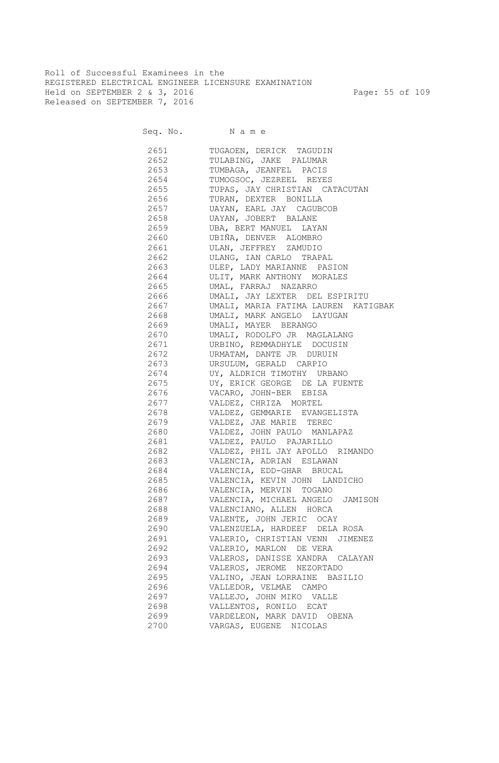Roll of Successful Examinees in the REGISTERED ELECTRICAL ENGINEER LICENSURE EXAMINATION Held on SEPTEMBER 2 & 3, 2016 Page: 55 of 109 Released on SEPTEMBER 7, 2016

| 2651 | TUGAOEN, DERICK TAGUDIN                  |
|------|------------------------------------------|
| 2652 | TULABING, JAKE PALUMAR                   |
| 2653 | TUMBAGA, JEANFEL PACIS                   |
| 2654 | TUMOGSOC, JEZREEL REYES                  |
| 2655 | TUPAS, JAY CHRISTIAN CATACUTAN           |
| 2656 | TURAN, DEXTER BONILLA                    |
|      | 2657 UAYAN, EARL JAY CAGUBCOB            |
|      | 2658 UAYAN, JOBERT BALANE                |
|      | 2659 UBA, BERT MANUEL LAYAN              |
|      | 2660 UBIÑA, DENVER ALOMBRO               |
|      | 2661 ULAN, JEFFREY ZAMUDIO               |
|      | 2662 ULANG, IAN CARLO TRAPAL             |
|      | 2663 ULEP, LADY MARIANNE PASION          |
|      | 2664 ULIT, MARK ANTHONY MORALES          |
|      | 2665 UMAL, FARRAJ NAZARRO                |
|      | 2666 UMALI, JAY LEXTER DEL ESPIRITU      |
|      | 2667 UMALI, MARIA FATIMA LAUREN KATIGBAK |
|      | 2668 UMALI, MARK ANGELO LAYUGAN          |
|      | 2669 UMALI, MAYER BERANGO                |
|      | 2670 UMALI, RODOLFO JR MAGLALANG         |
|      | 2671 URBINO, REMMADHYLE DOCUSIN          |
|      | 2672 URMATAM, DANTE JR DURUIN            |
|      | 2673 URSULUM, GERALD CARPIO              |
|      | 2674 UY, ALDRICH TIMOTHY URBANO          |
|      | 2675 UY, ERICK GEORGE DE LA FUENTE       |
|      | 2676 VACARO, JOHN-BER EBISA              |
|      | 2677 VALDEZ, CHRIZA MORTEL               |
|      | 2678 VALDEZ, GEMMARIE EVANGELISTA        |
|      | 2679 VALDEZ, JAE MARIE TEREC             |
|      | 2680 VALDEZ, JOHN PAULO MANLAPAZ         |
| 2681 | VALDEZ, PAULO PAJARILLO                  |
| 2682 | VALDEZ, PHIL JAY APOLLO RIMANDO          |
| 2683 | VALENCIA, ADRIAN ESLAWAN                 |
| 2684 | VALENCIA, EDD-GHAR BRUCAL                |
| 2685 | VALENCIA, KEVIN JOHN LANDICHO            |
| 2686 | VALENCIA, MERVIN TOGANO                  |
| 2687 | VALENCIA, MICHAEL ANGELO JAMISON         |
| 2688 | VALENCIANO, ALLEN HORCA                  |
| 2689 | VALENTE, JOHN JERIC OCAY                 |
| 2690 | VALENZUELA, HARDEEF DELA ROSA            |
| 2691 | VALERIO, CHRISTIAN VENN JIMENEZ          |
| 2692 | VALERIO, MARLON DE VERA                  |
| 2693 | VALEROS, DANISSE XANDRA CALAYAN          |
| 2694 | VALEROS, JEROME NEZORTADO                |
| 2695 | VALINO, JEAN LORRAINE BASILIO            |
| 2696 | VALLEDOR, VELMAE CAMPO                   |
| 2697 | VALLEJO, JOHN MIKO VALLE                 |
| 2698 | VALLENTOS, RONILO ECAT                   |
| 2699 | VARDELEON, MARK DAVID OBENA              |
| 2700 | VARGAS, EUGENE NICOLAS                   |
|      |                                          |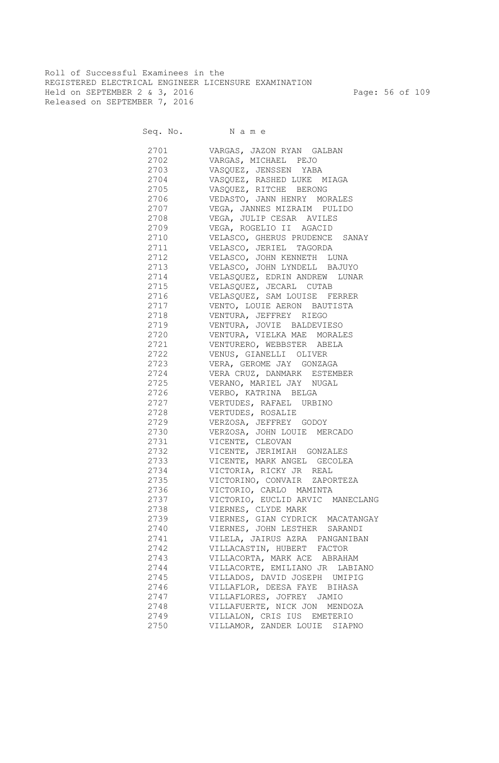Roll of Successful Examinees in the REGISTERED ELECTRICAL ENGINEER LICENSURE EXAMINATION Held on SEPTEMBER 2 & 3, 2016 Page: 56 of 109 Released on SEPTEMBER 7, 2016

| 2701 | VARGAS, JAZON RYAN GALBAN         |
|------|-----------------------------------|
| 2702 | VARGAS, MICHAEL PEJO              |
|      | 2703 VASQUEZ, JENSSEN YABA        |
|      | 2704 VASQUEZ, RASHED LUKE MIAGA   |
| 2705 | VASQUEZ, RITCHE BERONG            |
| 2706 | VEDASTO, JANN HENRY MORALES       |
| 2707 | VEGA, JANNES MIZRAIM PULIDO       |
| 2708 | VEGA, JULIP CESAR AVILES          |
| 2709 | VEGA, ROGELIO II AGACID           |
| 2710 | VELASCO, GHERUS PRUDENCE SANAY    |
| 2711 | VELASCO, JERIEL TAGORDA           |
| 2712 | VELASCO, JOHN KENNETH LUNA        |
| 2713 | VELASCO, JOHN LYNDELL BAJUYO      |
| 2714 | VELASQUEZ, EDRIN ANDREW LUNAR     |
| 2715 | VELASQUEZ, JECARL CUTAB           |
| 2716 | VELASQUEZ, SAM LOUISE FERRER      |
| 2717 | VENTO, LOUIE AERON BAUTISTA       |
| 2718 | VENTURA, JEFFREY RIEGO            |
| 2719 | VENTURA, JOVIE BALDEVIESO         |
| 2720 | VENTURA, VIELKA MAE MORALES       |
| 2721 | VENTURERO, WEBBSTER ABELA         |
| 2722 | VENUS, GIANELLI OLIVER            |
| 2723 | VERA, GEROME JAY GONZAGA          |
| 2724 | VERA CRUZ, DANMARK ESTEMBER       |
| 2725 | VERANO, MARIEL JAY NUGAL          |
| 2726 | VERBO, KATRINA BELGA              |
| 2727 | VERTUDES, RAFAEL URBINO           |
| 2728 | VERTUDES, ROSALIE                 |
| 2729 | VERZOSA, JEFFREY GODOY            |
| 2730 | VERZOSA, JOHN LOUIE MERCADO       |
| 2731 | VICENTE, CLEOVAN                  |
| 2732 | VICENTE, JERIMIAH GONZALES        |
| 2733 | VICENTE, MARK ANGEL GECOLEA       |
| 2734 | VICTORIA, RICKY JR REAL           |
|      | 2735 VICTORINO, CONVAIR ZAPORTEZA |
|      | 2736 VICTORIO, CARLO MAMINTA      |
| 2737 | VICTORIO, EUCLID ARVIC MANECLANG  |
| 2738 | VIERNES, CLYDE MARK               |
| 2739 | VIERNES, GIAN CYDRICK MACATANGAY  |
| 2740 | VIERNES, JOHN LESTHER SARANDI     |
| 2741 | VILELA, JAIRUS AZRA PANGANIBAN    |
| 2742 | VILLACASTIN, HUBERT FACTOR        |
| 2743 | VILLACORTA, MARK ACE ABRAHAM      |
| 2744 | VILLACORTE, EMILIANO JR LABIANO   |
| 2745 | VILLADOS, DAVID JOSEPH UMIPIG     |
| 2746 | VILLAFLOR, DEESA FAYE BIHASA      |
| 2747 | VILLAFLORES, JOFREY JAMIO         |
| 2748 | VILLAFUERTE, NICK JON MENDOZA     |
| 2749 | VILLALON, CRIS IUS EMETERIO       |
| 2750 | VILLAMOR, ZANDER LOUIE SIAPNO     |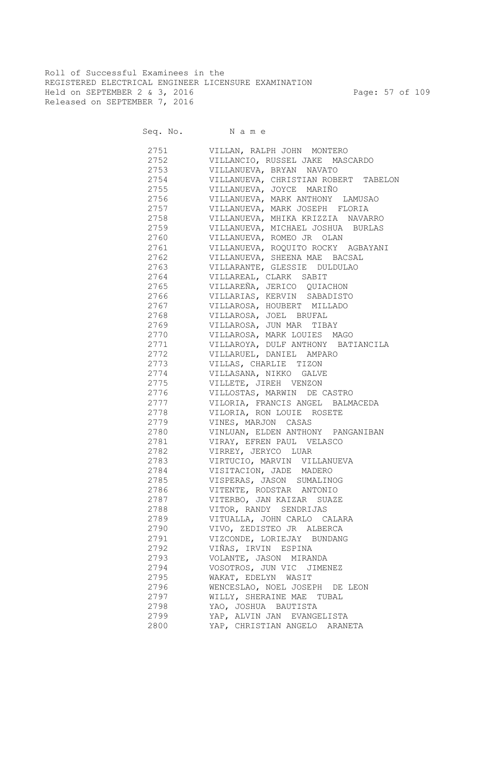Roll of Successful Examinees in the REGISTERED ELECTRICAL ENGINEER LICENSURE EXAMINATION Held on SEPTEMBER 2 & 3, 2016 Page: 57 of 109 Released on SEPTEMBER 7, 2016

| 2751 | VILLAN, RALPH JOHN MONTERO           |
|------|--------------------------------------|
| 2752 | VILLANCIO, RUSSEL JAKE MASCARDO      |
| 2753 | VILLANUEVA, BRYAN NAVATO             |
| 2754 | VILLANUEVA, CHRISTIAN ROBERT TABELON |
| 2755 | VILLANUEVA, JOYCE MARIÑO             |
| 2756 | VILLANUEVA, MARK ANTHONY LAMUSAO     |
| 2757 | VILLANUEVA, MARK JOSEPH FLORIA       |
| 2758 | VILLANUEVA, MHIKA KRIZZIA NAVARRO    |
| 2759 | VILLANUEVA, MICHAEL JOSHUA BURLAS    |
| 2760 | VILLANUEVA, ROMEO JR OLAN            |
| 2761 | VILLANUEVA, ROQUITO ROCKY AGBAYANI   |
| 2762 | VILLANUEVA, SHEENA MAE BACSAL        |
| 2763 | VILLARANTE, GLESSIE DULDULAO         |
| 2764 | VILLAREAL, CLARK SABIT               |
| 2765 | VILLAREÑA, JERICO QUIACHON           |
| 2766 | VILLARIAS, KERVIN SABADISTO          |
| 2767 | VILLAROSA, HOUBERT MILLADO           |
| 2768 | VILLAROSA, JOEL BRUFAL               |
| 2769 | VILLAROSA, JUN MAR TIBAY             |
| 2770 | VILLAROSA, MARK LOUIES MAGO          |
| 2771 | VILLAROYA, DULF ANTHONY BATIANCILA   |
| 2772 | VILLARUEL, DANIEL AMPARO             |
| 2773 | VILLAS, CHARLIE TIZON                |
| 2774 | VILLASANA, NIKKO GALVE               |
| 2775 | VILLETE, JIREH VENZON                |
| 2776 | VILLOSTAS, MARWIN DE CASTRO          |
| 2777 | VILORIA, FRANCIS ANGEL BALMACEDA     |
| 2778 | VILORIA, RON LOUIE ROSETE            |
| 2779 | VINES, MARJON CASAS                  |
| 2780 | VINLUAN, ELDEN ANTHONY PANGANIBAN    |
| 2781 | VIRAY, EFREN PAUL VELASCO            |
| 2782 | VIRREY, JERYCO LUAR                  |
| 2783 | VIRTUCIO, MARVIN VILLANUEVA          |
| 2784 | VISITACION, JADE MADERO              |
| 2785 | VISPERAS, JASON SUMALINOG            |
| 2786 | VITENTE, RODSTAR ANTONIO             |
| 2787 | VITERBO, JAN KAIZAR SUAZE            |
| 2788 | VITOR, RANDY SENDRIJAS               |
| 2789 | VITUALLA, JOHN CARLO CALARA          |
| 2790 | VIVO, ZEDISTEO JR ALBERCA            |
| 2791 | VIZCONDE, LORIEJAY BUNDANG           |
| 2792 | VIÑAS, IRVIN ESPINA                  |
| 2793 | VOLANTE, JASON MIRANDA               |
| 2794 | VOSOTROS, JUN VIC JIMENEZ            |
| 2795 | WAKAT, EDELYN WASIT                  |
| 2796 | WENCESLAO, NOEL JOSEPH DE LEON       |
| 2797 | WILLY, SHERAINE MAE TUBAL            |
| 2798 | YAO, JOSHUA BAUTISTA                 |
| 2799 | YAP, ALVIN JAN EVANGELISTA           |
| 2800 | YAP, CHRISTIAN ANGELO ARANETA        |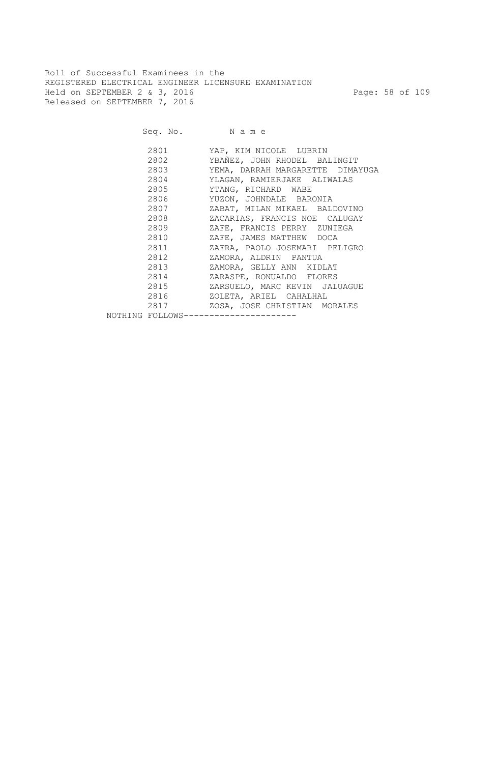Roll of Successful Examinees in the REGISTERED ELECTRICAL ENGINEER LICENSURE EXAMINATION Held on SEPTEMBER 2 & 3, 2016 Page: 58 of 109 Released on SEPTEMBER 7, 2016

| 2801                                                                                                         | YAP, KIM NICOLE LUBRIN           |
|--------------------------------------------------------------------------------------------------------------|----------------------------------|
| 2802                                                                                                         | YBAÑEZ, JOHN RHODEL BALINGIT     |
| 2803                                                                                                         | YEMA, DARRAH MARGARETTE DIMAYUGA |
| 2804                                                                                                         | YLAGAN, RAMIERJAKE ALIWALAS      |
|                                                                                                              | YTANG, RICHARD WABE              |
|                                                                                                              | YUZON, JOHNDALE BARONIA          |
| 2807 — 2807 — 2807 — 2807 — 2807 — 2807 — 2807 — 2807 — 2808 — 2808 — 2808 — 2808 — 2808 — 2808 — 2808 — 280 | ZABAT, MILAN MIKAEL BALDOVINO    |
| 2808 7                                                                                                       | ZACARIAS, FRANCIS NOE CALUGAY    |
| 2809                                                                                                         | ZAFE, FRANCIS PERRY ZUNIEGA      |
| 2810                                                                                                         | ZAFE, JAMES MATTHEW DOCA         |
| 2811                                                                                                         | ZAFRA, PAOLO JOSEMARI PELIGRO    |
| 2812                                                                                                         | ZAMORA, ALDRIN PANTUA            |
| 2813                                                                                                         | ZAMORA, GELLY ANN KIDLAT         |
| 2814                                                                                                         | ZARASPE, RONUALDO FLORES         |
| 2815                                                                                                         | ZARSUELO, MARC KEVIN JALUAGUE    |
| 2816 7                                                                                                       | ZOLETA, ARIEL CAHALHAL           |
| 2817                                                                                                         | ZOSA, JOSE CHRISTIAN MORALES     |
| NOTHING FOLLOWS--------------                                                                                |                                  |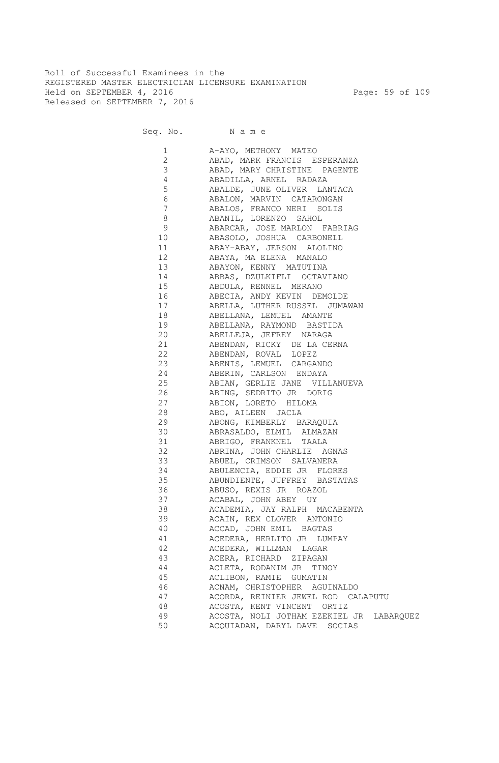Roll of Successful Examinees in the REGISTERED MASTER ELECTRICIAN LICENSURE EXAMINATION Held on SEPTEMBER 4, 2016 Page: 59 of 109 Released on SEPTEMBER 7, 2016

Seq. No. Name

 1 A-AYO, METHONY MATEO 2 ABAD, MARK FRANCIS ESPERANZA 3 ABAD, MARY CHRISTINE PAGENTE 4 ABADILLA, ARNEL RADAZA 5 ABALDE, JUNE OLIVER LANTACA 6 ABALON, MARVIN CATARONGAN 7 ABALOS, FRANCO NERI SOLIS 8 ABANIL, LORENZO SAHOL 9 ABARCAR, JOSE MARLON FABRIAG 10 ABASOLO, JOSHUA CARBONELL 11 ABAY-ABAY, JERSON ALOLINO 12 ABAYA, MA ELENA MANALO 13 ABAYON, KENNY MATUTINA 14 ABBAS, DZULKIFLI OCTAVIANO 15 ABDULA, RENNEL MERANO 16 ABECIA, ANDY KEVIN DEMOLDE 17 ABELLA, LUTHER RUSSEL JUMAWAN 18 ABELLANA, LEMUEL AMANTE 19 ABELLANA, RAYMOND BASTIDA 20 ABELLEJA, JEFREY NARAGA 21 ABENDAN, RICKY DE LA CERNA 22 ABENDAN, ROVAL LOPEZ 23 ABENIS, LEMUEL CARGANDO 24 ABERIN, CARLSON ENDAYA 25 ABIAN, GERLIE JANE VILLANUEVA 26 ABING, SEDRITO JR DORIG 27 ABION, LORETO HILOMA 28 ABO, AILEEN JACLA 29 ABONG, KIMBERLY BARAQUIA 30 ABRASALDO, ELMIL ALMAZAN 31 ABRIGO, FRANKNEL TAALA 32 ABRINA, JOHN CHARLIE AGNAS 33 ABUEL, CRIMSON SALVANERA 34 ABULENCIA, EDDIE JR FLORES 35 ABUNDIENTE, JUFFREY BASTATAS 36 ABUSO, REXIS JR ROAZOL 37 ACABAL, JOHN ABEY UY 38 ACADEMIA, JAY RALPH MACABENTA 39 ACAIN, REX CLOVER ANTONIO 40 ACCAD, JOHN EMIL BAGTAS 41 ACEDERA, HERLITO JR LUMPAY 42 ACEDERA, WILLMAN LAGAR 43 ACERA, RICHARD ZIPAGAN 44 ACLETA, RODANIM JR TINOY 45 ACLIBON, RAMIE GUMATIN 46 ACNAM, CHRISTOPHER AGUINALDO 47 ACORDA, REINIER JEWEL ROD CALAPUTU 48 ACOSTA, KENT VINCENT ORTIZ 49 ACOSTA, NOLI JOTHAM EZEKIEL JR LABARQUEZ 50 ACQUIADAN, DARYL DAVE SOCIAS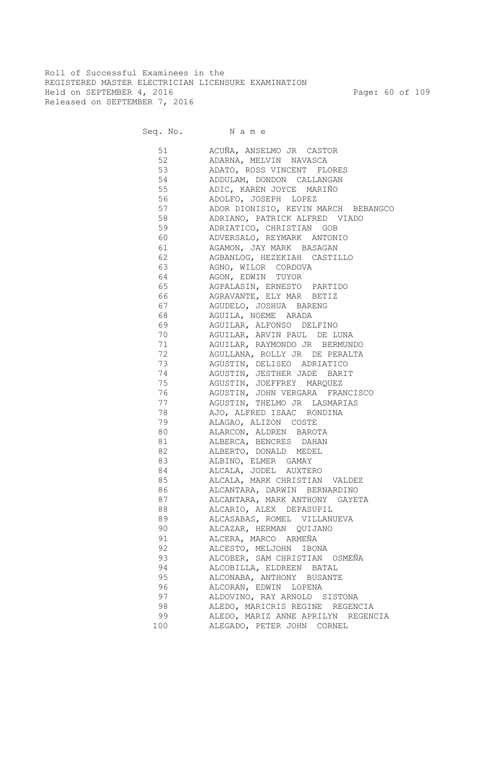Roll of Successful Examinees in the REGISTERED MASTER ELECTRICIAN LICENSURE EXAMINATION Held on SEPTEMBER 4, 2016 Page: 60 of 109 Released on SEPTEMBER 7, 2016

Seq. No. Name

 51 ACUÑA, ANSELMO JR CASTOR 52 ADARNA, MELVIN NAVASCA 53 ADATO, ROSS VINCENT FLORES 54 ADDULAM, DONDON CALLANGAN 55 ADIC, KAREN JOYCE MARIÑO 56 ADOLFO, JOSEPH LOPEZ 57 ADOR DIONISIO, KEVIN MARCH BEBANGCO 58 ADRIANO, PATRICK ALFRED VIADO 59 ADRIATICO, CHRISTIAN GOB 60 ADVERSALO, REYMARK ANTONIO 61 AGAMON, JAY MARK BASAGAN 62 AGBANLOG, HEZEKIAH CASTILLO 63 AGNO, WILOR CORDOVA 64 AGON, EDWIN TUYOR 65 AGPALASIN, ERNESTO PARTIDO 66 AGRAVANTE, ELY MAR BETIZ 67 AGUDELO, JOSHUA BARENG 68 AGUILA, NOEME ARADA 69 AGUILAR, ALFONSO DELFINO 70 AGUILAR, ARVIN PAUL DE LUNA 71 AGUILAR, RAYMONDO JR BERMUNDO 72 AGULLANA, ROLLY JR DE PERALTA 73 AGUSTIN, DELISEO ADRIATICO 74 AGUSTIN, JESTHER JADE BARIT 75 AGUSTIN, JOEFFREY MARQUEZ 76 AGUSTIN, JOHN VERGARA FRANCISCO 77 AGUSTIN, THELMO JR LASMARIAS 78 AJO, ALFRED ISAAC RONDINA 79 ALAGAO, ALIZON COSTE 80 ALARCON, ALDREN BAROTA 81 ALBERCA, BENCRES DAHAN 82 ALBERTO, DONALD MEDEL 83 ALBINO, ELMER GAMAY 84 ALCALA, JODEL AUXTERO 85 ALCALA, MARK CHRISTIAN VALDEZ 86 ALCANTARA, DARWIN BERNARDINO 87 ALCANTARA, MARK ANTHONY GAYETA 88 ALCARIO, ALEX DEPASUPIL 89 ALCASABAS, ROMEL VILLANUEVA 90 ALCAZAR, HERMAN QUIJANO 91 ALCERA, MARCO ARMEÑA 92 ALCESTO, MELJOHN IBONA 93 ALCOBER, SAM CHRISTIAN OSMEÑA 94 ALCOBILLA, ELDREEN BATAL 95 ALCONABA, ANTHONY BUSANTE 96 ALCORAN, EDWIN LOPENA 97 ALDOVINO, RAY ARNOLD SISTONA 98 ALEDO, MARICRIS REGINE REGENCIA 99 ALEDO, MARIZ ANNE APRILYN REGENCIA 100 ALEGADO, PETER JOHN CORNEL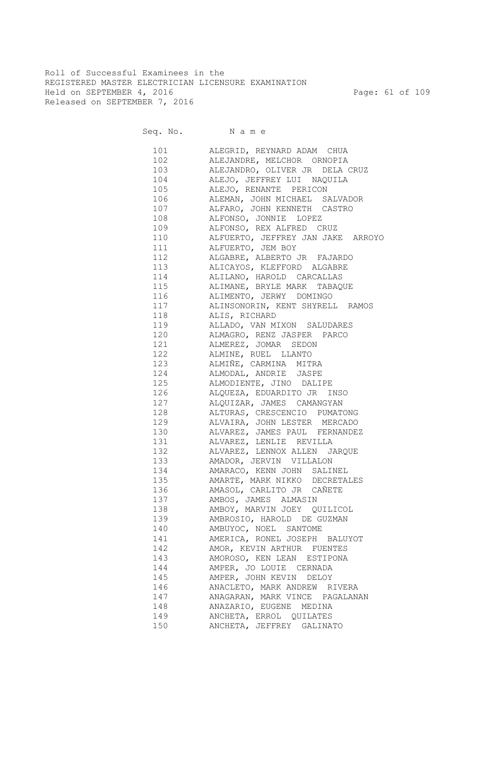Roll of Successful Examinees in the REGISTERED MASTER ELECTRICIAN LICENSURE EXAMINATION Held on SEPTEMBER 4, 2016 Page: 61 of 109 Released on SEPTEMBER 7, 2016

Seq. No. Name

 101 ALEGRID, REYNARD ADAM CHUA 102 ALEJANDRE, MELCHOR ORNOPIA 103 ALEJANDRO, OLIVER JR DELA CRUZ 104 ALEJO, JEFFREY LUI NAQUILA 105 ALEJO, RENANTE PERICON 106 ALEMAN, JOHN MICHAEL SALVADOR 107 ALFARO, JOHN KENNETH CASTRO 108 ALFONSO, JONNIE LOPEZ 109 ALFONSO, REX ALFRED CRUZ 110 ALFUERTO, JEFFREY JAN JAKE ARROYO 111 ALFUERTO, JEM BOY 112 ALGABRE, ALBERTO JR FAJARDO 113 ALICAYOS, KLEFFORD ALGABRE 114 ALILANO, HAROLD CARCALLAS 115 ALIMANE, BRYLE MARK TABAQUE 116 ALIMENTO, JERWY DOMINGO 117 ALINSONORIN, KENT SHYRELL RAMOS 118 ALIS, RICHARD 119 ALLADO, VAN MIXON SALUDARES 120 ALMAGRO, RENZ JASPER PARCO 121 ALMEREZ, JOMAR SEDON 122 ALMINE, RUEL LLANTO 123 ALMIÑE, CARMINA MITRA 124 ALMODAL, ANDRIE JASPE 125 ALMODIENTE, JINO DALIPE 126 ALQUEZA, EDUARDITO JR INSO 127 ALQUIZAR, JAMES CAMANGYAN 128 ALTURAS, CRESCENCIO PUMATONG 129 ALVAIRA, JOHN LESTER MERCADO 130 ALVAREZ, JAMES PAUL FERNANDEZ 131 ALVAREZ, LENLIE REVILLA 132 ALVAREZ, LENNOX ALLEN JARQUE 133 AMADOR, JERVIN VILLALON 134 AMARACO, KENN JOHN SALINEL 135 AMARTE, MARK NIKKO DECRETALES 136 AMASOL, CARLITO JR CAÑETE 137 AMBOS, JAMES ALMASIN 138 AMBOY, MARVIN JOEY QUILICOL 139 AMBROSIO, HAROLD DE GUZMAN 140 AMBUYOC, NOEL SANTOME 141 AMERICA, RONEL JOSEPH BALUYOT 142 AMOR, KEVIN ARTHUR FUENTES 143 AMOROSO, KEN LEAN ESTIPONA 144 AMPER, JO LOUIE CERNADA 145 AMPER, JOHN KEVIN DELOY 146 ANACLETO, MARK ANDREW RIVERA 147 ANAGARAN, MARK VINCE PAGALANAN 148 ANAZARIO, EUGENE MEDINA 149 ANCHETA, ERROL QUILATES 150 ANCHETA, JEFFREY GALINATO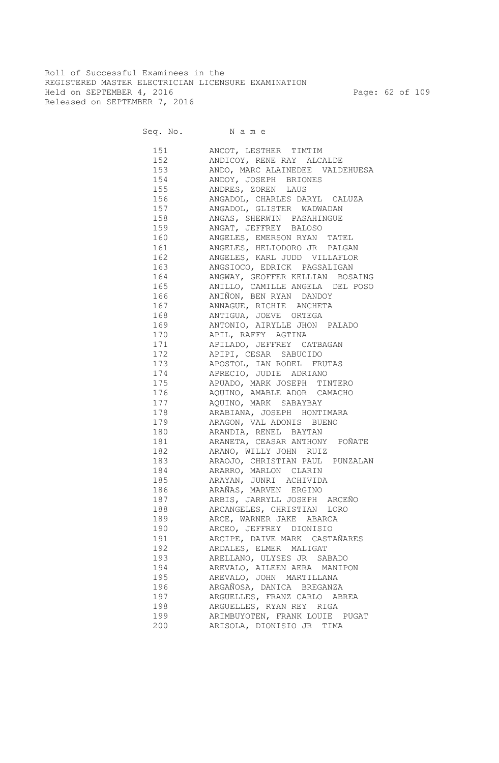Roll of Successful Examinees in the REGISTERED MASTER ELECTRICIAN LICENSURE EXAMINATION Held on SEPTEMBER 4, 2016 Page: 62 of 109 Released on SEPTEMBER 7, 2016

| 151 | ANCOT, LESTHER TIMTIM               |
|-----|-------------------------------------|
| 152 | ANDICOY, RENE RAY ALCALDE           |
|     | 153 ANDO, MARC ALAINEDEE VALDEHUESA |
|     | 154 ANDOY, JOSEPH BRIONES           |
| 155 | ANDRES, ZOREN LAUS                  |
| 156 | ANGADOL, CHARLES DARYL CALUZA       |
| 157 | ANGADOL, GLISTER WADWADAN           |
| 158 | ANGAS, SHERWIN PASAHINGUE           |
| 159 | ANGAT, JEFFREY BALOSO               |
| 160 | ANGELES, EMERSON RYAN TATEL         |
| 161 | ANGELES, HELIODORO JR PALGAN        |
| 162 | ANGELES, KARL JUDD VILLAFLOR        |
| 163 | ANGSIOCO, EDRICK PAGSALIGAN         |
| 164 | ANGWAY, GEOFFER KELLIAN BOSAING     |
| 165 | ANILLO, CAMILLE ANGELA DEL POSO     |
| 166 | ANIÑON, BEN RYAN DANDOY             |
| 167 | ANNAGUE, RICHIE ANCHETA             |
| 168 | ANTIGUA, JOEVE ORTEGA               |
| 169 | ANTONIO, AIRYLLE JHON PALADO        |
| 170 | APIL, RAFFY AGTINA                  |
| 171 | APILADO, JEFFREY CATBAGAN           |
| 172 | APIPI, CESAR SABUCIDO               |
| 173 | APOSTOL, IAN RODEL FRUTAS           |
| 174 | APRECIO, JUDIE ADRIANO              |
| 175 | APUADO, MARK JOSEPH TINTERO         |
| 176 | AQUINO, AMABLE ADOR CAMACHO         |
| 177 | AQUINO, MARK SABAYBAY               |
| 178 | ARABIANA, JOSEPH HONTIMARA          |
| 179 | ARAGON, VAL ADONIS BUENO            |
| 180 | ARANDIA, RENEL BAYTAN               |
| 181 | ARANETA, CEASAR ANTHONY POÑATE      |
| 182 | ARANO, WILLY JOHN RUIZ              |
| 183 | ARAOJO, CHRISTIAN PAUL PUNZALAN     |
| 184 | ARARRO, MARLON CLARIN               |
| 185 | ARAYAN, JUNRI ACHIVIDA              |
|     | 186 ARAÑAS, MARVEN ERGINO           |
|     | 187 ARBIS, JARRYLL JOSEPH ARCEÑO    |
|     | 188 ARCANGELES, CHRISTIAN LORO      |
| 189 | ARCE, WARNER JAKE ABARCA            |
| 190 | ARCEO, JEFFREY DIONISIO             |
| 191 | ARCIPE, DAIVE MARK CASTAÑARES       |
| 192 | ARDALES, ELMER MALIGAT              |
| 193 | ARELLANO, ULYSES JR SABADO          |
| 194 | AREVALO, AILEEN AERA MANIPON        |
| 195 | AREVALO, JOHN MARTILLANA            |
| 196 | ARGAÑOSA, DANICA BREGANZA           |
| 197 | ARGUELLES, FRANZ CARLO ABREA        |
| 198 | ARGUELLES, RYAN REY RIGA            |
| 199 | ARIMBUYOTEN, FRANK LOUIE PUGAT      |
| 200 | ARISOLA, DIONISIO JR TIMA           |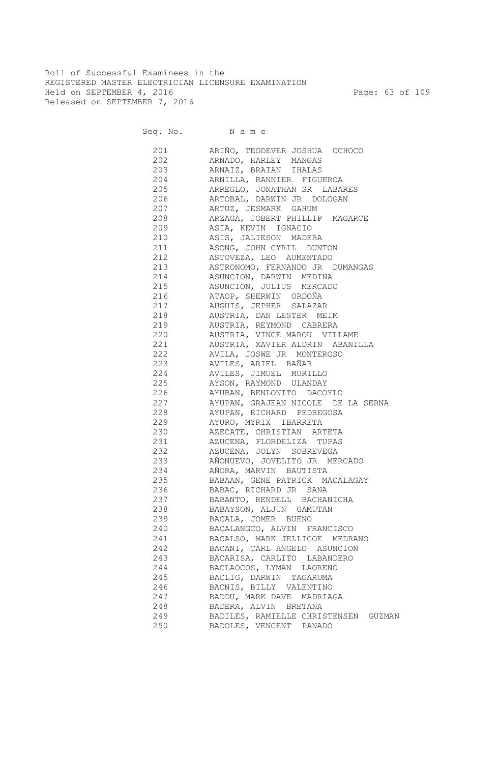Roll of Successful Examinees in the REGISTERED MASTER ELECTRICIAN LICENSURE EXAMINATION Held on SEPTEMBER 4, 2016 Page: 63 of 109 Released on SEPTEMBER 7, 2016

| 201        | ARIÑO, TEODEVER JOSHUA OCHOCO        |
|------------|--------------------------------------|
| 202        | ARNADO, HARLEY MANGAS                |
|            | 203 ARNAIZ, BRAIAN IHALAS            |
|            | 204 ARNILLA, RANNIER FIGUEROA        |
|            | 205 ARREGLO, JONATHAN SR LABARES     |
|            | 206 ARTOBAL, DARWIN JR DOLOGAN       |
| 207        | ARTUZ, JESMARK GAHUM                 |
|            | 208 ARZAGA, JOBERT PHILLIP MAGARCE   |
|            | 209 ASIA, KEVIN IGNACIO              |
|            | 210 ASIS, JALIESON MADERA            |
|            | 211 ASONG, JOHN CYRIL DUNTON         |
| 212        | ASTOVEZA, LEO AUMENTADO              |
| 213        | ASTRONOMO, FERNANDO JR DUMANGAS      |
| 214        | ASUNCION, DARWIN MEDINA              |
| 215        | ASUNCION, JULIUS MERCADO             |
| 216        | ATAOP, SHERWIN ORDOÑA                |
| 217        | AUGUIS, JEPHER SALAZAR               |
| 218        | AUSTRIA, DAN LESTER MEIM             |
| 219        | AUSTRIA, REYMOND CABRERA             |
| 220        | AUSTRIA, VINCE MAROU VILLAME         |
| 221        | AUSTRIA, XAVIER ALDRIN ABANILLA      |
| 222        | AVILA, JOSWE JR MONTEROSO            |
| 223        | AVILES, ARIEL BAÑAR                  |
| 224        | AVILES, JIMUEL MURILLO               |
| 225        | AYSON, RAYMOND ULANDAY               |
| 226        | AYUBAN, BENLONITO DACOYLO            |
| 227        | AYUPAN, GRAJEAN NICOLE DE LA SERNA   |
| 228        | AYUPAN, RICHARD PEDREGOSA            |
| 229        | AYURO, MYRIX IBARRETA                |
| 230        | AZECATE, CHRISTIAN ARTETA            |
| 231        | AZUCENA, FLORDELIZA TUPAS            |
| 232        | AZUCENA, JOLYN SOBREVEGA             |
| 233        | AÑONUEVO, JOVELITO JR MERCADO        |
| 234        | AÑORA, MARVIN BAUTISTA               |
| 235        | BABAAN, GENE PATRICK MACALAGAY       |
| 236        | BABAC, RICHARD JR SANA               |
| 237        | BABANTO, RENDELL BACHANICHA          |
| 238        | BABAYSON, ALJUN GAMUTAN              |
| 239        | BACALA, JOMER BUENO                  |
| 240        | BACALANGCO, ALVIN FRANCISCO          |
| 241        | BACALSO, MARK JELLICOE MEDRANO       |
| 242        | BACANI, CARL ANGELO ASUNCION         |
| 243        | BACARISA, CARLITO LABANDERO          |
| 244        | BACLAOCOS, LYMAN LAORENO             |
| 245        | BACLIG, DARWIN TAGARUMA              |
| 246        | BACNIS, BILLY VALENTINO              |
| 247        | BADDU, MARK DAVE MADRIAGA            |
|            | BADERA, ALVIN BRETANA                |
| 248<br>249 | BADILES, RAMIELLE CHRISTENSEN GUZMAN |
| 250        | BADOLES, VENCENT PANADO              |
|            |                                      |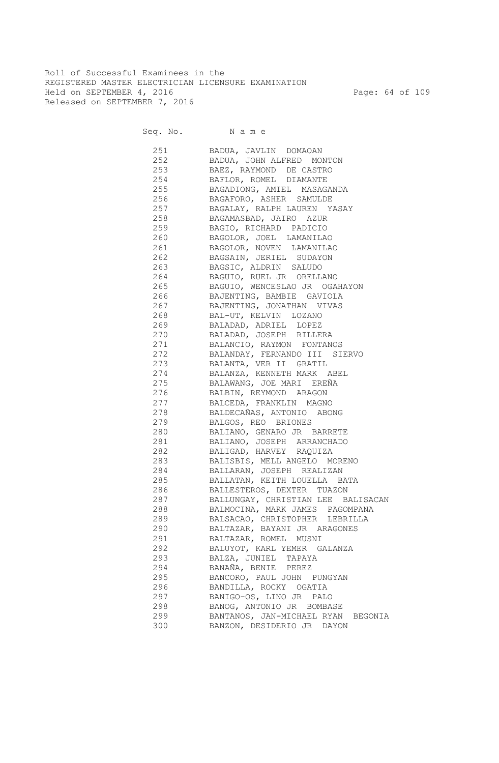Roll of Successful Examinees in the REGISTERED MASTER ELECTRICIAN LICENSURE EXAMINATION Held on SEPTEMBER 4, 2016 Page: 64 of 109 Released on SEPTEMBER 7, 2016

| 251 | BADUA, JAVLIN DOMAOAN              |
|-----|------------------------------------|
|     | 252 BADUA, JOHN ALFRED MONTON      |
|     | 253 BAEZ, RAYMOND DE CASTRO        |
|     | 254 BAFLOR, ROMEL DIAMANTE         |
|     | 255 BAGADIONG, AMIEL MASAGANDA     |
|     | 256 BAGAFORO, ASHER SAMULDE        |
|     | 257 BAGALAY, RALPH LAUREN YASAY    |
|     | 258 BAGAMASBAD, JAIRO AZUR         |
| 259 | BAGIO, RICHARD PADICIO             |
| 260 | BAGOLOR, JOEL LAMANILAO            |
|     | 261 BAGOLOR, NOVEN LAMANILAO       |
|     | 262 BAGSAIN, JERIEL SUDAYON        |
|     | 263 BAGSIC, ALDRIN SALUDO          |
|     | 264 BAGUIO, RUEL JR ORELLANO       |
| 265 | BAGUIO, WENCESLAO JR OGAHAYON      |
| 266 | BAJENTING, BAMBIE GAVIOLA          |
| 267 | BAJENTING, JONATHAN VIVAS          |
| 268 | BAL-UT, KELVIN LOZANO              |
| 269 | BALADAD, ADRIEL LOPEZ              |
| 270 | BALADAD, JOSEPH RILLERA            |
| 271 | BALANCIO, RAYMON FONTANOS          |
| 272 | BALANDAY, FERNANDO III SIERVO      |
| 273 | BALANTA, VER II GRATIL             |
| 274 | BALANZA, KENNETH MARK ABEL         |
| 275 | BALAWANG, JOE MARI EREÑA           |
| 276 | BALBIN, REYMOND ARAGON             |
| 277 | BALCEDA, FRANKLIN MAGNO            |
| 278 | BALDECAÑAS, ANTONIO ABONG          |
| 279 | BALGOS, REO BRIONES                |
| 280 | BALIANO, GENARO JR BARRETE         |
| 281 | BALIANO, JOSEPH ARRANCHADO         |
| 282 | BALIGAD, HARVEY RAQUIZA            |
| 283 | BALISBIS, MELL ANGELO MORENO       |
| 284 | BALLARAN, JOSEPH REALIZAN          |
| 285 | BALLATAN, KEITH LOUELLA BATA       |
| 286 | BALLESTEROS, DEXTER TUAZON         |
| 287 | BALLUNGAY, CHRISTIAN LEE BALISACAN |
| 288 | BALMOCINA, MARK JAMES PAGOMPANA    |
| 289 | BALSACAO, CHRISTOPHER LEBRILLA     |
| 290 | BALTAZAR, BAYANI JR ARAGONES       |
| 291 | BALTAZAR, ROMEL MUSNI              |
| 292 | BALUYOT, KARL YEMER GALANZA        |
| 293 | BALZA, JUNIEL TAPAYA               |
| 294 | BANAÑA, BENIE PEREZ                |
| 295 | BANCORO, PAUL JOHN PUNGYAN         |
| 296 | BANDILLA, ROCKY OGATIA             |
| 297 | BANIGO-OS, LINO JR PALO            |
| 298 | BANOG, ANTONIO JR BOMBASE          |
| 299 | BANTANOS, JAN-MICHAEL RYAN BEGONIA |
| 300 | BANZON, DESIDERIO JR DAYON         |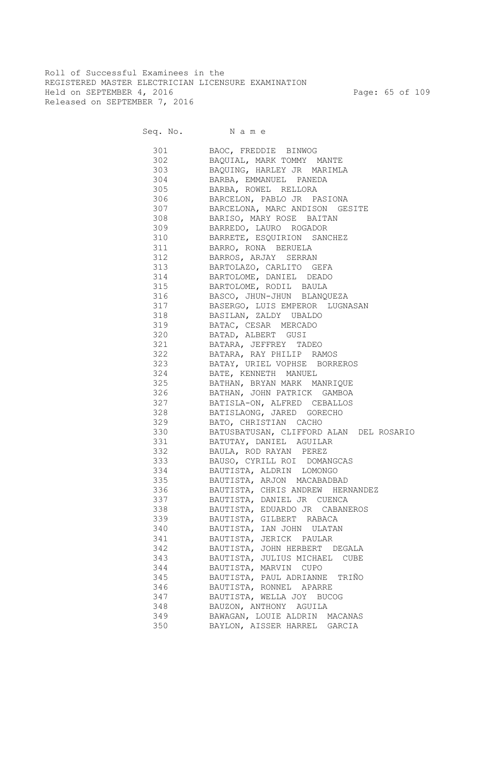Roll of Successful Examinees in the REGISTERED MASTER ELECTRICIAN LICENSURE EXAMINATION Held on SEPTEMBER 4, 2016 Page: 65 of 109 Released on SEPTEMBER 7, 2016

Seq. No. N a m e

| 301     | BAOC, FREDDIE BINWOG                    |
|---------|-----------------------------------------|
| 302 200 | BAQUIAL, MARK TOMMY MANTE               |
| 303     | BAQUING, HARLEY JR MARIMLA              |
| 304     | BARBA, EMMANUEL PANEDA                  |
| 305     | BARBA, ROWEL RELLORA                    |
| 306     | BARCELON, PABLO JR PASIONA              |
| 307     | BARCELONA, MARC ANDISON GESITE          |
| 308     | BARISO, MARY ROSE BAITAN                |
| 309     | BARREDO, LAURO ROGADOR                  |
| 310     | BARRETE, ESQUIRION SANCHEZ              |
| 311     | BARRO, RONA BERUELA                     |
| 312     | BARROS, ARJAY SERRAN                    |
| 313     | BARTOLAZO, CARLITO GEFA                 |
| 314     | BARTOLOME, DANIEL DEADO                 |
| 315     | BARTOLOME, RODIL BAULA                  |
| 316     | BASCO, JHUN-JHUN BLANQUEZA              |
| 317     | BASERGO, LUIS EMPEROR LUGNASAN          |
| 318     | BASILAN, ZALDY UBALDO                   |
| 319     | BATAC, CESAR MERCADO                    |
| 320     | BATAD, ALBERT GUSI                      |
| 321     | BATARA, JEFFREY TADEO                   |
| 322     | BATARA, RAY PHILIP RAMOS                |
| 323     | BATAY, URIEL VOPHSE BORREROS            |
| 324     | BATE, KENNETH MANUEL                    |
| 325     | BATHAN, BRYAN MARK MANRIQUE             |
| 326     | BATHAN, JOHN PATRICK GAMBOA             |
| 327     | BATISLA-ON, ALFRED CEBALLOS             |
| 328     | BATISLAONG, JARED GORECHO               |
| 329     | BATO, CHRISTIAN CACHO                   |
| 330     | BATUSBATUSAN, CLIFFORD ALAN DEL ROSARIO |
| 331     | BATUTAY, DANIEL AGUILAR                 |
| 332     | BAULA, ROD RAYAN PEREZ                  |
| 333     | BAUSO, CYRILL ROI DOMANGCAS             |
| 334     | BAUTISTA, ALDRIN LOMONGO                |
| 335     | BAUTISTA, ARJON MACABADBAD              |
| 336     | BAUTISTA, CHRIS ANDREW HERNANDEZ        |
| 337     | BAUTISTA, DANIEL JR CUENCA              |
| 338     | BAUTISTA, EDUARDO JR CABANEROS          |
| 339     | BAUTISTA, GILBERT RABACA                |
| 340     | BAUTISTA, IAN JOHN ULATAN               |
| 341     | BAUTISTA, JERICK PAULAR                 |
| 342     | BAUTISTA, JOHN HERBERT DEGALA           |
| 343     | BAUTISTA, JULIUS MICHAEL CUBE           |
| 344     | BAUTISTA, MARVIN CUPO                   |
| 345     | BAUTISTA, PAUL ADRIANNE<br>TRIÑO        |
| 346     | BAUTISTA, RONNEL APARRE                 |
| 347     | BAUTISTA, WELLA JOY BUCOG               |
| 348     | BAUZON, ANTHONY AGUILA                  |
| 349     | BAWAGAN, LOUIE ALDRIN MACANAS           |
| 350     | BAYLON, AISSER HARREL GARCIA            |
|         |                                         |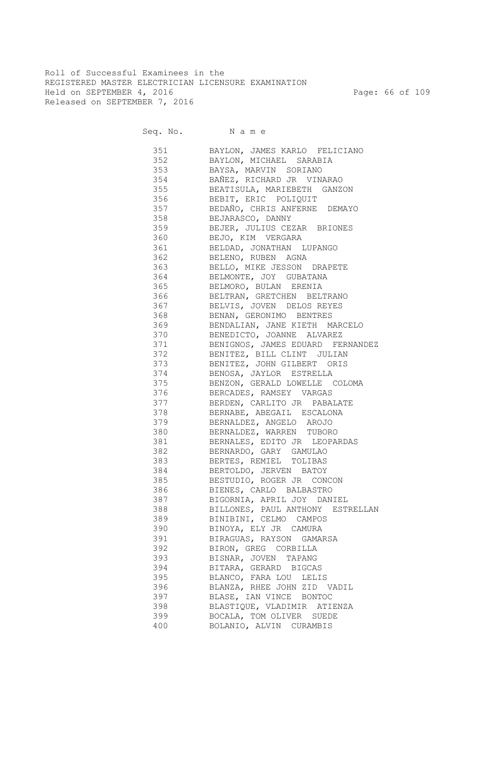Roll of Successful Examinees in the REGISTERED MASTER ELECTRICIAN LICENSURE EXAMINATION Held on SEPTEMBER 4, 2016 Page: 66 of 109 Released on SEPTEMBER 7, 2016

Seq. No. N a m e

| 351     | BAYLON, JAMES KARLO FELICIANO        |
|---------|--------------------------------------|
| 352     | BAYLON, MICHAEL SARABIA              |
| 353     | BAYSA, MARVIN SORIANO                |
| 354     | BAÑEZ, RICHARD JR VINARAO            |
| 355     | BEATISULA, MARIEBETH GANZON          |
| 356     | BEBIT, ERIC POLIQUIT                 |
| 357     | BEDAÑO, CHRIS ANFERNE DEMAYO         |
| 358     | BEJARASCO, DANNY                     |
| 359     | BEJER, JULIUS CEZAR BRIONES          |
| 360     | BEJO, KIM VERGARA                    |
| 361     | BELDAD, JONATHAN LUPANGO             |
| 362     | BELENO, RUBEN AGNA                   |
| 363     | BELLO, MIKE JESSON DRAPETE           |
| 364     | BELMONTE, JOY GUBATANA               |
|         |                                      |
| 365     | BELMORO, BULAN ERENIA                |
| 366     | BELTRAN, GRETCHEN BELTRANO           |
| 367     | BELVIS, JOVEN DELOS REYES            |
| 368     | BENAN, GERONIMO BENTRES              |
|         | 369 BENDALIAN, JANE KIETH MARCELO    |
|         | 370 BENEDICTO, JOANNE ALVAREZ        |
|         | 371 BENIGNOS, JAMES EDUARD FERNANDEZ |
|         | 372 BENITEZ, BILL CLINT JULIAN       |
|         | 373 BENITEZ, JOHN GILBERT ORIS       |
|         | 374 BENOSA, JAYLOR ESTRELLA          |
|         | 375 BENZON, GERALD LOWELLE COLOMA    |
|         | 376 BERCADES, RAMSEY VARGAS          |
| 377     | BERDEN, CARLITO JR PABALATE          |
|         | 378 BERNABE, ABEGAIL ESCALONA        |
|         | 379 BERNALDEZ, ANGELO AROJO          |
|         | 380 BERNALDEZ, WARREN TUBORO         |
|         | 381 BERNALES, EDITO JR LEOPARDAS     |
|         | 382 BERNARDO, GARY GAMULAO           |
|         | 383 BERTES, REMIEL TOLIBAS           |
|         | 384 BERTOLDO, JERVEN BATOY           |
|         | 385 BESTUDIO, ROGER JR CONCON        |
|         | 386 BIENES, CARLO BALBASTRO          |
| 387 387 | BIGORNIA, APRIL JOY DANIEL           |
| 388     | BILLONES, PAUL ANTHONY ESTRELLAN     |
| 389     | BINIBINI, CELMO CAMPOS               |
| 390     | BINOYA, ELY JR CAMURA                |
| 391     | BIRAGUAS, RAYSON GAMARSA             |
| 392     | BIRON, GREG CORBILLA                 |
| 393     | BISNAR, JOVEN TAPANG                 |
| 394     | BITARA, GERARD BIGCAS                |
| 395     | BLANCO, FARA LOU LELIS               |
| 396     | BLANZA, RHEE JOHN ZID VADIL          |
| 397     | BLASE, IAN VINCE BONTOC              |
| 398     | BLASTIOUE, VLADIMIR ATIENZA          |
|         |                                      |
| 399     | BOCALA, TOM OLIVER SUEDE             |
| 400     | BOLANIO, ALVIN CURAMBIS              |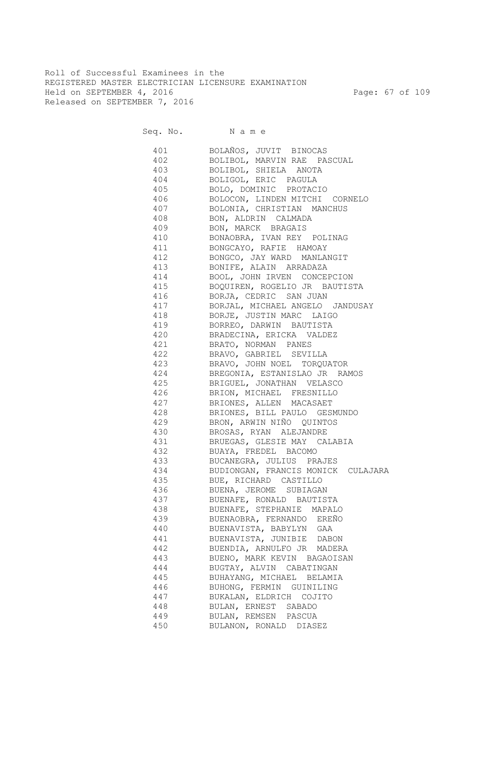Roll of Successful Examinees in the REGISTERED MASTER ELECTRICIAN LICENSURE EXAMINATION Held on SEPTEMBER 4, 2016 Page: 67 of 109 Released on SEPTEMBER 7, 2016

Seq. No. N a m e

| 401 | BOLAÑOS, JUVIT BINOCAS             |
|-----|------------------------------------|
|     | 402 BOLIBOL, MARVIN RAE PASCUAL    |
|     | 403 BOLIBOL, SHIELA ANOTA          |
|     | 404 BOLIGOL, ERIC PAGULA           |
|     | 405 BOLO, DOMINIC PROTACIO         |
|     | 406 BOLOCON, LINDEN MITCHI CORNELO |
|     | 407 BOLONIA, CHRISTIAN MANCHUS     |
|     | 408 BON, ALDRIN CALMADA            |
|     | 409 BON, MARCK BRAGAIS             |
|     | 410 BONAOBRA, IVAN REY POLINAG     |
|     | 411 BONGCAYO, RAFIE HAMOAY         |
|     | 412 BONGCO, JAY WARD MANLANGIT     |
|     | 413 BONIFE, ALAIN ARRADAZA         |
|     | 414 BOOL, JOHN IRVEN CONCEPCION    |
|     | 415 BOQUIREN, ROGELIO JR BAUTISTA  |
| 416 | BORJA, CEDRIC SAN JUAN             |
| 417 | BORJAL, MICHAEL ANGELO JANDUSAY    |
| 418 | BORJE, JUSTIN MARC LAIGO           |
| 419 | BORREO, DARWIN BAUTISTA            |
| 420 | BRADECINA, ERICKA VALDEZ           |
| 421 | BRATO, NORMAN PANES                |
| 422 | BRAVO, GABRIEL SEVILLA             |
| 423 | BRAVO, JOHN NOEL TORQUATOR         |
| 424 | BREGONIA, ESTANISLAO JR RAMOS      |
| 425 | BRIGUEL, JONATHAN VELASCO          |
| 426 | BRION, MICHAEL FRESNILLO           |
| 427 | BRIONES, ALLEN MACASAET            |
| 428 | BRIONES, BILL PAULO GESMUNDO       |
| 429 | BRON, ARWIN NIÑO QUINTOS           |
| 430 | BROSAS, RYAN ALEJANDRE             |
| 431 | BRUEGAS, GLESIE MAY CALABIA        |
| 432 | BUAYA, FREDEL BACOMO               |
| 433 | BUCANEGRA, JULIUS PRAJES           |
| 434 | BUDIONGAN, FRANCIS MONICK CULAJARA |
| 435 | BUE, RICHARD CASTILLO              |
| 436 | BUENA, JEROME SUBIAGAN             |
| 437 | BUENAFE, RONALD BAUTISTA           |
| 438 | BUENAFE, STEPHANIE MAPALO          |
| 439 | BUENAOBRA, FERNANDO EREÑO          |
| 440 | BUENAVISTA, BABYLYN GAA            |
| 441 | BUENAVISTA, JUNIBIE DABON          |
| 442 | BUENDIA, ARNULFO JR MADERA         |
| 443 | BUENO, MARK KEVIN BAGAOISAN        |
| 444 | BUGTAY, ALVIN CABATINGAN           |
| 445 | BUHAYANG, MICHAEL BELAMIA          |
| 446 | BUHONG, FERMIN GUINILING           |
| 447 | BUKALAN, ELDRICH COJITO            |
| 448 | BULAN, ERNEST SABADO               |
| 449 | BULAN, REMSEN PASCUA               |
| 450 | BULANON, RONALD DIASEZ             |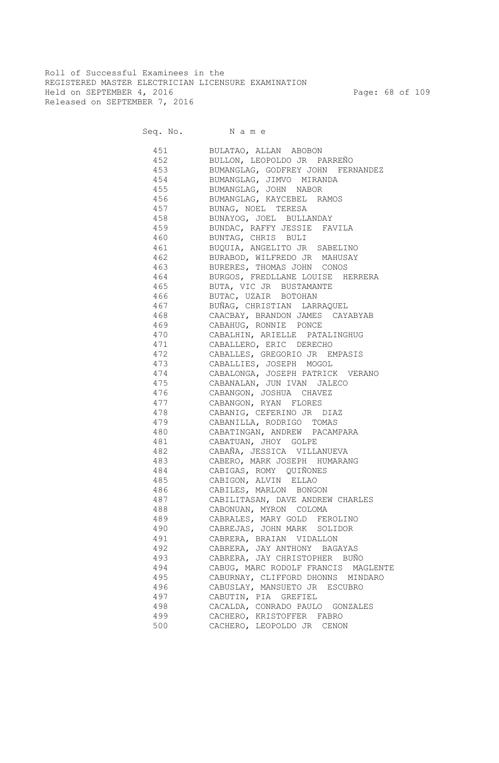Roll of Successful Examinees in the REGISTERED MASTER ELECTRICIAN LICENSURE EXAMINATION Held on SEPTEMBER 4, 2016 Page: 68 of 109 Released on SEPTEMBER 7, 2016

Seq. No. Name

 451 BULATAO, ALLAN ABOBON 452 BULLON, LEOPOLDO JR PARREÑO 453 BUMANGLAG, GODFREY JOHN FERNANDEZ 454 BUMANGLAG, JIMVO MIRANDA 455 BUMANGLAG, JOHN NABOR 456 BUMANGLAG, KAYCEBEL RAMOS 457 BUNAG, NOEL TERESA 458 BUNAYOG, JOEL BULLANDAY 459 BUNDAC, RAFFY JESSIE FAVILA 460 BUNTAG, CHRIS BULI 461 BUQUIA, ANGELITO JR SABELINO 462 BURABOD, WILFREDO JR MAHUSAY 463 BURERES, THOMAS JOHN CONOS 464 BURGOS, FREDLLANE LOUISE HERRERA 465 BUTA, VIC JR BUSTAMANTE 466 BUTAC, UZAIR BOTOHAN 467 BUÑAG, CHRISTIAN LARRAQUEL 468 CAACBAY, BRANDON JAMES CAYABYAB 469 CABAHUG, RONNIE PONCE 470 CABALHIN, ARIELLE PATALINGHUG 471 CABALLERO, ERIC DERECHO 472 CABALLES, GREGORIO JR EMPASIS 473 CABALLIES, JOSEPH MOGOL 474 CABALONGA, JOSEPH PATRICK VERANO 475 CABANALAN, JUN IVAN JALECO 476 CABANGON, JOSHUA CHAVEZ 477 CABANGON, RYAN FLORES 478 CABANIG, CEFERINO JR DIAZ 479 CABANILLA, RODRIGO TOMAS 480 CABATINGAN, ANDREW PACAMPARA 481 CABATUAN, JHOY GOLPE 482 CABAÑA, JESSICA VILLANUEVA 483 CABERO, MARK JOSEPH HUMARANG 484 CABIGAS, ROMY QUIÑONES 485 CABIGON, ALVIN ELLAO 486 CABILES, MARLON BONGON 487 CABILITASAN, DAVE ANDREW CHARLES 488 CABONUAN, MYRON COLOMA 489 CABRALES, MARY GOLD FEROLINO 490 CABREJAS, JOHN MARK SOLIDOR 491 CABRERA, BRAIAN VIDALLON 492 CABRERA, JAY ANTHONY BAGAYAS 493 CABRERA, JAY CHRISTOPHER BUÑO 494 CABUG, MARC RODOLF FRANCIS MAGLENTE 495 CABURNAY, CLIFFORD DHONNS MINDARO 496 CABUSLAY, MANSUETO JR ESCUBRO 497 CABUTIN, PIA GREFIEL 498 CACALDA, CONRADO PAULO GONZALES 499 CACHERO, KRISTOFFER FABRO<br>500 CACHERO, LEOPOLDO JR CENOI CACHERO, LEOPOLDO JR CENON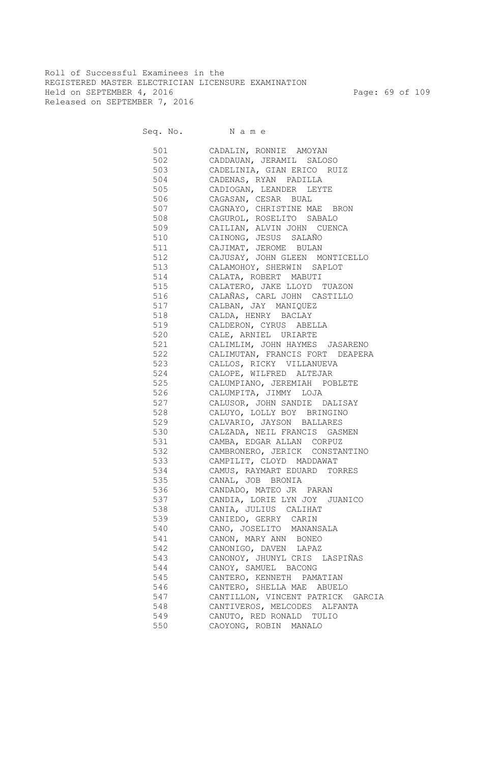Roll of Successful Examinees in the REGISTERED MASTER ELECTRICIAN LICENSURE EXAMINATION Held on SEPTEMBER 4, 2016 Page: 69 of 109 Released on SEPTEMBER 7, 2016

Seq. No. Name

 501 CADALIN, RONNIE AMOYAN 502 CADDAUAN, JERAMIL SALOSO 503 CADELINIA, GIAN ERICO RUIZ CADENAS, RYAN PADILLA 505 CADIOGAN, LEANDER LEYTE 506 CAGASAN, CESAR BUAL 507 CAGNAYO, CHRISTINE MAE BRON 508 CAGUROL, ROSELITO SABALO 509 CAILIAN, ALVIN JOHN CUENCA 510 CAINONG, JESUS SALAÑO 511 CAJIMAT, JEROME BULAN 512 CAJUSAY, JOHN GLEEN MONTICELLO 513 CALAMOHOY, SHERWIN SAPLOT 514 CALATA, ROBERT MABUTI 515 CALATERO, JAKE LLOYD TUAZON 516 CALAÑAS, CARL JOHN CASTILLO 517 CALBAN, JAY MANIQUEZ 518 CALDA, HENRY BACLAY 519 CALDERON, CYRUS ABELLA 520 CALE, ARNIEL URIARTE 521 CALIMLIM, JOHN HAYMES JASARENO 522 CALIMUTAN, FRANCIS FORT DEAPERA 523 CALLOS, RICKY VILLANUEVA 524 CALOPE, WILFRED ALTEJAR 525 CALUMPIANO, JEREMIAH POBLETE 526 CALUMPITA, JIMMY LOJA 527 CALUSOR, JOHN SANDIE DALISAY 528 CALUYO, LOLLY BOY BRINGINO 529 CALVARIO, JAYSON BALLARES 530 CALZADA, NEIL FRANCIS GASMEN 531 CAMBA, EDGAR ALLAN CORPUZ 532 CAMBRONERO, JERICK CONSTANTINO 533 CAMPILIT, CLOYD MADDAWAT 534 CAMUS, RAYMART EDUARD TORRES 535 CANAL, JOB BRONIA 536 CANDADO, MATEO JR PARAN 537 CANDIA, LORIE LYN JOY JUANICO 538 CANIA, JULIUS CALIHAT 539 CANIEDO, GERRY CARIN 540 CANO, JOSELITO MANANSALA 541 CANON, MARY ANN BONEO 542 CANONIGO, DAVEN LAPAZ 543 CANONOY, JHUNYL CRIS LASPIÑAS 544 CANOY, SAMUEL BACONG 545 CANTERO, KENNETH PAMATIAN 546 CANTERO, SHELLA MAE ABUELO 547 CANTILLON, VINCENT PATRICK GARCIA 548 CANTIVEROS, MELCODES ALFANTA 549 CANUTO, RED RONALD TULIO 550 CAOYONG, ROBIN MANALO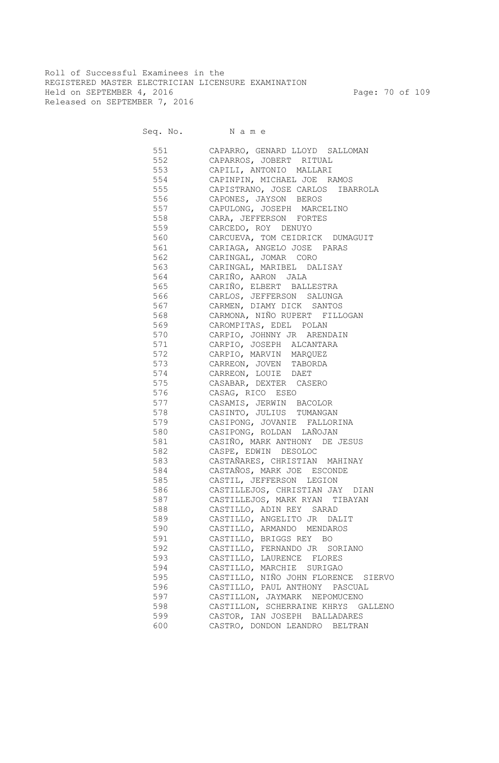Roll of Successful Examinees in the REGISTERED MASTER ELECTRICIAN LICENSURE EXAMINATION Held on SEPTEMBER 4, 2016 Page: 70 of 109 Released on SEPTEMBER 7, 2016

Seq. No. Name

 551 CAPARRO, GENARD LLOYD SALLOMAN 552 CAPARROS, JOBERT RITUAL 553 CAPILI, ANTONIO MALLARI 554 CAPINPIN, MICHAEL JOE RAMOS 555 CAPISTRANO, JOSE CARLOS IBARROLA 556 CAPONES, JAYSON BEROS 557 CAPULONG, JOSEPH MARCELINO 558 CARA, JEFFERSON FORTES 559 CARCEDO, ROY DENUYO 560 CARCUEVA, TOM CEIDRICK DUMAGUIT 561 CARIAGA, ANGELO JOSE PARAS 562 CARINGAL, JOMAR CORO 563 CARINGAL, MARIBEL DALISAY 564 CARIÑO, AARON JALA 565 CARIÑO, ELBERT BALLESTRA 566 CARLOS, JEFFERSON SALUNGA 567 CARMEN, DIAMY DICK SANTOS 568 CARMONA, NIÑO RUPERT FILLOGAN 569 CAROMPITAS, EDEL POLAN 570 CARPIO, JOHNNY JR ARENDAIN 571 CARPIO, JOSEPH ALCANTARA 572 CARPIO, MARVIN MARQUEZ 573 CARREON, JOVEN TABORDA 574 CARREON, LOUIE DAET 575 CASABAR, DEXTER CASERO 576 CASAG, RICO ESEO 577 CASAMIS, JERWIN BACOLOR 578 CASINTO, JULIUS TUMANGAN 579 CASIPONG, JOVANIE FALLORINA 580 CASIPONG, ROLDAN LAÑOJAN 581 CASIÑO, MARK ANTHONY DE JESUS 582 CASPE, EDWIN DESOLOC 583 CASTAÑARES, CHRISTIAN MAHINAY 584 CASTAÑOS, MARK JOE ESCONDE 585 CASTIL, JEFFERSON LEGION 586 CASTILLEJOS, CHRISTIAN JAY DIAN 587 CASTILLEJOS, MARK RYAN TIBAYAN 588 CASTILLO, ADIN REY SARAD 589 CASTILLO, ANGELITO JR DALIT 590 CASTILLO, ARMANDO MENDAROS 591 CASTILLO, BRIGGS REY BO 592 CASTILLO, FERNANDO JR SORIANO 593 CASTILLO, LAURENCE FLORES 594 CASTILLO, MARCHIE SURIGAO 595 CASTILLO, NIÑO JOHN FLORENCE SIERVO 596 CASTILLO, PAUL ANTHONY PASCUAL 597 CASTILLON, JAYMARK NEPOMUCENO 598 CASTILLON, SCHERRAINE KHRYS GALLENO 599 CASTOR, IAN JOSEPH BALLADARES 600 CASTRO, DONDON LEANDRO BELTRAN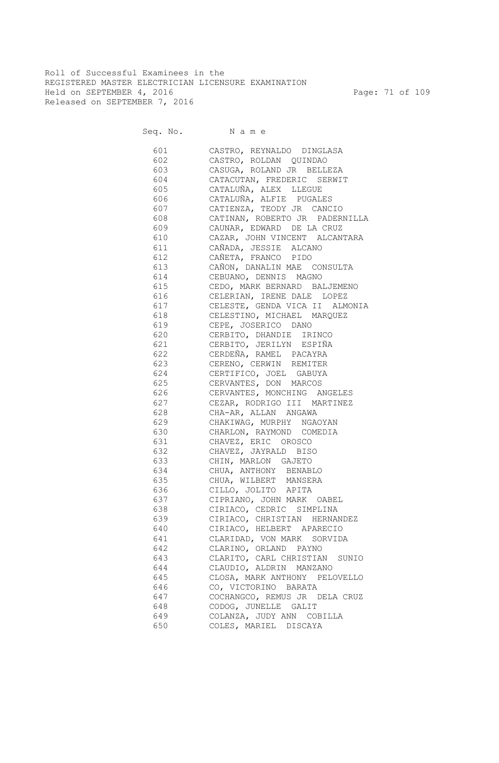Roll of Successful Examinees in the REGISTERED MASTER ELECTRICIAN LICENSURE EXAMINATION Held on SEPTEMBER 4, 2016 Page: 71 of 109 Released on SEPTEMBER 7, 2016

Seq. No. Name

 601 CASTRO, REYNALDO DINGLASA 602 CASTRO, ROLDAN QUINDAO 603 CASUGA, ROLAND JR BELLEZA 604 CATACUTAN, FREDERIC SERWIT 605 CATALUÑA, ALEX LLEGUE 606 CATALUÑA, ALFIE PUGALES 607 CATIENZA, TEODY JR CANCIO 608 CATINAN, ROBERTO JR PADERNILLA 609 CAUNAR, EDWARD DE LA CRUZ 610 CAZAR, JOHN VINCENT ALCANTARA 611 CAÑADA, JESSIE ALCANO 612 CAÑETA, FRANCO PIDO 613 CAÑON, DANALIN MAE CONSULTA 614 CEBUANO, DENNIS MAGNO 615 CEDO, MARK BERNARD BALJEMENO 616 CELERIAN, IRENE DALE LOPEZ 617 CELESTE, GENDA VICA II ALMONIA 618 CELESTINO, MICHAEL MARQUEZ 619 CEPE, JOSERICO DANO 620 CERBITO, DHANDIE IRINCO 621 CERBITO, JERILYN ESPIÑA 622 CERDEÑA, RAMEL PACAYRA 623 CERENO, CERWIN REMITER 624 CERTIFICO, JOEL GABUYA 625 CERVANTES, DON MARCOS 626 CERVANTES, MONCHING ANGELES 627 CEZAR, RODRIGO III MARTINEZ 628 CHA-AR, ALLAN ANGAWA 629 CHAKIWAG, MURPHY NGAOYAN 630 CHARLON, RAYMOND COMEDIA 631 CHAVEZ, ERIC OROSCO 632 CHAVEZ, JAYRALD BISO 633 CHIN, MARLON GAJETO 634 CHUA, ANTHONY BENABLO 635 CHUA, WILBERT MANSERA 636 CILLO, JOLITO APITA 637 CIPRIANO, JOHN MARK OABEL 638 CIRIACO, CEDRIC SIMPLINA 639 CIRIACO, CHRISTIAN HERNANDEZ 640 CIRIACO, HELBERT APARECIO 641 CLARIDAD, VON MARK SORVIDA 642 CLARINO, ORLAND PAYNO 643 CLARITO, CARL CHRISTIAN SUNIO 644 CLAUDIO, ALDRIN MANZANO 645 CLOSA, MARK ANTHONY PELOVELLO 646 CO, VICTORINO BARATA 647 COCHANGCO, REMUS JR DELA CRUZ 648 CODOG, JUNELLE GALIT 649 COLANZA, JUDY ANN COBILLA 650 COLES, MARIEL DISCAYA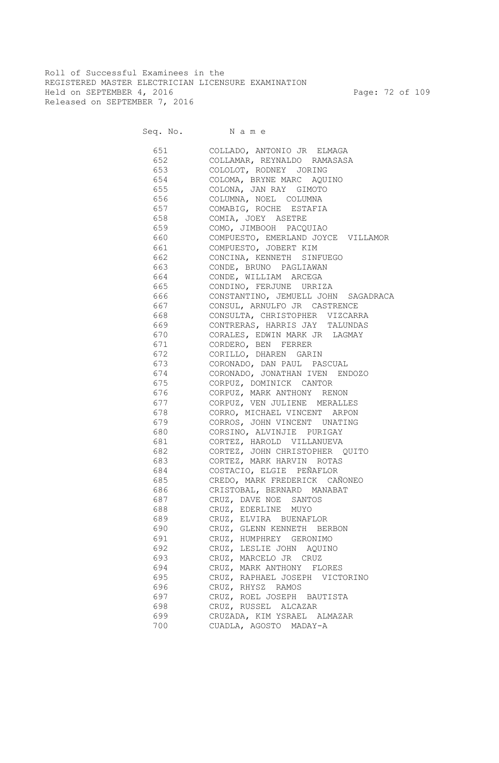Roll of Successful Examinees in the REGISTERED MASTER ELECTRICIAN LICENSURE EXAMINATION Held on SEPTEMBER 4, 2016 Page: 72 of 109 Released on SEPTEMBER 7, 2016

| 651 | COLLADO, ANTONIO JR ELMAGA          |
|-----|-------------------------------------|
| 652 | COLLAMAR, REYNALDO RAMASASA         |
| 653 | COLOLOT, RODNEY JORING              |
| 654 | COLOMA, BRYNE MARC AQUINO           |
| 655 | COLONA, JAN RAY GIMOTO              |
| 656 | COLUMNA, NOEL COLUMNA               |
| 657 | COMABIG, ROCHE ESTAFIA              |
| 658 | COMIA, JOEY ASETRE                  |
| 659 | COMO, JIMBOOH PACQUIAO              |
| 660 | COMPUESTO, EMERLAND JOYCE VILLAMOR  |
| 661 | COMPUESTO, JOBERT KIM               |
| 662 | CONCINA, KENNETH SINFUEGO           |
| 663 |                                     |
| 664 | CONDE, BRUNO PAGLIAWAN              |
|     | CONDE, WILLIAM ARCEGA               |
| 665 | CONDINO, FERJUNE URRIZA             |
| 666 | CONSTANTINO, JEMUELL JOHN SAGADRACA |
| 667 | CONSUL, ARNULFO JR CASTRENCE        |
| 668 | CONSULTA, CHRISTOPHER VIZCARRA      |
| 669 | CONTRERAS, HARRIS JAY TALUNDAS      |
| 670 | CORALES, EDWIN MARK JR LAGMAY       |
| 671 | CORDERO, BEN FERRER                 |
| 672 | CORILLO, DHAREN GARIN               |
| 673 | CORONADO, DAN PAUL PASCUAL          |
| 674 | CORONADO, JONATHAN IVEN ENDOZO      |
| 675 | CORPUZ, DOMINICK CANTOR             |
| 676 | CORPUZ, MARK ANTHONY RENON          |
| 677 | CORPUZ, VEN JULIENE MERALLES        |
| 678 | CORRO, MICHAEL VINCENT ARPON        |
| 679 | CORROS, JOHN VINCENT UNATING        |
| 680 | CORSINO, ALVINJIE PURIGAY           |
| 681 | CORTEZ, HAROLD VILLANUEVA           |
| 682 | CORTEZ, JOHN CHRISTOPHER QUITO      |
| 683 | CORTEZ, MARK HARVIN ROTAS           |
| 684 | COSTACIO, ELGIE PEÑAFLOR            |
| 685 | CREDO, MARK FREDERICK CAÑONEO       |
| 686 | CRISTOBAL, BERNARD MANABAT          |
| 687 | CRUZ, DAVE NOE SANTOS               |
| 688 | CRUZ, EDERLINE MUYO                 |
| 689 | CRUZ, ELVIRA BUENAFLOR              |
| 690 | CRUZ, GLENN KENNETH BERBON          |
| 691 | CRUZ, HUMPHREY GERONIMO             |
| 692 | CRUZ, LESLIE JOHN AQUINO            |
| 693 | CRUZ, MARCELO JR CRUZ               |
| 694 | CRUZ, MARK ANTHONY FLORES           |
| 695 | CRUZ, RAPHAEL JOSEPH VICTORINO      |
| 696 | CRUZ, RHYSZ RAMOS                   |
| 697 | CRUZ, ROEL JOSEPH BAUTISTA          |
| 698 | CRUZ, RUSSEL ALCAZAR                |
| 699 | CRUZADA, KIM YSRAEL ALMAZAR         |
| 700 | CUADLA, AGOSTO MADAY-A              |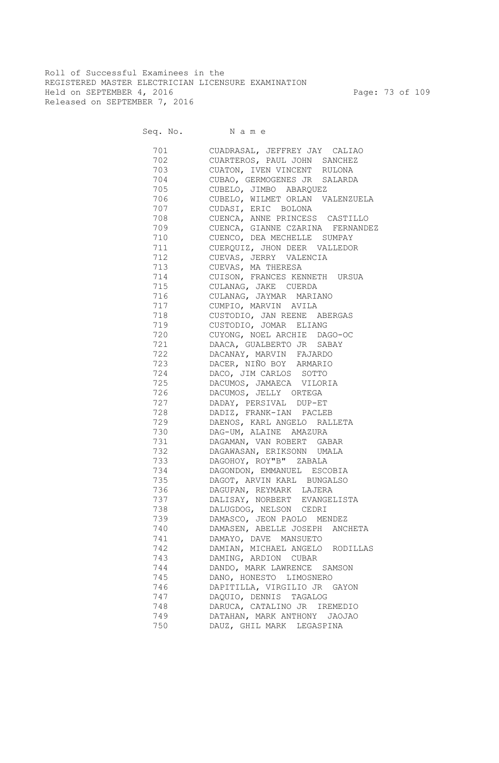Roll of Successful Examinees in the REGISTERED MASTER ELECTRICIAN LICENSURE EXAMINATION Held on SEPTEMBER 4, 2016 Page: 73 of 109 Released on SEPTEMBER 7, 2016

| 701       | CUADRASAL, JEFFREY JAY CALIAO     |
|-----------|-----------------------------------|
| 702       | CUARTEROS, PAUL JOHN SANCHEZ      |
| 703       | CUATON, IVEN VINCENT RULONA       |
| 704       | CUBAO, GERMOGENES JR SALARDA      |
| 705       | CUBELO, JIMBO ABARQUEZ            |
| 706       | CUBELO, WILMET ORLAN VALENZUELA   |
| 707       | CUDASI, ERIC BOLONA               |
| 708       | CUENCA, ANNE PRINCESS CASTILLO    |
| 709       | CUENCA, GIANNE CZARINA FERNANDEZ  |
| 710       | CUENCO, DEA MECHELLE SUMPAY       |
| 711       | CUERQUIZ, JHON DEER VALLEDOR      |
| 712       | CUEVAS, JERRY VALENCIA            |
| 713       | CUEVAS, MA THERESA                |
| 714       | CUISON, FRANCES KENNETH URSUA     |
| 715       | CULANAG, JAKE CUERDA              |
| 716       | CULANAG, JAYMAR MARIANO           |
| 717       | CUMPIO, MARVIN AVILA              |
| 718       | CUSTODIO, JAN REENE ABERGAS       |
| 719       | CUSTODIO, JOMAR ELIANG            |
| 720       | CUYONG, NOEL ARCHIE DAGO-OC       |
|           | 721 DAACA, GUALBERTO JR SABAY     |
| 722       | DACANAY, MARVIN FAJARDO           |
|           | 723 DACER, NIÑO BOY ARMARIO       |
|           | 724 DACO, JIM CARLOS SOTTO        |
| 725       | DACUMOS, JAMAECA VILORIA          |
| 726       | DACUMOS, JELLY ORTEGA             |
| 727 — 200 | DADAY, PERSIVAL DUP-ET            |
|           | 728 DADIZ, FRANK-IAN PACLEB       |
|           | 729 DAENOS, KARL ANGELO RALLETA   |
|           | 730 DAG-UM, ALAINE AMAZURA        |
|           | DAGAMAN, VAN ROBERT GABAR         |
| 732       | DAGAWASAN, ERIKSONN UMALA         |
|           |                                   |
| 734       | DAGOHOY, ROY"B" ZABALA            |
| 735       | DAGONDON, EMMANUEL ESCOBIA        |
|           | DAGOT, ARVIN KARL BUNGALSO        |
| 736       | DAGUPAN, REYMARK LAJERA           |
| 737 — 17  | DALISAY, NORBERT EVANGELISTA      |
| 738       | DALUGDOG, NELSON CEDRI            |
| 739       | DAMASCO, JEON PAOLO MENDEZ        |
| 740       | DAMASEN, ABELLE JOSEPH<br>ANCHETA |
| 741       | DAMAYO, DAVE MANSUETO             |
| 742       | DAMIAN, MICHAEL ANGELO RODILLAS   |
| 743       | DAMING, ARDION CUBAR              |
| 744       | DANDO, MARK LAWRENCE<br>SAMSON    |
| 745       | DANO, HONESTO LIMOSNERO           |
| 746       | DAPITILLA, VIRGILIO JR GAYON      |
| 747       | DAQUIO, DENNIS TAGALOG            |
| 748       | DARUCA, CATALINO JR IREMEDIO      |
| 749       | DATAHAN, MARK ANTHONY JAOJAO      |
| 750       | DAUZ, GHIL MARK LEGASPINA         |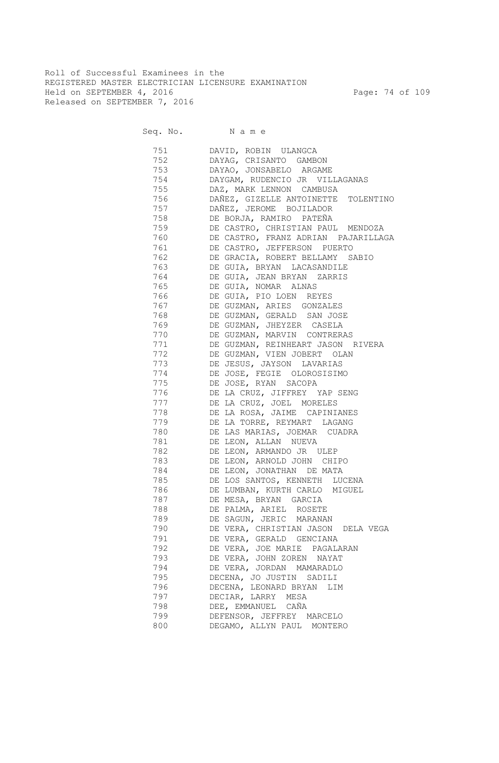Roll of Successful Examinees in the REGISTERED MASTER ELECTRICIAN LICENSURE EXAMINATION Held on SEPTEMBER 4, 2016 Page: 74 of 109 Released on SEPTEMBER 7, 2016

| 751                                                                                                                                                                                                                            | DAVID, ROBIN ULANGCA                                             |
|--------------------------------------------------------------------------------------------------------------------------------------------------------------------------------------------------------------------------------|------------------------------------------------------------------|
| 752                                                                                                                                                                                                                            | DAYAG, CRISANTO GAMBON                                           |
| 753                                                                                                                                                                                                                            | DAYAO, JONSABELO ARGAME                                          |
| 754                                                                                                                                                                                                                            | DAYGAM, RUDENCIO JR VILLAGANAS                                   |
| 755                                                                                                                                                                                                                            | DAZ, MARK LENNON CAMBUSA                                         |
| 756                                                                                                                                                                                                                            | DAÑEZ, GIZELLE ANTOINETTE TOLENTINO                              |
| 757                                                                                                                                                                                                                            | DAÑEZ, JEROME BOJILADOR                                          |
| 758                                                                                                                                                                                                                            | DE BORJA, RAMIRO PATEÑA                                          |
| 759                                                                                                                                                                                                                            | DE CASTRO, CHRISTIAN PAUL MENDOZA                                |
| 760                                                                                                                                                                                                                            | DE CASTRO, FRANZ ADRIAN PAJARILLAGA                              |
| 761                                                                                                                                                                                                                            | DE CASTRO, JEFFERSON PUERTO                                      |
| 762                                                                                                                                                                                                                            | DE GRACIA, ROBERT BELLAMY SABIO                                  |
| 763                                                                                                                                                                                                                            | DE GUIA, BRYAN LACASANDILE                                       |
| 764                                                                                                                                                                                                                            | DE GUIA, JEAN BRYAN ZARRIS                                       |
| 765                                                                                                                                                                                                                            | DE GUIA, NOMAR ALNAS                                             |
| 766                                                                                                                                                                                                                            | DE GUIA, PIO LOEN REYES                                          |
| 767                                                                                                                                                                                                                            | DE GUZMAN, ARIES GONZALES                                        |
| 768                                                                                                                                                                                                                            | DE GUZMAN, GERALD SAN JOSE                                       |
| 769                                                                                                                                                                                                                            | DE GUZMAN, JHEYZER CASELA                                        |
| 770                                                                                                                                                                                                                            |                                                                  |
| 771                                                                                                                                                                                                                            | DE GUZMAN, MARVIN CONTRERAS<br>DE GUZMAN, REINHEART JASON RIVERA |
| 772                                                                                                                                                                                                                            | DE GUZMAN, VIEN JOBERT OLAN                                      |
| 773                                                                                                                                                                                                                            | DE JESUS, JAYSON LAVARIAS                                        |
|                                                                                                                                                                                                                                |                                                                  |
| 774<br>775                                                                                                                                                                                                                     | DE JOSE, FEGIE OLOROSISIMO                                       |
|                                                                                                                                                                                                                                | DE JOSE, RYAN SACOPA                                             |
| 776                                                                                                                                                                                                                            | DE LA CRUZ, JIFFREY YAP SENG                                     |
| 777                                                                                                                                                                                                                            | DE LA CRUZ, JOEL MORELES                                         |
| 778                                                                                                                                                                                                                            | DE LA ROSA, JAIME CAPINIANES                                     |
| 779                                                                                                                                                                                                                            | DE LA TORRE, REYMART LAGANG                                      |
| 780                                                                                                                                                                                                                            | DE LAS MARIAS, JOEMAR CUADRA                                     |
| 781                                                                                                                                                                                                                            | DE LEON, ALLAN NUEVA                                             |
| 782                                                                                                                                                                                                                            | DE LEON, ARMANDO JR ULEP                                         |
| 783                                                                                                                                                                                                                            | DE LEON, ARNOLD JOHN CHIPO                                       |
| 784                                                                                                                                                                                                                            | DE LEON, JONATHAN DE MATA                                        |
| 785                                                                                                                                                                                                                            | DE LOS SANTOS, KENNETH LUCENA                                    |
| 786 780                                                                                                                                                                                                                        | DE LUMBAN, KURTH CARLO MIGUEL                                    |
| 787 — 1787 — 1787 — 1790 — 1790 — 1790 — 1790 — 1790 — 1790 — 1790 — 1790 — 1790 — 1790 — 1790 — 1790 — 1790 — 1790 — 1790 — 1790 — 1790 — 1790 — 1790 — 1790 — 1790 — 1790 — 1790 — 1790 — 1790 — 1790 — 1790 — 1790 — 1790 — | DE MESA, BRYAN GARCIA                                            |
| 788                                                                                                                                                                                                                            | DE PALMA, ARIEL ROSETE                                           |
| 789                                                                                                                                                                                                                            | DE SAGUN, JERIC MARANAN                                          |
| 790                                                                                                                                                                                                                            | DE VERA, CHRISTIAN JASON DELA VEGA                               |
| 791                                                                                                                                                                                                                            | DE VERA, GERALD GENCIANA                                         |
| 792                                                                                                                                                                                                                            | DE VERA, JOE MARIE PAGALARAN                                     |
| 793                                                                                                                                                                                                                            | DE VERA, JOHN ZOREN NAYAT                                        |
| 794                                                                                                                                                                                                                            | DE VERA, JORDAN MAMARADLO                                        |
| 795                                                                                                                                                                                                                            | DECENA, JO JUSTIN SADILI                                         |
| 796                                                                                                                                                                                                                            | DECENA, LEONARD BRYAN LIM                                        |
| 797                                                                                                                                                                                                                            | DECIAR, LARRY MESA                                               |
| 798                                                                                                                                                                                                                            | DEE, EMMANUEL CAÑA                                               |
| 799                                                                                                                                                                                                                            | DEFENSOR, JEFFREY MARCELO                                        |
| 800                                                                                                                                                                                                                            | DEGAMO, ALLYN PAUL MONTERO                                       |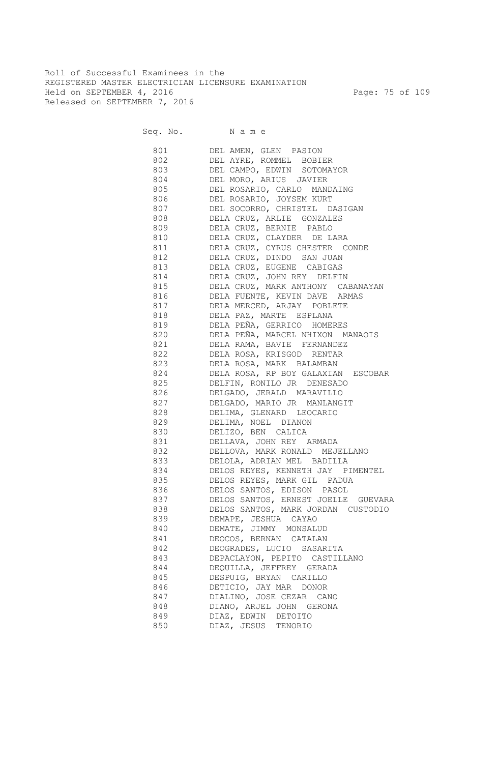Roll of Successful Examinees in the REGISTERED MASTER ELECTRICIAN LICENSURE EXAMINATION Held on SEPTEMBER 4, 2016 Page: 75 of 109 Released on SEPTEMBER 7, 2016

|     | 801 DEL AMEN, GLEN PASION              |
|-----|----------------------------------------|
|     | 802 DEL AYRE, ROMMEL BOBIER            |
|     | 803 DEL CAMPO, EDWIN SOTOMAYOR         |
|     | 804 DEL MORO, ARIUS JAVIER             |
|     | 805 DEL ROSARIO, CARLO MANDAING        |
|     | 806 DEL ROSARIO, JOYSEM KURT           |
|     | 807 DEL SOCORRO, CHRISTEL DASIGAN      |
|     | 808 DELA CRUZ, ARLIE GONZALES          |
|     | 809 DELA CRUZ, BERNIE PABLO            |
|     | 810 DELA CRUZ, CLAYDER DE LARA         |
|     | 811 DELA CRUZ, CYRUS CHESTER CONDE     |
|     | 812 DELA CRUZ, DINDO SAN JUAN          |
|     | 813 DELA CRUZ, EUGENE CABIGAS          |
|     | 814 DELA CRUZ, JOHN REY DELFIN         |
|     | 815 DELA CRUZ, MARK ANTHONY CABANAYAN  |
|     | 816 DELA FUENTE, KEVIN DAVE ARMAS      |
|     | 817 DELA MERCED, ARJAY POBLETE         |
|     | 818 DELA PAZ, MARTE ESPLANA            |
|     |                                        |
|     | 819 DELA PEÑA, GERRICO HOMERES         |
|     | 820 DELA PEÑA, MARCEL NHIXON MANAOIS   |
| 821 | DELA RAMA, BAVIE FERNANDEZ             |
| 822 | DELA ROSA, KRISGOD RENTAR              |
| 823 | DELA ROSA, MARK BALAMBAN               |
|     | 824 DELA ROSA, RP BOY GALAXIAN ESCOBAR |
| 825 | DELFIN, RONILO JR DENESADO             |
| 826 | DELGADO, JERALD MARAVILLO              |
| 827 | DELGADO, MARIO JR MANLANGIT            |
| 828 | DELIMA, GLENARD LEOCARIO               |
| 829 | DELIMA, NOEL DIANON                    |
| 830 | DELIZO, BEN CALICA                     |
| 831 | DELLAVA, JOHN REY ARMADA               |
| 832 | DELLOVA, MARK RONALD MEJELLANO         |
| 833 | DELOLA, ADRIAN MEL BADILLA             |
| 834 | DELOS REYES, KENNETH JAY PIMENTEL      |
| 835 | DELOS REYES, MARK GIL PADUA            |
| 836 | DELOS SANTOS, EDISON PASOL             |
| 837 | DELOS SANTOS, ERNEST JOELLE GUEVARA    |
| 838 | DELOS SANTOS, MARK JORDAN CUSTODIO     |
| 839 | DEMAPE, JESHUA CAYAO                   |
| 840 | DEMATE, JIMMY MONSALUD                 |
| 841 | DEOCOS, BERNAN CATALAN                 |
| 842 | DEOGRADES, LUCIO SASARITA              |
| 843 | DEPACLAYON, PEPITO CASTILLANO          |
| 844 | DEQUILLA, JEFFREY GERADA               |
| 845 | DESPUIG, BRYAN CARILLO                 |
| 846 | DETICIO, JAY MAR DONOR                 |
| 847 | DIALINO, JOSE CEZAR CANO               |
| 848 | DIANO, ARJEL JOHN GERONA               |
| 849 | DIAZ, EDWIN DETOITO                    |
| 850 | DIAZ, JESUS TENORIO                    |
|     |                                        |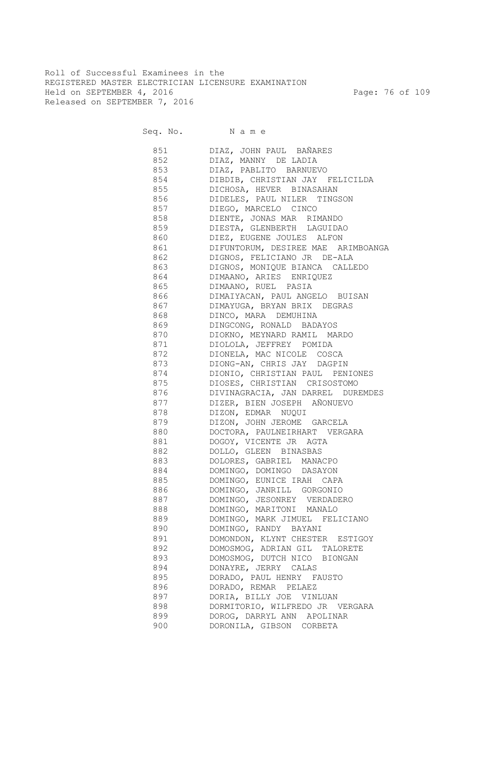Roll of Successful Examinees in the REGISTERED MASTER ELECTRICIAN LICENSURE EXAMINATION Held on SEPTEMBER 4, 2016 Page: 76 of 109 Released on SEPTEMBER 7, 2016

Seq. No. Name

 851 DIAZ, JOHN PAUL BAÑARES 852 DIAZ, MANNY DE LADIA 853 DIAZ, PABLITO BARNUEVO 854 DIBDIB, CHRISTIAN JAY FELICILDA 855 DICHOSA, HEVER BINASAHAN 856 DIDELES, PAUL NILER TINGSON 857 DIEGO, MARCELO CINCO 858 DIENTE, JONAS MAR RIMANDO 859 DIESTA, GLENBERTH LAGUIDAO 860 DIEZ, EUGENE JOULES ALFON 861 DIFUNTORUM, DESIREE MAE ARIMBOANGA 862 DIGNOS, FELICIANO JR DE-ALA 863 DIGNOS, MONIQUE BIANCA CALLEDO 864 DIMAANO, ARIES ENRIQUEZ 865 DIMAANO, RUEL PASIA 866 DIMAIYACAN, PAUL ANGELO BUISAN 867 DIMAYUGA, BRYAN BRIX DEGRAS 868 DINCO, MARA DEMUHINA 869 DINGCONG, RONALD BADAYOS 870 DIOKNO, MEYNARD RAMIL MARDO 871 DIOLOLA, JEFFREY POMIDA 872 DIONELA, MAC NICOLE COSCA 873 DIONG-AN, CHRIS JAY DAGPIN 874 DIONIO, CHRISTIAN PAUL PENIONES 875 DIOSES, CHRISTIAN CRISOSTOMO 876 DIVINAGRACIA, JAN DARREL DUREMDES 877 DIZER, BIEN JOSEPH AÑONUEVO 878 DIZON, EDMAR NUQUI 879 DIZON, JOHN JEROME GARCELA 880 DOCTORA, PAULNEIRHART VERGARA 881 DOGOY, VICENTE JR AGTA 882 DOLLO, GLEEN BINASBAS 883 DOLORES, GABRIEL MANACPO 884 DOMINGO, DOMINGO DASAYON 885 DOMINGO, EUNICE IRAH CAPA 886 DOMINGO, JANRILL GORGONIO 887 DOMINGO, JESONREY VERDADERO 888 DOMINGO, MARITONI MANALO 889 DOMINGO, MARK JIMUEL FELICIANO 890 DOMINGO, RANDY BAYANI 891 DOMONDON, KLYNT CHESTER ESTIGOY 892 DOMOSMOG, ADRIAN GIL TALORETE 893 DOMOSMOG, DUTCH NICO BIONGAN 894 DONAYRE, JERRY CALAS 895 DORADO, PAUL HENRY FAUSTO 896 DORADO, REMAR PELAEZ 897 DORIA, BILLY JOE VINLUAN 898 DORMITORIO, WILFREDO JR VERGARA 899 DOROG, DARRYL ANN APOLINAR 900 DORONILA, GIBSON CORBETA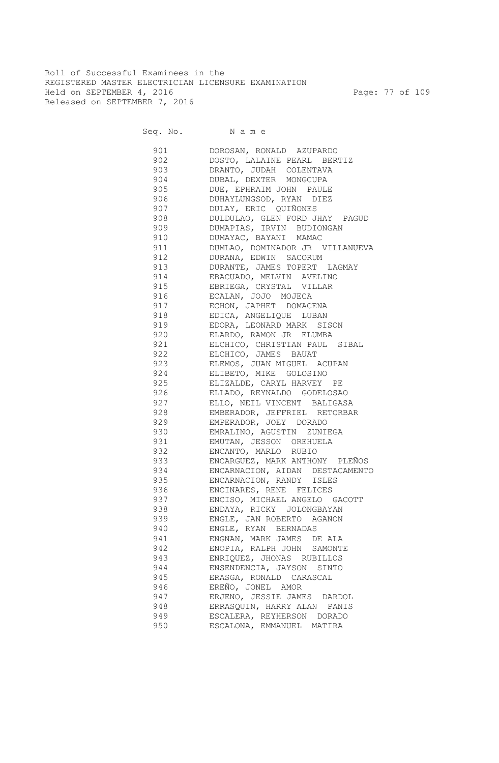Roll of Successful Examinees in the REGISTERED MASTER ELECTRICIAN LICENSURE EXAMINATION Held on SEPTEMBER 4, 2016 Page: 77 of 109 Released on SEPTEMBER 7, 2016

| 901   | DOROSAN, RONALD AZUPARDO        |
|-------|---------------------------------|
| 902   | DOSTO, LALAINE PEARL BERTIZ     |
| 903   | DRANTO, JUDAH COLENTAVA         |
| 904   | DUBAL, DEXTER MONGCUPA          |
| 905   | DUE, EPHRAIM JOHN PAULE         |
| 906   | DUHAYLUNGSOD, RYAN DIEZ         |
| 907   | DULAY, ERIC QUIÑONES            |
| 908   | DULDULAO, GLEN FORD JHAY PAGUD  |
| 909   | DUMAPIAS, IRVIN BUDIONGAN       |
| 910   | DUMAYAC, BAYANI MAMAC           |
| 911   | DUMLAO, DOMINADOR JR VILLANUEVA |
| 912   | DURANA, EDWIN SACORUM           |
| 913   | DURANTE, JAMES TOPERT LAGMAY    |
| 914   | EBACUADO, MELVIN AVELINO        |
| 915   | EBRIEGA, CRYSTAL VILLAR         |
| 916   | ECALAN, JOJO MOJECA             |
| 917   | ECHON, JAPHET DOMACENA          |
| 918   | EDICA, ANGELIQUE LUBAN          |
| 919   | EDORA, LEONARD MARK SISON       |
| 920   | ELARDO, RAMON JR ELUMBA         |
| 921   | ELCHICO, CHRISTIAN PAUL SIBAL   |
| 922   | ELCHICO, JAMES BAUAT            |
| 923   | ELEMOS, JUAN MIGUEL ACUPAN      |
|       |                                 |
| 924   | ELIBETO, MIKE GOLOSINO          |
| 925   | ELIZALDE, CARYL HARVEY PE       |
| 926   | ELLADO, REYNALDO GODELOSAO      |
| 927   | ELLO, NEIL VINCENT BALIGASA     |
| 928   | EMBERADOR, JEFFRIEL RETORBAR    |
| 929   | EMPERADOR, JOEY DORADO          |
| 930   | EMRALINO, AGUSTIN ZUNIEGA       |
| 931   | EMUTAN, JESSON OREHUELA         |
| 932   | ENCANTO, MARLO RUBIO            |
| 933   | ENCARGUEZ, MARK ANTHONY PLEÑOS  |
| 934   | ENCARNACION, AIDAN DESTACAMENTO |
| 935   | ENCARNACION, RANDY ISLES        |
| 936 7 | ENCINARES, RENE FELICES         |
| 937   | ENCISO, MICHAEL ANGELO GACOTT   |
| 938   | ENDAYA, RICKY JOLONGBAYAN       |
| 939   | ENGLE, JAN ROBERTO AGANON       |
| 940   | ENGLE, RYAN BERNADAS            |
| 941   | ENGNAN, MARK JAMES DE ALA       |
| 942   | ENOPIA, RALPH JOHN SAMONTE      |
| 943   | ENRIQUEZ, JHONAS RUBILLOS       |
| 944   | ENSENDENCIA, JAYSON SINTO       |
| 945   | ERASGA, RONALD CARASCAL         |
| 946   | EREÑO, JONEL AMOR               |
| 947   | ERJENO, JESSIE JAMES DARDOL     |
| 948   | ERRASQUIN, HARRY ALAN PANIS     |
| 949   | ESCALERA, REYHERSON DORADO      |
| 950   | ESCALONA, EMMANUEL MATIRA       |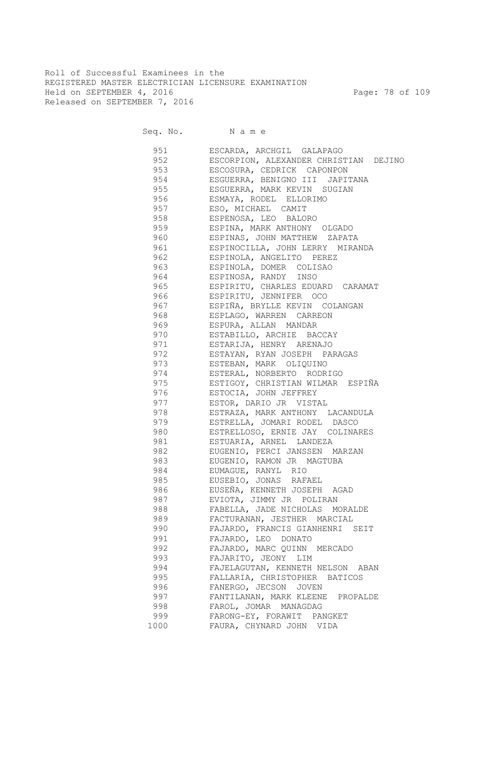Roll of Successful Examinees in the REGISTERED MASTER ELECTRICIAN LICENSURE EXAMINATION Held on SEPTEMBER 4, 2016 Page: 78 of 109 Released on SEPTEMBER 7, 2016

Seq. No. Name

 951 ESCARDA, ARCHGIL GALAPAGO 952 ESCORPION, ALEXANDER CHRISTIAN DEJINO 953 ESCOSURA, CEDRICK CAPONPON 954 ESGUERRA, BENIGNO III JAPITANA 955 ESGUERRA, MARK KEVIN SUGIAN 956 ESMAYA, RODEL ELLORIMO 957 ESO, MICHAEL CAMIT 958 ESPENOSA, LEO BALORO 959 ESPINA, MARK ANTHONY OLGADO 960 ESPINAS, JOHN MATTHEW ZAPATA 961 ESPINOCILLA, JOHN LERRY MIRANDA 962 ESPINOLA, ANGELITO PEREZ 963 ESPINOLA, DOMER COLISAO 964 ESPINOSA, RANDY INSO 965 ESPIRITU, CHARLES EDUARD CARAMAT 966 ESPIRITU, JENNIFER OCO 967 ESPIÑA, BRYLLE KEVIN COLANGAN 968 ESPLAGO, WARREN CARREON 969 ESPURA, ALLAN MANDAR 970 ESTABILLO, ARCHIE BACCAY 971 ESTARIJA, HENRY ARENAJO 972 ESTAYAN, RYAN JOSEPH PARAGAS 973 ESTEBAN, MARK OLIQUINO 974 ESTERAL, NORBERTO RODRIGO 975 ESTIGOY, CHRISTIAN WILMAR ESPIÑA 976 ESTOCIA, JOHN JEFFREY 977 ESTOR, DARIO JR VISTAL 978 ESTRAZA, MARK ANTHONY LACANDULA 979 ESTRELLA, JOMARI RODEL DASCO 980 ESTRELLOSO, ERNIE JAY COLINARES 981 ESTUARIA, ARNEL LANDEZA 982 EUGENIO, PERCI JANSSEN MARZAN 983 EUGENIO, RAMON JR MAGTUBA 984 EUMAGUE, RANYL RIO 985 EUSEBIO, JONAS RAFAEL 986 EUSEÑA, KENNETH JOSEPH AGAD 987 EVIOTA, JIMMY JR POLIRAN 988 FABELLA, JADE NICHOLAS MORALDE 989 FACTURANAN, JESTHER MARCIAL 990 FAJARDO, FRANCIS GIANHENRI SEIT 991 FAJARDO, LEO DONATO 992 FAJARDO, MARC QUINN MERCADO 993 FAJARITO, JEONY LIM 994 FAJELAGUTAN, KENNETH NELSON ABAN 995 FALLARIA, CHRISTOPHER BATICOS 996 FANERGO, JECSON JOVEN 997 FANTILANAN, MARK KLEENE PROPALDE 998 FAROL, JOMAR MANAGDAG 999 FARONG-EY, FORAWIT PANGKET 1000 FAURA, CHYNARD JOHN VIDA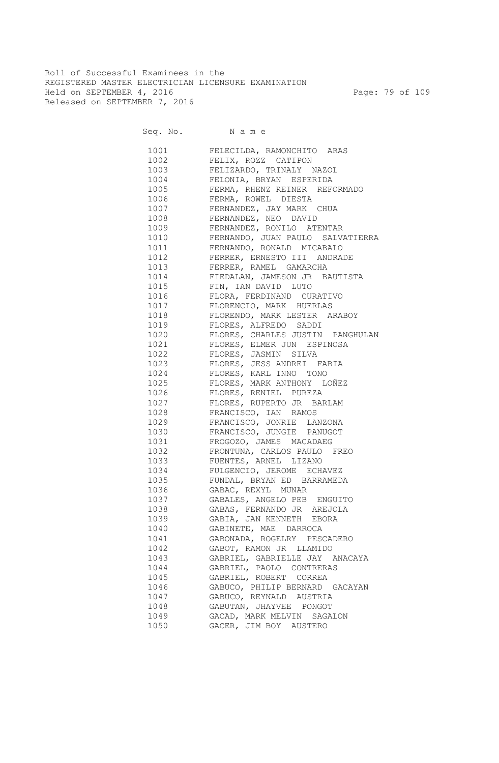Roll of Successful Examinees in the REGISTERED MASTER ELECTRICIAN LICENSURE EXAMINATION Held on SEPTEMBER 4, 2016 Page: 79 of 109 Released on SEPTEMBER 7, 2016

Seq. No. Name

 1001 FELECILDA, RAMONCHITO ARAS 1002 FELIX, ROZZ CATIPON 1003 FELIZARDO, TRINALY NAZOL<br>1004 FELONIA, BRYAN ESPERIDA FELONIA, BRYAN ESPERIDA 1005 FERMA, RHENZ REINER REFORMADO 1006 FERMA, ROWEL DIESTA 1007 FERNANDEZ, JAY MARK CHUA 1008 FERNANDEZ, NEO DAVID 1009 FERNANDEZ, RONILO ATENTAR 1010 FERNANDO, JUAN PAULO SALVATIERRA 1011 FERNANDO, RONALD MICABALO 1012 FERRER, ERNESTO III ANDRADE 1013 FERRER, RAMEL GAMARCHA 1014 FIEDALAN, JAMESON JR BAUTISTA 1015 FIN, IAN DAVID LUTO 1016 FLORA, FERDINAND CURATIVO 1017 FLORENCIO, MARK HUERLAS 1018 FLORENDO, MARK LESTER ARABOY 1019 FLORES, ALFREDO SADDI 1020 FLORES, CHARLES JUSTIN PANGHULAN 1021 FLORES, ELMER JUN ESPINOSA 1022 FLORES, JASMIN SILVA 1023 FLORES, JESS ANDREI FABIA 1024 FLORES, KARL INNO TONO 1025 FLORES, MARK ANTHONY LOÑEZ 1026 FLORES, RENIEL PUREZA 1027 FLORES, RUPERTO JR BARLAM 1028 FRANCISCO, IAN RAMOS 1029 FRANCISCO, JONRIE LANZONA 1030 FRANCISCO, JUNGIE PANUGOT 1031 FROGOZO, JAMES MACADAEG 1032 FRONTUNA, CARLOS PAULO FREO 1033 FUENTES, ARNEL LIZANO 1034 FULGENCIO, JEROME ECHAVEZ 1035 FUNDAL, BRYAN ED BARRAMEDA 1036 GABAC, REXYL MUNAR 1037 GABALES, ANGELO PEB ENGUITO 1038 GABAS, FERNANDO JR AREJOLA 1039 GABIA, JAN KENNETH EBORA 1040 GABINETE, MAE DARROCA 1041 GABONADA, ROGELRY PESCADERO 1042 GABOT, RAMON JR LLAMIDO 1043 GABRIEL, GABRIELLE JAY ANACAYA 1044 GABRIEL, PAOLO CONTRERAS 1045 GABRIEL, ROBERT CORREA 1046 GABUCO, PHILIP BERNARD GACAYAN 1047 GABUCO, REYNALD AUSTRIA 1048 GABUTAN, JHAYVEE PONGOT 1049 GACAD, MARK MELVIN SAGALON 1050 GACER, JIM BOY AUSTERO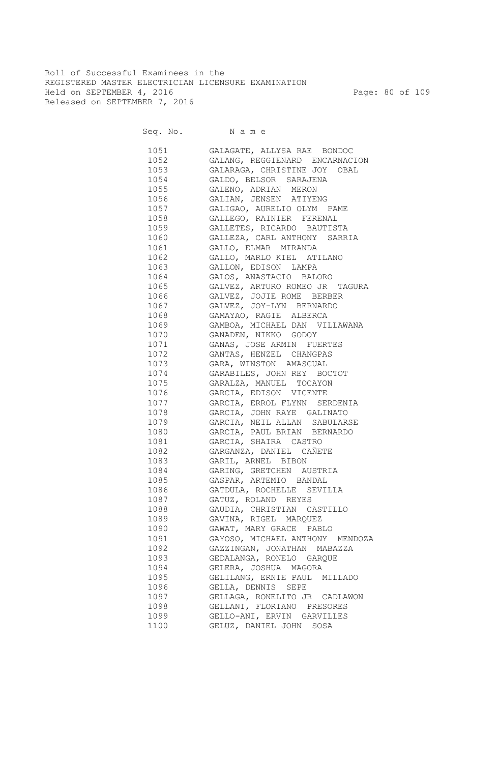Roll of Successful Examinees in the REGISTERED MASTER ELECTRICIAN LICENSURE EXAMINATION Held on SEPTEMBER 4, 2016 Page: 80 of 109 Released on SEPTEMBER 7, 2016

| 1051       | GALAGATE, ALLYSA RAE BONDOC     |
|------------|---------------------------------|
| 1052       | GALANG, REGGIENARD ENCARNACION  |
| 1053       | GALARAGA, CHRISTINE JOY OBAL    |
| 1054       | GALDO, BELSOR SARAJENA          |
| 1055       | GALENO, ADRIAN MERON            |
| 1056       | GALIAN, JENSEN ATIYENG          |
| 1057       | GALIGAO, AURELIO OLYM PAME      |
| 1058       | GALLEGO, RAINIER FERENAL        |
| 1059       | GALLETES, RICARDO BAUTISTA      |
| 1060       | GALLEZA, CARL ANTHONY SARRIA    |
| 1061       | GALLO, ELMAR MIRANDA            |
| 1062       | GALLO, MARLO KIEL ATILANO       |
| 1063       | GALLON, EDISON LAMPA            |
| 1064       | GALOS, ANASTACIO BALORO         |
| 1065       | GALVEZ, ARTURO ROMEO JR TAGURA  |
| 1066       | GALVEZ, JOJIE ROME BERBER       |
| 1067       | GALVEZ, JOY-LYN BERNARDO        |
| 1068       | GAMAYAO, RAGIE ALBERCA          |
| 1069       | GAMBOA, MICHAEL DAN VILLAWANA   |
| 1070       | GANADEN, NIKKO GODOY            |
| 1071       | GANAS, JOSE ARMIN FUERTES       |
| 1072       | GANTAS, HENZEL CHANGPAS         |
| 1073       | GARA, WINSTON AMASCUAL          |
| 1074       | GARABILES, JOHN REY BOCTOT      |
| 1075       | GARALZA, MANUEL TOCAYON         |
| 1076       | GARCIA, EDISON VICENTE          |
| 1077       | GARCIA, ERROL FLYNN SERDENIA    |
| 1078       | GARCIA, JOHN RAYE GALINATO      |
| 1079       | GARCIA, NEIL ALLAN SABULARSE    |
| 1080       | GARCIA, PAUL BRIAN BERNARDO     |
| 1081       | GARCIA, SHAIRA CASTRO           |
| 1082       | GARGANZA, DANIEL CAÑETE         |
| 1083       | GARIL, ARNEL BIBON              |
|            |                                 |
| 1084       | GARING, GRETCHEN AUSTRIA        |
| 1085       | GASPAR, ARTEMIO BANDAL          |
| 1086 - 108 | GATDULA, ROCHELLE SEVILLA       |
| 1087       | GATUZ, ROLAND REYES             |
| 1088       | GAUDIA, CHRISTIAN CASTILLO      |
| 1089       | GAVINA, RIGEL MARQUEZ           |
| 1090       | GAWAT, MARY GRACE PABLO         |
| 1091       | GAYOSO, MICHAEL ANTHONY MENDOZA |
| 1092       | GAZZINGAN, JONATHAN MABAZZA     |
| 1093       | GEDALANGA, RONELO GARQUE        |
| 1094       | GELERA, JOSHUA MAGORA           |
| 1095       | GELILANG, ERNIE PAUL MILLADO    |
| 1096       | GELLA, DENNIS SEPE              |
| 1097       | GELLAGA, RONELITO JR CADLAWON   |
| 1098       | GELLANI, FLORIANO PRESORES      |
| 1099       | GELLO-ANI, ERVIN GARVILLES      |
| 1100       | GELUZ, DANIEL JOHN SOSA         |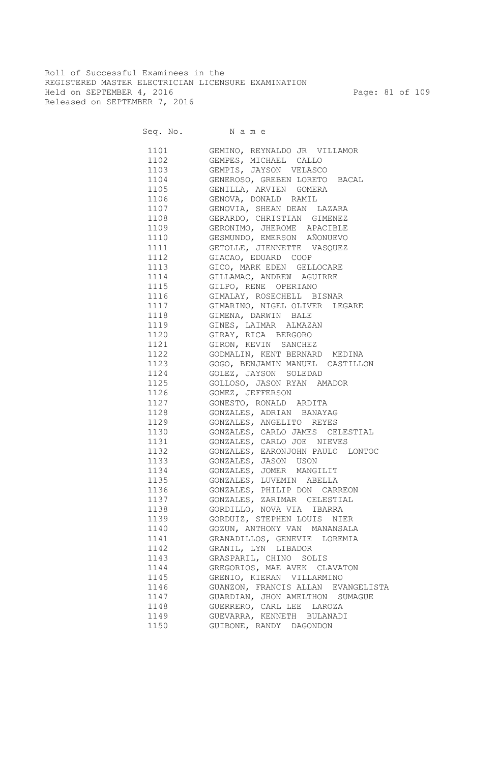Roll of Successful Examinees in the REGISTERED MASTER ELECTRICIAN LICENSURE EXAMINATION Held on SEPTEMBER 4, 2016 Page: 81 of 109 Released on SEPTEMBER 7, 2016

| 1101 | GEMINO, REYNALDO JR VILLAMOR          |
|------|---------------------------------------|
| 1102 | GEMPES, MICHAEL CALLO                 |
| 1103 | GEMPIS, JAYSON VELASCO                |
| 1104 | GENEROSO, GREBEN LORETO BACAL         |
| 1105 | GENILLA, ARVIEN GOMERA                |
| 1106 | GENOVA, DONALD RAMIL                  |
| 1107 | GENOVIA, SHEAN DEAN LAZARA            |
| 1108 | GERARDO, CHRISTIAN GIMENEZ            |
| 1109 | GERONIMO, JHEROME APACIBLE            |
| 1110 | GESMUNDO, EMERSON AÑONUEVO            |
| 1111 | GETOLLE, JIENNETTE VASQUEZ            |
| 1112 | GIACAO, EDUARD COOP                   |
| 1113 | GICO, MARK EDEN GELLOCARE             |
|      | 1114 GILLAMAC, ANDREW AGUIRRE         |
|      | 1115 GILPO, RENE OPERIANO             |
| 1116 | GIMALAY, ROSECHELL BISNAR             |
|      | 1117 GIMARINO, NIGEL OLIVER LEGARE    |
|      |                                       |
|      | 1118 GIMENA, DARWIN BALE              |
|      | 1119 GINES, LAIMAR ALMAZAN            |
|      | 1120 GIRAY, RICA BERGORO              |
|      | 1121 GIRON, KEVIN SANCHEZ             |
|      | 1122 GODMALIN, KENT BERNARD MEDINA    |
|      | 1123 GOGO, BENJAMIN MANUEL CASTILLON  |
|      | 1124 GOLEZ, JAYSON SOLEDAD            |
|      | 1125 GOLLOSO, JASON RYAN AMADOR       |
|      | 1126 GOMEZ, JEFFERSON                 |
|      | 1127 GONESTO, RONALD ARDITA           |
|      | 1128 GONZALES, ADRIAN BANAYAG         |
|      | 1129 GONZALES, ANGELITO REYES         |
| 1130 | GONZALES, CARLO JAMES CELESTIAL       |
| 1131 | GONZALES, CARLO JOE NIEVES            |
|      | 1132 GONZALES, EARONJOHN PAULO LONTOC |
|      | 1133 GONZALES, JASON USON             |
|      | 1134 GONZALES, JOMER MANGILIT         |
|      | 1135 GONZALES, LUVEMIN ABELLA         |
| 1136 | GONZALES, PHILIP DON CARREON          |
| 1137 | GONZALES, ZARIMAR CELESTIAL           |
| 1138 | GORDILLO, NOVA VIA IBARRA             |
| 1139 | GORDUIZ, STEPHEN LOUIS NIER           |
| 1140 | GOZUN, ANTHONY VAN MANANSALA          |
| 1141 | GRANADILLOS, GENEVIE LOREMIA          |
| 1142 | GRANIL, LYN LIBADOR                   |
| 1143 | GRASPARIL, CHINO SOLIS                |
| 1144 | GREGORIOS, MAE AVEK CLAVATON          |
| 1145 | GRENIO, KIERAN VILLARMINO             |
| 1146 | GUANZON, FRANCIS ALLAN EVANGELISTA    |
| 1147 | GUARDIAN, JHON AMELTHON SUMAGUE       |
| 1148 | GUERRERO, CARL LEE LAROZA             |
| 1149 | GUEVARRA, KENNETH BULANADI            |
| 1150 | GUIBONE, RANDY DAGONDON               |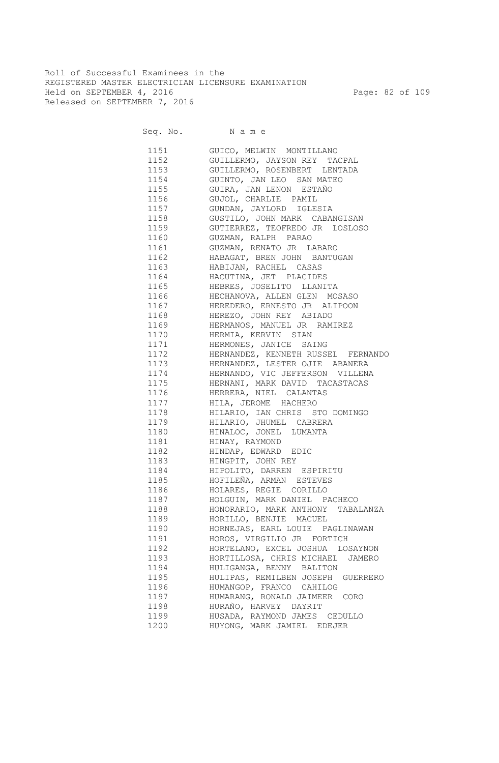Roll of Successful Examinees in the REGISTERED MASTER ELECTRICIAN LICENSURE EXAMINATION Held on SEPTEMBER 4, 2016 Page: 82 of 109 Released on SEPTEMBER 7, 2016

| 1151 72      | GUICO, MELWIN MONTILLANO                                                                                                      |
|--------------|-------------------------------------------------------------------------------------------------------------------------------|
|              | 1152 GUILLERMO, JAYSON REY TACPAL                                                                                             |
|              | 1153 GUILLERMO, ROSENBERT LENTADA                                                                                             |
|              | 1154 GUINTO, JAN LEO SAN MATEO                                                                                                |
|              | 1155 GUIRA, JAN LENON ESTAÑO                                                                                                  |
|              | 1156 GUJOL, CHARLIE PAMIL                                                                                                     |
|              | 1157 GUNDAN, JAYLORD IGLESIA                                                                                                  |
|              | 1158 GUSTILO, JOHN MARK CABANGISAN                                                                                            |
|              | 1159 GUTIERREZ, TEOFREDO JR LOSLOSO                                                                                           |
|              | 1160 GUZMAN, RALPH PARAO                                                                                                      |
|              | 1161 GUZMAN, RENATO JR LABARO                                                                                                 |
|              | 1162 HABAGAT, BREN JOHN BANTUGAN                                                                                              |
|              | 1163 HABIJAN, RACHEL CASAS                                                                                                    |
|              |                                                                                                                               |
|              | 1164 HACUTINA, JET PLACIDES                                                                                                   |
| 1166         | 1165 HEBRES, JOSELITO LLANITA<br>HECHANOVA, ALLEN GLEN MOSASO                                                                 |
| 1167         | HEREDERO, ERNESTO JR ALIPOON                                                                                                  |
| 1168         |                                                                                                                               |
| 1169         | HEREZO, JOHN REY ABIADO<br>HERMANOS, MANUEL JR RAMIREZ                                                                        |
| 1170         | HERMIA, KERVIN SIAN                                                                                                           |
| 1171         |                                                                                                                               |
| 1172         |                                                                                                                               |
| 1173         |                                                                                                                               |
| 1174         |                                                                                                                               |
|              | HERNANDEZ, LESTER OJIE ABANERA<br>HERNANDO, VIC JEFFERSON VILLENA<br>HERNANI, MARK DAVID TACASTACAS<br>HERRERA, NIEL CALANTAS |
| 1175         |                                                                                                                               |
| 1176         |                                                                                                                               |
| 1177         | HILA, JEROME HACHERO                                                                                                          |
| 1178         | HILARIO, IAN CHRIS STO DOMINGO                                                                                                |
| 1179         | HILARIO, JHUMEL CABRERA                                                                                                       |
| 1180         | HINALOC, JONEL LUMANTA                                                                                                        |
| 1181<br>1182 | HINAY, RAYMOND                                                                                                                |
|              | HINDAP, EDWARD EDIC                                                                                                           |
| 1183         | HINGPIT, JOHN REY<br>1184 HIPOLITO, DARREN ESPIRITU                                                                           |
|              | 1185 HOFILEÑA, ARMAN ESTEVES                                                                                                  |
|              |                                                                                                                               |
| 1186         | HOLARES, REGIE CORILLO                                                                                                        |
|              | 1187 HOLGUIN, MARK DANIEL PACHECO                                                                                             |
|              | 1188 HONORARIO, MARK ANTHONY TABALANZA                                                                                        |
| 1189         | HORILLO, BENJIE MACUEL                                                                                                        |
| 1190         | HORNEJAS, EARL LOUIE PAGLINAWAN                                                                                               |
| 1191         | HOROS, VIRGILIO JR FORTICH                                                                                                    |
| 1192         | HORTELANO, EXCEL JOSHUA LOSAYNON                                                                                              |
| 1193         | HORTILLOSA, CHRIS MICHAEL JAMERO                                                                                              |
| 1194         | HULIGANGA, BENNY BALITON                                                                                                      |
| 1195         | HULIPAS, REMILBEN JOSEPH GUERRERO                                                                                             |
| 1196         | HUMANGOP, FRANCO CAHILOG                                                                                                      |
| 1197         | HUMARANG, RONALD JAIMEER CORO                                                                                                 |
| 1198         | HURAÑO, HARVEY DAYRIT                                                                                                         |
| 1199         | HUSADA, RAYMOND JAMES CEDULLO                                                                                                 |
| 1200         | HUYONG, MARK JAMIEL EDEJER                                                                                                    |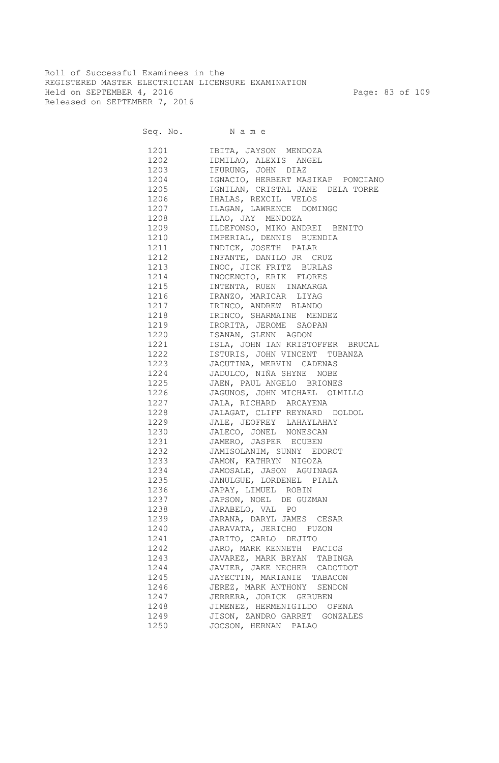Roll of Successful Examinees in the REGISTERED MASTER ELECTRICIAN LICENSURE EXAMINATION Held on SEPTEMBER 4, 2016 Page: 83 of 109 Released on SEPTEMBER 7, 2016

| 1201 | IBITA, JAYSON MENDOZA             |
|------|-----------------------------------|
| 1202 | IDMILAO, ALEXIS ANGEL             |
| 1203 | IFURUNG, JOHN DIAZ                |
| 1204 | IGNACIO, HERBERT MASIKAP PONCIANO |
| 1205 | IGNILAN, CRISTAL JANE DELA TORRE  |
| 1206 | IHALAS, REXCIL VELOS              |
|      |                                   |
| 1207 | ILAGAN, LAWRENCE DOMINGO          |
| 1208 | ILAO, JAY MENDOZA                 |
| 1209 | ILDEFONSO, MIKO ANDREI BENITO     |
| 1210 | IMPERIAL, DENNIS BUENDIA          |
| 1211 | INDICK, JOSETH PALAR              |
| 1212 | INFANTE, DANILO JR CRUZ           |
| 1213 | INOC, JICK FRITZ BURLAS           |
| 1214 | INOCENCIO, ERIK FLORES            |
| 1215 | INTENTA, RUEN INAMARGA            |
| 1216 | IRANZO, MARICAR LIYAG             |
| 1217 | IRINCO, ANDREW BLANDO             |
| 1218 | IRINCO, SHARMAINE MENDEZ          |
| 1219 | IRORITA, JEROME SAOPAN            |
| 1220 | ISANAN, GLENN AGDON               |
| 1221 | ISLA, JOHN IAN KRISTOFFER BRUCAL  |
| 1222 | ISTURIS, JOHN VINCENT TUBANZA     |
| 1223 | JACUTINA, MERVIN CADENAS          |
| 1224 | JADULCO, NIÑA SHYNE NOBE          |
| 1225 | JAEN, PAUL ANGELO BRIONES         |
| 1226 | JAGUNOS, JOHN MICHAEL OLMILLO     |
| 1227 | JALA, RICHARD ARCAYENA            |
| 1228 | JALAGAT, CLIFF REYNARD DOLDOL     |
| 1229 | JALE, JEOFREY LAHAYLAHAY          |
| 1230 | JALECO, JONEL NONESCAN            |
| 1231 | JAMERO, JASPER ECUBEN             |
| 1232 | JAMISOLANIM, SUNNY EDOROT         |
| 1233 | JAMON, KATHRYN NIGOZA             |
| 1234 | JAMOSALE, JASON AGUINAGA          |
| 1235 | JANULGUE, LORDENEL PIALA          |
| 1236 | JAPAY, LIMUEL ROBIN               |
| 1237 | JAPSON, NOEL DE GUZMAN            |
| 1238 | JARABELO, VAL PO                  |
| 1239 | JARANA, DARYL JAMES CESAR         |
| 1240 | JARAVATA, JERICHO PUZON           |
|      |                                   |
| 1241 | JARITO, CARLO DEJITO              |
| 1242 | JARO, MARK KENNETH PACIOS         |
| 1243 | JAVAREZ, MARK BRYAN TABINGA       |
| 1244 | JAVIER, JAKE NECHER CADOTDOT      |
| 1245 | JAYECTIN, MARIANIE TABACON        |
| 1246 | JEREZ, MARK ANTHONY SENDON        |
| 1247 | JERRERA, JORICK GERUBEN           |
| 1248 | JIMENEZ, HERMENIGILDO OPENA       |
| 1249 | JISON, ZANDRO GARRET GONZALES     |
| 1250 | JOCSON, HERNAN PALAO              |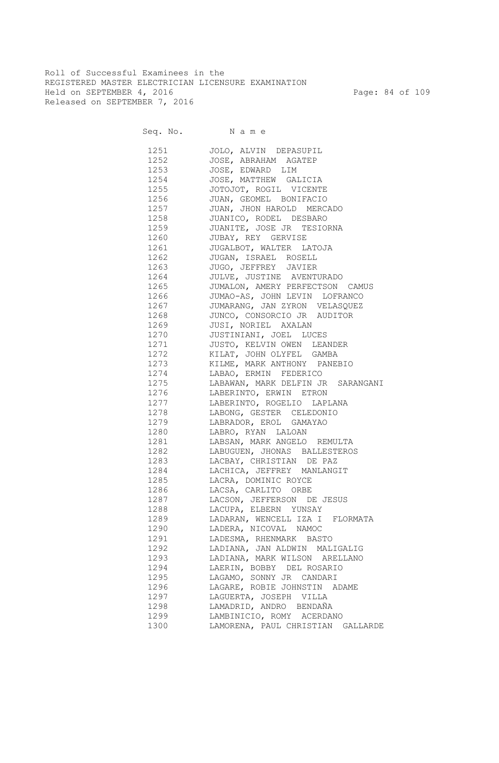Roll of Successful Examinees in the REGISTERED MASTER ELECTRICIAN LICENSURE EXAMINATION Held on SEPTEMBER 4, 2016 Page: 84 of 109 Released on SEPTEMBER 7, 2016

Seq. No. Name

 1251 JOLO, ALVIN DEPASUPIL 1252 JOSE, ABRAHAM AGATEP 1253 JOSE, EDWARD LIM 1254 JOSE, MATTHEW GALICIA 1255 JOTOJOT, ROGIL VICENTE<br>1256 JUAN, GEOMEL BONIFACIO JUAN, GEOMEL BONIFACIO 1257 JUAN, JHON HAROLD MERCADO 1258 JUANICO, RODEL DESBARO 1259 JUANITE, JOSE JR TESIORNA 1260 JUBAY, REY GERVISE 1261 JUGALBOT, WALTER LATOJA 1262 JUGAN, ISRAEL ROSELL 1263 JUGO, JEFFREY JAVIER 1264 JULVE, JUSTINE AVENTURADO 1265 JUMALON, AMERY PERFECTSON CAMUS 1266 JUMAO-AS, JOHN LEVIN LOFRANCO 1267 JUMARANG, JAN ZYRON VELASQUEZ 1268 JUNCO, CONSORCIO JR AUDITOR 1269 JUSI, NORIEL AXALAN 1270 JUSTINIANI, JOEL LUCES 1271 JUSTO, KELVIN OWEN LEANDER 1272 KILAT, JOHN OLYFEL GAMBA 1273 KILME, MARK ANTHONY PANEBIO 1274 LABAO, ERMIN FEDERICO 1275 LABAWAN, MARK DELFIN JR SARANGANI 1276 LABERINTO, ERWIN ETRON 1277 LABERINTO, ROGELIO LAPLANA 1278 LABONG, GESTER CELEDONIO 1279 LABRADOR, EROL GAMAYAO 1280 LABRO, RYAN LALOAN 1281 LABSAN, MARK ANGELO REMULTA 1282 LABUGUEN, JHONAS BALLESTEROS 1283 LACBAY, CHRISTIAN DE PAZ 1284 LACHICA, JEFFREY MANLANGIT 1285 LACRA, DOMINIC ROYCE 1286 LACSA, CARLITO ORBE 1287 LACSON, JEFFERSON DE JESUS 1288 LACUPA, ELBERN YUNSAY 1289 LADARAN, WENCELL IZA I FLORMATA 1290 LADERA, NICOVAL NAMOC 1291 LADESMA, RHENMARK BASTO 1292 LADIANA, JAN ALDWIN MALIGALIG 1293 LADIANA, MARK WILSON ARELLANO 1294 LAERIN, BOBBY DEL ROSARIO 1295 LAGAMO, SONNY JR CANDARI 1296 LAGARE, ROBIE JOHNSTIN ADAME 1297 LAGUERTA, JOSEPH VILLA 1298 LAMADRID, ANDRO BENDAÑA 1299 LAMBINICIO, ROMY ACERDANO 1300 LAMORENA, PAUL CHRISTIAN GALLARDE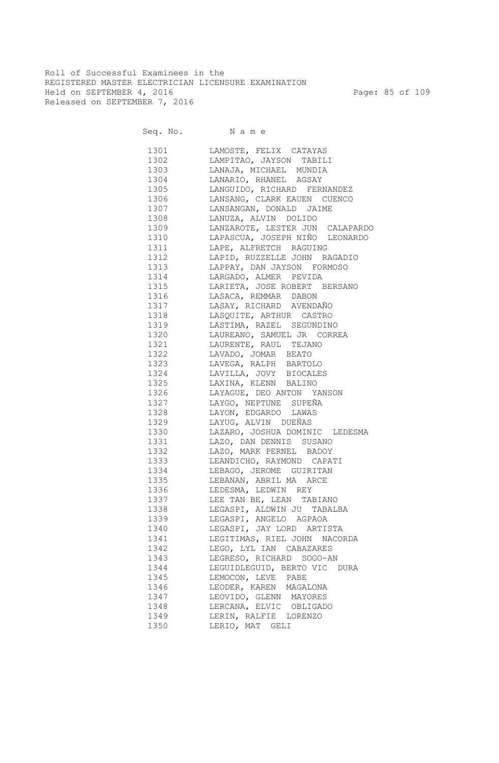Roll of Successful Examinees in the REGISTERED MASTER ELECTRICIAN LICENSURE EXAMINATION Held on SEPTEMBER 4, 2016 Page: 85 of 109 Released on SEPTEMBER 7, 2016

| 1301   | LAMOSTE, FELIX CATAYAS              |
|--------|-------------------------------------|
| 1302   | LAMPITAO, JAYSON TABILI             |
| 1303   | LANAJA, MICHAEL MUNDIA              |
| 1304   | LANARIO, RHANEL AGSAY               |
| 1305   | LANGUIDO, RICHARD FERNANDEZ         |
| 1306   | LANSANG, CLARK EAUEN CUENCO         |
| 1307   | LANSANGAN, DONALD JAIME             |
| 1308   | LANUZA, ALVIN DOLIDO                |
| 1309   | LANZAROTE, LESTER JUN CALAPARDO     |
| 1310   | LAPASCUA, JOSEPH NIÑO LEONARDO      |
| 1311   | LAPE, ALFRETCH RAGUING              |
| 1312   | LAPID, RUZZELLE JOHN RAGADIO        |
| 1313   | LAPPAY, DAN JAYSON FORMOSO          |
| 1314   | LARGADO, ALMER PEVIDA               |
| 1315   | LARIETA, JOSE ROBERT BERSANO        |
| 1316   | LASACA, REMMAR DABON                |
| 1317   | LASAY, RICHARD AVENDAÑO             |
| 1318   | LASQUITE, ARTHUR CASTRO             |
| 1319   | LASTIMA, RAZEL SEGUNDINO            |
| 1320   | LAUREANO, SAMUEL JR CORREA          |
| 1321 \ | LAURENTE, RAUL TEJANO               |
| 1322   | LAVADO, JOMAR BEATO                 |
| 1323   | LAVEGA, RALPH BARTOLO               |
|        | 1324 LAVILLA, JOVY BIOCALES         |
|        | 1325 LAXINA, KLENN BALINO           |
|        | 1326 LAYAGUE, DEO ANTON YANSON      |
|        | 1327 LAYGO, NEPTUNE SUPEÑA          |
| 1328   | LAYON, EDGARDO LAWAS                |
|        | 1329 LAYUG, ALVIN DUEÑAS            |
|        | 1330 LAZARO, JOSHUA DOMINIC LEDESMA |
|        | 1331 LAZO, DAN DENNIS SUSANO        |
|        | 1332 LAZO, MARK PERNEL BADOY        |
| 1333   | LEANDICHO, RAYMOND CAPATI           |
| 1334   | LEBAGO, JEROME GUIRITAN             |
| 1335   | LEBANAN, ABRIL MA ARCE              |
| 1336   | LEDESMA, LEDWIN REY                 |
|        | 1337 LEE TAN BE, LEAN TABIANO       |
| 1338   | LEGASPI, ALDWIN JU TABALBA          |
| 1339   | LEGASPI, ANGELO AGPAOA              |
| 1340   | LEGASPI, JAY LORD ARTISTA           |
| 1341   | LEGITIMAS, RIEL JOHN NACORDA        |
| 1342   | LEGO, LYL IAN CABAZARES             |
| 1343   | LEGRESO, RICHARD SOGO-AN            |
| 1344   | LEGUIDLEGUID, BERTO VIC DURA        |
| 1345   | LEMOCON, LEVE PABE                  |
| 1346   | LEODER, KAREN MAGALONA              |
| 1347   | LEOVIDO, GLENN MAYORES              |
| 1348   | LERCANA, ELVIC OBLIGADO             |
| 1349   | LERIN, RALFIE LORENZO               |
| 1350   |                                     |
|        | LERIO, MAT GELI                     |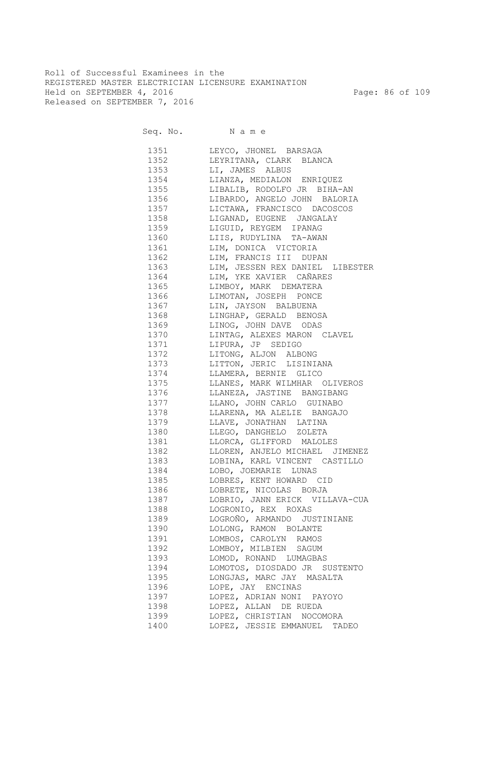Roll of Successful Examinees in the REGISTERED MASTER ELECTRICIAN LICENSURE EXAMINATION Held on SEPTEMBER 4, 2016 Page: 86 of 109 Released on SEPTEMBER 7, 2016

| 1351     | LEYCO, JHONEL BARSAGA           |
|----------|---------------------------------|
| 1352     | LEYRITANA, CLARK BLANCA         |
| 1353     | LI, JAMES ALBUS                 |
| 1354     | LIANZA, MEDIALON ENRIQUEZ       |
| 1355     | LIBALIB, RODOLFO JR BIHA-AN     |
| 1356     | LIBARDO, ANGELO JOHN BALORIA    |
| 1357     | LICTAWA, FRANCISCO DACOSCOS     |
| 1358     | LIGANAD, EUGENE JANGALAY        |
| 1359     | LIGUID, REYGEM IPANAG           |
| 1360     | LIIS, RUDYLINA TA-AWAN          |
| 1361     | LIM, DONICA VICTORIA            |
| 1362     | LIM, FRANCIS III DUPAN          |
| 1363     | LIM, JESSEN REX DANIEL LIBESTER |
| 1364     | LIM, YKE XAVIER CAÑARES         |
| 1365     | LIMBOY, MARK DEMATERA           |
| 1366     | LIMOTAN, JOSEPH PONCE           |
| 1367     | LIN, JAYSON BALBUENA            |
| 1368     | LINGHAP, GERALD BENOSA          |
| 1369     | LINOG, JOHN DAVE ODAS           |
| 1370     | LINTAG, ALEXES MARON CLAVEL     |
| 1371     | LIPURA, JP SEDIGO               |
| 1372     | LITONG, ALJON ALBONG            |
| 1373     | LITTON, JERIC LISINIANA         |
| 1374     | LLAMERA, BERNIE GLICO           |
| 1375     | LLANES, MARK WILMHAR OLIVEROS   |
| 1376     | LLANEZA, JASTINE BANGIBANG      |
| 1377     | LLANO, JOHN CARLO GUINABO       |
| 1378     | LLARENA, MA ALELIE BANGAJO      |
| 1379     | LLAVE, JONATHAN LATINA          |
| 1380     | LLEGO, DANGHELO ZOLETA          |
| 1381     | LLORCA, GLIFFORD MALOLES        |
| 1382     | LLOREN, ANJELO MICHAEL JIMENEZ  |
| 1383     | LOBINA, KARL VINCENT CASTILLO   |
| 1384     | LOBO, JOEMARIE LUNAS            |
| 1385     | LOBRES, KENT HOWARD CID         |
| 1386 139 | LOBRETE, NICOLAS BORJA          |
| 1387     | LOBRIO, JANN ERICK VILLAVA-CUA  |
|          | LOGRONIO, REX ROXAS             |
| 1389     | LOGROÑO, ARMANDO JUSTINIANE     |
| 1390     | LOLONG, RAMON BOLANTE           |
|          | LOMBOS, CAROLYN RAMOS           |
| 1391     | LOMBOY, MILBIEN SAGUM           |
| 1392     |                                 |
| 1393     | LOMOD, RONAND LUMAGBAS          |
| 1394     | LOMOTOS, DIOSDADO JR SUSTENTO   |
| 1395     | LONGJAS, MARC JAY MASALTA       |
| 1396     | LOPE, JAY ENCINAS               |
| 1397     | LOPEZ, ADRIAN NONI PAYOYO       |
| 1398     | LOPEZ, ALLAN DE RUEDA           |
| 1399     | LOPEZ, CHRISTIAN NOCOMORA       |
| 1400     | LOPEZ, JESSIE EMMANUEL TADEO    |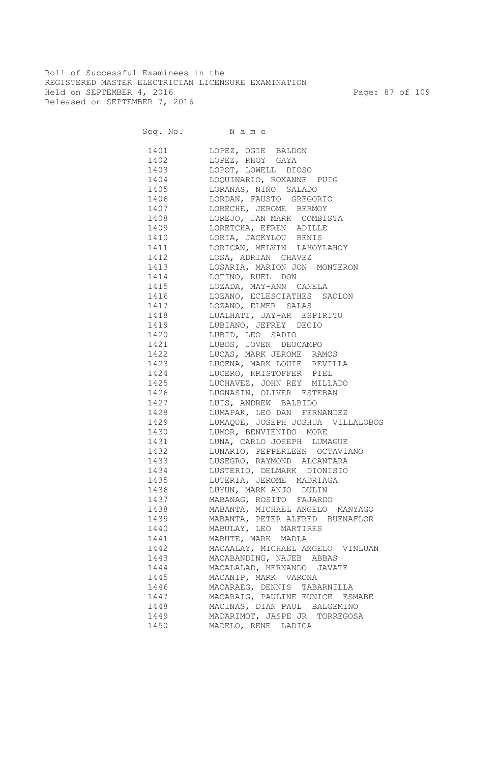Roll of Successful Examinees in the REGISTERED MASTER ELECTRICIAN LICENSURE EXAMINATION Held on SEPTEMBER 4, 2016 Page: 87 of 109 Released on SEPTEMBER 7, 2016

Seq. No. Name 1401 LOPEZ, OGIE BALDON 1402 LOPEZ, RHOY GAYA 1403 LOPOT, LOWELL DIOSO 1404 LOQUINARIO, ROXANNE PUIG 1405 LORANAS, NIÑO SALADO 1406 LORDAN, FAUSTO GREGORIO 1407 LORECHE, JEROME BERMOY 1408 LOREJO, JAN MARK COMBISTA 1409 LORETCHA, EFREN ADILLE 1410 LORIA, JACKYLOU BENIS 1411 LORICAN, MELVIN LAHOYLAHOY 1412 LOSA, ADRIAN CHAVEZ 1413 LOSARIA, MARION JON MONTERON 1414 LOTINO, RUEL DON 1415 LOZADA, MAY-ANN CANELA 1416 LOZANO, ECLESCIATHES SAOLON 1417 LOZANO, ELMER SALAS 1418 LUALHATI, JAY-AR ESPIRITU 1419 LUBIANO, JEFREY DECIO 1420 LUBID, LEO SADIO 1421 LUBOS, JOVEN DEOCAMPO 1422 LUCAS, MARK JEROME RAMOS 1423 LUCENA, MARK LOUIE REVILLA 1424 LUCERO, KRISTOFFER PIEL 1425 LUCHAVEZ, JOHN REY MILLADO 1426 LUGNASIN, OLIVER ESTEBAN 1427 LUIS, ANDREW BALBIDO 1428 LUMAPAK, LEO DAN FERNANDEZ 1429 LUMAQUE, JOSEPH JOSHUA VILLALOBOS 1430 LUMOR, BENVIENIDO MORE 1431 LUNA, CARLO JOSEPH LUMAGUE 1432 LUNARIO, PEPPERLEEN OCTAVIANO 1433 LUSEGRO, RAYMOND ALCANTARA 1434 LUSTERIO, DELMARK DIONISIO 1435 LUTERIA, JEROME MADRIAGA 1436 LUYUN, MARK ANJO DULIN 1437 MABANAG, ROSITO FAJARDO 1438 MABANTA, MICHAEL ANGELO MANYAGO 1439 MABANTA, PETER ALFRED BUENAFLOR 1440 MABULAY, LEO MARTIRES 1441 MABUTE, MARK MADLA 1442 MACAALAY, MICHAEL ANGELO VINLUAN 1443 MACABANDING, NAJEB ABBAS 1444 MACALALAD, HERNANDO JAVATE 1445 MACANIP, MARK VARONA 1446 MACARAEG, DENNIS TABARNILLA 1447 MACARAIG, PAULINE EUNICE ESMABE 1448 MACINAS, DIAN PAUL BALGEMINO 1449 MADARIMOT, JASPE JR TORREGOSA 1450 MADELO, RENE LADICA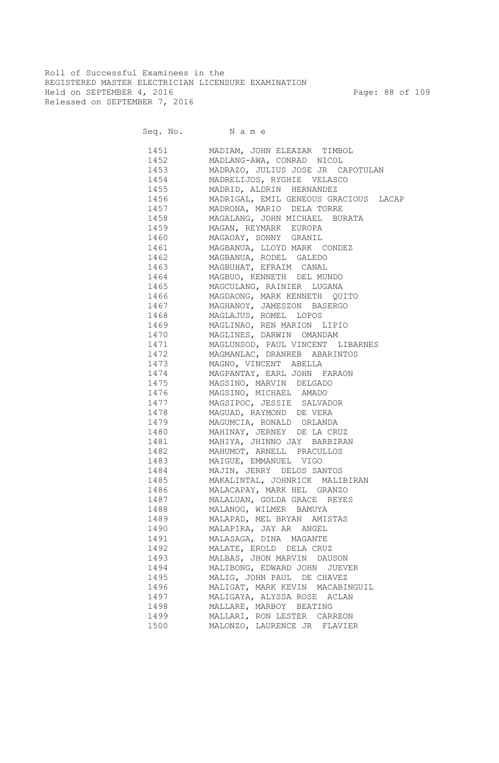Roll of Successful Examinees in the REGISTERED MASTER ELECTRICIAN LICENSURE EXAMINATION Held on SEPTEMBER 4, 2016 Page: 88 of 109 Released on SEPTEMBER 7, 2016

Seq. No. Name 1451 MADIAM, JOHN ELEAZAR TIMBOL 1452 MADLANG-AWA, CONRAD NICOL 1453 MADRAZO, JULIUS JOSE JR CAPOTULAN 1454 MADRELIJOS, RYGHIE VELASCO 1455 MADRID, ALDRIN HERNANDEZ 1456 MADRIGAL, EMIL GENEOUS GRACIOUS LACAP 1457 MADRONA, MARIO DELA TORRE 1458 MAGALANG, JOHN MICHAEL BURATA 1459 MAGAN, REYMARK EUROPA 1460 MAGAOAY, SONNY GRANIL 1461 MAGBANUA, LLOYD MARK CONDEZ 1462 MAGBANUA, RODEL GALEDO 1463 MAGBUHAT, EFRAIM CANAL 1464 MAGBUO, KENNETH DEL MUNDO 1465 MAGCULANG, RAINIER LUGANA 1466 MAGDAONG, MARK KENNETH QUITO 1467 MAGHANOY, JAMESZON BASERGO 1468 MAGLAJUS, ROMEL LOPOS 1469 MAGLINAO, REN MARION LIPIO 1470 MAGLINES, DARWIN OMANDAM 1471 MAGLUNSOD, PAUL VINCENT LIBARNES 1472 MAGMANLAC, DRANREB ABARINTOS 1473 MAGNO, VINCENT ABELLA 1474 MAGPANTAY, EARL JOHN FARAON 1475 MAGSINO, MARVIN DELGADO 1476 MAGSINO, MICHAEL AMADO 1477 MAGSIPOC, JESSIE SALVADOR 1478 MAGUAD, RAYMOND DE VERA 1479 MAGUMCIA, RONALD ORLANDA 1480 MAHINAY, JERNEY DE LA CRUZ 1481 MAHIYA, JHINNO JAY BARBIRAN 1482 MAHUMOT, ARNELL PRACULLOS 1483 MAIGUE, EMMANUEL VIGO 1484 MAJIN, JERRY DELOS SANTOS 1485 MAKALINTAL, JOHNRICK MALIBIRAN 1486 MALACAPAY, MARK HEL GRANZO 1487 MALALUAN, GOLDA GRACE REYES 1488 MALANOG, WILMER BAMUYA 1489 MALAPAD, MEL BRYAN AMISTAS 1490 MALAPIRA, JAY AR ANGEL 1491 MALASAGA, DINA MAGANTE 1492 MALATE, EROLD DELA CRUZ 1493 MALBAS, JHON MARVIN DAUSON 1494 MALIBONG, EDWARD JOHN JUEVER 1495 MALIG, JOHN PAUL DE CHAVEZ 1496 MALIGAT, MARK KEVIN MACABINGUIL 1497 MALIGAYA, ALYSSA ROSE ACLAN 1498 MALLARE, MARBOY BEATING 1499 MALLARI, RON LESTER CARREON 1500 MALONZO, LAURENCE JR FLAVIER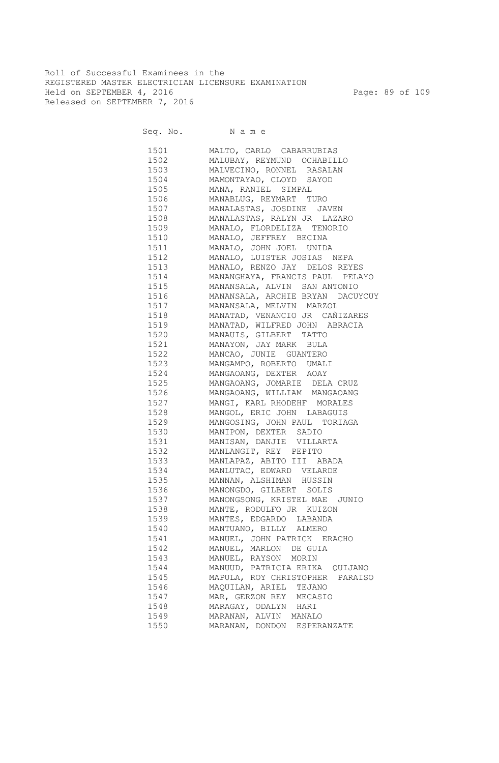Roll of Successful Examinees in the REGISTERED MASTER ELECTRICIAN LICENSURE EXAMINATION Held on SEPTEMBER 4, 2016 Page: 89 of 109 Released on SEPTEMBER 7, 2016

Seq. No. Name

 1501 MALTO, CARLO CABARRUBIAS 1502 MALUBAY, REYMUND OCHABILLO 1503 MALVECINO, RONNEL RASALAN 1504 MAMONTAYAO, CLOYD SAYOD 1505 MANA, RANIEL SIMPAL 1506 MANABLUG, REYMART TURO 1507 MANALASTAS, JOSDINE JAVEN 1508 MANALASTAS, RALYN JR LAZARO 1509 MANALO, FLORDELIZA TENORIO 1510 MANALO, JEFFREY BECINA 1511 MANALO, JOHN JOEL UNIDA 1512 MANALO, LUISTER JOSIAS NEPA 1513 MANALO, RENZO JAY DELOS REYES 1514 MANANGHAYA, FRANCIS PAUL PELAYO 1515 MANANSALA, ALVIN SAN ANTONIO 1516 MANANSALA, ARCHIE BRYAN DACUYCUY 1517 MANANSALA, MELVIN MARZOL 1518 MANATAD, VENANCIO JR CAÑIZARES 1519 MANATAD, WILFRED JOHN ABRACIA 1520 MANAUIS, GILBERT TATTO 1521 MANAYON, JAY MARK BULA 1522 MANCAO, JUNIE GUANTERO 1523 MANGAMPO, ROBERTO UMALI 1524 MANGAOANG, DEXTER AOAY 1525 MANGAOANG, JOMARIE DELA CRUZ 1526 MANGAOANG, WILLIAM MANGAOANG 1527 MANGI, KARL RHODEHF MORALES 1528 MANGOL, ERIC JOHN LABAGUIS 1529 MANGOSING, JOHN PAUL TORIAGA 1530 MANIPON, DEXTER SADIO 1531 MANISAN, DANJIE VILLARTA 1532 MANLANGIT, REY PEPITO 1533 MANLAPAZ, ABITO III ABADA 1534 MANLUTAC, EDWARD VELARDE 1535 MANNAN, ALSHIMAN HUSSIN 1536 MANONGDO, GILBERT SOLIS 1537 MANONGSONG, KRISTEL MAE JUNIO 1538 MANTE, RODULFO JR KUIZON 1539 MANTES, EDGARDO LABANDA 1540 MANTUANO, BILLY ALMERO 1541 MANUEL, JOHN PATRICK ERACHO 1542 MANUEL, MARLON DE GUIA 1543 MANUEL, RAYSON MORIN 1544 MANUUD, PATRICIA ERIKA QUIJANO 1545 MAPULA, ROY CHRISTOPHER PARAISO 1546 MAQUILAN, ARIEL TEJANO 1547 MAR, GERZON REY MECASIO 1548 MARAGAY, ODALYN HARI 1549 MARANAN, ALVIN MANALO 1550 MARANAN, DONDON ESPERANZATE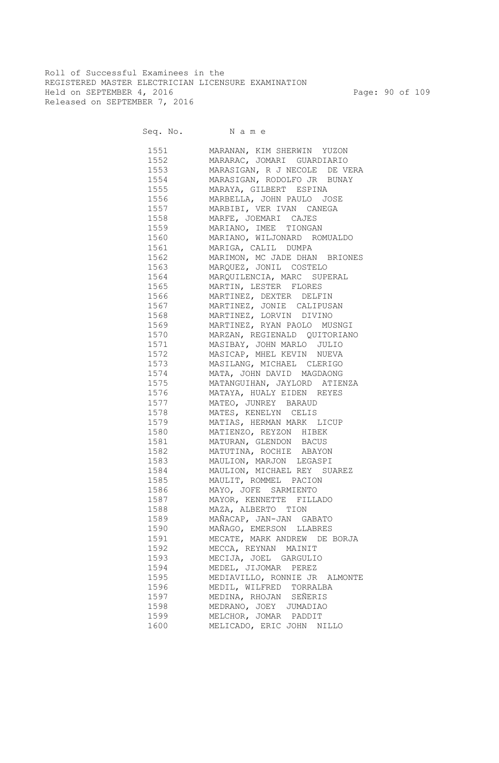Roll of Successful Examinees in the REGISTERED MASTER ELECTRICIAN LICENSURE EXAMINATION Held on SEPTEMBER 4, 2016 Page: 90 of 109 Released on SEPTEMBER 7, 2016

Seq. No. Name

 1551 MARANAN, KIM SHERWIN YUZON 1552 MARARAC, JOMARI GUARDIARIO 1553 MARASIGAN, R J NECOLE DE VERA 1554 MARASIGAN, RODOLFO JR BUNAY 1555 MARAYA, GILBERT ESPINA 1556 MARBELLA, JOHN PAULO JOSE 1557 MARBIBI, VER IVAN CANEGA 1558 MARFE, JOEMARI CAJES 1559 MARIANO, IMEE TIONGAN 1560 MARIANO, WILJONARD ROMUALDO 1561 MARIGA, CALIL DUMPA 1562 MARIMON, MC JADE DHAN BRIONES 1563 MARQUEZ, JONIL COSTELO 1564 MARQUILENCIA, MARC SUPERAL 1565 MARTIN, LESTER FLORES 1566 MARTINEZ, DEXTER DELFIN 1567 MARTINEZ, JONIE CALIPUSAN 1568 MARTINEZ, LORVIN DIVINO 1569 MARTINEZ, RYAN PAOLO MUSNGI 1570 MARZAN, REGIENALD QUITORIANO 1571 MASIBAY, JOHN MARLO JULIO 1572 MASICAP, MHEL KEVIN NUEVA 1573 MASILANG, MICHAEL CLERIGO 1574 MATA, JOHN DAVID MAGDAONG 1575 MATANGUIHAN, JAYLORD ATIENZA 1576 MATAYA, HUALY EIDEN REYES 1577 MATEO, JUNREY BARAUD 1578 MATES, KENELYN CELIS 1579 MATIAS, HERMAN MARK LICUP 1580 MATIENZO, REYZON HIBEK 1581 MATURAN, GLENDON BACUS 1582 MATUTINA, ROCHIE ABAYON 1583 MAULION, MARJON LEGASPI 1584 MAULION, MICHAEL REY SUAREZ 1585 MAULIT, ROMMEL PACION 1586 MAYO, JOFE SARMIENTO 1587 MAYOR, KENNETTE FILLADO 1588 MAZA, ALBERTO TION 1589 MAÑACAP, JAN-JAN GABATO 1590 MAÑAGO, EMERSON LLABRES 1591 MECATE, MARK ANDREW DE BORJA 1592 MECCA, REYNAN MAINIT 1593 MECIJA, JOEL GARGULIO 1594 MEDEL, JIJOMAR PEREZ 1595 MEDIAVILLO, RONNIE JR ALMONTE 1596 MEDIL, WILFRED TORRALBA 1597 MEDINA, RHOJAN SEÑERIS 1598 MEDRANO, JOEY JUMADIAO 1599 MELCHOR, JOMAR PADDIT 1600 MELICADO, ERIC JOHN NILLO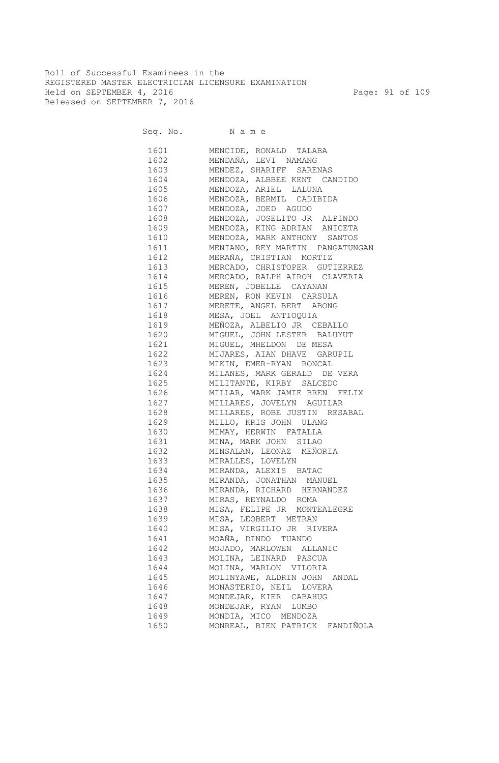Roll of Successful Examinees in the REGISTERED MASTER ELECTRICIAN LICENSURE EXAMINATION Held on SEPTEMBER 4, 2016 Page: 91 of 109 Released on SEPTEMBER 7, 2016

| 1601                                                                                                                                                                                                                            | MENCIDE, RONALD TALABA           |
|---------------------------------------------------------------------------------------------------------------------------------------------------------------------------------------------------------------------------------|----------------------------------|
| 1602                                                                                                                                                                                                                            | MENDAÑA, LEVI NAMANG             |
| 1603                                                                                                                                                                                                                            | MENDEZ, SHARIFF SARENAS          |
| 1604                                                                                                                                                                                                                            | MENDOZA, ALBBEE KENT CANDIDO     |
| 1605                                                                                                                                                                                                                            | MENDOZA, ARIEL LALUNA            |
| 1606                                                                                                                                                                                                                            | MENDOZA, BERMIL CADIBIDA         |
| 1607                                                                                                                                                                                                                            | MENDOZA, JOED AGUDO              |
| 1608                                                                                                                                                                                                                            | MENDOZA, JOSELITO JR ALPINDO     |
| 1609                                                                                                                                                                                                                            | MENDOZA, KING ADRIAN ANICETA     |
| 1610                                                                                                                                                                                                                            | MENDOZA, MARK ANTHONY SANTOS     |
| 1611                                                                                                                                                                                                                            | MENIANO, REY MARTIN PANGATUNGAN  |
| 1612                                                                                                                                                                                                                            | MERAÑA, CRISTIAN MORTIZ          |
| 1613                                                                                                                                                                                                                            | MERCADO, CHRISTOPER GUTIERREZ    |
| 1614                                                                                                                                                                                                                            | MERCADO, RALPH AIROH CLAVERIA    |
| 1615                                                                                                                                                                                                                            | MEREN, JOBELLE CAYANAN           |
| 1616 16                                                                                                                                                                                                                         | MEREN, RON KEVIN CARSULA         |
| 1617                                                                                                                                                                                                                            | MERETE, ANGEL BERT ABONG         |
| 1618 — 1618 — 1620 — 1620 — 1620 — 1620 — 1620 — 1620 — 1620 — 1620 — 1620 — 1620 — 1620 — 1620 — 1620 — 1620 — 1620 — 1620 — 1620 — 1620 — 1620 — 1620 — 1620 — 1620 — 1620 — 1620 — 1620 — 1620 — 1620 — 1620 — 1620 — 1620 — | MESA, JOEL ANTIOQUIA             |
| 1619                                                                                                                                                                                                                            | MEÑOZA, ALBELIO JR CEBALLO       |
| 1620                                                                                                                                                                                                                            | MIGUEL, JOHN LESTER BALUYUT      |
|                                                                                                                                                                                                                                 | MIGUEL, MHELDON DE MESA          |
|                                                                                                                                                                                                                                 | 1622 MIJARES, AIAN DHAVE GARUPIL |
| 1623 and 1623                                                                                                                                                                                                                   | MIKIN, EMER-RYAN RONCAL          |
| 1624                                                                                                                                                                                                                            | MILANES, MARK GERALD DE VERA     |
| 1625                                                                                                                                                                                                                            | MILITANTE, KIRBY SALCEDO         |
| 1626 30                                                                                                                                                                                                                         | MILLAR, MARK JAMIE BREN FELIX    |
| 1627   1620                                                                                                                                                                                                                     | MILLARES, JOVELYN AGUILAR        |
| 1628   1                                                                                                                                                                                                                        | MILLARES, ROBE JUSTIN RESABAL    |
| 1629                                                                                                                                                                                                                            | MILLO, KRIS JOHN ULANG           |
| 1630 16                                                                                                                                                                                                                         | MIMAY, HERWIN FATALLA            |
| 1631 1631 1632 164                                                                                                                                                                                                              | MINA, MARK JOHN SILAO            |
| 1632   1632   1632   1632   1632   1632   1632   1632   1632   1632   1632   1633   1633   1634   1635   1636   1636   1636   1637   1638   1639   1638   1639   1639   1639   1639   1639   1639   1639   1639   1639   1639   | MINSALAN, LEONAZ MEÑORIA         |
| 1633 16                                                                                                                                                                                                                         | MIRALLES, LOVELYN                |
| 1634                                                                                                                                                                                                                            | MIRANDA, ALEXIS BATAC            |
| 1635                                                                                                                                                                                                                            | MIRANDA, JONATHAN MANUEL         |
| 1636 16                                                                                                                                                                                                                         | MIRANDA, RICHARD HERNANDEZ       |
| 1637                                                                                                                                                                                                                            | MIRAS, REYNALDO ROMA             |
| 1638                                                                                                                                                                                                                            | MISA, FELIPE JR MONTEALEGRE      |
| 1639                                                                                                                                                                                                                            | MISA, LEOBERT METRAN             |
| 1640                                                                                                                                                                                                                            | MISA, VIRGILIO JR RIVERA         |
| 1641                                                                                                                                                                                                                            | MOAÑA, DINDO TUANDO              |
| 1642                                                                                                                                                                                                                            | MOJADO, MARLOWEN ALLANIC         |
| 1643                                                                                                                                                                                                                            | MOLINA, LEINARD PASCUA           |
| 1644                                                                                                                                                                                                                            | MOLINA, MARLON VILORIA           |
| 1645                                                                                                                                                                                                                            | MOLINYAWE, ALDRIN JOHN ANDAL     |
| 1646                                                                                                                                                                                                                            | MONASTERIO, NEIL LOVERA          |
| 1647                                                                                                                                                                                                                            | MONDEJAR, KIER CABAHUG           |
| 1648                                                                                                                                                                                                                            | MONDEJAR, RYAN LUMBO             |
| 1649                                                                                                                                                                                                                            | MONDIA, MICO MENDOZA             |
| 1650                                                                                                                                                                                                                            | MONREAL, BIEN PATRICK FANDIÑOLA  |
|                                                                                                                                                                                                                                 |                                  |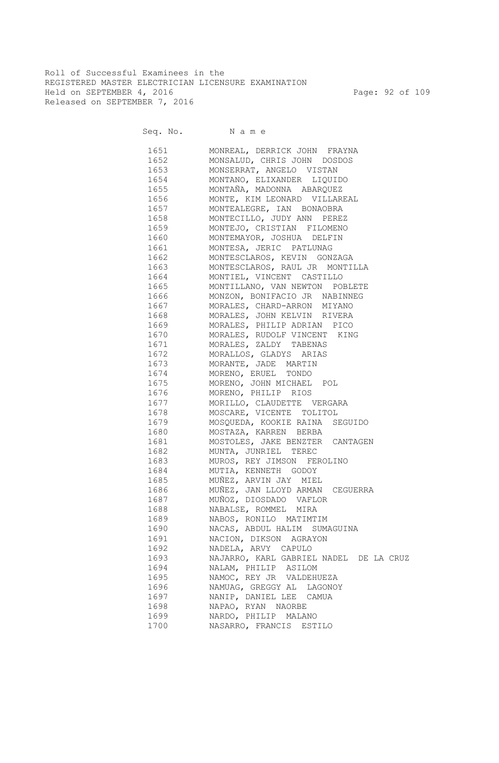Roll of Successful Examinees in the REGISTERED MASTER ELECTRICIAN LICENSURE EXAMINATION Held on SEPTEMBER 4, 2016 Page: 92 of 109 Released on SEPTEMBER 7, 2016

| 1651 165 | MONREAL, DERRICK JOHN FRAYNA                                                                                                                                                                                                           |
|----------|----------------------------------------------------------------------------------------------------------------------------------------------------------------------------------------------------------------------------------------|
|          | 1652 MONSALUD, CHRIS JOHN DOSDOS                                                                                                                                                                                                       |
|          | 1653 MONSERRAT, ANGELO VISTAN                                                                                                                                                                                                          |
|          | 1654 MONTANO, ELIXANDER LIQUIDO                                                                                                                                                                                                        |
|          | 1655 MONTAÑA, MADONNA ABARQUEZ                                                                                                                                                                                                         |
|          | 1656 MONTE, KIM LEONARD VILLAREAL                                                                                                                                                                                                      |
|          | 1657 MONTEALEGRE, IAN BONAOBRA                                                                                                                                                                                                         |
|          | 1658 MONTECILLO, JUDY ANN PEREZ                                                                                                                                                                                                        |
|          | 1659 MONTEJO, CRISTIAN FILOMENO                                                                                                                                                                                                        |
|          | 1660 MONTEMAYOR, JOSHUA DELFIN                                                                                                                                                                                                         |
|          | 1661 MONTESA, JERIC PATLUNAG                                                                                                                                                                                                           |
|          | 1662 MONTESCLAROS, KEVIN GONZAGA                                                                                                                                                                                                       |
|          | 1663 MONTESCLAROS, RAUL JR MONTILLA                                                                                                                                                                                                    |
|          | 1664 MONTIEL, VINCENT CASTILLO                                                                                                                                                                                                         |
|          | 1665 MONTILLANO, VAN NEWTON POBLETE                                                                                                                                                                                                    |
| 1666     | MONZON, BONIFACIO JR NABINNEG                                                                                                                                                                                                          |
| 1667     | MORALES, CHARD-ARRON MIYANO                                                                                                                                                                                                            |
| 1668     | MORALES, JOHN KELVIN RIVERA                                                                                                                                                                                                            |
| 1669     | MORALES, PHILIP ADRIAN PICO                                                                                                                                                                                                            |
| 1670     | MORALES, RUDOLF VINCENT KING                                                                                                                                                                                                           |
| 1671     | MORALES, ZALDY TABENAS                                                                                                                                                                                                                 |
| 1672     | MORALLOS, GLADYS ARIAS                                                                                                                                                                                                                 |
| 1673     | MORANTE, JADE MARTIN                                                                                                                                                                                                                   |
| 1674     |                                                                                                                                                                                                                                        |
| 1675     | MORENO, ERUEL TONDO                                                                                                                                                                                                                    |
|          | MORENO, JOHN MICHAEL POL                                                                                                                                                                                                               |
| 1676     | MORENO, PHILIP RIOS<br>MORILLO, CLAUDETTE VERGARA<br>MOSCARE, VICENTE TOLITOL<br>MOSQUEDA, KOOKIE RAINA SEGUIDO<br>MOSTAZA, KARREN BERBA<br>MOSTAZA, KARREN BERBA                                                                      |
| 1677     |                                                                                                                                                                                                                                        |
| 1678     |                                                                                                                                                                                                                                        |
| 1679     |                                                                                                                                                                                                                                        |
| 1680     | NOSTOLES, JAKE BENZTER CANTAGEN<br>MUNTA, JUNRIEL TEREC<br>MUROS, REY JIMSON FEROLINO<br>MUTIA, KENNETH GODOY<br>MUÑEZ, ARVIN JAY MIEL<br>MUÑEZ, JAN LLOYD ARMAN CEGUERRA<br>MUÑEZ, JAN LLOYD ARMAN CEGUERRA<br>MUÑOZ, DIOSDADO VAFLOR |
| 1681     |                                                                                                                                                                                                                                        |
| 1682     |                                                                                                                                                                                                                                        |
| 1683     |                                                                                                                                                                                                                                        |
| 1684     |                                                                                                                                                                                                                                        |
| 1685     |                                                                                                                                                                                                                                        |
| 1686     |                                                                                                                                                                                                                                        |
| 1687     |                                                                                                                                                                                                                                        |
| 1688     | NABALSE, ROMMEL MIRA                                                                                                                                                                                                                   |
| 1689     | NABOS, RONILO MATIMTIM                                                                                                                                                                                                                 |
| 1690     | NACAS, ABDUL HALIM SUMAGUINA                                                                                                                                                                                                           |
| 1691     | NACION, DIKSON AGRAYON                                                                                                                                                                                                                 |
| 1692     | NADELA, ARVY CAPULO                                                                                                                                                                                                                    |
| 1693     | NAJARRO, KARL GABRIEL NADEL DE LA CRUZ                                                                                                                                                                                                 |
| 1694     | NALAM, PHILIP ASILOM                                                                                                                                                                                                                   |
| 1695     | NAMOC, REY JR VALDEHUEZA                                                                                                                                                                                                               |
| 1696     | NAMUAG, GREGGY AL LAGONOY                                                                                                                                                                                                              |
| 1697     | NANIP, DANIEL LEE CAMUA                                                                                                                                                                                                                |
| 1698     | NAPAO, RYAN NAORBE                                                                                                                                                                                                                     |
| 1699     | NARDO, PHILIP MALANO                                                                                                                                                                                                                   |
| 1700     | NASARRO, FRANCIS ESTILO                                                                                                                                                                                                                |
|          |                                                                                                                                                                                                                                        |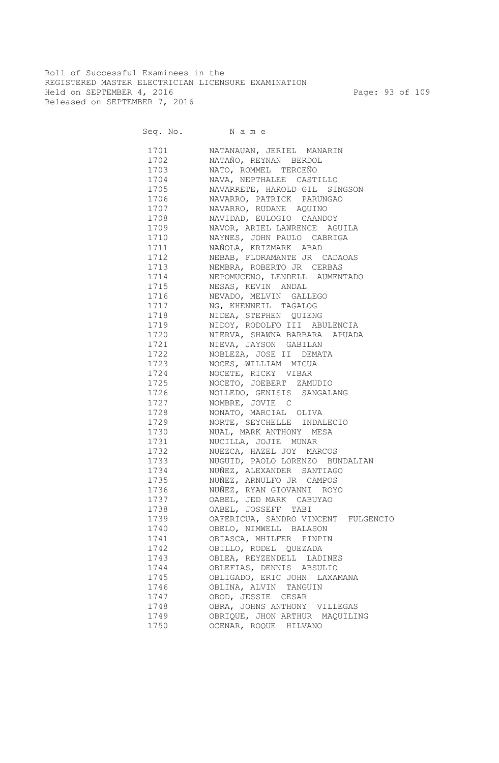Roll of Successful Examinees in the REGISTERED MASTER ELECTRICIAN LICENSURE EXAMINATION Held on SEPTEMBER 4, 2016 Page: 93 of 109 Released on SEPTEMBER 7, 2016

Seq. No. Name

 1701 NATANAUAN, JERIEL MANARIN 1702 NATAÑO, REYNAN BERDOL 1703 NATO, ROMMEL TERCEÑO 1704 NAVA, NEPTHALEE CASTILLO 1705 NAVARRETE, HAROLD GIL SINGSON 1706 NAVARRO, PATRICK PARUNGAO 1707 NAVARRO, RUDANE AQUINO 1708 NAVIDAD, EULOGIO CAANDOY 1709 NAVOR, ARIEL LAWRENCE AGUILA 1710 NAYNES, JOHN PAULO CABRIGA 1711 NAÑOLA, KRIZMARK ABAD 1712 NEBAB, FLORAMANTE JR CADAOAS 1713 NEMBRA, ROBERTO JR CERBAS 1714 NEPOMUCENO, LENDELL AUMENTADO 1715 NESAS, KEVIN ANDAL 1716 NEVADO, MELVIN GALLEGO 1717 NG, KHENNEIL TAGALOG<br>1718 NIDEA, STEPHEN OUIEN NIDEA, STEPHEN QUIENG 1719 NIDOY, RODOLFO III ABULENCIA 1720 NIERVA, SHAWNA BARBARA APUADA 1721 NIEVA, JAYSON GABILAN 1722 NOBLEZA, JOSE II DEMATA 1723 NOCES, WILLIAM MICUA 1724 NOCETE, RICKY VIBAR 1725 NOCETO, JOEBERT ZAMUDIO 1726 NOLLEDO, GENISIS SANGALANG 1727 NOMBRE, JOVIE C 1728 NONATO, MARCIAL OLIVA 1729 NORTE, SEYCHELLE INDALECIO 1730 NUAL, MARK ANTHONY MESA 1731 NUCILLA, JOJIE MUNAR 1732 NUEZCA, HAZEL JOY MARCOS 1733 NUGUID, PAOLO LORENZO BUNDALIAN 1734 NUÑEZ, ALEXANDER SANTIAGO 1735 NUÑEZ, ARNULFO JR CAMPOS 1736 NUÑEZ, RYAN GIOVANNI ROYO 1737 OABEL, JED MARK CABUYAO 1738 OABEL, JOSSEFF TABI 1739 OAFERICUA, SANDRO VINCENT FULGENCIO 1740 OBELO, NIMWELL BALASON 1741 OBIASCA, MHILFER PINPIN 1742 OBILLO, RODEL QUEZADA 1743 OBLEA, REYZENDELL LADINES 1744 OBLEFIAS, DENNIS ABSULIO 1745 OBLIGADO, ERIC JOHN LAXAMANA 1746 OBLINA, ALVIN TANGUIN 1747 OBOD, JESSIE CESAR 1748 OBRA, JOHNS ANTHONY VILLEGAS 1749 OBRIQUE, JHON ARTHUR MAQUILING 1750 OCENAR, ROQUE HILVANO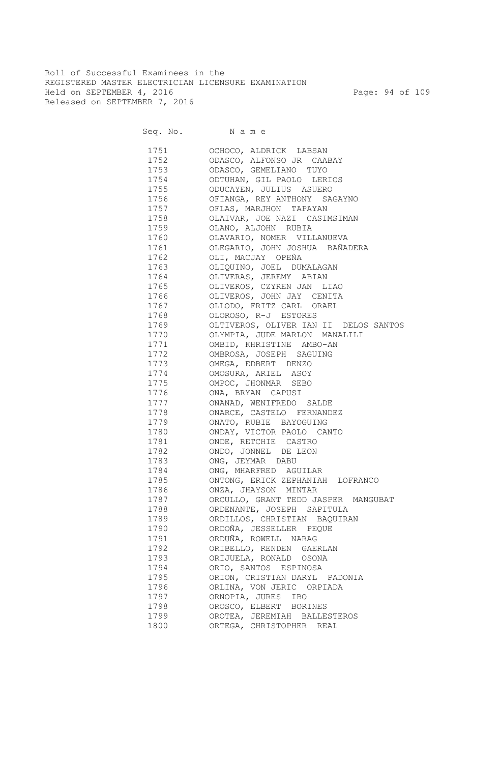Roll of Successful Examinees in the REGISTERED MASTER ELECTRICIAN LICENSURE EXAMINATION Held on SEPTEMBER 4, 2016 Page: 94 of 109 Released on SEPTEMBER 7, 2016

Seq. No. Name

 1751 OCHOCO, ALDRICK LABSAN 1752 ODASCO, ALFONSO JR CAABAY 1753 ODASCO, GEMELIANO TUYO 1754 ODTUHAN, GIL PAOLO LERIOS 1755 ODUCAYEN, JULIUS ASUERO 1756 OFIANGA, REY ANTHONY SAGAYNO 1757 OFLAS, MARJHON TAPAYAN 1758 OLAIVAR, JOE NAZI CASIMSIMAN 1759 OLANO, ALJOHN RUBIA 1760 OLAVARIO, NOMER VILLANUEVA 1761 OLEGARIO, JOHN JOSHUA BAÑADERA 1762 OLI, MACJAY OPEÑA 1763 OLIQUINO, JOEL DUMALAGAN 1764 OLIVERAS, JEREMY ABIAN 1765 OLIVEROS, CZYREN JAN LIAO 1766 OLIVEROS, JOHN JAY CENITA 1767 OLLODO, FRITZ CARL ORAEL<br>1768 OLOROSO, R-J ESTORES OLOROSO, R-J ESTORES 1769 OLTIVEROS, OLIVER IAN II DELOS SANTOS 1770 OLYMPIA, JUDE MARLON MANALILI 1771 OMBID, KHRISTINE AMBO-AN 1772 OMBROSA, JOSEPH SAGUING 1773 OMEGA, EDBERT DENZO 1774 OMOSURA, ARIEL ASOY 1775 OMPOC, JHONMAR SEBO 1776 ONA, BRYAN CAPUSI 1777 ONANAD, WENIFREDO SALDE 1778 ONARCE, CASTELO FERNANDEZ 1779 ONATO, RUBIE BAYOGUING 1780 ONDAY, VICTOR PAOLO CANTO 1781 ONDE, RETCHIE CASTRO 1782 ONDO, JONNEL DE LEON 1783 ONG, JEYMAR DABU 1784 ONG, MHARFRED AGUILAR 1785 ONTONG, ERICK ZEPHANIAH LOFRANCO 1786 ONZA, JHAYSON MINTAR 1787 ORCULLO, GRANT TEDD JASPER MANGUBAT 1788 ORDENANTE, JOSEPH SAPITULA 1789 ORDILLOS, CHRISTIAN BAQUIRAN 1790 ORDOÑA, JESSELLER PEQUE 1791 ORDUÑA, ROWELL NARAG 1792 ORIBELLO, RENDEN GAERLAN 1793 ORIJUELA, RONALD OSONA 1794 ORIO, SANTOS ESPINOSA 1795 ORION, CRISTIAN DARYL PADONIA 1796 ORLINA, VON JERIC ORPIADA 1797 ORNOPIA, JURES IBO 1798 OROSCO, ELBERT BORINES 1799 OROTEA, JEREMIAH BALLESTEROS 1800 ORTEGA, CHRISTOPHER REAL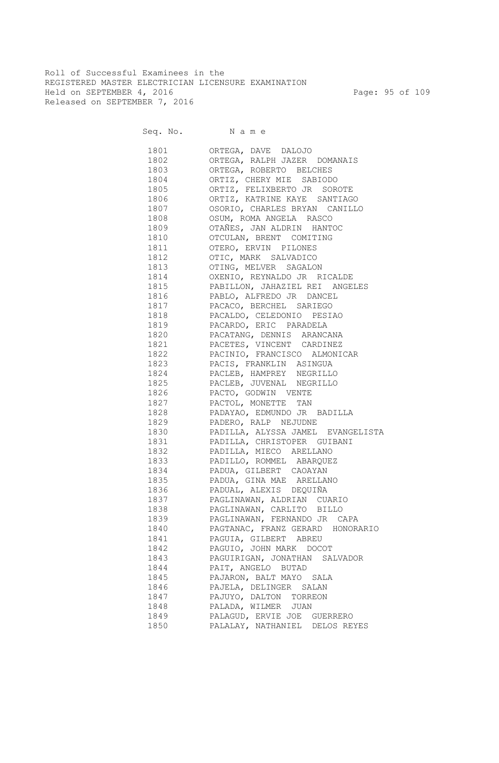Roll of Successful Examinees in the REGISTERED MASTER ELECTRICIAN LICENSURE EXAMINATION Held on SEPTEMBER 4, 2016 Page: 95 of 109 Released on SEPTEMBER 7, 2016

Seq. No. Name 1801 ORTEGA, DAVE DALOJO 1802 ORTEGA, RALPH JAZER DOMANAIS 1803 ORTEGA, ROBERTO BELCHES 1804 ORTIZ, CHERY MIE SABIODO 1805 ORTIZ, FELIXBERTO JR SOROTE 1806 ORTIZ, KATRINE KAYE SANTIAGO 1807 OSORIO, CHARLES BRYAN CANILLO 1808 OSUM, ROMA ANGELA RASCO 1809 OTAÑES, JAN ALDRIN HANTOC 1810 OTCULAN, BRENT COMITING 1811 OTERO, ERVIN PILONES 1812 OTIC, MARK SALVADICO 1813 OTING, MELVER SAGALON 1814 OXENIO, REYNALDO JR RICALDE 1815 PABILLON, JAHAZIEL REI ANGELES 1816 PABLO, ALFREDO JR DANCEL 1817 PACACO, BERCHEL SARIEGO 1818 PACALDO, CELEDONIO PESIAO 1819 PACARDO, ERIC PARADELA 1820 PACATANG, DENNIS ARANCANA 1821 PACETES, VINCENT CARDINEZ 1822 PACINIO, FRANCISCO ALMONICAR 1823 PACIS, FRANKLIN ASINGUA 1824 PACLEB, HAMPREY NEGRILLO 1825 PACLEB, JUVENAL NEGRILLO 1826 PACTO, GODWIN VENTE 1827 PACTOL, MONETTE TAN 1828 PADAYAO, EDMUNDO JR BADILLA 1829 PADERO, RALP NEJUDNE 1830 PADILLA, ALYSSA JAMEL EVANGELISTA 1831 PADILLA, CHRISTOPER GUIBANI 1832 PADILLA, MIECO ARELLANO 1833 PADILLO, ROMMEL ABARQUEZ 1834 PADUA, GILBERT CAOAYAN 1835 PADUA, GINA MAE ARELLANO 1836 PADUAL, ALEXIS DEQUIÑA 1837 PAGLINAWAN, ALDRIAN CUARIO 1838 PAGLINAWAN, CARLITO BILLO 1839 PAGLINAWAN, FERNANDO JR CAPA 1840 PAGTANAC, FRANZ GERARD HONORARIO 1841 PAGUIA, GILBERT ABREU 1842 PAGUIO, JOHN MARK DOCOT 1843 PAGUIRIGAN, JONATHAN SALVADOR 1844 PAIT, ANGELO BUTAD 1845 PAJARON, BALT MAYO SALA 1846 PAJELA, DELINGER SALAN 1847 PAJUYO, DALTON TORREON 1848 PALADA, WILMER JUAN 1849 PALAGUD, ERVIE JOE GUERRERO 1850 PALALAY, NATHANIEL DELOS REYES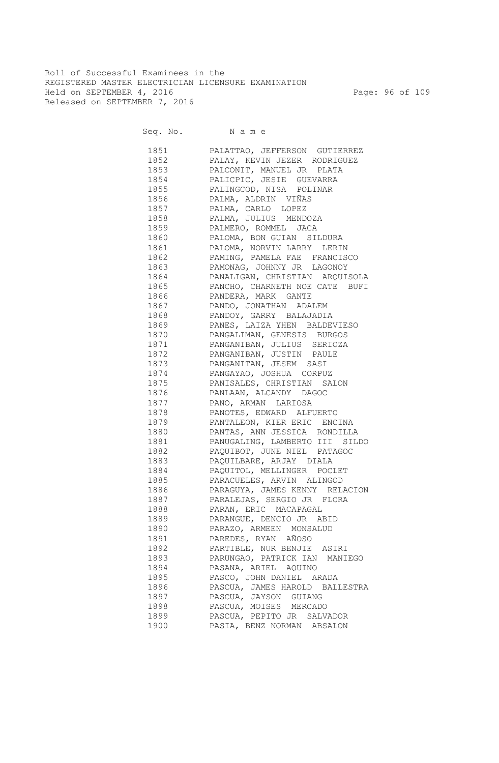Roll of Successful Examinees in the REGISTERED MASTER ELECTRICIAN LICENSURE EXAMINATION Held on SEPTEMBER 4, 2016 Page: 96 of 109 Released on SEPTEMBER 7, 2016

Seq. No. Name

 1851 PALATTAO, JEFFERSON GUTIERREZ 1852 PALAY, KEVIN JEZER RODRIGUEZ 1853 PALCONIT, MANUEL JR PLATA 1854 PALICPIC, JESIE GUEVARRA 1855 PALINGCOD, NISA POLINAR 1856 PALMA, ALDRIN VIÑAS 1857 PALMA, CARLO LOPEZ 1858 PALMA, JULIUS MENDOZA 1859 PALMERO, ROMMEL JACA 1860 PALOMA, BON GUIAN SILDURA 1861 PALOMA, NORVIN LARRY LERIN 1862 PAMING, PAMELA FAE FRANCISCO 1863 PAMONAG, JOHNNY JR LAGONOY 1864 PANALIGAN, CHRISTIAN ARQUISOLA 1865 PANCHO, CHARNETH NOE CATE BUFI 1866 PANDERA, MARK GANTE 1867 PANDO, JONATHAN ADALEM 1868 PANDOY, GARRY BALAJADIA 1869 PANES, LAIZA YHEN BALDEVIESO 1870 PANGALIMAN, GENESIS BURGOS 1871 PANGANIBAN, JULIUS SERIOZA 1872 PANGANIBAN, JUSTIN PAULE 1873 PANGANITAN, JESEM SASI 1874 PANGAYAO, JOSHUA CORPUZ 1875 PANISALES, CHRISTIAN SALON 1876 PANLAAN, ALCANDY DAGOC 1877 PANO, ARMAN LARIOSA 1878 PANOTES, EDWARD ALFUERTO 1879 PANTALEON, KIER ERIC ENCINA 1880 PANTAS, ANN JESSICA RONDILLA 1881 PANUGALING, LAMBERTO III SILDO 1882 PAQUIBOT, JUNE NIEL PATAGOC 1883 PAQUILBARE, ARJAY DIALA 1884 PAQUITOL, MELLINGER POCLET 1885 PARACUELES, ARVIN ALINGOD 1886 PARAGUYA, JAMES KENNY RELACION 1887 PARALEJAS, SERGIO JR FLORA 1888 PARAN, ERIC MACAPAGAL 1889 PARANGUE, DENCIO JR ABID 1890 PARAZO, ARMEEN MONSALUD 1891 PAREDES, RYAN AÑOSO 1892 PARTIBLE, NUR BENJIE ASIRI 1893 PARUNGAO, PATRICK IAN MANIEGO 1894 PASANA, ARIEL AQUINO 1895 PASCO, JOHN DANIEL ARADA 1896 PASCUA, JAMES HAROLD BALLESTRA 1897 PASCUA, JAYSON GUIANG 1898 PASCUA, MOISES MERCADO 1899 PASCUA, PEPITO JR SALVADOR 1900 PASIA, BENZ NORMAN ABSALON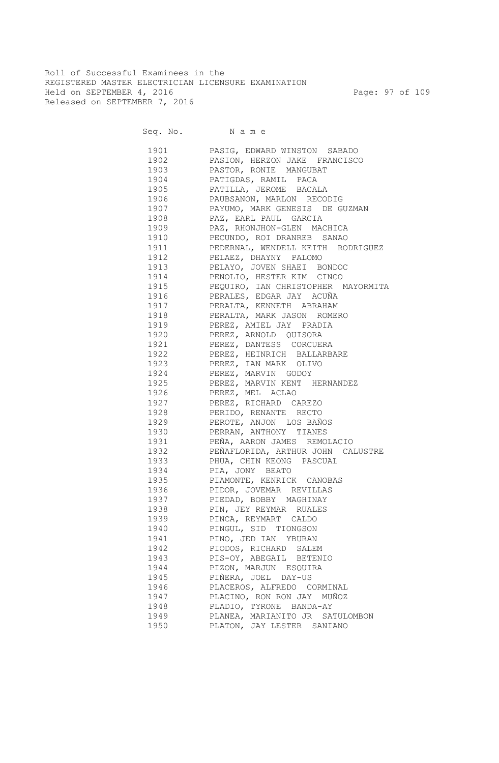Roll of Successful Examinees in the REGISTERED MASTER ELECTRICIAN LICENSURE EXAMINATION Held on SEPTEMBER 4, 2016 Page: 97 of 109 Released on SEPTEMBER 7, 2016

| 1901 | PASIG, EDWARD WINSTON SABADO                                                                                                                          |
|------|-------------------------------------------------------------------------------------------------------------------------------------------------------|
|      | 1902 PASION, HERZON JAKE FRANCISCO                                                                                                                    |
|      | 1903 PASTOR, RONIE MANGUBAT                                                                                                                           |
|      | 1904 PATIGDAS, RAMIL PACA                                                                                                                             |
|      | 1905 PATILLA, JEROME BACALA                                                                                                                           |
|      | 1906 PAUBSANON, MARLON RECODIG                                                                                                                        |
|      | 1907 PAYUMO, MARK GENESIS DE GUZMAN                                                                                                                   |
| 1908 | PAZ, EARL PAUL GARCIA                                                                                                                                 |
| 1909 | PAZ, RHONJHON-GLEN MACHICA                                                                                                                            |
| 1910 | PECUNDO, ROI DRANREB SANAO                                                                                                                            |
| 1911 | PEDERNAL, WENDELL KEITH RODRIGUEZ                                                                                                                     |
| 1912 | PELAEZ, DHAYNY PALOMO                                                                                                                                 |
| 1913 | PELAYO, JOVEN SHAEI BONDOC<br>PENOLIO, HESTER KIM CINCO<br>PEQUIRO, IAN CHRISTOPHER MAYORMITA<br>PERALES, EDGAR JAY ACUÑA<br>PERALES, EDGAR JAY ACUÑA |
| 1914 |                                                                                                                                                       |
| 1915 |                                                                                                                                                       |
| 1916 |                                                                                                                                                       |
| 1917 |                                                                                                                                                       |
| 1918 | PERALTA, KENNETH ABRAHAM<br>PERALTA, MARK JASON ROMERO                                                                                                |
| 1919 | ---<br>PEREZ, AMIEL JAY PRADIA                                                                                                                        |
| 1920 | PEREZ, ARNOLD QUISORA                                                                                                                                 |
| 1921 | PEREZ, DANTESS CORCUERA                                                                                                                               |
| 1922 | PEREZ, HEINRICH BALLARBARE                                                                                                                            |
| 1923 | PEREZ, IAN MARK OLIVO                                                                                                                                 |
| 1924 | PEREZ, MARVIN GODOY                                                                                                                                   |
| 1925 | PEREZ, MARVIN KENT HERNANDEZ                                                                                                                          |
| 1926 | PEREZ, MEL ACLAO                                                                                                                                      |
| 1927 | PEREZ, RICHARD CAREZO                                                                                                                                 |
| 1928 | PERIDO, RENANTE RECTO                                                                                                                                 |
|      | 1929 PEROTE, ANJON LOS BAÑOS                                                                                                                          |
| 1930 | PERRAN, ANTHONY TIANES                                                                                                                                |
|      | 1931 PEÑA, AARON JAMES REMOLACIO                                                                                                                      |
|      | 1932 PEÑAFLORIDA, ARTHUR JOHN CALUSTRE                                                                                                                |
|      | 1933 PHUA, CHIN KEONG PASCUAL                                                                                                                         |
|      |                                                                                                                                                       |
|      | 1934 PIA, JONY BEATO                                                                                                                                  |
|      | 1935 PIAMONTE, KENRICK CANOBAS                                                                                                                        |
|      | 1936 PIDOR, JOVEMAR REVILLAS                                                                                                                          |
|      | 1937 PIEDAD, BOBBY MAGHINAY                                                                                                                           |
|      | 1938 PIN, JEY REYMAR RUALES                                                                                                                           |
| 1939 | PINCA, REYMART CALDO                                                                                                                                  |
| 1940 | PINGUL, SID TIONGSON                                                                                                                                  |
| 1941 | PINO, JED IAN YBURAN                                                                                                                                  |
| 1942 | PIODOS, RICHARD SALEM                                                                                                                                 |
| 1943 | PIS-OY, ABEGAIL BETENIO                                                                                                                               |
| 1944 | PIZON, MARJUN ESQUIRA                                                                                                                                 |
| 1945 | PIÑERA, JOEL DAY-US                                                                                                                                   |
| 1946 | PLACEROS, ALFREDO CORMINAL                                                                                                                            |
| 1947 | PLACINO, RON RON JAY MUÑOZ                                                                                                                            |
| 1948 | PLADIO, TYRONE BANDA-AY                                                                                                                               |
| 1949 | PLANEA, MARIANITO JR SATULOMBON                                                                                                                       |
| 1950 | PLATON, JAY LESTER SANIANO                                                                                                                            |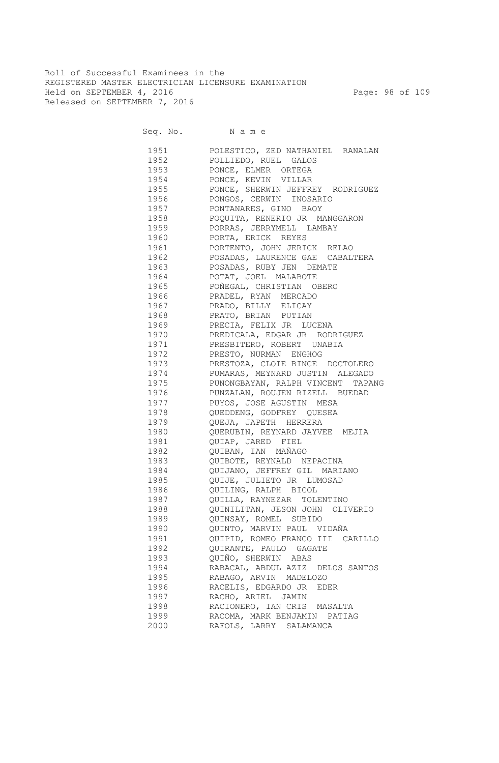Roll of Successful Examinees in the REGISTERED MASTER ELECTRICIAN LICENSURE EXAMINATION Held on SEPTEMBER 4, 2016 Page: 98 of 109 Released on SEPTEMBER 7, 2016

| 1951 | POLESTICO, ZED NATHANIEL RANALAN     |
|------|--------------------------------------|
| 1952 | POLLIEDO, RUEL GALOS                 |
| 1953 | PONCE, ELMER ORTEGA                  |
| 1954 | PONCE, KEVIN VILLAR                  |
| 1955 | PONCE, SHERWIN JEFFREY RODRIGUEZ     |
| 1956 | PONGOS, CERWIN INOSARIO              |
| 1957 | PONTANARES, GINO BAOY                |
| 1958 | POQUITA, RENERIO JR MANGGARON        |
| 1959 | PORRAS, JERRYMELL LAMBAY             |
| 1960 | PORTA, ERICK REYES                   |
| 1961 | PORTENTO, JOHN JERICK RELAO          |
| 1962 | POSADAS, LAURENCE GAE CABALTERA      |
| 1963 | POSADAS, RUBY JEN DEMATE             |
| 1964 | POTAT, JOEL MALABOTE                 |
| 1965 | POÑEGAL, CHRISTIAN OBERO             |
| 1966 | PRADEL, RYAN MERCADO                 |
| 1967 | PRADO, BILLY ELICAY                  |
| 1968 | PRATO, BRIAN PUTIAN                  |
| 1969 | PRECIA, FELIX JR LUCENA              |
| 1970 | PREDICALA, EDGAR JR RODRIGUEZ        |
| 1971 | PRESBITERO, ROBERT UNABIA            |
| 1972 | PRESTO, NURMAN ENGHOG                |
| 1973 | PRESTOZA, CLOIE BINCE DOCTOLERO      |
| 1974 | PUMARAS, MEYNARD JUSTIN ALEGADO      |
| 1975 | PUNONGBAYAN, RALPH VINCENT<br>TAPANG |
| 1976 | PUNZALAN, ROUJEN RIZELL BUEDAD       |
| 1977 | PUYOS, JOSE AGUSTIN MESA             |
| 1978 | QUEDDENG, GODFREY QUESEA             |
| 1979 | QUEJA, JAPETH HERRERA                |
| 1980 | QUERUBIN, REYNARD JAYVEE MEJIA       |
| 1981 | QUIAP, JARED FIEL                    |
| 1982 | QUIBAN, IAN MAÑAGO                   |
| 1983 | QUIBOTE, REYNALD NEPACINA            |
| 1984 | QUIJANO, JEFFREY GIL MARIANO         |
| 1985 | QUIJE, JULIETO JR LUMOSAD            |
| 1986 | QUILING, RALPH BICOL                 |
| 1987 | QUILLA, RAYNEZAR TOLENTINO           |
| 1988 | QUINILITAN, JESON JOHN OLIVERIO      |
| 1989 | QUINSAY, ROMEL SUBIDO                |
| 1990 | QUINTO, MARVIN PAUL VIDAÑA           |
| 1991 | QUIPID, ROMEO FRANCO III CARILLO     |
| 1992 | QUIRANTE, PAULO GAGATE               |
| 1993 | QUIÑO, SHERWIN ABAS                  |
| 1994 | RABACAL, ABDUL AZIZ DELOS SANTOS     |
| 1995 | RABAGO, ARVIN MADELOZO               |
| 1996 | RACELIS, EDGARDO JR<br>EDER          |
| 1997 | RACHO, ARIEL JAMIN                   |
| 1998 | RACIONERO, IAN CRIS MASALTA          |
| 1999 | RACOMA, MARK BENJAMIN PATIAG         |
| 2000 | RAFOLS, LARRY SALAMANCA              |
|      |                                      |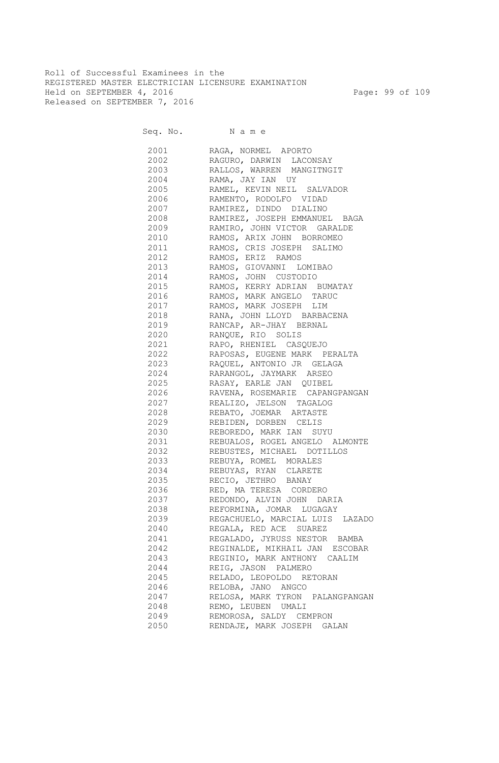Roll of Successful Examinees in the REGISTERED MASTER ELECTRICIAN LICENSURE EXAMINATION Held on SEPTEMBER 4, 2016 Page: 99 of 109 Released on SEPTEMBER 7, 2016

| 2001 | RAGA, NORMEL APORTO             |
|------|---------------------------------|
| 2002 | RAGURO, DARWIN LACONSAY         |
| 2003 | RALLOS, WARREN MANGITNGIT       |
| 2004 | RAMA, JAY IAN UY                |
| 2005 | RAMEL, KEVIN NEIL SALVADOR      |
| 2006 | RAMENTO, RODOLFO VIDAD          |
| 2007 | RAMIREZ, DINDO DIALINO          |
| 2008 | RAMIREZ, JOSEPH EMMANUEL BAGA   |
| 2009 | RAMIRO, JOHN VICTOR GARALDE     |
| 2010 | RAMOS, ARIX JOHN BORROMEO       |
| 2011 | RAMOS, CRIS JOSEPH SALIMO       |
| 2012 | RAMOS, ERIZ RAMOS               |
| 2013 | RAMOS, GIOVANNI LOMIBAO         |
| 2014 | RAMOS, JOHN CUSTODIO            |
| 2015 | RAMOS, KERRY ADRIAN BUMATAY     |
| 2016 | RAMOS, MARK ANGELO TARUC        |
| 2017 | RAMOS, MARK JOSEPH LIM          |
| 2018 | RANA, JOHN LLOYD BARBACENA      |
| 2019 | RANCAP, AR-JHAY BERNAL          |
| 2020 | RANQUE, RIO SOLIS               |
| 2021 | RAPO, RHENIEL CASQUEJO          |
| 2022 | RAPOSAS, EUGENE MARK PERALTA    |
| 2023 | RAQUEL, ANTONIO JR GELAGA       |
| 2024 | RARANGOL, JAYMARK ARSEO         |
| 2025 | RASAY, EARLE JAN QUIBEL         |
| 2026 | RAVENA, ROSEMARIE CAPANGPANGAN  |
| 2027 | REALIZO, JELSON TAGALOG         |
| 2028 | REBATO, JOEMAR ARTASTE          |
| 2029 | REBIDEN, DORBEN CELIS           |
| 2030 | REBOREDO, MARK IAN SUYU         |
| 2031 | REBUALOS, ROGEL ANGELO ALMONTE  |
| 2032 | REBUSTES, MICHAEL DOTILLOS      |
| 2033 | REBUYA, ROMEL MORALES           |
| 2034 | REBUYAS, RYAN CLARETE           |
| 2035 | RECIO, JETHRO BANAY             |
| 2036 | RED, MA TERESA CORDERO          |
| 2037 | REDONDO, ALVIN JOHN DARIA       |
| 2038 | REFORMINA, JOMAR LUGAGAY        |
| 2039 | REGACHUELO, MARCIAL LUIS LAZADO |
| 2040 | REGALA, RED ACE SUAREZ          |
| 2041 | REGALADO, JYRUSS NESTOR BAMBA   |
| 2042 | REGINALDE, MIKHAIL JAN ESCOBAR  |
| 2043 | REGINIO, MARK ANTHONY CAALIM    |
| 2044 | REIG, JASON PALMERO             |
| 2045 | RELADO, LEOPOLDO RETORAN        |
| 2046 | RELOBA, JANO ANGCO              |
| 2047 | RELOSA, MARK TYRON PALANGPANGAN |
| 2048 | REMO, LEUBEN UMALI              |
| 2049 | REMOROSA, SALDY CEMPRON         |
| 2050 | RENDAJE, MARK JOSEPH GALAN      |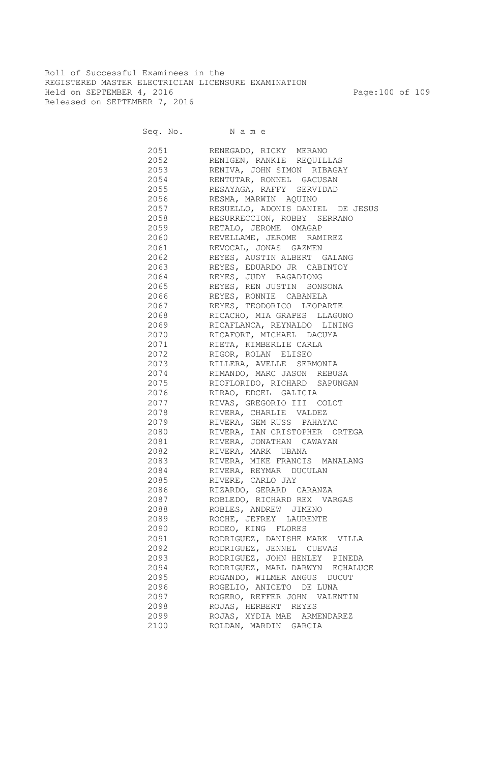Roll of Successful Examinees in the REGISTERED MASTER ELECTRICIAN LICENSURE EXAMINATION Held on SEPTEMBER 4, 2016 Page:100 of 109 Released on SEPTEMBER 7, 2016

Seq. No. Name

 2051 RENEGADO, RICKY MERANO 2052 RENIGEN, RANKIE REQUILLAS 2053 RENIVA, JOHN SIMON RIBAGAY 2054 RENTUTAR, RONNEL GACUSAN 2055 RESAYAGA, RAFFY SERVIDAD 2056 RESMA, MARWIN AQUINO 2057 RESUELLO, ADONIS DANIEL DE JESUS 2058 RESURRECCION, ROBBY SERRANO 2059 RETALO, JEROME OMAGAP 2060 REVELLAME, JEROME RAMIREZ 2061 REVOCAL, JONAS GAZMEN 2062 REYES, AUSTIN ALBERT GALANG 2063 REYES, EDUARDO JR CABINTOY 2064 REYES, JUDY BAGADIONG 2065 REYES, REN JUSTIN SONSONA 2066 REYES, RONNIE CABANELA 2067 REYES, TEODORICO LEOPARTE 2068 RICACHO, MIA GRAPES LLAGUNO 2069 RICAFLANCA, REYNALDO LINING 2070 RICAFORT, MICHAEL DACUYA 2071 RIETA, KIMBERLIE CARLA 2072 RIGOR, ROLAN ELISEO 2073 RILLERA, AVELLE SERMONIA 2074 RIMANDO, MARC JASON REBUSA 2075 RIOFLORIDO, RICHARD SAPUNGAN<br>2076 RIRAO, EDCEL GALICIA RIRAO, EDCEL GALICIA 2077 RIVAS, GREGORIO III COLOT 2078 RIVERA, CHARLIE VALDEZ 2079 RIVERA, GEM RUSS PAHAYAC 2080 RIVERA, IAN CRISTOPHER ORTEGA 2081 RIVERA, JONATHAN CAWAYAN 2082 RIVERA, MARK UBANA 2083 RIVERA, MIKE FRANCIS MANALANG 2084 RIVERA, REYMAR DUCULAN 2085 RIVERE, CARLO JAY 2086 RIZARDO, GERARD CARANZA 2087 ROBLEDO, RICHARD REX VARGAS 2088 ROBLES, ANDREW JIMENO 2089 ROCHE, JEFREY LAURENTE 2090 RODEO, KING FLORES 2091 RODRIGUEZ, DANISHE MARK VILLA 2092 RODRIGUEZ, JENNEL CUEVAS 2093 RODRIGUEZ, JOHN HENLEY PINEDA 2094 RODRIGUEZ, MARL DARWYN ECHALUCE 2095 ROGANDO, WILMER ANGUS DUCUT 2096 ROGELIO, ANICETO DE LUNA 2097 ROGERO, REFFER JOHN VALENTIN 2098 ROJAS, HERBERT REYES 2099 ROJAS, XYDIA MAE ARMENDAREZ 2100 ROLDAN, MARDIN GARCIA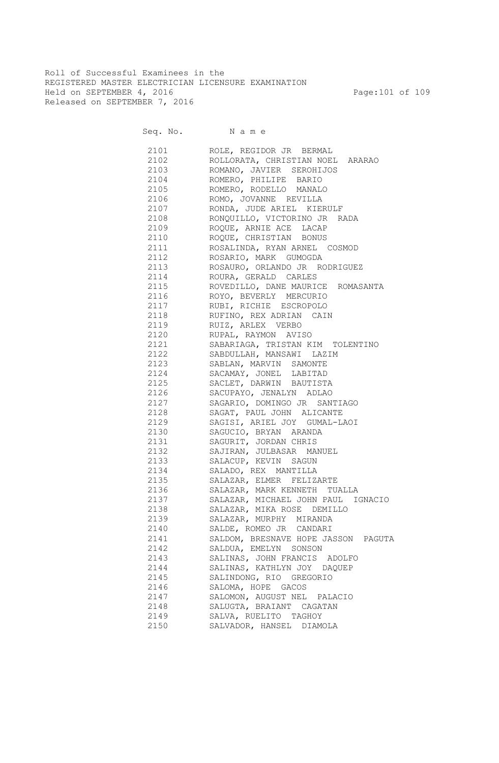Roll of Successful Examinees in the REGISTERED MASTER ELECTRICIAN LICENSURE EXAMINATION Held on SEPTEMBER 4, 2016 Page:101 of 109 Released on SEPTEMBER 7, 2016

Seq. No. N a m e

| 2101 | ROLE, REGIDOR JR BERMAL                                      |
|------|--------------------------------------------------------------|
| 2102 | ROLLORATA, CHRISTIAN NOEL ARARAO                             |
| 2103 | ROMANO, JAVIER SEROHIJOS                                     |
| 2104 | ROMERO, PHILIPE BARIO                                        |
| 2105 | ROMERO, RODELLO MANALO                                       |
| 2106 | ROMO, JOVANNE REVILLA                                        |
| 2107 | RONDA, JUDE ARIEL KIERULF                                    |
| 2108 | RONQUILLO, VICTORINO JR RADA                                 |
| 2109 | ROQUE, ARNIE ACE LACAP                                       |
| 2110 | ROQUE, CHRISTIAN BONUS                                       |
| 2111 | ROSALINDA, RYAN ARNEL COSMOD                                 |
| 2112 | ROSARIO, MARK GUMOGDA                                        |
| 2113 | ROSAURO, ORLANDO JR RODRIGUEZ                                |
| 2114 | ROURA, GERALD CARLES                                         |
| 2115 | ROVEDILLO, DANE MAURICE ROMASANTA                            |
| 2116 | ROYO, BEVERLY MERCURIO                                       |
| 2117 | RUBI, RICHIE ESCROPOLO                                       |
| 2118 | RUFINO, REX ADRIAN CAIN                                      |
| 2119 | RUIZ, ARLEX VERBO                                            |
| 2120 | RUPAL, RAYMON AVISO                                          |
| 2121 | SABARIAGA, TRISTAN KIM TOLENTINO                             |
| 2122 | SABDULLAH, MANSAWI LAZIM                                     |
| 2123 | SABLAN, MARVIN SAMONTE                                       |
| 2124 | SACAMAY, JONEL LABITAD                                       |
| 2125 | SACLET, DARWIN BAUTISTA                                      |
| 2126 | SACUPAYO, JENALYN ADLAO                                      |
| 2127 | SAGARIO, DOMINGO JR SANTIAGO                                 |
| 2128 | SAGAT, PAUL JOHN ALICANTE                                    |
| 2129 | SAGISI, ARIEL JOY GUMAL-LAOI                                 |
| 2130 | SAGUCIO, BRYAN ARANDA                                        |
| 2131 | SAGURIT, JORDAN CHRIS                                        |
| 2132 | SAJIRAN, JULBASAR MANUEL                                     |
| 2133 | SALACUP, KEVIN SAGUN                                         |
| 2134 | SALADO, REX MANTILLA                                         |
| 2135 | SALAZAR, ELMER FELIZARTE                                     |
| 2136 | SALAZAR, MARK KENNETH TUALLA                                 |
| 2137 | SALAZAR, MICHAEL JOHN PAUL IGNACIO                           |
| 2138 | SALAZAR, MIKA ROSE DEMILLO                                   |
| 2139 | SALAZAR, MURPHY MIRANDA                                      |
| 2140 | SALDE, ROMEO JR CANDARI                                      |
|      |                                                              |
| 2141 | SALDOM, BRESNAVE HOPE JASSON PAGUTA<br>SALDUA, EMELYN SONSON |
| 2142 |                                                              |
| 2143 | SALINAS, JOHN FRANCIS ADOLFO<br>SALINAS, KATHLYN JOY DAQUEP  |
| 2144 | SALINDONG, RIO GREGORIO                                      |
| 2145 |                                                              |
| 2146 | SALOMA, HOPE GACOS                                           |
| 2147 | SALOMON, AUGUST NEL PALACIO                                  |
| 2148 | SALUGTA, BRAIANT CAGATAN                                     |
| 2149 | SALVA, RUELITO TAGHOY                                        |
| 2150 | SALVADOR, HANSEL DIAMOLA                                     |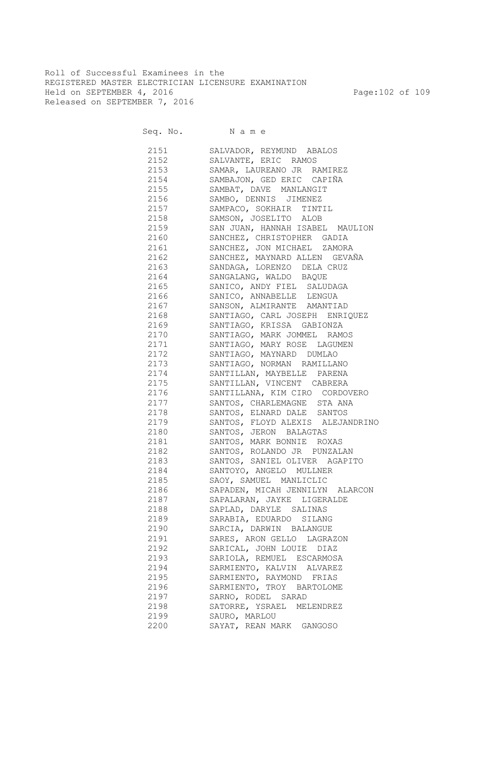Roll of Successful Examinees in the REGISTERED MASTER ELECTRICIAN LICENSURE EXAMINATION Held on SEPTEMBER 4, 2016 Page:102 of 109 Released on SEPTEMBER 7, 2016

Seq. No. N a m e

| 2151 | SALVADOR, REYMUND ABALOS         |
|------|----------------------------------|
| 2152 | SALVANTE, ERIC RAMOS             |
| 2153 | SAMAR, LAUREANO JR RAMIREZ       |
| 2154 | SAMBAJON, GED ERIC CAPIÑA        |
| 2155 | SAMBAT, DAVE MANLANGIT           |
| 2156 | SAMBO, DENNIS JIMENEZ            |
| 2157 | SAMPACO, SOKHAIR TINTIL          |
| 2158 | SAMSON, JOSELITO ALOB            |
| 2159 | SAN JUAN, HANNAH ISABEL MAULION  |
| 2160 | SANCHEZ, CHRISTOPHER GADIA       |
| 2161 | SANCHEZ, JON MICHAEL ZAMORA      |
| 2162 | SANCHEZ, MAYNARD ALLEN GEVAÑA    |
| 2163 | SANDAGA, LORENZO DELA CRUZ       |
| 2164 | SANGALANG, WALDO BAQUE           |
| 2165 | SANICO, ANDY FIEL SALUDAGA       |
| 2166 | SANICO, ANNABELLE LENGUA         |
| 2167 | SANSON, ALMIRANTE AMANTIAD       |
| 2168 | SANTIAGO, CARL JOSEPH ENRIQUEZ   |
| 2169 | SANTIAGO, KRISSA GABIONZA        |
| 2170 | SANTIAGO, MARK JOMMEL RAMOS      |
| 2171 | SANTIAGO, MARY ROSE LAGUMEN      |
| 2172 | SANTIAGO, MAYNARD DUMLAO         |
| 2173 | SANTIAGO, NORMAN RAMILLANO       |
| 2174 | SANTILLAN, MAYBELLE PARENA       |
| 2175 | SANTILLAN, VINCENT CABRERA       |
| 2176 | SANTILLANA, KIM CIRO CORDOVERO   |
| 2177 | SANTOS, CHARLEMAGNE STA ANA      |
| 2178 | SANTOS, ELNARD DALE SANTOS       |
| 2179 | SANTOS, FLOYD ALEXIS ALEJANDRINO |
| 2180 | SANTOS, JERON BALAGTAS           |
| 2181 | SANTOS, MARK BONNIE ROXAS        |
| 2182 | SANTOS, ROLANDO JR PUNZALAN      |
| 2183 | SANTOS, SANIEL OLIVER AGAPITO    |
| 2184 | SANTOYO, ANGELO MULLNER          |
| 2185 | SAOY, SAMUEL MANLICLIC           |
| 2186 | SAPADEN, MICAH JENNILYN ALARCON  |
| 2187 | SAPALARAN, JAYKE LIGERALDE       |
| 2188 | SAPLAD, DARYLE SALINAS           |
| 2189 | SARABIA, EDUARDO SILANG          |
|      |                                  |
| 2190 | SARCIA, DARWIN BALANGUE          |
| 2191 | SARES, ARON GELLO LAGRAZON       |
| 2192 | SARICAL, JOHN LOUIE DIAZ         |
| 2193 | SARIOLA, REMUEL ESCARMOSA        |
| 2194 | SARMIENTO, KALVIN ALVAREZ        |
| 2195 | SARMIENTO, RAYMOND FRIAS         |
| 2196 | SARMIENTO, TROY BARTOLOME        |
| 2197 | SARNO, RODEL SARAD               |
| 2198 | SATORRE, YSRAEL MELENDREZ        |
| 2199 | SAURO, MARLOU                    |
| 2200 | SAYAT, REAN MARK GANGOSO         |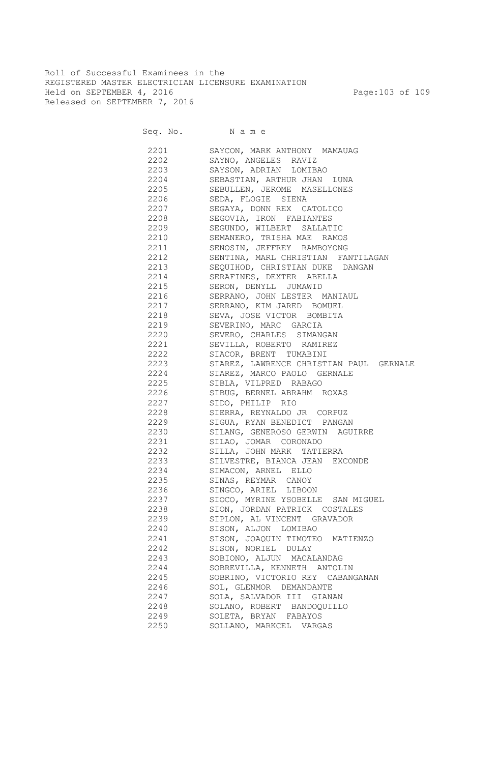Roll of Successful Examinees in the REGISTERED MASTER ELECTRICIAN LICENSURE EXAMINATION Held on SEPTEMBER 4, 2016 Page:103 of 109 Released on SEPTEMBER 7, 2016

Seq. No. Name 2201 SAYCON, MARK ANTHONY MAMAUAG 2202 SAYNO, ANGELES RAVIZ 2203 SAYSON, ADRIAN LOMIBAO 2204 SEBASTIAN, ARTHUR JHAN LUNA 2205 SEBULLEN, JEROME MASELLONES 2206 SEDA, FLOGIE SIENA 2207 SEGAYA, DONN REX CATOLICO 2208 SEGOVIA, IRON FABIANTES 2209 SEGUNDO, WILBERT SALLATIC 2210 SEMANERO, TRISHA MAE RAMOS 2211 SENOSIN, JEFFREY RAMBOYONG 2212 SENTINA, MARL CHRISTIAN FANTILAGAN 2213 SEQUIHOD, CHRISTIAN DUKE DANGAN 2214 SERAFINES, DEXTER ABELLA 2215 SERON, DENYLL JUMAWID 2216 SERRANO, JOHN LESTER MANIAUL 2217 SERRANO, KIM JARED BOMUEL 2218 SEVA, JOSE VICTOR BOMBITA 2219 SEVERINO, MARC GARCIA 2220 SEVERO, CHARLES SIMANGAN 2221 SEVILLA, ROBERTO RAMIREZ 2222 SIACOR, BRENT TUMABINI 2223 SIAREZ, LAWRENCE CHRISTIAN PAUL GERNALE 2224 SIAREZ, MARCO PAOLO GERNALE 2225 SIBLA, VILPRED RABAGO 2226 SIBUG, BERNEL ABRAHM ROXAS 2227 SIDO, PHILIP RIO 2228 SIERRA, REYNALDO JR CORPUZ 2229 SIGUA, RYAN BENEDICT PANGAN 2230 SILANG, GENEROSO GERWIN AGUIRRE 2231 SILAO, JOMAR CORONADO 2232 SILLA, JOHN MARK TATIERRA 2233 SILVESTRE, BIANCA JEAN EXCONDE 2234 SIMACON, ARNEL ELLO 2235 SINAS, REYMAR CANOY 2236 SINGCO, ARIEL LIBOON 2237 SIOCO, MYRINE YSOBELLE SAN MIGUEL 2238 SION, JORDAN PATRICK COSTALES 2239 SIPLON, AL VINCENT GRAVADOR 2240 SISON, ALJON LOMIBAO 2241 SISON, JOAQUIN TIMOTEO MATIENZO 2242 SISON, NORIEL DULAY 2243 SOBIONO, ALJUN MACALANDAG 2244 SOBREVILLA, KENNETH ANTOLIN 2245 SOBRINO, VICTORIO REY CABANGANAN 2246 SOL, GLENMOR DEMANDANTE 2247 SOLA, SALVADOR III GIANAN 2248 SOLANO, ROBERT BANDOQUILLO 2249 SOLETA, BRYAN FABAYOS 2250 SOLLANO, MARKCEL VARGAS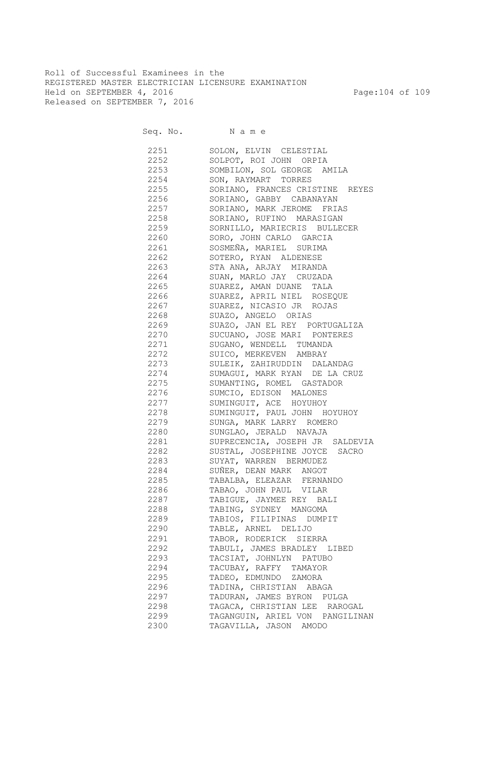Roll of Successful Examinees in the REGISTERED MASTER ELECTRICIAN LICENSURE EXAMINATION Held on SEPTEMBER 4, 2016 Page:104 of 109 Released on SEPTEMBER 7, 2016

Seq. No. Name

 2251 SOLON, ELVIN CELESTIAL 2252 SOLPOT, ROI JOHN ORPIA 2253 SOMBILON, SOL GEORGE AMILA 2254 SON, RAYMART TORRES 2255 SORIANO, FRANCES CRISTINE REYES 2256 SORIANO, GABBY CABANAYAN 2257 SORIANO, MARK JEROME FRIAS 2258 SORIANO, RUFINO MARASIGAN 2259 SORNILLO, MARIECRIS BULLECER 2260 SORO, JOHN CARLO GARCIA 2261 SOSMEÑA, MARIEL SURIMA 2262 SOTERO, RYAN ALDENESE 2263 STA ANA, ARJAY MIRANDA 2264 SUAN, MARLO JAY CRUZADA 2265 SUAREZ, AMAN DUANE TALA 2266 SUAREZ, APRIL NIEL ROSEQUE 2267 SUAREZ, NICASIO JR ROJAS 2268 SUAZO, ANGELO ORIAS 2269 SUAZO, JAN EL REY PORTUGALIZA 2270 SUCUANO, JOSE MARI PONTERES 2271 SUGANO, WENDELL TUMANDA 2272 SUICO, MERKEVEN AMBRAY 2273 SULEIK, ZAHIRUDDIN DALANDAG 2274 SUMAGUI, MARK RYAN DE LA CRUZ 2275 SUMANTING, ROMEL GASTADOR 2276 SUMCIO, EDISON MALONES 2277 SUMINGUIT, ACE HOYUHOY 2278 SUMINGUIT, PAUL JOHN HOYUHOY 2279 SUNGA, MARK LARRY ROMERO 2280 SUNGLAO, JERALD NAVAJA 2281 SUPRECENCIA, JOSEPH JR SALDEVIA 2282 SUSTAL, JOSEPHINE JOYCE SACRO 2283 SUYAT, WARREN BERMUDEZ 2284 SUÑER, DEAN MARK ANGOT 2285 TABALBA, ELEAZAR FERNANDO 2286 TABAO, JOHN PAUL VILAR 2287 TABIGUE, JAYMEE REY BALI 2288 TABING, SYDNEY MANGOMA 2289 TABIOS, FILIPINAS DUMPIT 2290 TABLE, ARNEL DELIJO 2291 TABOR, RODERICK SIERRA 2292 TABULI, JAMES BRADLEY LIBED 2293 TACSIAT, JOHNLYN PATUBO 2294 TACUBAY, RAFFY TAMAYOR 2295 TADEO, EDMUNDO ZAMORA 2296 TADINA, CHRISTIAN ABAGA 2297 TADURAN, JAMES BYRON PULGA 2298 TAGACA, CHRISTIAN LEE RAROGAL 2299 TAGANGUIN, ARIEL VON PANGILINAN 2300 TAGAVILLA, JASON AMODO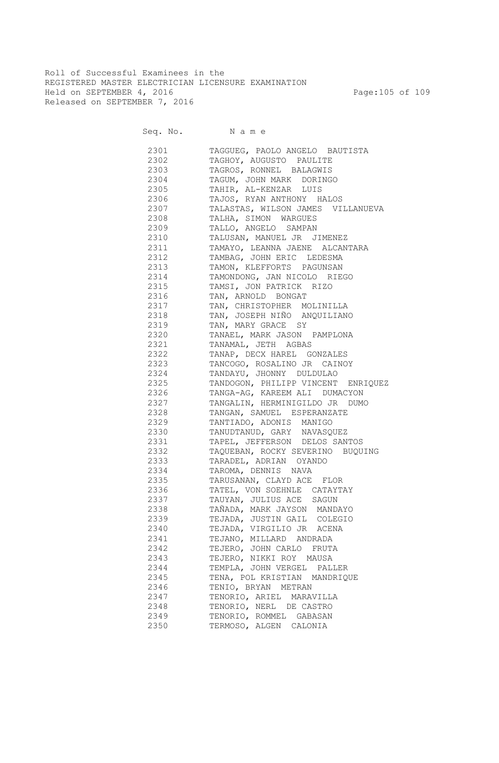Roll of Successful Examinees in the REGISTERED MASTER ELECTRICIAN LICENSURE EXAMINATION Held on SEPTEMBER 4, 2016 Page:105 of 109 Released on SEPTEMBER 7, 2016

| 2301     | TAGGUEG, PAOLO ANGELO BAUTISTA     |
|----------|------------------------------------|
| 2302     | TAGHOY, AUGUSTO PAULITE            |
| 2303     | TAGROS, RONNEL BALAGWIS            |
| 2304     | TAGUM, JOHN MARK DORINGO           |
| 2305 230 | TAHIR, AL-KENZAR LUIS              |
|          | 2306 TAJOS, RYAN ANTHONY HALOS     |
| 2307 230 | TALASTAS, WILSON JAMES VILLANUEVA  |
|          | 2308 TALHA, SIMON WARGUES          |
| 2309     | TALLO, ANGELO SAMPAN               |
| 2310     | TALUSAN, MANUEL JR JIMENEZ         |
| 2311     | TAMAYO, LEANNA JAENE ALCANTARA     |
| 2312     | TAMBAG, JOHN ERIC LEDESMA          |
| 2313     | TAMON, KLEFFORTS PAGUNSAN          |
| 2314     | TAMONDONG, JAN NICOLO RIEGO        |
| 2315     | TAMSI, JON PATRICK RIZO            |
| 2316     | TAN, ARNOLD BONGAT                 |
| 2317     | TAN, CHRISTOPHER MOLINILLA         |
| 2318     | TAN, JOSEPH NIÑO ANQUILIANO        |
|          | 2319 TAN, MARY GRACE SY            |
|          | 2320 TANAEL, MARK JASON PAMPLONA   |
|          | 2321 TANAMAL, JETH AGBAS           |
|          | 2322 TANAP, DECX HAREL GONZALES    |
| 2323     | TANCOGO, ROSALINO JR CAINOY        |
| 2324     | TANDAYU, JHONNY DULDULAO           |
| 2325     | TANDOGON, PHILIPP VINCENT ENRIQUEZ |
| 2326     | TANGA-AG, KAREEM ALI DUMACYON      |
| 2327     | TANGALIN, HERMINIGILDO JR DUMO     |
| 2328     | TANGAN, SAMUEL ESPERANZATE         |
| 2329     | TANTIADO, ADONIS MANIGO            |
| 2330     | TANUDTANUD, GARY NAVASQUEZ         |
| 2331     | TAPEL, JEFFERSON DELOS SANTOS      |
| 2332     | TAQUEBAN, ROCKY SEVERINO BUQUING   |
| 2333     | TARADEL, ADRIAN OYANDO             |
| 2334     | TAROMA, DENNIS NAVA                |
| 2335     | TARUSANAN, CLAYD ACE FLOR          |
| 2336     | TATEL, VON SOEHNLE CATAYTAY        |
| 2337     | TAUYAN, JULIUS ACE SAGUN           |
| 2338     | TAÑADA, MARK JAYSON MANDAYO        |
| 2339     | TEJADA, JUSTIN GAIL COLEGIO        |
| 2340     | TEJADA, VIRGILIO JR ACENA          |
| 2341     | TEJANO, MILLARD ANDRADA            |
| 2342     | TEJERO, JOHN CARLO FRUTA           |
| 2343     | TEJERO, NIKKI ROY MAUSA            |
| 2344     | TEMPLA, JOHN VERGEL PALLER         |
| 2345     | TENA, POL KRISTIAN MANDRIQUE       |
| 2346     | TENIO, BRYAN METRAN                |
| 2347     | TENORIO, ARIEL MARAVILLA           |
| 2348     | TENORIO, NERL DE CASTRO            |
| 2349     | TENORIO, ROMMEL GABASAN            |
| 2350     | TERMOSO, ALGEN CALONIA             |
|          |                                    |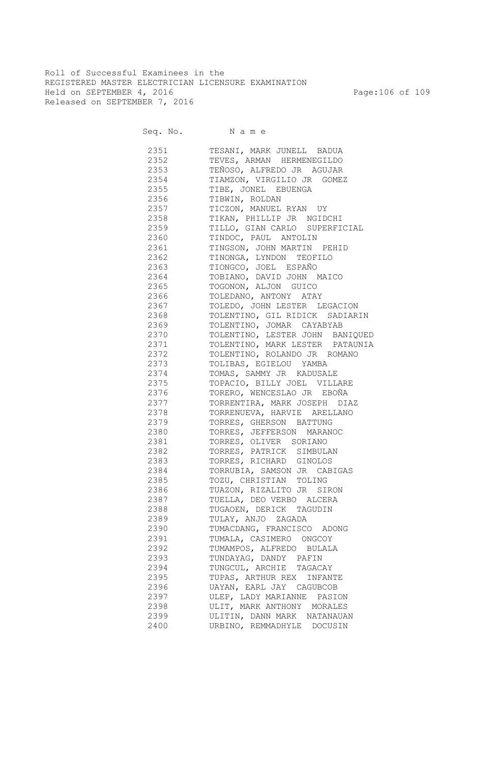Roll of Successful Examinees in the REGISTERED MASTER ELECTRICIAN LICENSURE EXAMINATION Held on SEPTEMBER 4, 2016 Page:106 of 109 Released on SEPTEMBER 7, 2016

| 2351      | TESANI, MARK JUNELL BADUA       |
|-----------|---------------------------------|
| 2352      | TEVES, ARMAN HERMENEGILDO       |
| 2353      | TEÑOSO, ALFREDO JR AGUJAR       |
| 2354      | TIAMZON, VIRGILIO JR GOMEZ      |
| 2355      | TIBE, JONEL EBUENGA             |
| 2356      | TIBWIN, ROLDAN                  |
| 2357      | TICZON, MANUEL RYAN UY          |
| 2358      | TIKAN, PHILLIP JR NGIDCHI       |
| 2359      | TILLO, GIAN CARLO SUPERFICIAL   |
| 2360      | TINDOC, PAUL ANTOLIN            |
|           |                                 |
| 2361      | TINGSON, JOHN MARTIN PEHID      |
| 2362      | TINONGA, LYNDON TEOFILO         |
| 2363      | TIONGCO, JOEL ESPAÑO            |
| 2364      | TOBIANO, DAVID JOHN MAICO       |
| 2365      | TOGONON, ALJON GUICO            |
| 2366 7    | TOLEDANO, ANTONY ATAY           |
| 2367      | TOLEDO, JOHN LESTER LEGACION    |
| 2368      | TOLENTINO, GIL RIDICK SADIARIN  |
| 2369      | TOLENTINO, JOMAR CAYABYAB       |
| 2370 2370 | TOLENTINO, LESTER JOHN BANIQUED |
| 2371      | TOLENTINO, MARK LESTER PATAUNIA |
| 2372      | TOLENTINO, ROLANDO JR ROMANO    |
| 2373      | TOLIBAS, EGIELOU YAMBA          |
| 2374      | TOMAS, SAMMY JR KADUSALE        |
| 2375      | TOPACIO, BILLY JOEL VILLARE     |
| 2376      | TORERO, WENCESLAO JR EBOÑA      |
| 2377      | TORRENTIRA, MARK JOSEPH DIAZ    |
| 2378      | TORRENUEVA, HARVIE ARELLANO     |
| 2379      | TORRES, GHERSON BATTUNG         |
| 2380      | TORRES, JEFFERSON MARANOC       |
| 2381      | TORRES, OLIVER SORIANO          |
| 2382      | TORRES, PATRICK SIMBULAN        |
| 2383      | TORRES, RICHARD GINOLOS         |
| 2384      | TORRUBIA, SAMSON JR CABIGAS     |
| 2385      | TOZU, CHRISTIAN TOLING          |
| 2386      | TUAZON, RIZALITO JR SIRON       |
| 2387      | TUELLA, DEO VERBO ALCERA        |
| 2388      | TUGAOEN, DERICK TAGUDIN         |
|           | TULAY, ANJO ZAGADA              |
| 2389      |                                 |
| 2390      | TUMACDANG, FRANCISCO ADONG      |
| 2391      | TUMALA, CASIMERO ONGCOY         |
| 2392      | TUMAMPOS, ALFREDO BULALA        |
| 2393      | TUNDAYAG, DANDY PAFIN           |
| 2394      | TUNGCUL, ARCHIE TAGACAY         |
| 2395      | TUPAS, ARTHUR REX INFANTE       |
| 2396      | UAYAN, EARL JAY CAGUBCOB        |
| 2397      | ULEP, LADY MARIANNE PASION      |
| 2398      | ULIT, MARK ANTHONY MORALES      |
| 2399      | ULITIN, DANN MARK NATANAUAN     |
| 2400      | URBINO, REMMADHYLE DOCUSIN      |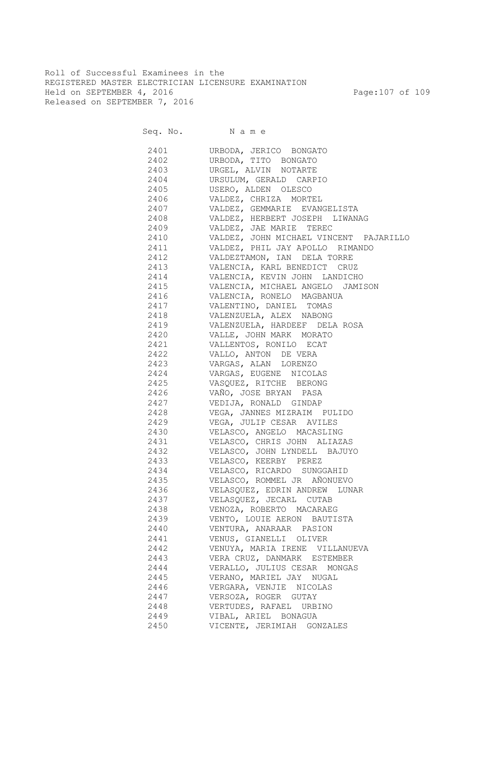Roll of Successful Examinees in the REGISTERED MASTER ELECTRICIAN LICENSURE EXAMINATION Held on SEPTEMBER 4, 2016 Page:107 of 109 Released on SEPTEMBER 7, 2016

| 2401 | URBODA, JERICO BONGATO                                                                                                              |
|------|-------------------------------------------------------------------------------------------------------------------------------------|
| 2402 | URBODA, TITO BONGATO                                                                                                                |
| 2403 | URGEL, ALVIN NOTARTE                                                                                                                |
| 2404 | URSULUM, GERALD CARPIO                                                                                                              |
| 2405 | USERO, ALDEN OLESCO                                                                                                                 |
| 2406 | VALDEZ, CHRIZA MORTEL                                                                                                               |
| 2407 | VALDEZ, GEMMARIE EVANGELISTA                                                                                                        |
| 2408 | VALDEZ, HERBERT JOSEPH LIWANAG                                                                                                      |
| 2409 | VALDEZ, JAE MARIE TEREC<br>VALDEZ, JOHN MICHAEL VINCENT PAJARILLO<br>VALDEZ, PHIL JAY APOLLO RIMANDO<br>VALDEZTAMON, IAN DELA TORRE |
| 2410 |                                                                                                                                     |
| 2411 |                                                                                                                                     |
| 2412 |                                                                                                                                     |
| 2413 | VALENCIA, KARL BENEDICT CRUZ                                                                                                        |
| 2414 | VALENCIA, KEVIN JOHN LANDICHO                                                                                                       |
| 2415 | VALENCIA, MICHAEL ANGELO JAMISON                                                                                                    |
| 2416 | VALENCIA, RONELO MAGBANUA                                                                                                           |
| 2417 | VALENTINO, DANIEL TOMAS                                                                                                             |
| 2418 | VALENZUELA, ALEX NABONG                                                                                                             |
| 2419 | VALENZUELA, HARDEEF DELA ROSA                                                                                                       |
| 2420 | VALLE, JOHN MARK MORATO                                                                                                             |
| 2421 | VALLENTOS, RONILO ECAT                                                                                                              |
| 2422 | VALLO, ANTON DE VERA                                                                                                                |
| 2423 | VARGAS, ALAN LORENZO                                                                                                                |
|      | 2424 VARGAS, EUGENE NICOLAS                                                                                                         |
|      | 2425 VASQUEZ, RITCHE BERONG                                                                                                         |
| 2426 | VAÑO, JOSE BRYAN PASA                                                                                                               |
| 2427 | VEDIJA, RONALD GINDAP                                                                                                               |
|      | 2428 VEGA, JANNES MIZRAIM PULIDO                                                                                                    |
|      | 2429 VEGA, JULIP CESAR AVILES                                                                                                       |
|      | 2430 VELASCO, ANGELO MACASLING                                                                                                      |
|      | 2431 VELASCO, CHRIS JOHN ALIAZAS                                                                                                    |
|      | 2432 VELASCO, JOHN LYNDELL BAJUYO                                                                                                   |
|      | 2433 VELASCO, KEERBY PEREZ                                                                                                          |
|      | 2434 VELASCO, RICARDO SUNGGAHID                                                                                                     |
|      | 2435 VELASCO, ROMMEL JR AÑONUEVO                                                                                                    |
|      |                                                                                                                                     |
|      | 2437 VELASQUEZ, JECARL CUTAB                                                                                                        |
|      | 2438 VENOZA, ROBERTO MACARAEG                                                                                                       |
| 2439 | VENTO, LOUIE AERON BAUTISTA                                                                                                         |
| 2440 | VENTURA, ANARAAR PASION                                                                                                             |
| 2441 | VENUS, GIANELLI OLIVER                                                                                                              |
| 2442 | VENUYA, MARIA IRENE VILLANUEVA                                                                                                      |
| 2443 | VERA CRUZ, DANMARK ESTEMBER                                                                                                         |
| 2444 | VERALLO, JULIUS CESAR MONGAS                                                                                                        |
| 2445 | VERANO, MARIEL JAY NUGAL                                                                                                            |
| 2446 | VERGARA, VENJIE NICOLAS                                                                                                             |
| 2447 | VERSOZA, ROGER GUTAY                                                                                                                |
| 2448 | VERTUDES, RAFAEL URBINO                                                                                                             |
| 2449 | VIBAL, ARIEL BONAGUA                                                                                                                |
| 2450 | VICENTE, JERIMIAH GONZALES                                                                                                          |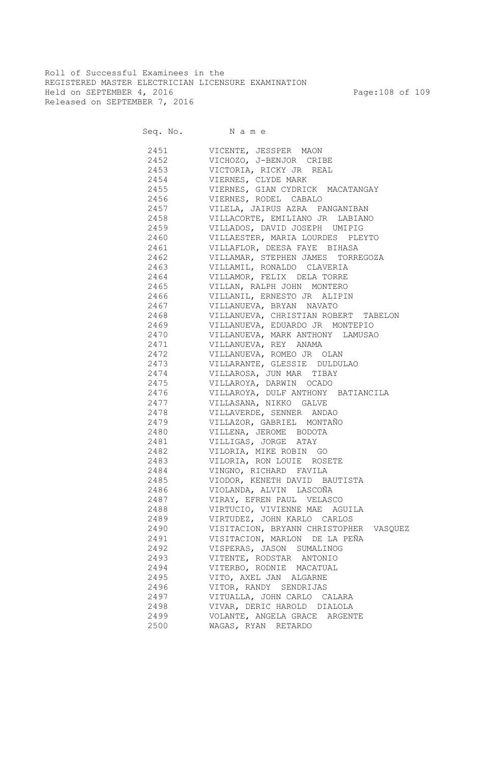Roll of Successful Examinees in the REGISTERED MASTER ELECTRICIAN LICENSURE EXAMINATION Held on SEPTEMBER 4, 2016 Page:108 of 109 Released on SEPTEMBER 7, 2016

Seq. No. Name 2451 VICENTE, JESSPER MAON 2452 VICHOZO, J-BENJOR CRIBE 2453 VICTORIA, RICKY JR REAL 2454 VIERNES, CLYDE MARK 2455 VIERNES, GIAN CYDRICK MACATANGAY 2456 VIERNES, RODEL CABALO 2457 VILELA, JAIRUS AZRA PANGANIBAN 2458 VILLACORTE, EMILIANO JR LABIANO 2459 VILLADOS, DAVID JOSEPH UMIPIG 2460 VILLAESTER, MARIA LOURDES PLEYTO 2461 VILLAFLOR, DEESA FAYE BIHASA 2462 VILLAMAR, STEPHEN JAMES TORREGOZA 2463 VILLAMIL, RONALDO CLAVERIA 2464 VILLAMOR, FELIX DELA TORRE 2465 VILLAN, RALPH JOHN MONTERO 2466 VILLANIL, ERNESTO JR ALIPIN 2467 VILLANUEVA, BRYAN NAVATO 2468 VILLANUEVA, CHRISTIAN ROBERT TABELON 2469 VILLANUEVA, EDUARDO JR MONTEPIO 2470 VILLANUEVA, MARK ANTHONY LAMUSAO 2471 VILLANUEVA, REY ANAMA 2472 VILLANUEVA, ROMEO JR OLAN 2473 VILLARANTE, GLESSIE DULDULAO 2474 VILLAROSA, JUN MAR TIBAY 2475 VILLAROYA, DARWIN OCADO VILLAROYA, DULF ANTHONY BATIANCILA 2477 VILLASANA, NIKKO GALVE 2478 VILLAVERDE, SENNER ANDAO 2479 VILLAZOR, GABRIEL MONTAÑO 2480 VILLENA, JEROME BODOTA 2481 VILLIGAS, JORGE ATAY 2482 VILORIA, MIKE ROBIN GO 2483 VILORIA, RON LOUIE ROSETE 2484 VINGNO, RICHARD FAVILA 2485 VIODOR, KENETH DAVID BAUTISTA 2486 VIOLANDA, ALVIN LASCOÑA 2487 VIRAY, EFREN PAUL VELASCO 2488 VIRTUCIO, VIVIENNE MAE AGUILA 2489 VIRTUDEZ, JOHN KARLO CARLOS 2490 VISITACION, BRYANN CHRISTOPHER VASQUEZ 2491 VISITACION, MARLON DE LA PEÑA 2492 VISPERAS, JASON SUMALINOG 2493 VITENTE, RODSTAR ANTONIO 2494 VITERBO, RODNIE MACATUAL 2495 VITO, AXEL JAN ALGARNE 2496 VITOR, RANDY SENDRIJAS 2497 VITUALLA, JOHN CARLO CALARA 2498 VIVAR, DERIC HAROLD DIALOLA 2499 VOLANTE, ANGELA GRACE ARGENTE 2500 WAGAS, RYAN RETARDO